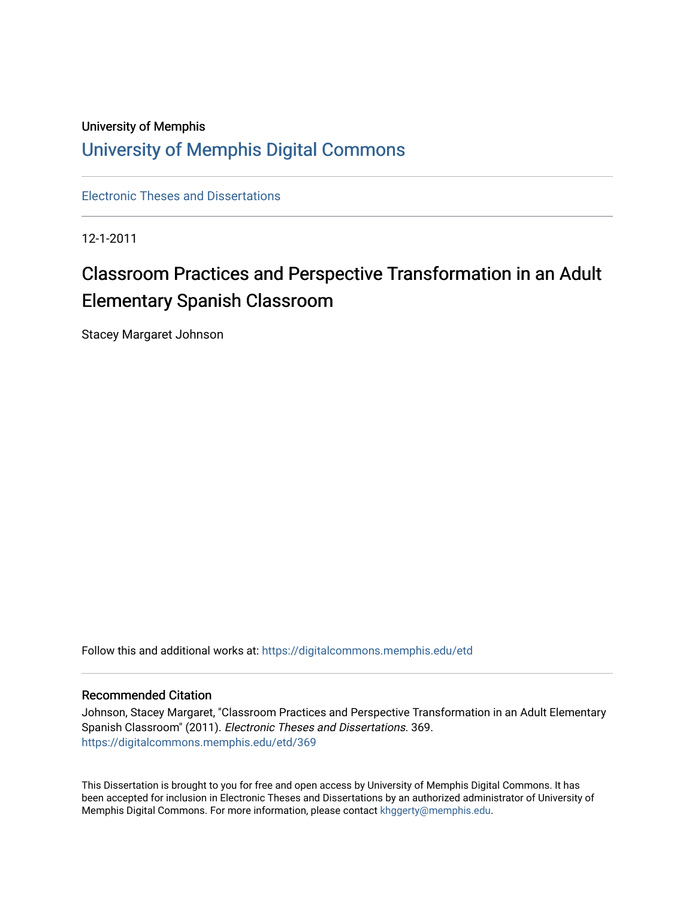# University of Memphis [University of Memphis Digital Commons](https://digitalcommons.memphis.edu/)

[Electronic Theses and Dissertations](https://digitalcommons.memphis.edu/etd)

12-1-2011

# Classroom Practices and Perspective Transformation in an Adult Elementary Spanish Classroom

Stacey Margaret Johnson

Follow this and additional works at: [https://digitalcommons.memphis.edu/etd](https://digitalcommons.memphis.edu/etd?utm_source=digitalcommons.memphis.edu%2Fetd%2F369&utm_medium=PDF&utm_campaign=PDFCoverPages) 

# Recommended Citation

Johnson, Stacey Margaret, "Classroom Practices and Perspective Transformation in an Adult Elementary Spanish Classroom" (2011). Electronic Theses and Dissertations. 369. [https://digitalcommons.memphis.edu/etd/369](https://digitalcommons.memphis.edu/etd/369?utm_source=digitalcommons.memphis.edu%2Fetd%2F369&utm_medium=PDF&utm_campaign=PDFCoverPages) 

This Dissertation is brought to you for free and open access by University of Memphis Digital Commons. It has been accepted for inclusion in Electronic Theses and Dissertations by an authorized administrator of University of Memphis Digital Commons. For more information, please contact [khggerty@memphis.edu.](mailto:khggerty@memphis.edu)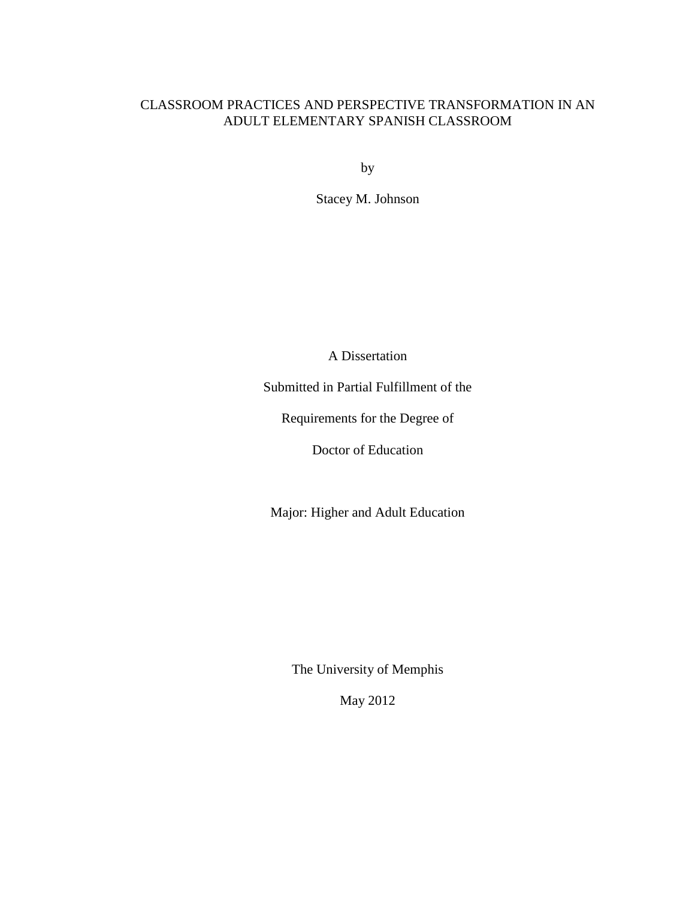# CLASSROOM PRACTICES AND PERSPECTIVE TRANSFORMATION IN AN ADULT ELEMENTARY SPANISH CLASSROOM

by

Stacey M. Johnson

A Dissertation

Submitted in Partial Fulfillment of the

Requirements for the Degree of

Doctor of Education

Major: Higher and Adult Education

The University of Memphis

May 2012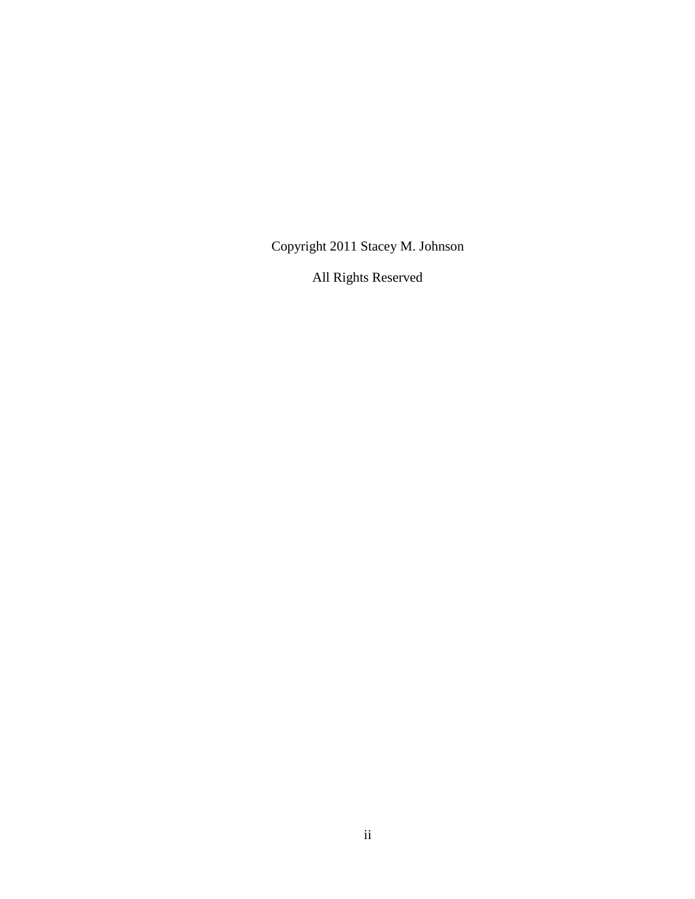Copyright 2011 Stacey M. Johnson

All Rights Reserved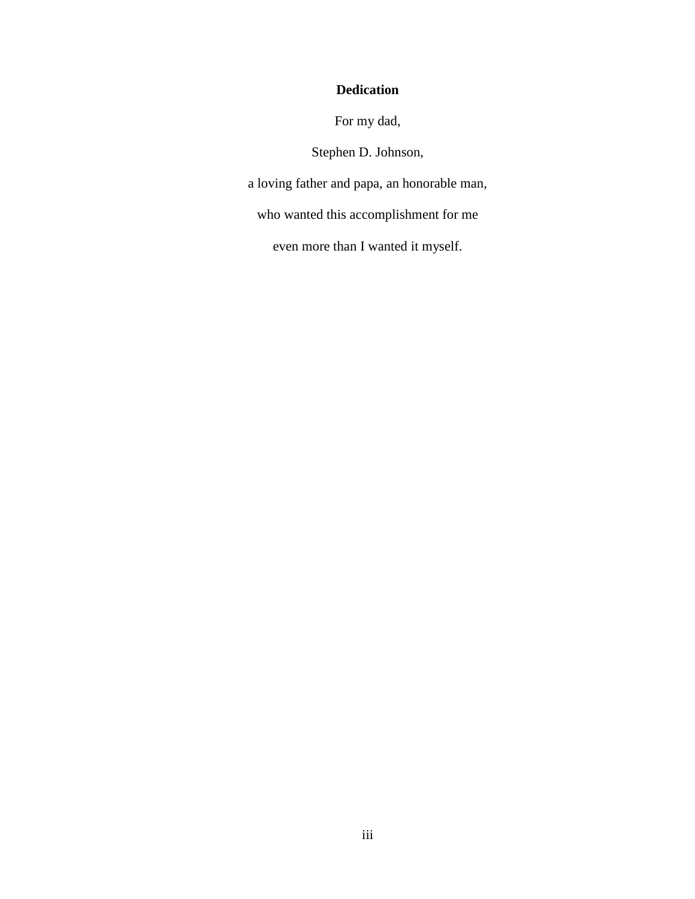# **Dedication**

For my dad,

Stephen D. Johnson,

a loving father and papa, an honorable man,

who wanted this accomplishment for me

even more than I wanted it myself.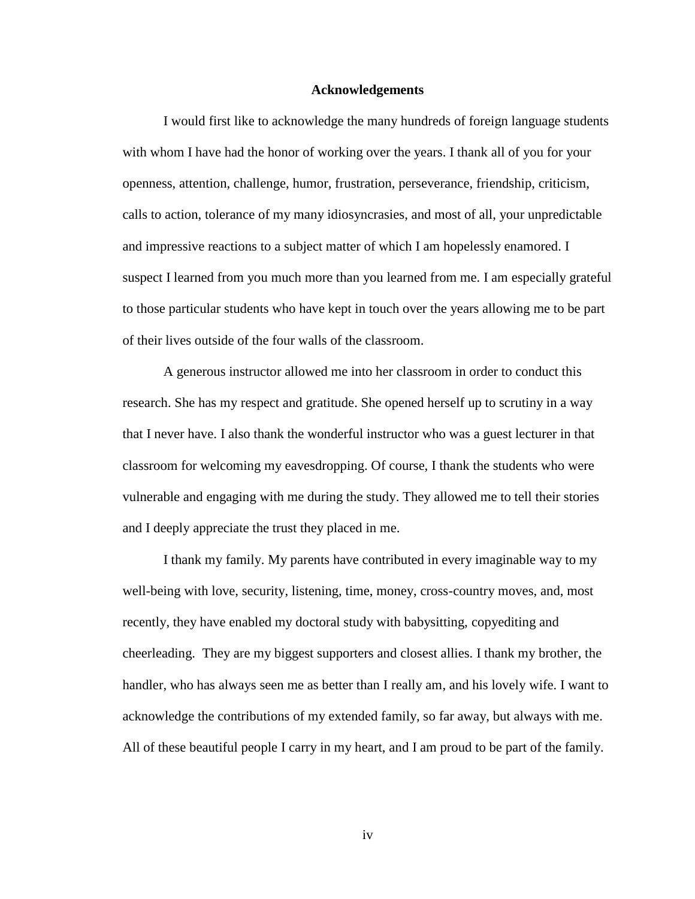## **Acknowledgements**

I would first like to acknowledge the many hundreds of foreign language students with whom I have had the honor of working over the years. I thank all of you for your openness, attention, challenge, humor, frustration, perseverance, friendship, criticism, calls to action, tolerance of my many idiosyncrasies, and most of all, your unpredictable and impressive reactions to a subject matter of which I am hopelessly enamored. I suspect I learned from you much more than you learned from me. I am especially grateful to those particular students who have kept in touch over the years allowing me to be part of their lives outside of the four walls of the classroom.

A generous instructor allowed me into her classroom in order to conduct this research. She has my respect and gratitude. She opened herself up to scrutiny in a way that I never have. I also thank the wonderful instructor who was a guest lecturer in that classroom for welcoming my eavesdropping. Of course, I thank the students who were vulnerable and engaging with me during the study. They allowed me to tell their stories and I deeply appreciate the trust they placed in me.

I thank my family. My parents have contributed in every imaginable way to my well-being with love, security, listening, time, money, cross-country moves, and, most recently, they have enabled my doctoral study with babysitting, copyediting and cheerleading. They are my biggest supporters and closest allies. I thank my brother, the handler, who has always seen me as better than I really am, and his lovely wife. I want to acknowledge the contributions of my extended family, so far away, but always with me. All of these beautiful people I carry in my heart, and I am proud to be part of the family.

iv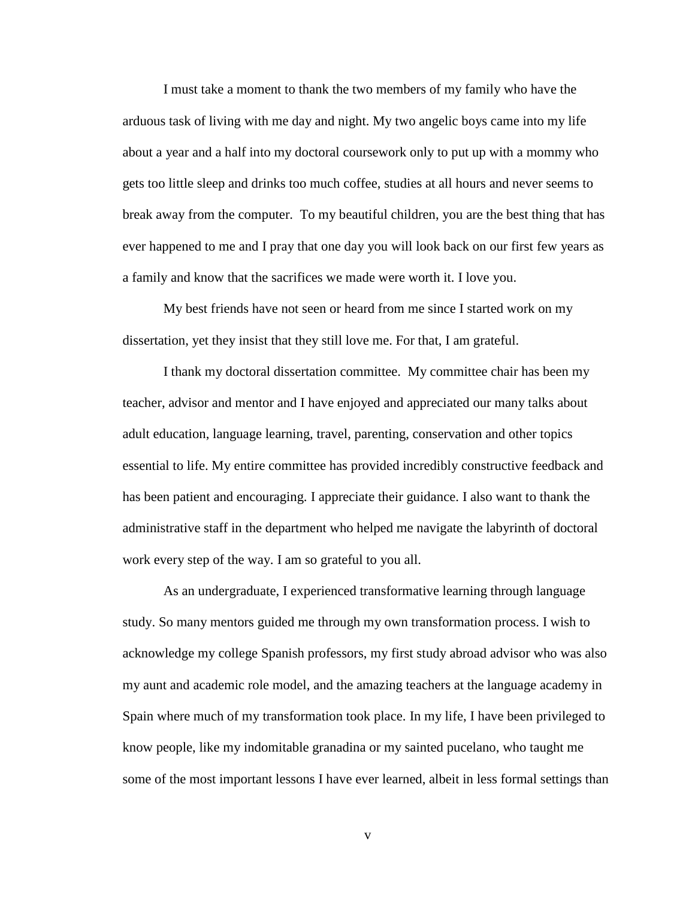I must take a moment to thank the two members of my family who have the arduous task of living with me day and night. My two angelic boys came into my life about a year and a half into my doctoral coursework only to put up with a mommy who gets too little sleep and drinks too much coffee, studies at all hours and never seems to break away from the computer. To my beautiful children, you are the best thing that has ever happened to me and I pray that one day you will look back on our first few years as a family and know that the sacrifices we made were worth it. I love you.

My best friends have not seen or heard from me since I started work on my dissertation, yet they insist that they still love me. For that, I am grateful.

I thank my doctoral dissertation committee. My committee chair has been my teacher, advisor and mentor and I have enjoyed and appreciated our many talks about adult education, language learning, travel, parenting, conservation and other topics essential to life. My entire committee has provided incredibly constructive feedback and has been patient and encouraging. I appreciate their guidance. I also want to thank the administrative staff in the department who helped me navigate the labyrinth of doctoral work every step of the way. I am so grateful to you all.

As an undergraduate, I experienced transformative learning through language study. So many mentors guided me through my own transformation process. I wish to acknowledge my college Spanish professors, my first study abroad advisor who was also my aunt and academic role model, and the amazing teachers at the language academy in Spain where much of my transformation took place. In my life, I have been privileged to know people, like my indomitable granadina or my sainted pucelano, who taught me some of the most important lessons I have ever learned, albeit in less formal settings than

v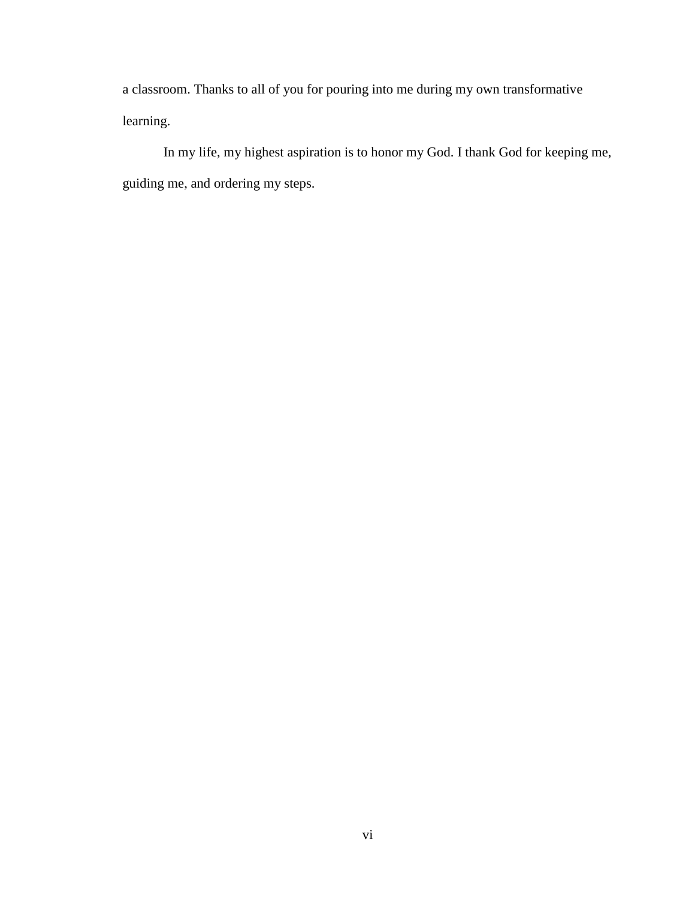a classroom. Thanks to all of you for pouring into me during my own transformative learning.

In my life, my highest aspiration is to honor my God. I thank God for keeping me, guiding me, and ordering my steps.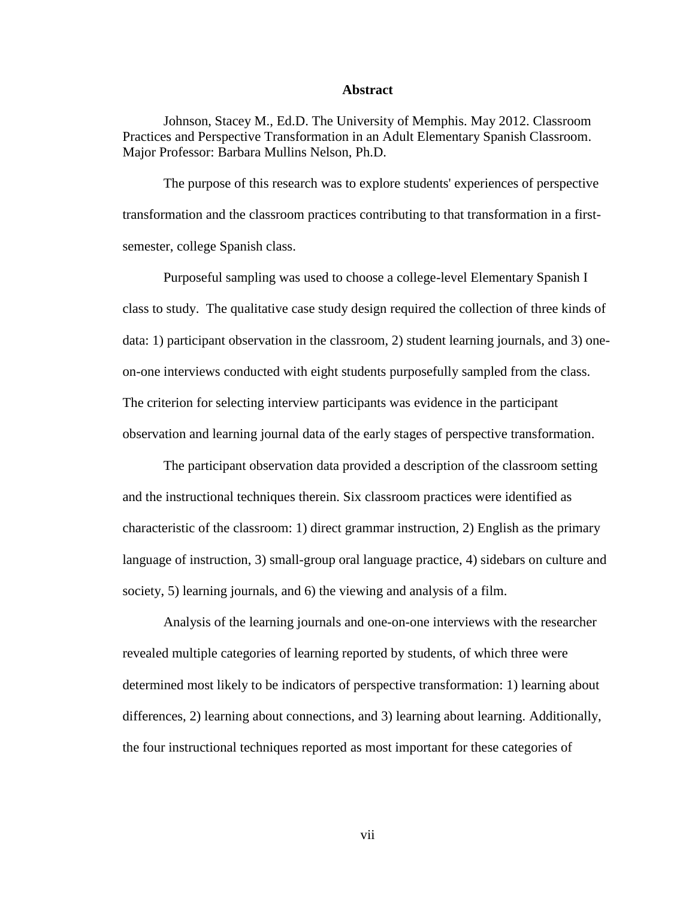# **Abstract**

Johnson, Stacey M., Ed.D. The University of Memphis. May 2012. Classroom Practices and Perspective Transformation in an Adult Elementary Spanish Classroom. Major Professor: Barbara Mullins Nelson, Ph.D.

The purpose of this research was to explore students' experiences of perspective transformation and the classroom practices contributing to that transformation in a firstsemester, college Spanish class.

Purposeful sampling was used to choose a college-level Elementary Spanish I class to study. The qualitative case study design required the collection of three kinds of data: 1) participant observation in the classroom, 2) student learning journals, and 3) oneon-one interviews conducted with eight students purposefully sampled from the class. The criterion for selecting interview participants was evidence in the participant observation and learning journal data of the early stages of perspective transformation.

The participant observation data provided a description of the classroom setting and the instructional techniques therein. Six classroom practices were identified as characteristic of the classroom: 1) direct grammar instruction, 2) English as the primary language of instruction, 3) small-group oral language practice, 4) sidebars on culture and society, 5) learning journals, and 6) the viewing and analysis of a film.

Analysis of the learning journals and one-on-one interviews with the researcher revealed multiple categories of learning reported by students, of which three were determined most likely to be indicators of perspective transformation: 1) learning about differences, 2) learning about connections, and 3) learning about learning. Additionally, the four instructional techniques reported as most important for these categories of

vii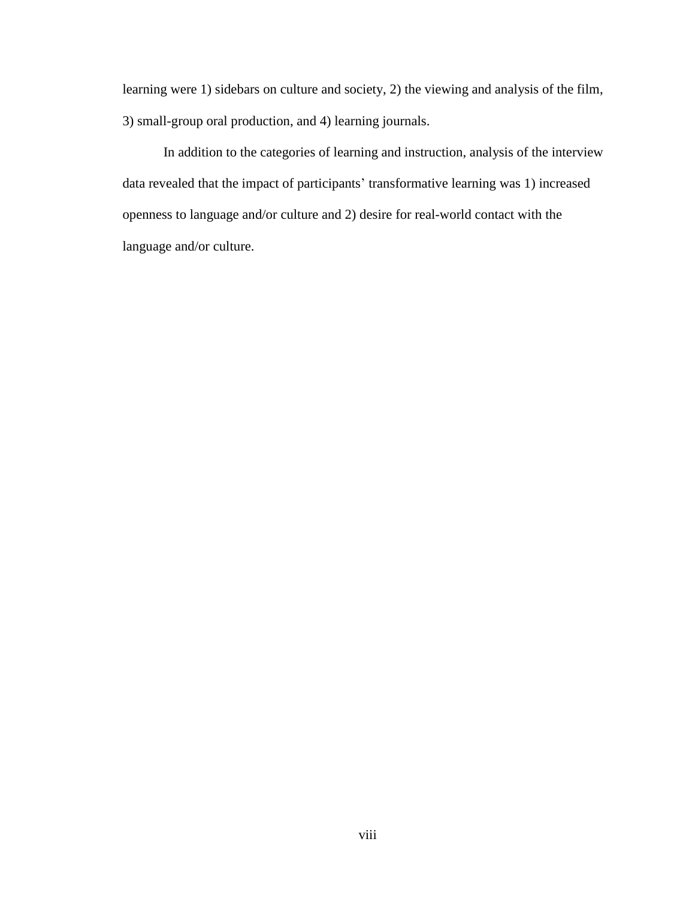learning were 1) sidebars on culture and society, 2) the viewing and analysis of the film, 3) small-group oral production, and 4) learning journals.

In addition to the categories of learning and instruction, analysis of the interview data revealed that the impact of participants' transformative learning was 1) increased openness to language and/or culture and 2) desire for real-world contact with the language and/or culture.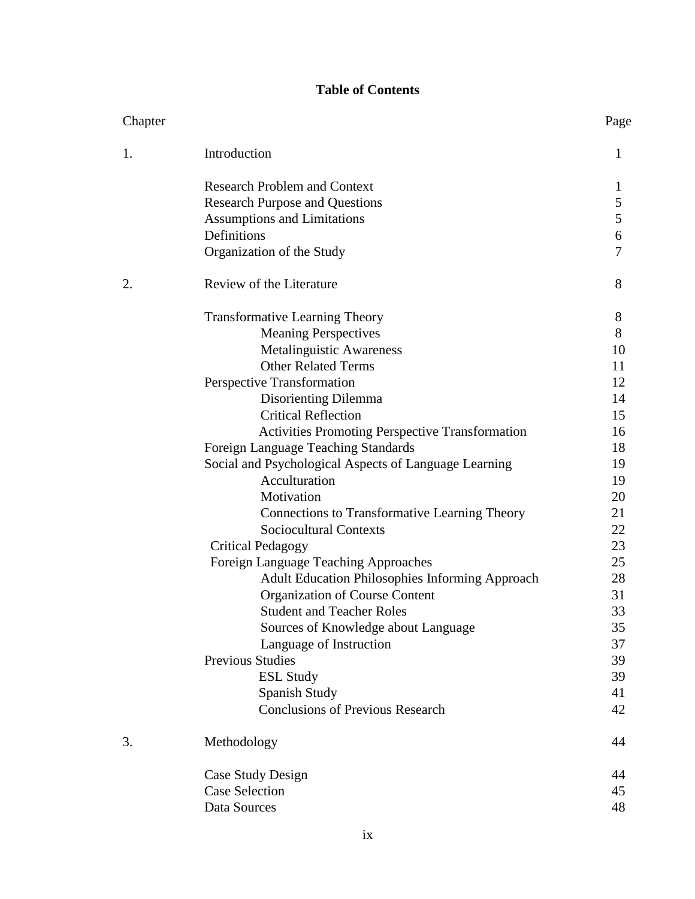# **Table of Contents**

| Chapter |                                                        | Page         |
|---------|--------------------------------------------------------|--------------|
| 1.      | Introduction                                           | 1            |
|         | <b>Research Problem and Context</b>                    | $\mathbf{I}$ |
|         | <b>Research Purpose and Questions</b>                  | 5            |
|         | <b>Assumptions and Limitations</b>                     | 5            |
|         | Definitions                                            | 6            |
|         | Organization of the Study                              | 7            |
| 2.      | Review of the Literature                               | 8            |
|         | <b>Transformative Learning Theory</b>                  | 8            |
|         | <b>Meaning Perspectives</b>                            | 8            |
|         | <b>Metalinguistic Awareness</b>                        | 10           |
|         | <b>Other Related Terms</b>                             | 11           |
|         | Perspective Transformation                             | 12           |
|         | Disorienting Dilemma                                   | 14           |
|         | <b>Critical Reflection</b>                             | 15           |
|         | <b>Activities Promoting Perspective Transformation</b> | 16           |
|         | Foreign Language Teaching Standards                    | 18           |
|         | Social and Psychological Aspects of Language Learning  | 19           |
|         | Acculturation                                          | 19           |
|         | Motivation                                             | 20           |
|         | <b>Connections to Transformative Learning Theory</b>   | 21           |
|         | <b>Sociocultural Contexts</b>                          | 22           |
|         | <b>Critical Pedagogy</b>                               | 23           |
|         | Foreign Language Teaching Approaches                   | 25           |
|         | <b>Adult Education Philosophies Informing Approach</b> | 28           |
|         | Organization of Course Content                         | 31           |
|         | <b>Student and Teacher Roles</b>                       | 33           |
|         | Sources of Knowledge about Language                    | 35           |
|         | Language of Instruction                                | 37           |
|         | <b>Previous Studies</b>                                | 39           |
|         | <b>ESL Study</b>                                       | 39           |
|         | Spanish Study                                          | 41           |
|         | <b>Conclusions of Previous Research</b>                | 42           |
| 3.      | Methodology                                            | 44           |
|         | Case Study Design                                      | 44           |
|         | <b>Case Selection</b>                                  | 45           |
|         | Data Sources                                           | 48           |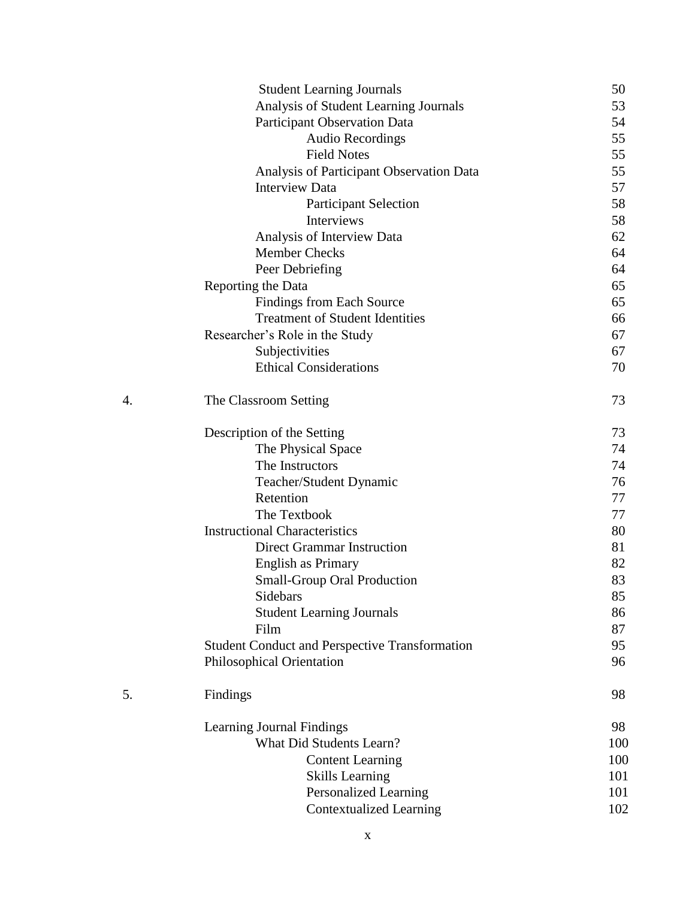|    | <b>Student Learning Journals</b>                      | 50  |
|----|-------------------------------------------------------|-----|
|    | Analysis of Student Learning Journals                 | 53  |
|    | <b>Participant Observation Data</b>                   | 54  |
|    | <b>Audio Recordings</b>                               | 55  |
|    | <b>Field Notes</b>                                    | 55  |
|    | Analysis of Participant Observation Data              | 55  |
|    | <b>Interview Data</b>                                 | 57  |
|    | <b>Participant Selection</b>                          | 58  |
|    | <b>Interviews</b>                                     | 58  |
|    | Analysis of Interview Data                            | 62  |
|    | <b>Member Checks</b>                                  | 64  |
|    | Peer Debriefing                                       | 64  |
|    | Reporting the Data                                    | 65  |
|    | <b>Findings from Each Source</b>                      | 65  |
|    | <b>Treatment of Student Identities</b>                | 66  |
|    | Researcher's Role in the Study                        | 67  |
|    | Subjectivities                                        | 67  |
|    | <b>Ethical Considerations</b>                         | 70  |
| 4. | The Classroom Setting                                 | 73  |
|    | Description of the Setting                            | 73  |
|    | The Physical Space                                    | 74  |
|    | The Instructors                                       | 74  |
|    | Teacher/Student Dynamic                               | 76  |
|    | Retention                                             | 77  |
|    | The Textbook                                          | 77  |
|    | <b>Instructional Characteristics</b>                  | 80  |
|    | Direct Grammar Instruction                            | 81  |
|    | <b>English as Primary</b>                             | 82  |
|    | <b>Small-Group Oral Production</b>                    | 83  |
|    | Sidebars                                              | 85  |
|    | <b>Student Learning Journals</b>                      | 86  |
|    | Film                                                  | 87  |
|    | <b>Student Conduct and Perspective Transformation</b> | 95  |
|    | Philosophical Orientation                             | 96  |
| 5. | Findings                                              | 98  |
|    | Learning Journal Findings                             | 98  |
|    | <b>What Did Students Learn?</b>                       | 100 |
|    | <b>Content Learning</b>                               | 100 |
|    | <b>Skills Learning</b>                                | 101 |
|    | Personalized Learning                                 | 101 |
|    | <b>Contextualized Learning</b>                        | 102 |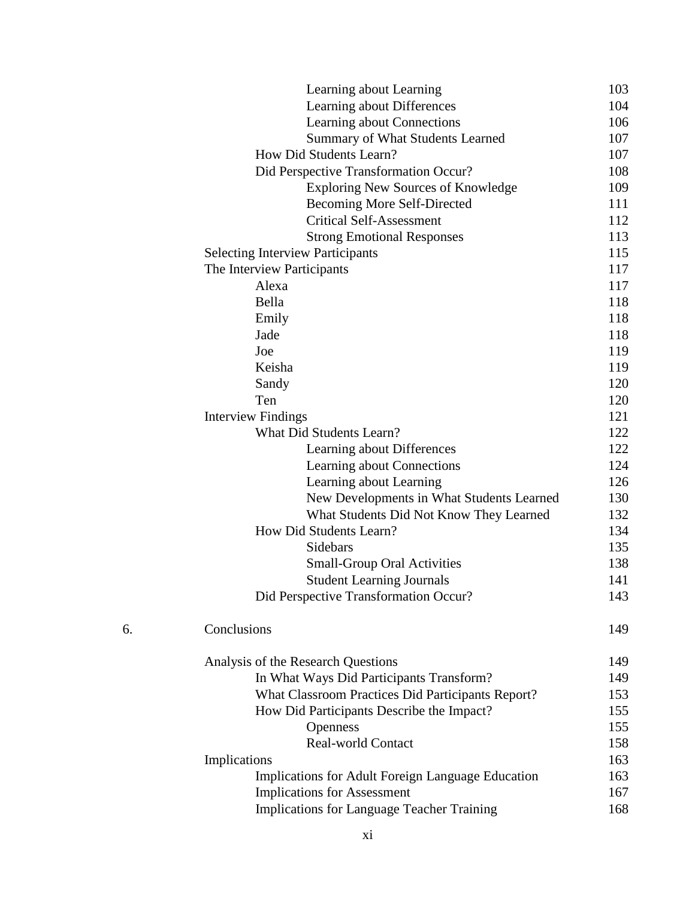|    | Learning about Learning                           | 103 |
|----|---------------------------------------------------|-----|
|    | Learning about Differences                        | 104 |
|    | Learning about Connections                        | 106 |
|    | <b>Summary of What Students Learned</b>           | 107 |
|    | How Did Students Learn?                           | 107 |
|    | Did Perspective Transformation Occur?             | 108 |
|    | <b>Exploring New Sources of Knowledge</b>         | 109 |
|    | <b>Becoming More Self-Directed</b>                | 111 |
|    | <b>Critical Self-Assessment</b>                   | 112 |
|    | <b>Strong Emotional Responses</b>                 | 113 |
|    | <b>Selecting Interview Participants</b>           | 115 |
|    | The Interview Participants                        | 117 |
|    | Alexa                                             | 117 |
|    | Bella                                             | 118 |
|    | Emily                                             | 118 |
|    | Jade                                              | 118 |
|    | Joe                                               | 119 |
|    | Keisha                                            | 119 |
|    | Sandy                                             | 120 |
|    | Ten                                               | 120 |
|    | <b>Interview Findings</b>                         | 121 |
|    | <b>What Did Students Learn?</b>                   | 122 |
|    | Learning about Differences                        | 122 |
|    | Learning about Connections                        | 124 |
|    | Learning about Learning                           | 126 |
|    | New Developments in What Students Learned         | 130 |
|    | What Students Did Not Know They Learned           | 132 |
|    | How Did Students Learn?                           | 134 |
|    | Sidebars                                          | 135 |
|    | <b>Small-Group Oral Activities</b>                | 138 |
|    | <b>Student Learning Journals</b>                  | 141 |
|    | Did Perspective Transformation Occur?             | 143 |
| 6. | Conclusions                                       | 149 |
|    | Analysis of the Research Questions                | 149 |
|    | In What Ways Did Participants Transform?          | 149 |
|    | What Classroom Practices Did Participants Report? | 153 |
|    | How Did Participants Describe the Impact?         | 155 |
|    | Openness                                          | 155 |
|    | <b>Real-world Contact</b>                         | 158 |
|    | Implications                                      | 163 |
|    | Implications for Adult Foreign Language Education | 163 |
|    | <b>Implications for Assessment</b>                | 167 |
|    | <b>Implications for Language Teacher Training</b> | 168 |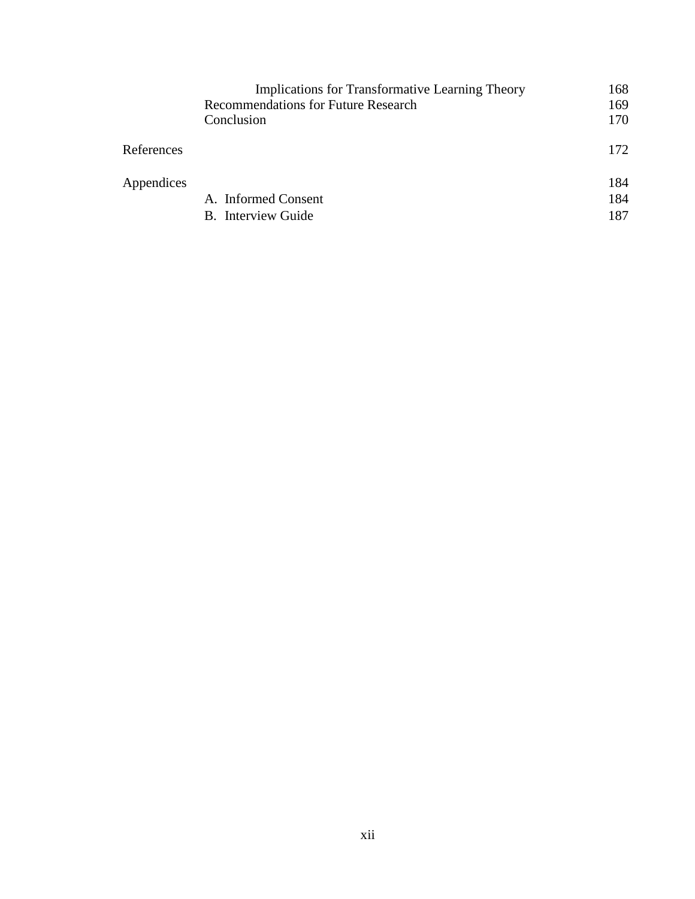|            | <b>Implications for Transformative Learning Theory</b> | 168 |
|------------|--------------------------------------------------------|-----|
|            | <b>Recommendations for Future Research</b>             | 169 |
|            | Conclusion                                             | 170 |
| References |                                                        | 172 |
| Appendices |                                                        | 184 |
|            | A. Informed Consent                                    | 184 |
|            | B. Interview Guide                                     | 187 |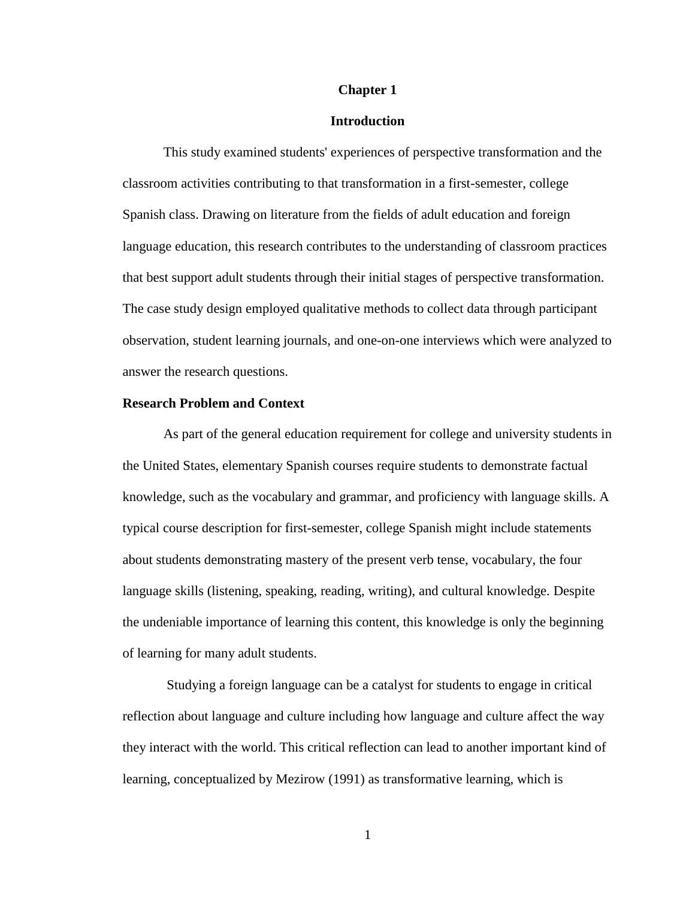## **Chapter 1**

## **Introduction**

This study examined students' experiences of perspective transformation and the classroom activities contributing to that transformation in a first-semester, college Spanish class. Drawing on literature from the fields of adult education and foreign language education, this research contributes to the understanding of classroom practices that best support adult students through their initial stages of perspective transformation. The case study design employed qualitative methods to collect data through participant observation, student learning journals, and one-on-one interviews which were analyzed to answer the research questions.

## **Research Problem and Context**

As part of the general education requirement for college and university students in the United States, elementary Spanish courses require students to demonstrate factual knowledge, such as the vocabulary and grammar, and proficiency with language skills. A typical course description for first-semester, college Spanish might include statements about students demonstrating mastery of the present verb tense, vocabulary, the four language skills (listening, speaking, reading, writing), and cultural knowledge. Despite the undeniable importance of learning this content, this knowledge is only the beginning of learning for many adult students.

Studying a foreign language can be a catalyst for students to engage in critical reflection about language and culture including how language and culture affect the way they interact with the world. This critical reflection can lead to another important kind of learning, conceptualized by Mezirow (1991) as transformative learning, which is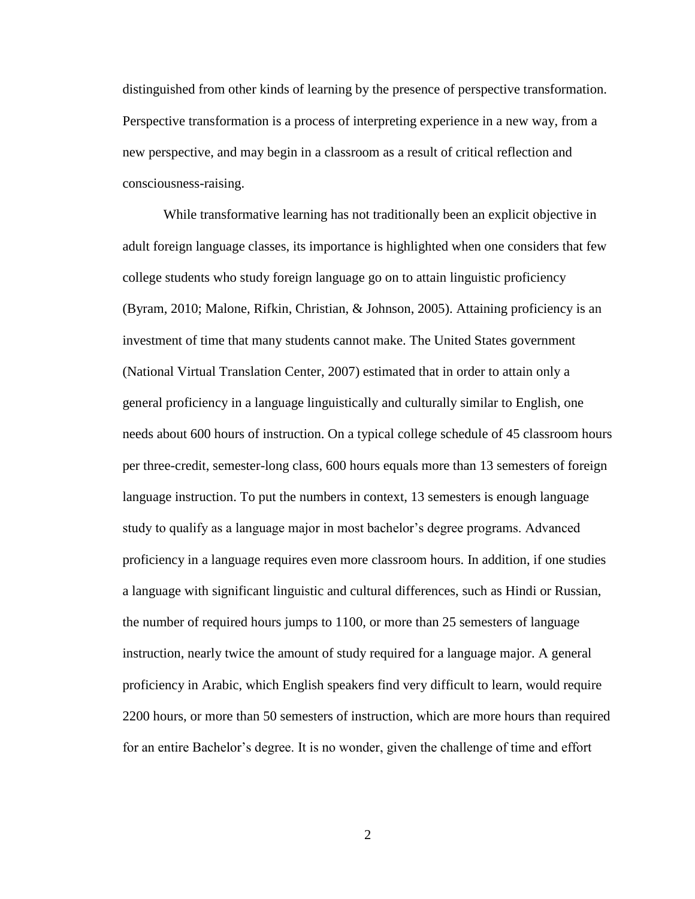distinguished from other kinds of learning by the presence of perspective transformation. Perspective transformation is a process of interpreting experience in a new way, from a new perspective, and may begin in a classroom as a result of critical reflection and consciousness-raising.

While transformative learning has not traditionally been an explicit objective in adult foreign language classes, its importance is highlighted when one considers that few college students who study foreign language go on to attain linguistic proficiency (Byram, 2010; Malone, Rifkin, Christian, & Johnson, 2005). Attaining proficiency is an investment of time that many students cannot make. The United States government (National Virtual Translation Center, 2007) estimated that in order to attain only a general proficiency in a language linguistically and culturally similar to English, one needs about 600 hours of instruction. On a typical college schedule of 45 classroom hours per three-credit, semester-long class, 600 hours equals more than 13 semesters of foreign language instruction. To put the numbers in context, 13 semesters is enough language study to qualify as a language major in most bachelor's degree programs. Advanced proficiency in a language requires even more classroom hours. In addition, if one studies a language with significant linguistic and cultural differences, such as Hindi or Russian, the number of required hours jumps to 1100, or more than 25 semesters of language instruction, nearly twice the amount of study required for a language major. A general proficiency in Arabic, which English speakers find very difficult to learn, would require 2200 hours, or more than 50 semesters of instruction, which are more hours than required for an entire Bachelor's degree. It is no wonder, given the challenge of time and effort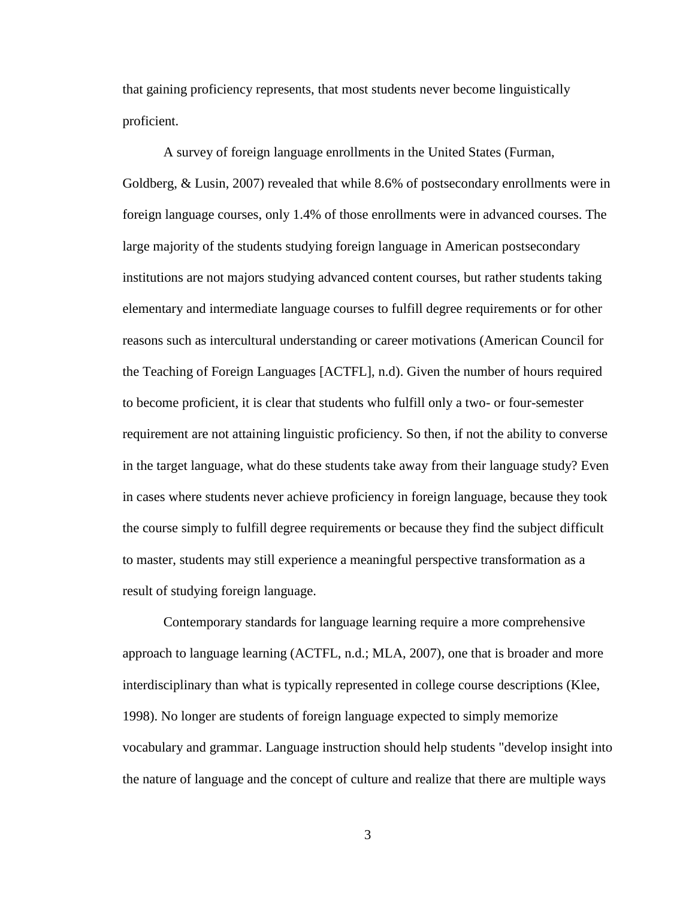that gaining proficiency represents, that most students never become linguistically proficient.

A survey of foreign language enrollments in the United States (Furman, Goldberg, & Lusin, 2007) revealed that while 8.6% of postsecondary enrollments were in foreign language courses, only 1.4% of those enrollments were in advanced courses. The large majority of the students studying foreign language in American postsecondary institutions are not majors studying advanced content courses, but rather students taking elementary and intermediate language courses to fulfill degree requirements or for other reasons such as intercultural understanding or career motivations (American Council for the Teaching of Foreign Languages [ACTFL], n.d). Given the number of hours required to become proficient, it is clear that students who fulfill only a two- or four-semester requirement are not attaining linguistic proficiency. So then, if not the ability to converse in the target language, what do these students take away from their language study? Even in cases where students never achieve proficiency in foreign language, because they took the course simply to fulfill degree requirements or because they find the subject difficult to master, students may still experience a meaningful perspective transformation as a result of studying foreign language.

Contemporary standards for language learning require a more comprehensive approach to language learning (ACTFL, n.d.; MLA, 2007), one that is broader and more interdisciplinary than what is typically represented in college course descriptions (Klee, 1998). No longer are students of foreign language expected to simply memorize vocabulary and grammar. Language instruction should help students "develop insight into the nature of language and the concept of culture and realize that there are multiple ways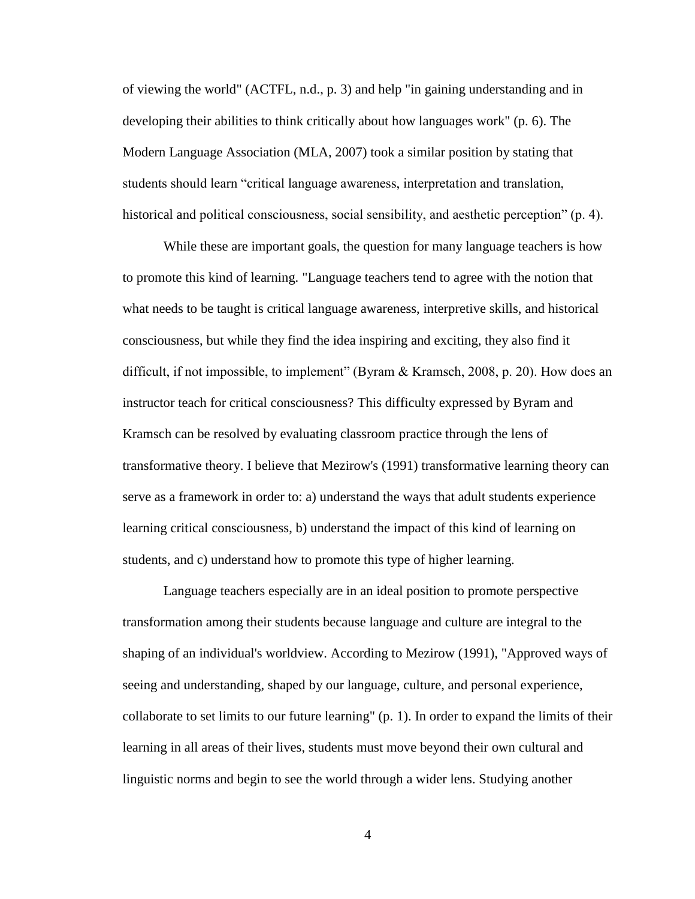of viewing the world" (ACTFL, n.d., p. 3) and help "in gaining understanding and in developing their abilities to think critically about how languages work" (p. 6). The Modern Language Association (MLA, 2007) took a similar position by stating that students should learn "critical language awareness, interpretation and translation, historical and political consciousness, social sensibility, and aesthetic perception" (p. 4).

While these are important goals, the question for many language teachers is how to promote this kind of learning. "Language teachers tend to agree with the notion that what needs to be taught is critical language awareness, interpretive skills, and historical consciousness, but while they find the idea inspiring and exciting, they also find it difficult, if not impossible, to implement" (Byram & Kramsch, 2008, p. 20). How does an instructor teach for critical consciousness? This difficulty expressed by Byram and Kramsch can be resolved by evaluating classroom practice through the lens of transformative theory. I believe that Mezirow's (1991) transformative learning theory can serve as a framework in order to: a) understand the ways that adult students experience learning critical consciousness, b) understand the impact of this kind of learning on students, and c) understand how to promote this type of higher learning.

Language teachers especially are in an ideal position to promote perspective transformation among their students because language and culture are integral to the shaping of an individual's worldview. According to Mezirow (1991), "Approved ways of seeing and understanding, shaped by our language, culture, and personal experience, collaborate to set limits to our future learning" (p. 1). In order to expand the limits of their learning in all areas of their lives, students must move beyond their own cultural and linguistic norms and begin to see the world through a wider lens. Studying another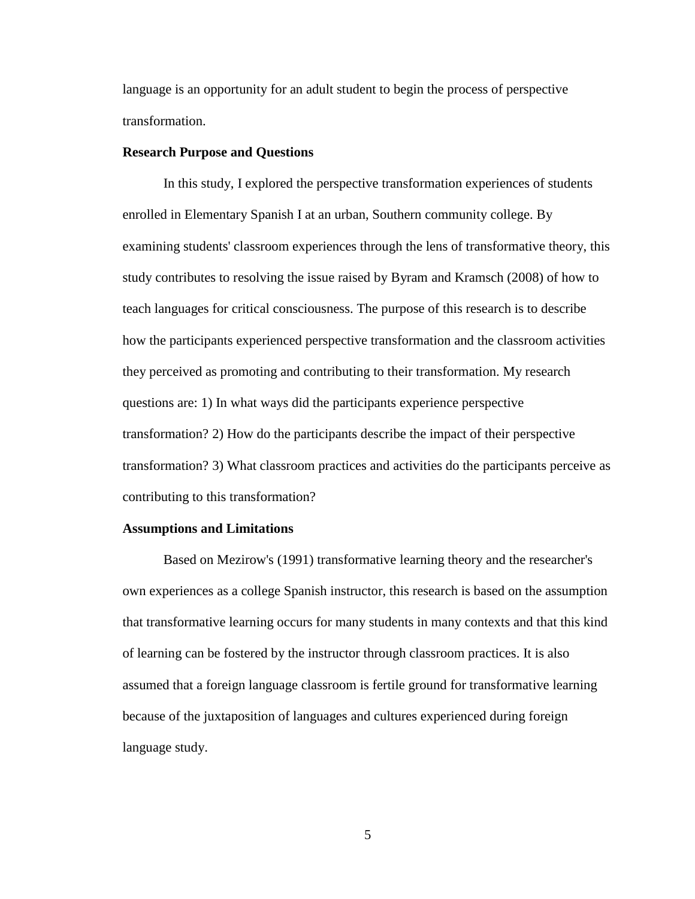language is an opportunity for an adult student to begin the process of perspective transformation.

# **Research Purpose and Questions**

In this study, I explored the perspective transformation experiences of students enrolled in Elementary Spanish I at an urban, Southern community college. By examining students' classroom experiences through the lens of transformative theory, this study contributes to resolving the issue raised by Byram and Kramsch (2008) of how to teach languages for critical consciousness. The purpose of this research is to describe how the participants experienced perspective transformation and the classroom activities they perceived as promoting and contributing to their transformation. My research questions are: 1) In what ways did the participants experience perspective transformation? 2) How do the participants describe the impact of their perspective transformation? 3) What classroom practices and activities do the participants perceive as contributing to this transformation?

#### **Assumptions and Limitations**

Based on Mezirow's (1991) transformative learning theory and the researcher's own experiences as a college Spanish instructor, this research is based on the assumption that transformative learning occurs for many students in many contexts and that this kind of learning can be fostered by the instructor through classroom practices. It is also assumed that a foreign language classroom is fertile ground for transformative learning because of the juxtaposition of languages and cultures experienced during foreign language study.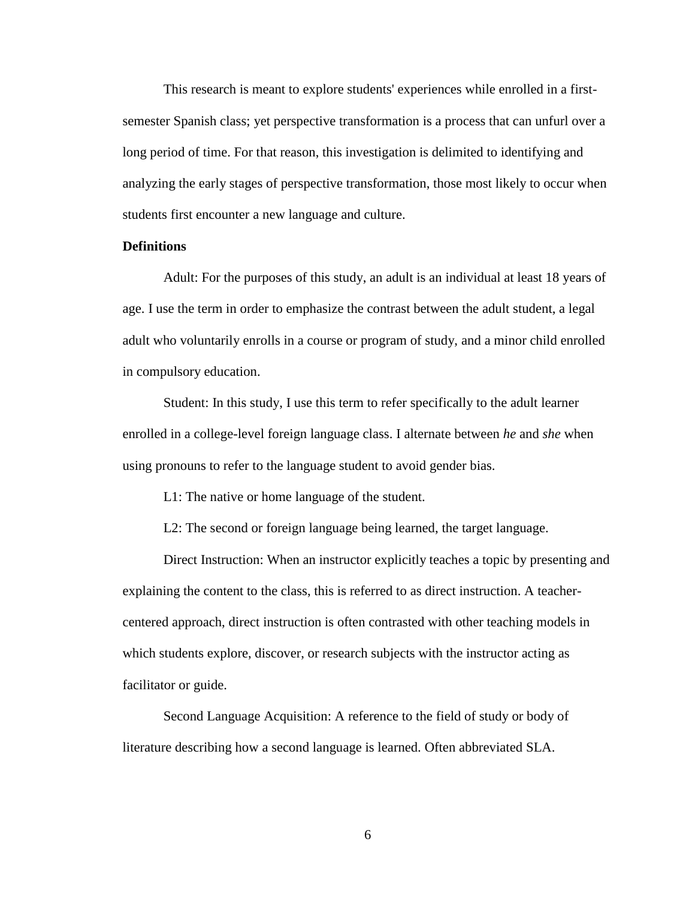This research is meant to explore students' experiences while enrolled in a firstsemester Spanish class; yet perspective transformation is a process that can unfurl over a long period of time. For that reason, this investigation is delimited to identifying and analyzing the early stages of perspective transformation, those most likely to occur when students first encounter a new language and culture.

# **Definitions**

Adult: For the purposes of this study, an adult is an individual at least 18 years of age. I use the term in order to emphasize the contrast between the adult student, a legal adult who voluntarily enrolls in a course or program of study, and a minor child enrolled in compulsory education.

Student: In this study, I use this term to refer specifically to the adult learner enrolled in a college-level foreign language class. I alternate between *he* and *she* when using pronouns to refer to the language student to avoid gender bias.

L1: The native or home language of the student.

L2: The second or foreign language being learned, the target language.

Direct Instruction: When an instructor explicitly teaches a topic by presenting and explaining the content to the class, this is referred to as direct instruction. A teachercentered approach, direct instruction is often contrasted with other teaching models in which students explore, discover, or research subjects with the instructor acting as facilitator or guide.

Second Language Acquisition: A reference to the field of study or body of literature describing how a second language is learned. Often abbreviated SLA.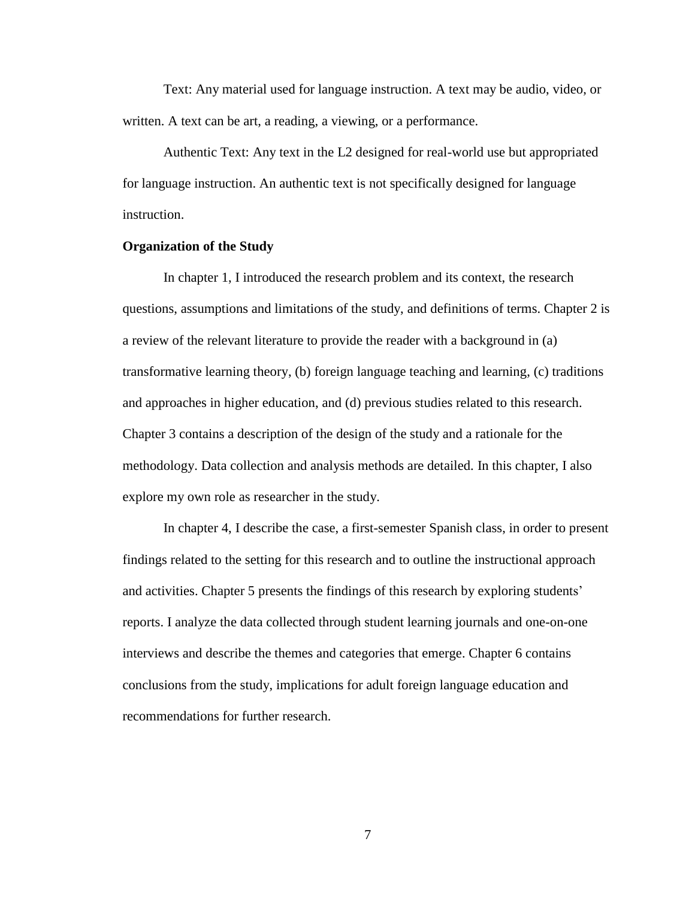Text: Any material used for language instruction. A text may be audio, video, or written. A text can be art, a reading, a viewing, or a performance.

Authentic Text: Any text in the L2 designed for real-world use but appropriated for language instruction. An authentic text is not specifically designed for language instruction.

# **Organization of the Study**

In chapter 1, I introduced the research problem and its context, the research questions, assumptions and limitations of the study, and definitions of terms. Chapter 2 is a review of the relevant literature to provide the reader with a background in (a) transformative learning theory, (b) foreign language teaching and learning, (c) traditions and approaches in higher education, and (d) previous studies related to this research. Chapter 3 contains a description of the design of the study and a rationale for the methodology. Data collection and analysis methods are detailed. In this chapter, I also explore my own role as researcher in the study.

In chapter 4, I describe the case, a first-semester Spanish class, in order to present findings related to the setting for this research and to outline the instructional approach and activities. Chapter 5 presents the findings of this research by exploring students' reports. I analyze the data collected through student learning journals and one-on-one interviews and describe the themes and categories that emerge. Chapter 6 contains conclusions from the study, implications for adult foreign language education and recommendations for further research.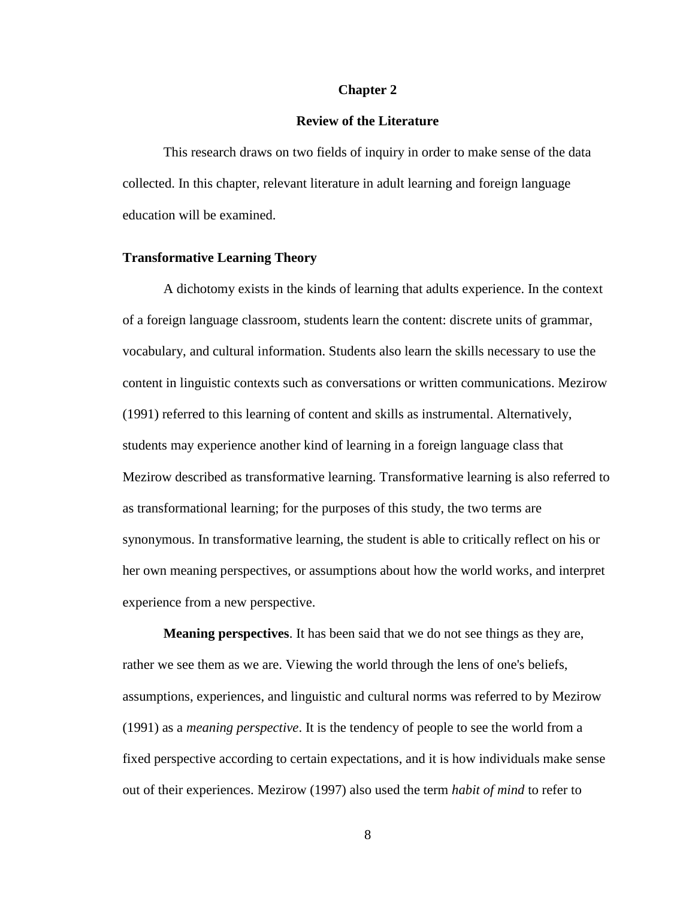## **Chapter 2**

#### **Review of the Literature**

This research draws on two fields of inquiry in order to make sense of the data collected. In this chapter, relevant literature in adult learning and foreign language education will be examined.

# **Transformative Learning Theory**

A dichotomy exists in the kinds of learning that adults experience. In the context of a foreign language classroom, students learn the content: discrete units of grammar, vocabulary, and cultural information. Students also learn the skills necessary to use the content in linguistic contexts such as conversations or written communications. Mezirow (1991) referred to this learning of content and skills as instrumental. Alternatively, students may experience another kind of learning in a foreign language class that Mezirow described as transformative learning. Transformative learning is also referred to as transformational learning; for the purposes of this study, the two terms are synonymous. In transformative learning, the student is able to critically reflect on his or her own meaning perspectives, or assumptions about how the world works, and interpret experience from a new perspective.

**Meaning perspectives**. It has been said that we do not see things as they are, rather we see them as we are. Viewing the world through the lens of one's beliefs, assumptions, experiences, and linguistic and cultural norms was referred to by Mezirow (1991) as a *meaning perspective*. It is the tendency of people to see the world from a fixed perspective according to certain expectations, and it is how individuals make sense out of their experiences. Mezirow (1997) also used the term *habit of mind* to refer to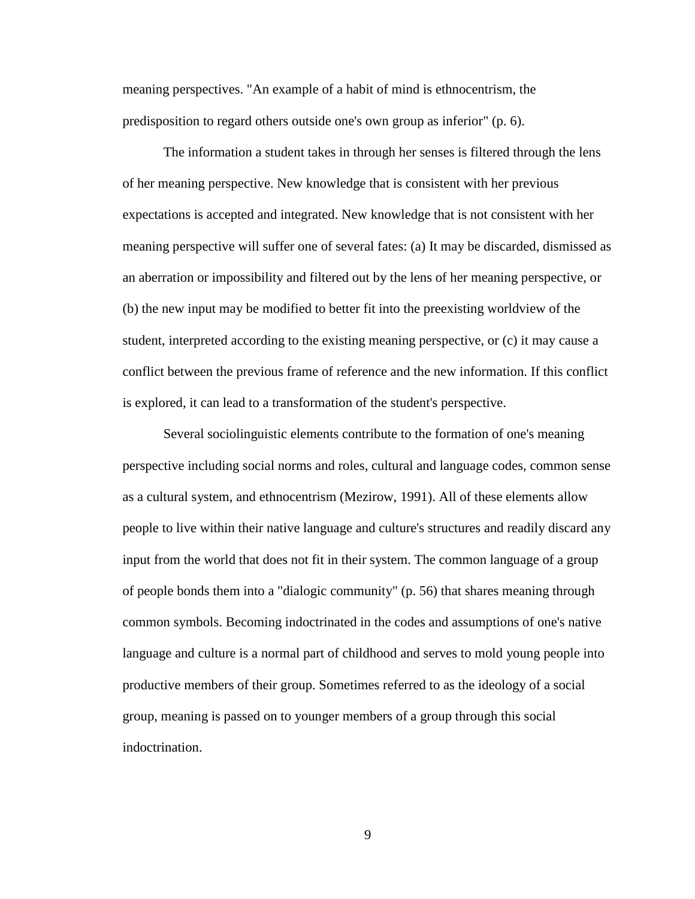meaning perspectives. "An example of a habit of mind is ethnocentrism, the predisposition to regard others outside one's own group as inferior" (p. 6).

The information a student takes in through her senses is filtered through the lens of her meaning perspective. New knowledge that is consistent with her previous expectations is accepted and integrated. New knowledge that is not consistent with her meaning perspective will suffer one of several fates: (a) It may be discarded, dismissed as an aberration or impossibility and filtered out by the lens of her meaning perspective, or (b) the new input may be modified to better fit into the preexisting worldview of the student, interpreted according to the existing meaning perspective, or (c) it may cause a conflict between the previous frame of reference and the new information. If this conflict is explored, it can lead to a transformation of the student's perspective.

Several sociolinguistic elements contribute to the formation of one's meaning perspective including social norms and roles, cultural and language codes, common sense as a cultural system, and ethnocentrism (Mezirow, 1991). All of these elements allow people to live within their native language and culture's structures and readily discard any input from the world that does not fit in their system. The common language of a group of people bonds them into a "dialogic community" (p. 56) that shares meaning through common symbols. Becoming indoctrinated in the codes and assumptions of one's native language and culture is a normal part of childhood and serves to mold young people into productive members of their group. Sometimes referred to as the ideology of a social group, meaning is passed on to younger members of a group through this social indoctrination.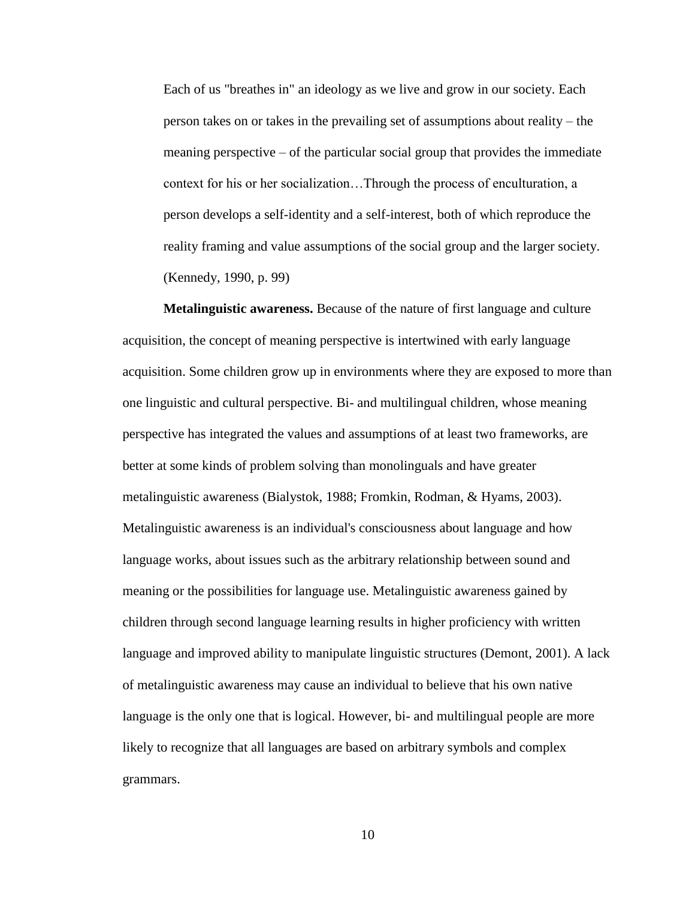Each of us "breathes in" an ideology as we live and grow in our society. Each person takes on or takes in the prevailing set of assumptions about reality – the meaning perspective – of the particular social group that provides the immediate context for his or her socialization…Through the process of enculturation, a person develops a self-identity and a self-interest, both of which reproduce the reality framing and value assumptions of the social group and the larger society. (Kennedy, 1990, p. 99)

**Metalinguistic awareness.** Because of the nature of first language and culture acquisition, the concept of meaning perspective is intertwined with early language acquisition. Some children grow up in environments where they are exposed to more than one linguistic and cultural perspective. Bi- and multilingual children, whose meaning perspective has integrated the values and assumptions of at least two frameworks, are better at some kinds of problem solving than monolinguals and have greater metalinguistic awareness (Bialystok, 1988; Fromkin, Rodman, & Hyams, 2003). Metalinguistic awareness is an individual's consciousness about language and how language works, about issues such as the arbitrary relationship between sound and meaning or the possibilities for language use. Metalinguistic awareness gained by children through second language learning results in higher proficiency with written language and improved ability to manipulate linguistic structures (Demont, 2001). A lack of metalinguistic awareness may cause an individual to believe that his own native language is the only one that is logical. However, bi- and multilingual people are more likely to recognize that all languages are based on arbitrary symbols and complex grammars.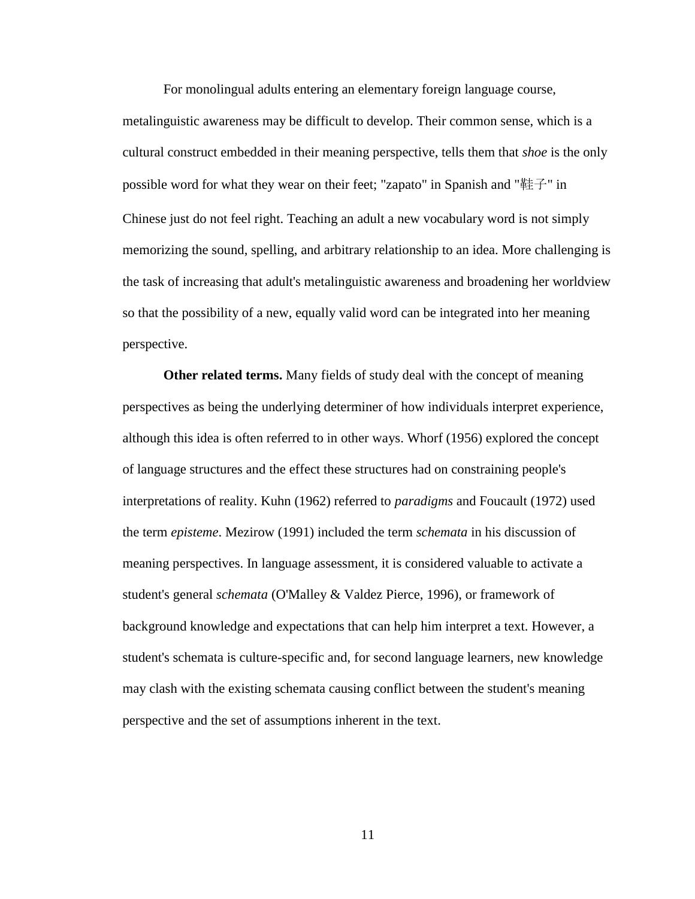For monolingual adults entering an elementary foreign language course, metalinguistic awareness may be difficult to develop. Their common sense, which is a cultural construct embedded in their meaning perspective, tells them that *shoe* is the only possible word for what they wear on their feet; "zapato" in Spanish and "鞋子" in Chinese just do not feel right. Teaching an adult a new vocabulary word is not simply memorizing the sound, spelling, and arbitrary relationship to an idea. More challenging is the task of increasing that adult's metalinguistic awareness and broadening her worldview so that the possibility of a new, equally valid word can be integrated into her meaning perspective.

**Other related terms.** Many fields of study deal with the concept of meaning perspectives as being the underlying determiner of how individuals interpret experience, although this idea is often referred to in other ways. Whorf (1956) explored the concept of language structures and the effect these structures had on constraining people's interpretations of reality. Kuhn (1962) referred to *paradigms* and Foucault (1972) used the term *episteme*. Mezirow (1991) included the term *schemata* in his discussion of meaning perspectives. In language assessment, it is considered valuable to activate a student's general *schemata* (O'Malley & Valdez Pierce, 1996), or framework of background knowledge and expectations that can help him interpret a text. However, a student's schemata is culture-specific and, for second language learners, new knowledge may clash with the existing schemata causing conflict between the student's meaning perspective and the set of assumptions inherent in the text.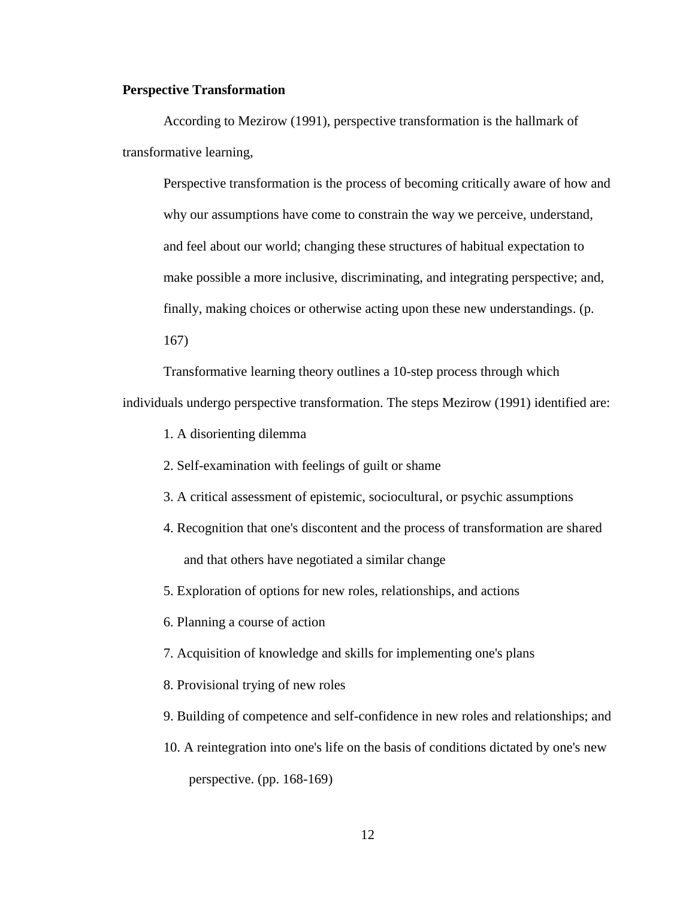# **Perspective Transformation**

According to Mezirow (1991), perspective transformation is the hallmark of transformative learning,

Perspective transformation is the process of becoming critically aware of how and why our assumptions have come to constrain the way we perceive, understand, and feel about our world; changing these structures of habitual expectation to make possible a more inclusive, discriminating, and integrating perspective; and, finally, making choices or otherwise acting upon these new understandings. (p. 167)

Transformative learning theory outlines a 10-step process through which individuals undergo perspective transformation. The steps Mezirow (1991) identified are:

1. A disorienting dilemma

2. Self-examination with feelings of guilt or shame

- 3. A critical assessment of epistemic, sociocultural, or psychic assumptions
- 4. Recognition that one's discontent and the process of transformation are shared and that others have negotiated a similar change
- 5. Exploration of options for new roles, relationships, and actions

6. Planning a course of action

7. Acquisition of knowledge and skills for implementing one's plans

8. Provisional trying of new roles

- 9. Building of competence and self-confidence in new roles and relationships; and
- 10. A reintegration into one's life on the basis of conditions dictated by one's new perspective. (pp. 168-169)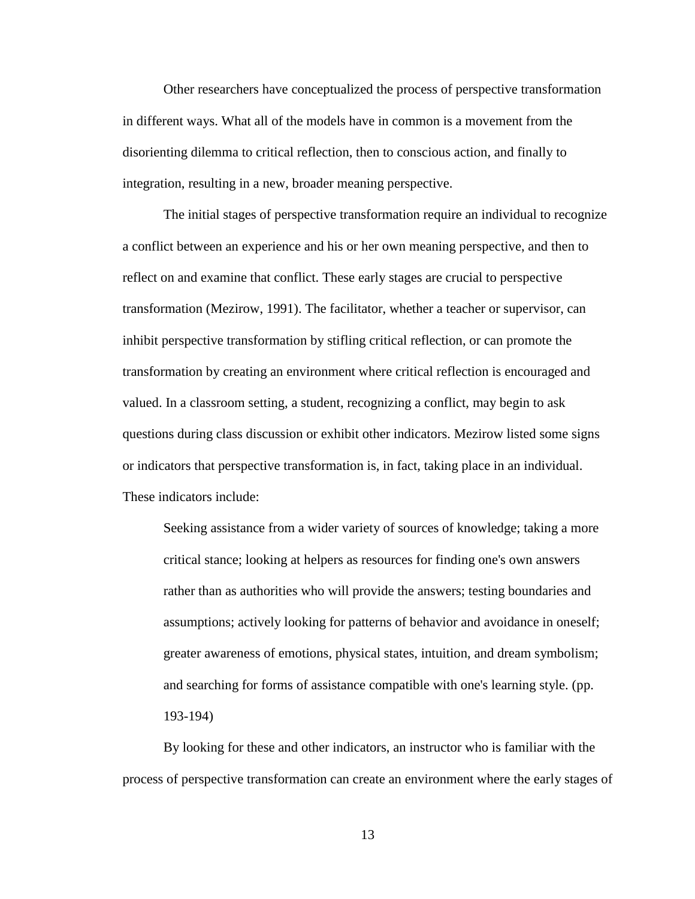Other researchers have conceptualized the process of perspective transformation in different ways. What all of the models have in common is a movement from the disorienting dilemma to critical reflection, then to conscious action, and finally to integration, resulting in a new, broader meaning perspective.

The initial stages of perspective transformation require an individual to recognize a conflict between an experience and his or her own meaning perspective, and then to reflect on and examine that conflict. These early stages are crucial to perspective transformation (Mezirow, 1991). The facilitator, whether a teacher or supervisor, can inhibit perspective transformation by stifling critical reflection, or can promote the transformation by creating an environment where critical reflection is encouraged and valued. In a classroom setting, a student, recognizing a conflict, may begin to ask questions during class discussion or exhibit other indicators. Mezirow listed some signs or indicators that perspective transformation is, in fact, taking place in an individual. These indicators include:

Seeking assistance from a wider variety of sources of knowledge; taking a more critical stance; looking at helpers as resources for finding one's own answers rather than as authorities who will provide the answers; testing boundaries and assumptions; actively looking for patterns of behavior and avoidance in oneself; greater awareness of emotions, physical states, intuition, and dream symbolism; and searching for forms of assistance compatible with one's learning style. (pp. 193-194)

By looking for these and other indicators, an instructor who is familiar with the process of perspective transformation can create an environment where the early stages of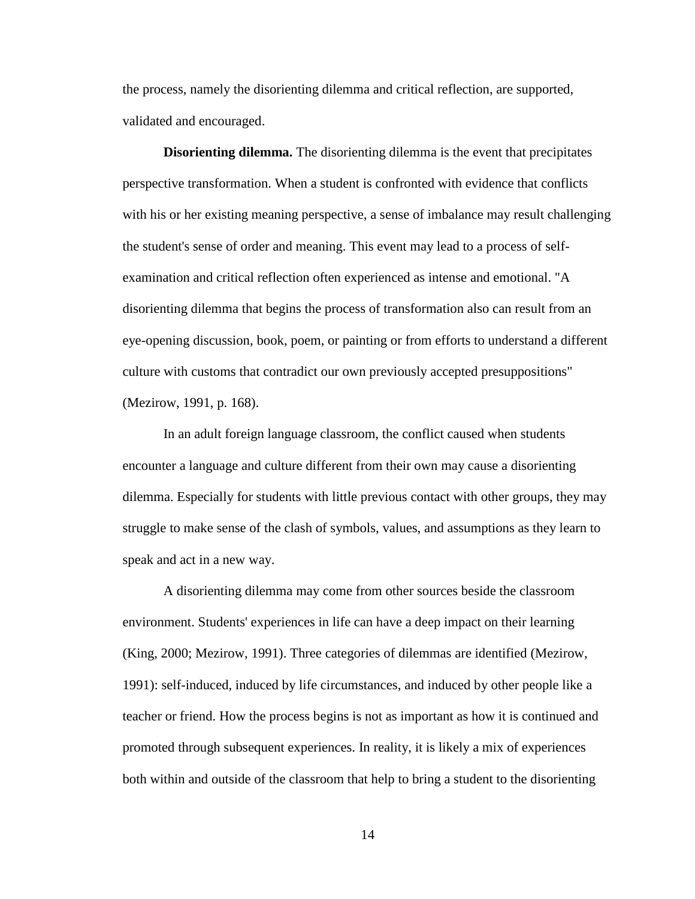the process, namely the disorienting dilemma and critical reflection, are supported, validated and encouraged.

**Disorienting dilemma.** The disorienting dilemma is the event that precipitates perspective transformation. When a student is confronted with evidence that conflicts with his or her existing meaning perspective, a sense of imbalance may result challenging the student's sense of order and meaning. This event may lead to a process of selfexamination and critical reflection often experienced as intense and emotional. "A disorienting dilemma that begins the process of transformation also can result from an eye-opening discussion, book, poem, or painting or from efforts to understand a different culture with customs that contradict our own previously accepted presuppositions" (Mezirow, 1991, p. 168).

In an adult foreign language classroom, the conflict caused when students encounter a language and culture different from their own may cause a disorienting dilemma. Especially for students with little previous contact with other groups, they may struggle to make sense of the clash of symbols, values, and assumptions as they learn to speak and act in a new way.

A disorienting dilemma may come from other sources beside the classroom environment. Students' experiences in life can have a deep impact on their learning (King, 2000; Mezirow, 1991). Three categories of dilemmas are identified (Mezirow, 1991): self-induced, induced by life circumstances, and induced by other people like a teacher or friend. How the process begins is not as important as how it is continued and promoted through subsequent experiences. In reality, it is likely a mix of experiences both within and outside of the classroom that help to bring a student to the disorienting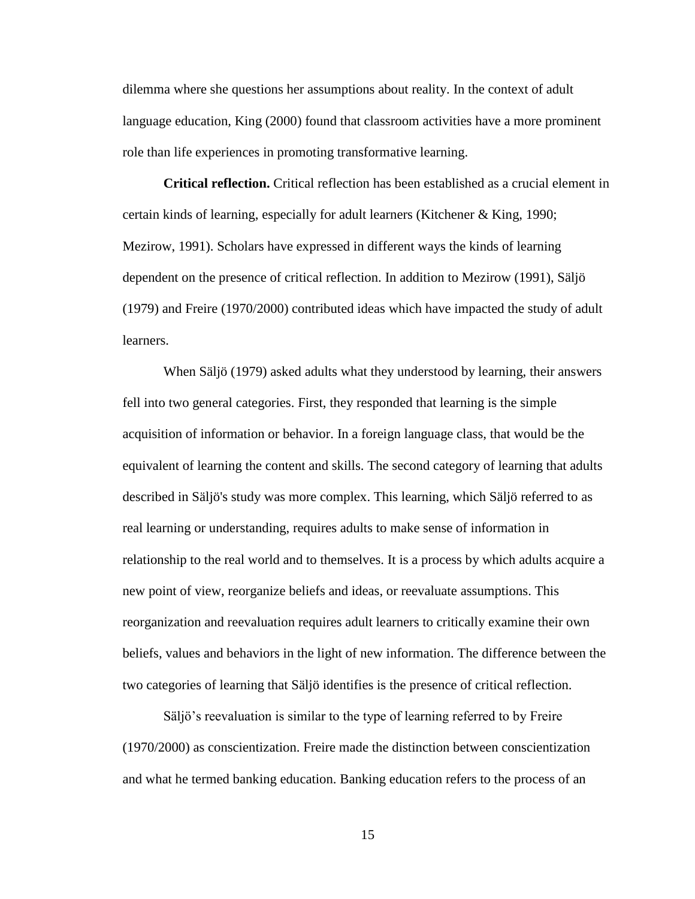dilemma where she questions her assumptions about reality. In the context of adult language education, King (2000) found that classroom activities have a more prominent role than life experiences in promoting transformative learning.

**Critical reflection.** Critical reflection has been established as a crucial element in certain kinds of learning, especially for adult learners (Kitchener & King, 1990; Mezirow, 1991). Scholars have expressed in different ways the kinds of learning dependent on the presence of critical reflection. In addition to Mezirow (1991), Säljö (1979) and Freire (1970/2000) contributed ideas which have impacted the study of adult learners.

When Säljö (1979) asked adults what they understood by learning, their answers fell into two general categories. First, they responded that learning is the simple acquisition of information or behavior. In a foreign language class, that would be the equivalent of learning the content and skills. The second category of learning that adults described in Säljö's study was more complex. This learning, which Säljö referred to as real learning or understanding, requires adults to make sense of information in relationship to the real world and to themselves. It is a process by which adults acquire a new point of view, reorganize beliefs and ideas, or reevaluate assumptions. This reorganization and reevaluation requires adult learners to critically examine their own beliefs, values and behaviors in the light of new information. The difference between the two categories of learning that Säljö identifies is the presence of critical reflection.

Säljö's reevaluation is similar to the type of learning referred to by Freire (1970/2000) as conscientization. Freire made the distinction between conscientization and what he termed banking education. Banking education refers to the process of an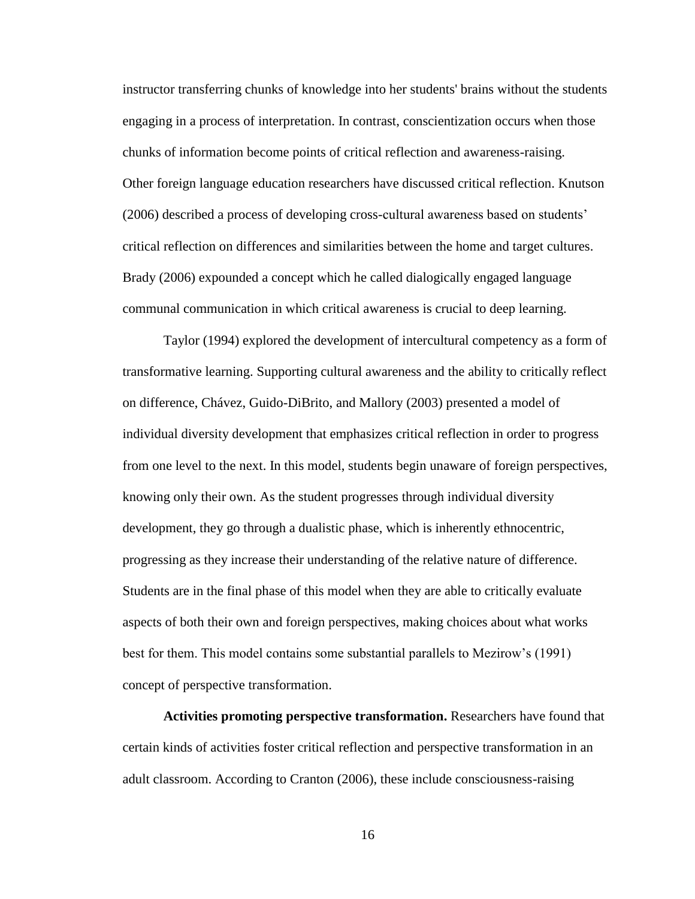instructor transferring chunks of knowledge into her students' brains without the students engaging in a process of interpretation. In contrast, conscientization occurs when those chunks of information become points of critical reflection and awareness-raising. Other foreign language education researchers have discussed critical reflection. Knutson (2006) described a process of developing cross-cultural awareness based on students' critical reflection on differences and similarities between the home and target cultures. Brady (2006) expounded a concept which he called dialogically engaged language communal communication in which critical awareness is crucial to deep learning.

Taylor (1994) explored the development of intercultural competency as a form of transformative learning. Supporting cultural awareness and the ability to critically reflect on difference, Chávez, Guido-DiBrito, and Mallory (2003) presented a model of individual diversity development that emphasizes critical reflection in order to progress from one level to the next. In this model, students begin unaware of foreign perspectives, knowing only their own. As the student progresses through individual diversity development, they go through a dualistic phase, which is inherently ethnocentric, progressing as they increase their understanding of the relative nature of difference. Students are in the final phase of this model when they are able to critically evaluate aspects of both their own and foreign perspectives, making choices about what works best for them. This model contains some substantial parallels to Mezirow's (1991) concept of perspective transformation.

**Activities promoting perspective transformation.** Researchers have found that certain kinds of activities foster critical reflection and perspective transformation in an adult classroom. According to Cranton (2006), these include consciousness-raising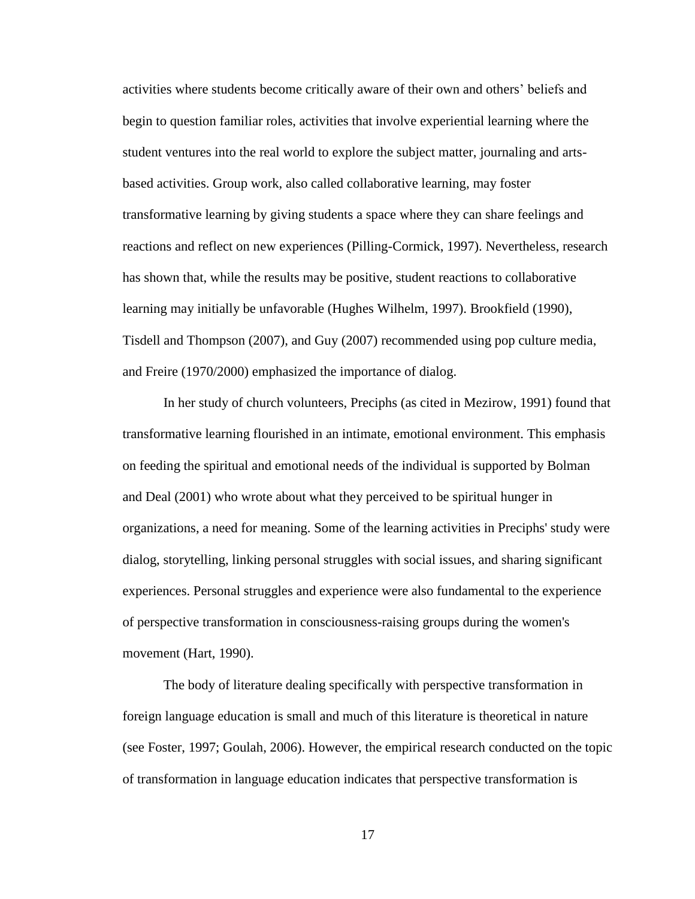activities where students become critically aware of their own and others' beliefs and begin to question familiar roles, activities that involve experiential learning where the student ventures into the real world to explore the subject matter, journaling and artsbased activities. Group work, also called collaborative learning, may foster transformative learning by giving students a space where they can share feelings and reactions and reflect on new experiences (Pilling-Cormick, 1997). Nevertheless, research has shown that, while the results may be positive, student reactions to collaborative learning may initially be unfavorable (Hughes Wilhelm, 1997). Brookfield (1990), Tisdell and Thompson (2007), and Guy (2007) recommended using pop culture media, and Freire (1970/2000) emphasized the importance of dialog.

In her study of church volunteers, Preciphs (as cited in Mezirow, 1991) found that transformative learning flourished in an intimate, emotional environment. This emphasis on feeding the spiritual and emotional needs of the individual is supported by Bolman and Deal (2001) who wrote about what they perceived to be spiritual hunger in organizations, a need for meaning. Some of the learning activities in Preciphs' study were dialog, storytelling, linking personal struggles with social issues, and sharing significant experiences. Personal struggles and experience were also fundamental to the experience of perspective transformation in consciousness-raising groups during the women's movement (Hart, 1990).

The body of literature dealing specifically with perspective transformation in foreign language education is small and much of this literature is theoretical in nature (see Foster, 1997; Goulah, 2006). However, the empirical research conducted on the topic of transformation in language education indicates that perspective transformation is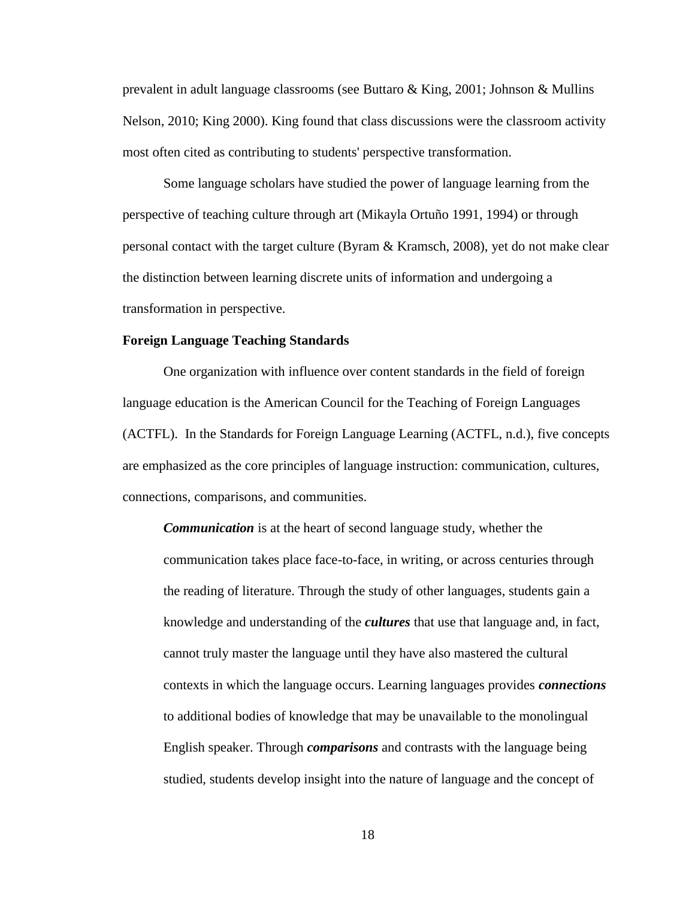prevalent in adult language classrooms (see Buttaro & King, 2001; Johnson & Mullins Nelson, 2010; King 2000). King found that class discussions were the classroom activity most often cited as contributing to students' perspective transformation.

Some language scholars have studied the power of language learning from the perspective of teaching culture through art (Mikayla Ortuño 1991, 1994) or through personal contact with the target culture (Byram & Kramsch, 2008), yet do not make clear the distinction between learning discrete units of information and undergoing a transformation in perspective.

# **Foreign Language Teaching Standards**

One organization with influence over content standards in the field of foreign language education is the American Council for the Teaching of Foreign Languages (ACTFL). In the Standards for Foreign Language Learning (ACTFL, n.d.), five concepts are emphasized as the core principles of language instruction: communication, cultures, connections, comparisons, and communities.

*Communication* is at the heart of second language study, whether the communication takes place face-to-face, in writing, or across centuries through the reading of literature. Through the study of other languages, students gain a knowledge and understanding of the *cultures* that use that language and, in fact, cannot truly master the language until they have also mastered the cultural contexts in which the language occurs. Learning languages provides *connections* to additional bodies of knowledge that may be unavailable to the monolingual English speaker. Through *comparisons* and contrasts with the language being studied, students develop insight into the nature of language and the concept of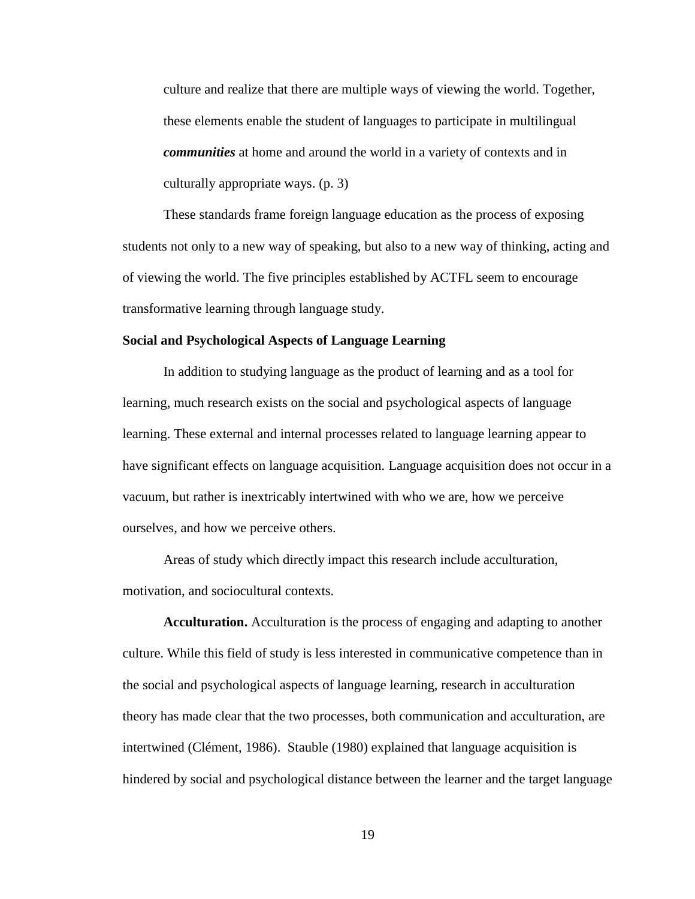culture and realize that there are multiple ways of viewing the world. Together, these elements enable the student of languages to participate in multilingual *communities* at home and around the world in a variety of contexts and in culturally appropriate ways. (p. 3)

These standards frame foreign language education as the process of exposing students not only to a new way of speaking, but also to a new way of thinking, acting and of viewing the world. The five principles established by ACTFL seem to encourage transformative learning through language study.

# **Social and Psychological Aspects of Language Learning**

In addition to studying language as the product of learning and as a tool for learning, much research exists on the social and psychological aspects of language learning. These external and internal processes related to language learning appear to have significant effects on language acquisition. Language acquisition does not occur in a vacuum, but rather is inextricably intertwined with who we are, how we perceive ourselves, and how we perceive others.

Areas of study which directly impact this research include acculturation, motivation, and sociocultural contexts.

**Acculturation.** Acculturation is the process of engaging and adapting to another culture. While this field of study is less interested in communicative competence than in the social and psychological aspects of language learning, research in acculturation theory has made clear that the two processes, both communication and acculturation, are intertwined (Clément, 1986). Stauble (1980) explained that language acquisition is hindered by social and psychological distance between the learner and the target language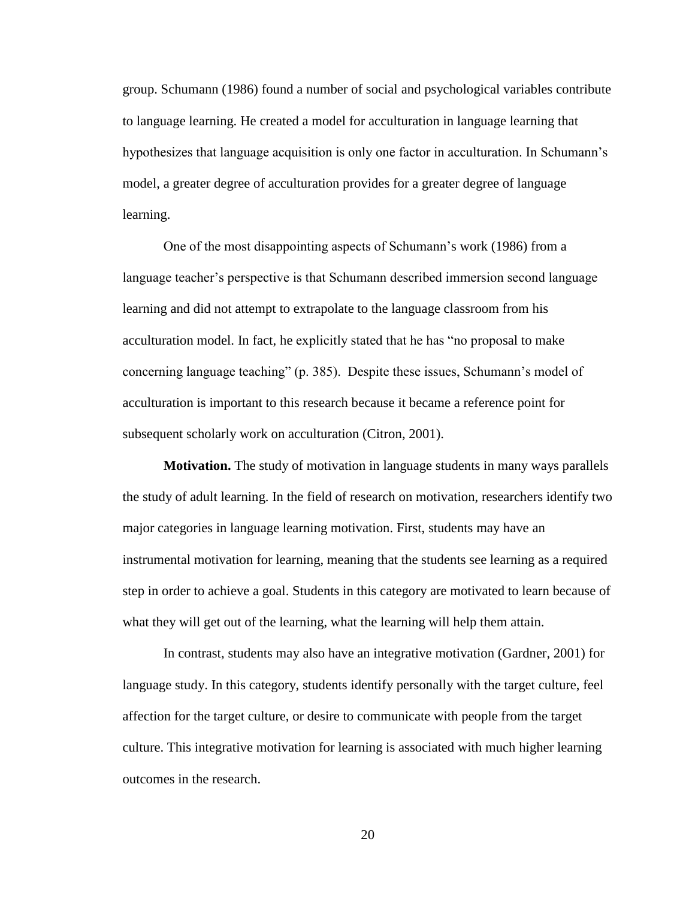group. Schumann (1986) found a number of social and psychological variables contribute to language learning. He created a model for acculturation in language learning that hypothesizes that language acquisition is only one factor in acculturation. In Schumann's model, a greater degree of acculturation provides for a greater degree of language learning.

One of the most disappointing aspects of Schumann's work (1986) from a language teacher's perspective is that Schumann described immersion second language learning and did not attempt to extrapolate to the language classroom from his acculturation model. In fact, he explicitly stated that he has "no proposal to make concerning language teaching" (p. 385). Despite these issues, Schumann's model of acculturation is important to this research because it became a reference point for subsequent scholarly work on acculturation (Citron, 2001).

**Motivation.** The study of motivation in language students in many ways parallels the study of adult learning. In the field of research on motivation, researchers identify two major categories in language learning motivation. First, students may have an instrumental motivation for learning, meaning that the students see learning as a required step in order to achieve a goal. Students in this category are motivated to learn because of what they will get out of the learning, what the learning will help them attain.

In contrast, students may also have an integrative motivation (Gardner, 2001) for language study. In this category, students identify personally with the target culture, feel affection for the target culture, or desire to communicate with people from the target culture. This integrative motivation for learning is associated with much higher learning outcomes in the research.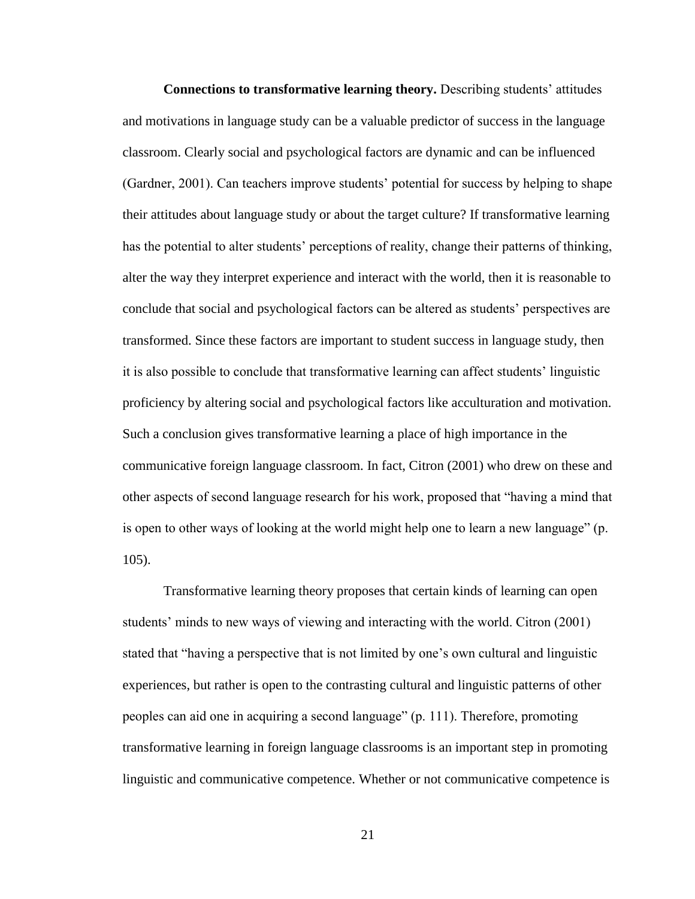**Connections to transformative learning theory.** Describing students' attitudes and motivations in language study can be a valuable predictor of success in the language classroom. Clearly social and psychological factors are dynamic and can be influenced (Gardner, 2001). Can teachers improve students' potential for success by helping to shape their attitudes about language study or about the target culture? If transformative learning has the potential to alter students' perceptions of reality, change their patterns of thinking, alter the way they interpret experience and interact with the world, then it is reasonable to conclude that social and psychological factors can be altered as students' perspectives are transformed. Since these factors are important to student success in language study, then it is also possible to conclude that transformative learning can affect students' linguistic proficiency by altering social and psychological factors like acculturation and motivation. Such a conclusion gives transformative learning a place of high importance in the communicative foreign language classroom. In fact, Citron (2001) who drew on these and other aspects of second language research for his work, proposed that "having a mind that is open to other ways of looking at the world might help one to learn a new language" (p. 105).

Transformative learning theory proposes that certain kinds of learning can open students' minds to new ways of viewing and interacting with the world. Citron (2001) stated that "having a perspective that is not limited by one's own cultural and linguistic experiences, but rather is open to the contrasting cultural and linguistic patterns of other peoples can aid one in acquiring a second language" (p. 111). Therefore, promoting transformative learning in foreign language classrooms is an important step in promoting linguistic and communicative competence. Whether or not communicative competence is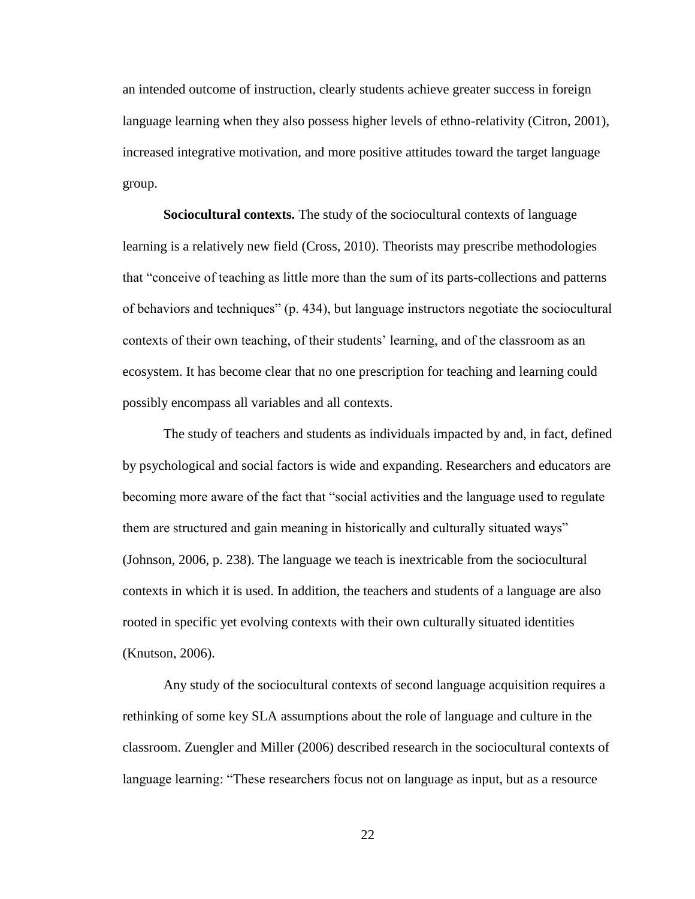an intended outcome of instruction, clearly students achieve greater success in foreign language learning when they also possess higher levels of ethno-relativity (Citron, 2001), increased integrative motivation, and more positive attitudes toward the target language group.

**Sociocultural contexts.** The study of the sociocultural contexts of language learning is a relatively new field (Cross, 2010). Theorists may prescribe methodologies that "conceive of teaching as little more than the sum of its parts-collections and patterns of behaviors and techniques" (p. 434), but language instructors negotiate the sociocultural contexts of their own teaching, of their students' learning, and of the classroom as an ecosystem. It has become clear that no one prescription for teaching and learning could possibly encompass all variables and all contexts.

The study of teachers and students as individuals impacted by and, in fact, defined by psychological and social factors is wide and expanding. Researchers and educators are becoming more aware of the fact that "social activities and the language used to regulate them are structured and gain meaning in historically and culturally situated ways" (Johnson, 2006, p. 238). The language we teach is inextricable from the sociocultural contexts in which it is used. In addition, the teachers and students of a language are also rooted in specific yet evolving contexts with their own culturally situated identities (Knutson, 2006).

Any study of the sociocultural contexts of second language acquisition requires a rethinking of some key SLA assumptions about the role of language and culture in the classroom. Zuengler and Miller (2006) described research in the sociocultural contexts of language learning: "These researchers focus not on language as input, but as a resource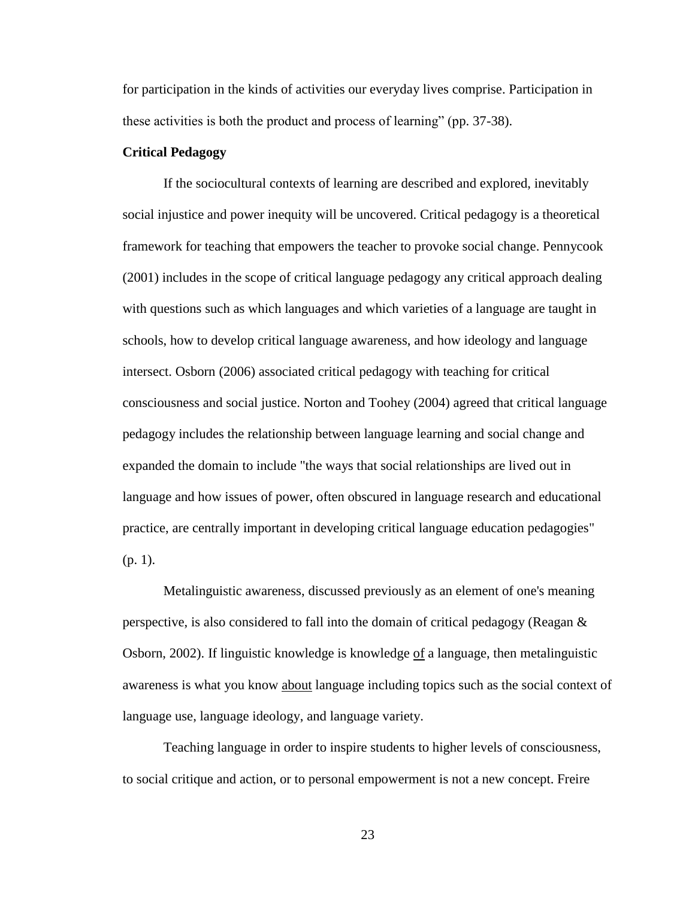for participation in the kinds of activities our everyday lives comprise. Participation in these activities is both the product and process of learning" (pp. 37-38).

#### **Critical Pedagogy**

If the sociocultural contexts of learning are described and explored, inevitably social injustice and power inequity will be uncovered. Critical pedagogy is a theoretical framework for teaching that empowers the teacher to provoke social change. Pennycook (2001) includes in the scope of critical language pedagogy any critical approach dealing with questions such as which languages and which varieties of a language are taught in schools, how to develop critical language awareness, and how ideology and language intersect. Osborn (2006) associated critical pedagogy with teaching for critical consciousness and social justice. Norton and Toohey (2004) agreed that critical language pedagogy includes the relationship between language learning and social change and expanded the domain to include "the ways that social relationships are lived out in language and how issues of power, often obscured in language research and educational practice, are centrally important in developing critical language education pedagogies" (p. 1).

Metalinguistic awareness, discussed previously as an element of one's meaning perspective, is also considered to fall into the domain of critical pedagogy (Reagan  $\&$ Osborn, 2002). If linguistic knowledge is knowledge of a language, then metalinguistic awareness is what you know about language including topics such as the social context of language use, language ideology, and language variety.

Teaching language in order to inspire students to higher levels of consciousness, to social critique and action, or to personal empowerment is not a new concept. Freire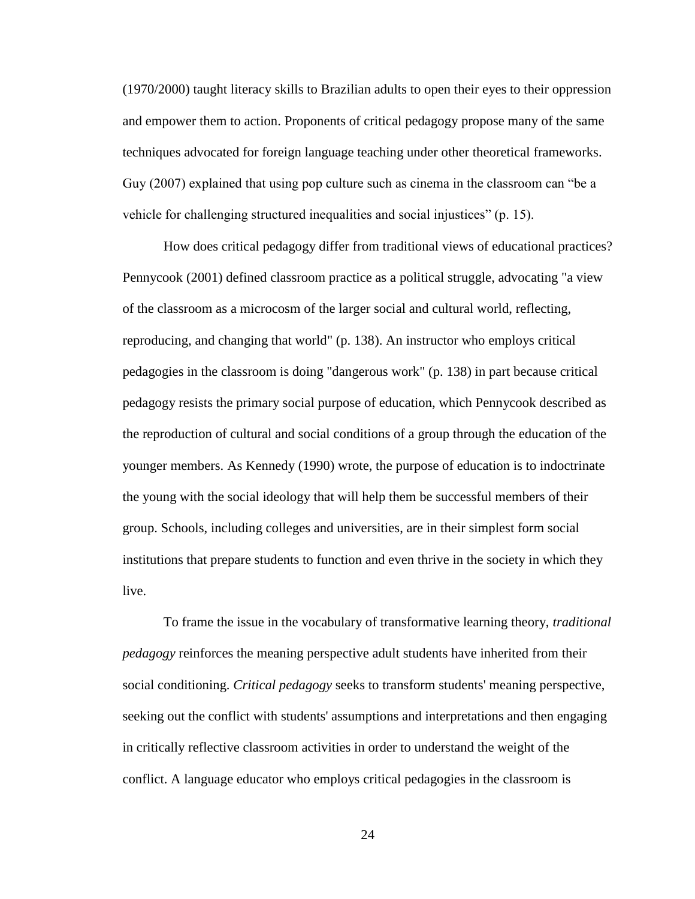(1970/2000) taught literacy skills to Brazilian adults to open their eyes to their oppression and empower them to action. Proponents of critical pedagogy propose many of the same techniques advocated for foreign language teaching under other theoretical frameworks. Guy (2007) explained that using pop culture such as cinema in the classroom can "be a vehicle for challenging structured inequalities and social injustices" (p. 15).

How does critical pedagogy differ from traditional views of educational practices? Pennycook (2001) defined classroom practice as a political struggle, advocating "a view of the classroom as a microcosm of the larger social and cultural world, reflecting, reproducing, and changing that world" (p. 138). An instructor who employs critical pedagogies in the classroom is doing "dangerous work" (p. 138) in part because critical pedagogy resists the primary social purpose of education, which Pennycook described as the reproduction of cultural and social conditions of a group through the education of the younger members. As Kennedy (1990) wrote, the purpose of education is to indoctrinate the young with the social ideology that will help them be successful members of their group. Schools, including colleges and universities, are in their simplest form social institutions that prepare students to function and even thrive in the society in which they live.

To frame the issue in the vocabulary of transformative learning theory, *traditional pedagogy* reinforces the meaning perspective adult students have inherited from their social conditioning. *Critical pedagogy* seeks to transform students' meaning perspective, seeking out the conflict with students' assumptions and interpretations and then engaging in critically reflective classroom activities in order to understand the weight of the conflict. A language educator who employs critical pedagogies in the classroom is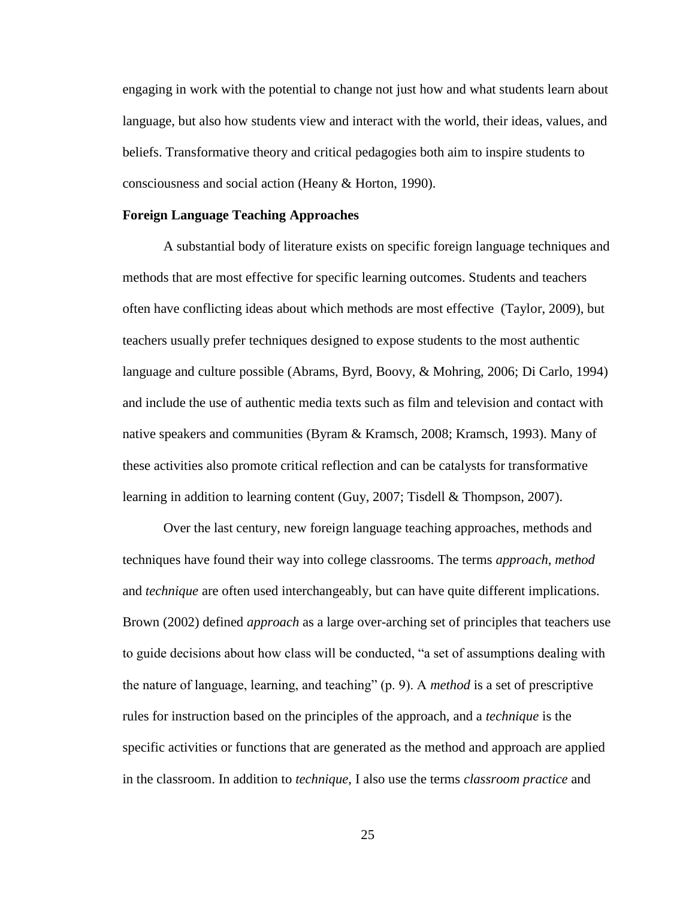engaging in work with the potential to change not just how and what students learn about language, but also how students view and interact with the world, their ideas, values, and beliefs. Transformative theory and critical pedagogies both aim to inspire students to consciousness and social action (Heany & Horton, 1990).

#### **Foreign Language Teaching Approaches**

A substantial body of literature exists on specific foreign language techniques and methods that are most effective for specific learning outcomes. Students and teachers often have conflicting ideas about which methods are most effective (Taylor, 2009), but teachers usually prefer techniques designed to expose students to the most authentic language and culture possible (Abrams, Byrd, Boovy, & Mohring, 2006; Di Carlo, 1994) and include the use of authentic media texts such as film and television and contact with native speakers and communities (Byram & Kramsch, 2008; Kramsch, 1993). Many of these activities also promote critical reflection and can be catalysts for transformative learning in addition to learning content (Guy, 2007; Tisdell & Thompson, 2007).

Over the last century, new foreign language teaching approaches, methods and techniques have found their way into college classrooms. The terms *approach*, *method* and *technique* are often used interchangeably, but can have quite different implications. Brown (2002) defined *approach* as a large over-arching set of principles that teachers use to guide decisions about how class will be conducted, "a set of assumptions dealing with the nature of language, learning, and teaching" (p. 9). A *method* is a set of prescriptive rules for instruction based on the principles of the approach, and a *technique* is the specific activities or functions that are generated as the method and approach are applied in the classroom. In addition to *technique*, I also use the terms *classroom practice* and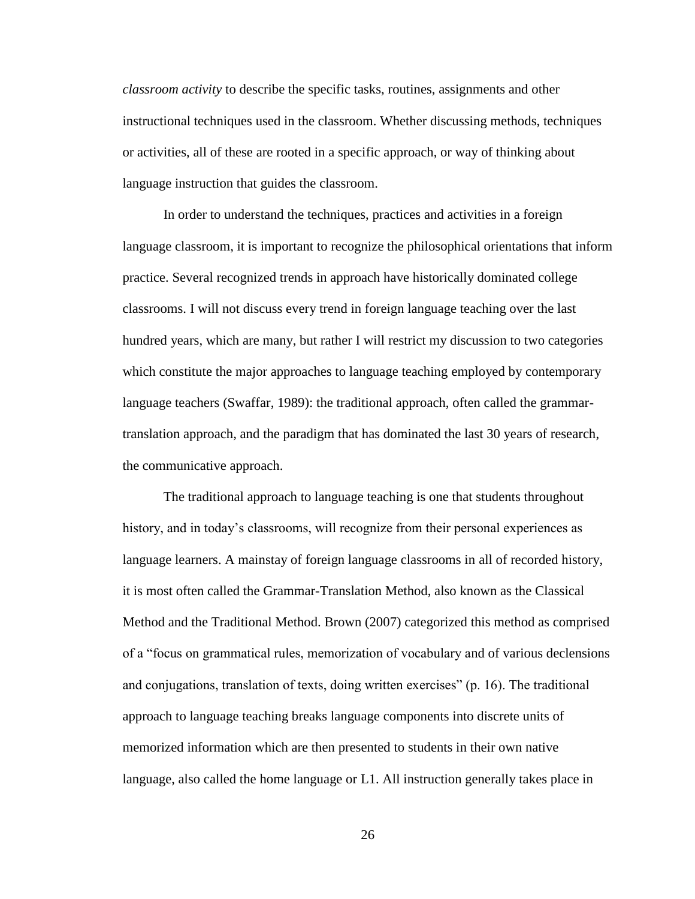*classroom activity* to describe the specific tasks, routines, assignments and other instructional techniques used in the classroom. Whether discussing methods, techniques or activities, all of these are rooted in a specific approach, or way of thinking about language instruction that guides the classroom.

In order to understand the techniques, practices and activities in a foreign language classroom, it is important to recognize the philosophical orientations that inform practice. Several recognized trends in approach have historically dominated college classrooms. I will not discuss every trend in foreign language teaching over the last hundred years, which are many, but rather I will restrict my discussion to two categories which constitute the major approaches to language teaching employed by contemporary language teachers (Swaffar, 1989): the traditional approach, often called the grammartranslation approach, and the paradigm that has dominated the last 30 years of research, the communicative approach.

The traditional approach to language teaching is one that students throughout history, and in today's classrooms, will recognize from their personal experiences as language learners. A mainstay of foreign language classrooms in all of recorded history, it is most often called the Grammar-Translation Method, also known as the Classical Method and the Traditional Method. Brown (2007) categorized this method as comprised of a "focus on grammatical rules, memorization of vocabulary and of various declensions and conjugations, translation of texts, doing written exercises" (p. 16). The traditional approach to language teaching breaks language components into discrete units of memorized information which are then presented to students in their own native language, also called the home language or L1. All instruction generally takes place in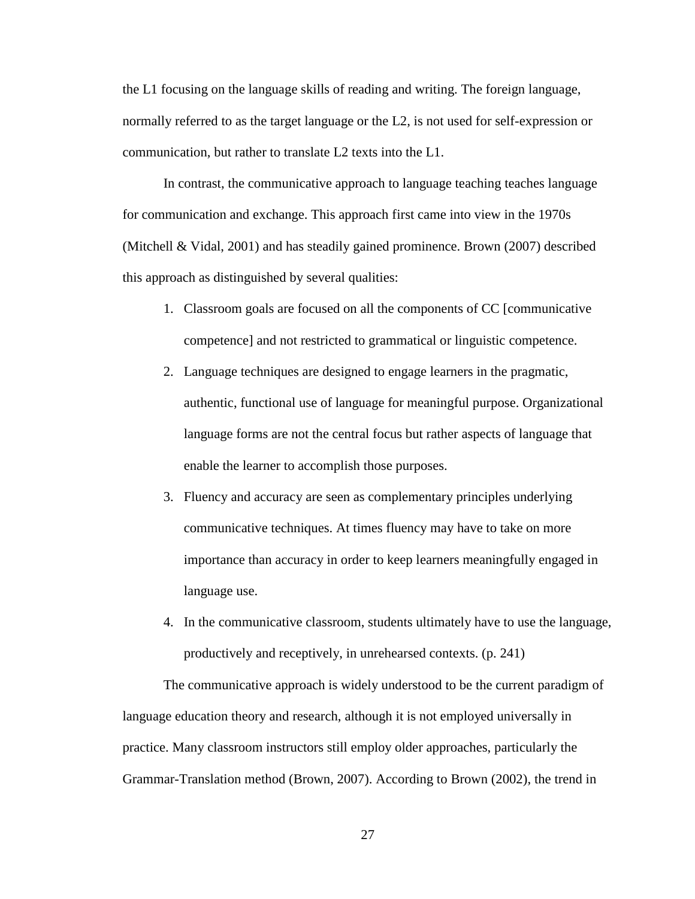the L1 focusing on the language skills of reading and writing. The foreign language, normally referred to as the target language or the L2, is not used for self-expression or communication, but rather to translate L2 texts into the L1.

In contrast, the communicative approach to language teaching teaches language for communication and exchange. This approach first came into view in the 1970s (Mitchell & Vidal, 2001) and has steadily gained prominence. Brown (2007) described this approach as distinguished by several qualities:

- 1. Classroom goals are focused on all the components of CC [communicative competence] and not restricted to grammatical or linguistic competence.
- 2. Language techniques are designed to engage learners in the pragmatic, authentic, functional use of language for meaningful purpose. Organizational language forms are not the central focus but rather aspects of language that enable the learner to accomplish those purposes.
- 3. Fluency and accuracy are seen as complementary principles underlying communicative techniques. At times fluency may have to take on more importance than accuracy in order to keep learners meaningfully engaged in language use.
- 4. In the communicative classroom, students ultimately have to use the language, productively and receptively, in unrehearsed contexts. (p. 241)

The communicative approach is widely understood to be the current paradigm of language education theory and research, although it is not employed universally in practice. Many classroom instructors still employ older approaches, particularly the Grammar-Translation method (Brown, 2007). According to Brown (2002), the trend in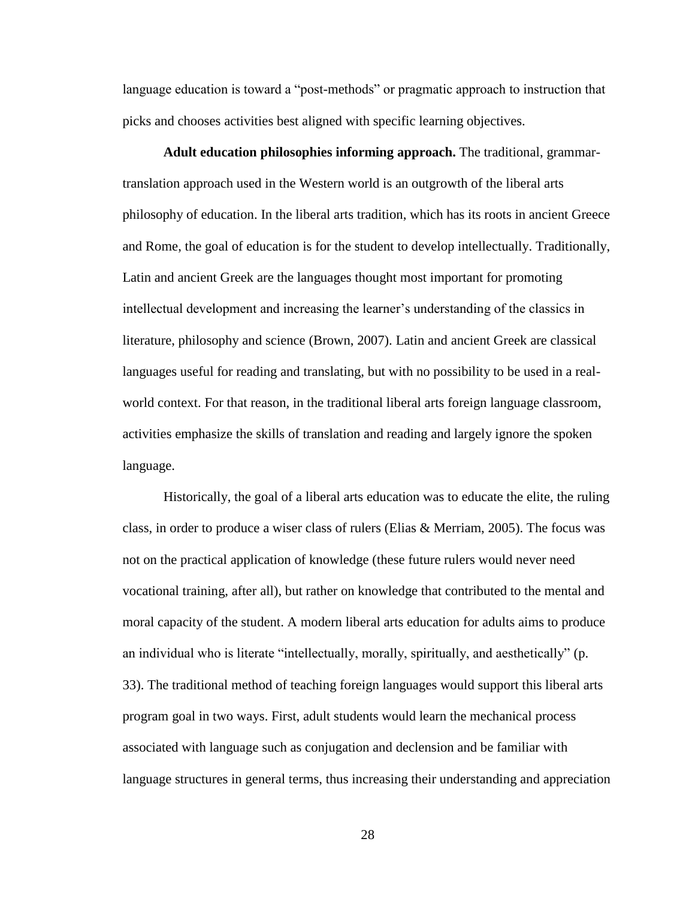language education is toward a "post-methods" or pragmatic approach to instruction that picks and chooses activities best aligned with specific learning objectives.

**Adult education philosophies informing approach.** The traditional, grammartranslation approach used in the Western world is an outgrowth of the liberal arts philosophy of education. In the liberal arts tradition, which has its roots in ancient Greece and Rome, the goal of education is for the student to develop intellectually. Traditionally, Latin and ancient Greek are the languages thought most important for promoting intellectual development and increasing the learner's understanding of the classics in literature, philosophy and science (Brown, 2007). Latin and ancient Greek are classical languages useful for reading and translating, but with no possibility to be used in a realworld context. For that reason, in the traditional liberal arts foreign language classroom, activities emphasize the skills of translation and reading and largely ignore the spoken language.

Historically, the goal of a liberal arts education was to educate the elite, the ruling class, in order to produce a wiser class of rulers (Elias & Merriam, 2005). The focus was not on the practical application of knowledge (these future rulers would never need vocational training, after all), but rather on knowledge that contributed to the mental and moral capacity of the student. A modern liberal arts education for adults aims to produce an individual who is literate "intellectually, morally, spiritually, and aesthetically" (p. 33). The traditional method of teaching foreign languages would support this liberal arts program goal in two ways. First, adult students would learn the mechanical process associated with language such as conjugation and declension and be familiar with language structures in general terms, thus increasing their understanding and appreciation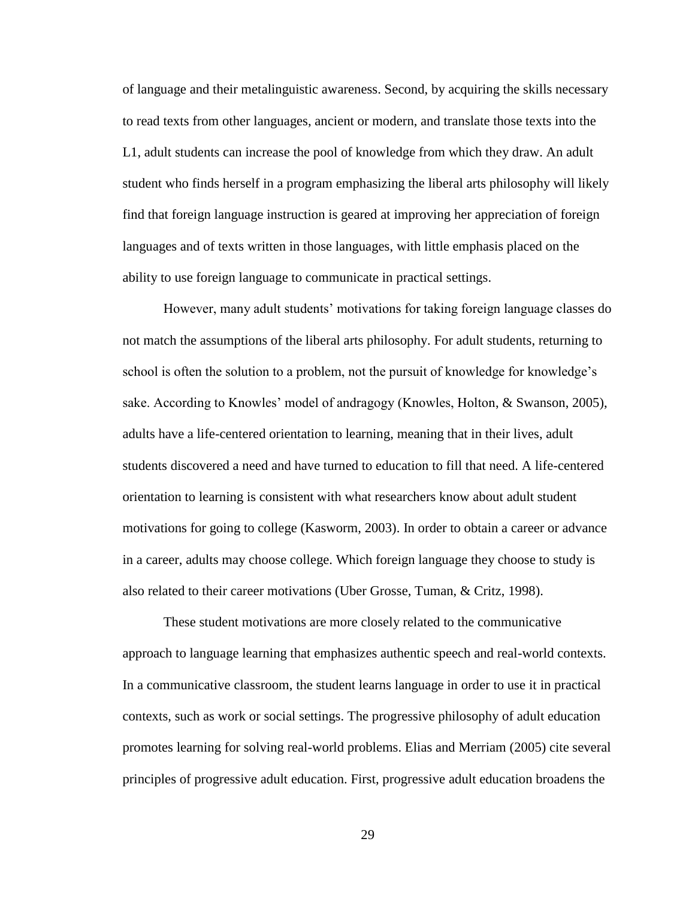of language and their metalinguistic awareness. Second, by acquiring the skills necessary to read texts from other languages, ancient or modern, and translate those texts into the L1, adult students can increase the pool of knowledge from which they draw. An adult student who finds herself in a program emphasizing the liberal arts philosophy will likely find that foreign language instruction is geared at improving her appreciation of foreign languages and of texts written in those languages, with little emphasis placed on the ability to use foreign language to communicate in practical settings.

However, many adult students' motivations for taking foreign language classes do not match the assumptions of the liberal arts philosophy. For adult students, returning to school is often the solution to a problem, not the pursuit of knowledge for knowledge's sake. According to Knowles' model of andragogy (Knowles, Holton, & Swanson, 2005), adults have a life-centered orientation to learning, meaning that in their lives, adult students discovered a need and have turned to education to fill that need. A life-centered orientation to learning is consistent with what researchers know about adult student motivations for going to college (Kasworm, 2003). In order to obtain a career or advance in a career, adults may choose college. Which foreign language they choose to study is also related to their career motivations (Uber Grosse, Tuman, & Critz, 1998).

These student motivations are more closely related to the communicative approach to language learning that emphasizes authentic speech and real-world contexts. In a communicative classroom, the student learns language in order to use it in practical contexts, such as work or social settings. The progressive philosophy of adult education promotes learning for solving real-world problems. Elias and Merriam (2005) cite several principles of progressive adult education. First, progressive adult education broadens the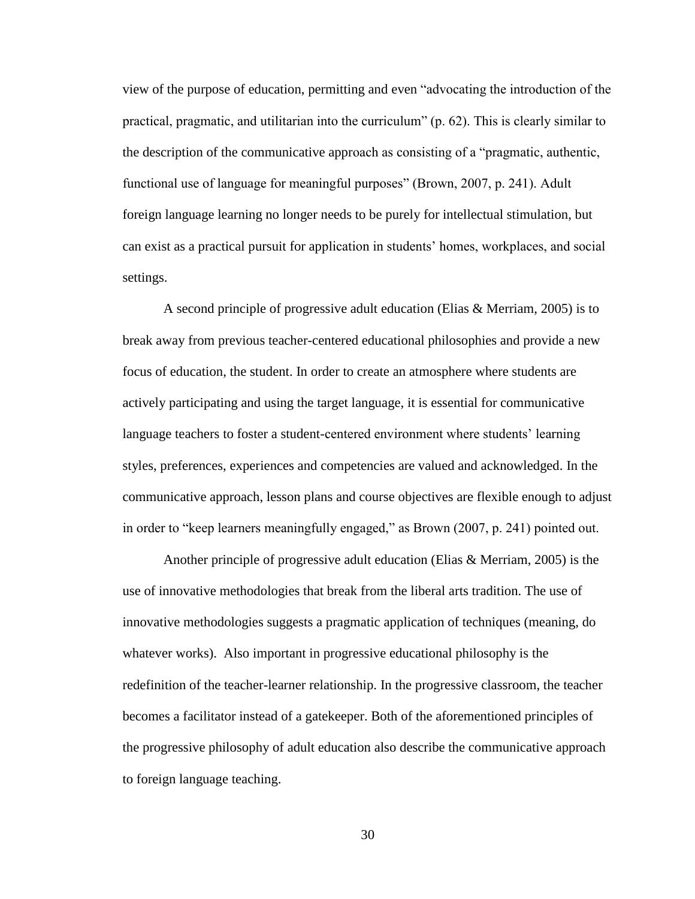view of the purpose of education, permitting and even "advocating the introduction of the practical, pragmatic, and utilitarian into the curriculum" (p. 62). This is clearly similar to the description of the communicative approach as consisting of a "pragmatic, authentic, functional use of language for meaningful purposes" (Brown, 2007, p. 241). Adult foreign language learning no longer needs to be purely for intellectual stimulation, but can exist as a practical pursuit for application in students' homes, workplaces, and social settings.

A second principle of progressive adult education (Elias & Merriam, 2005) is to break away from previous teacher-centered educational philosophies and provide a new focus of education, the student. In order to create an atmosphere where students are actively participating and using the target language, it is essential for communicative language teachers to foster a student-centered environment where students' learning styles, preferences, experiences and competencies are valued and acknowledged. In the communicative approach, lesson plans and course objectives are flexible enough to adjust in order to "keep learners meaningfully engaged," as Brown (2007, p. 241) pointed out.

Another principle of progressive adult education (Elias & Merriam, 2005) is the use of innovative methodologies that break from the liberal arts tradition. The use of innovative methodologies suggests a pragmatic application of techniques (meaning, do whatever works). Also important in progressive educational philosophy is the redefinition of the teacher-learner relationship. In the progressive classroom, the teacher becomes a facilitator instead of a gatekeeper. Both of the aforementioned principles of the progressive philosophy of adult education also describe the communicative approach to foreign language teaching.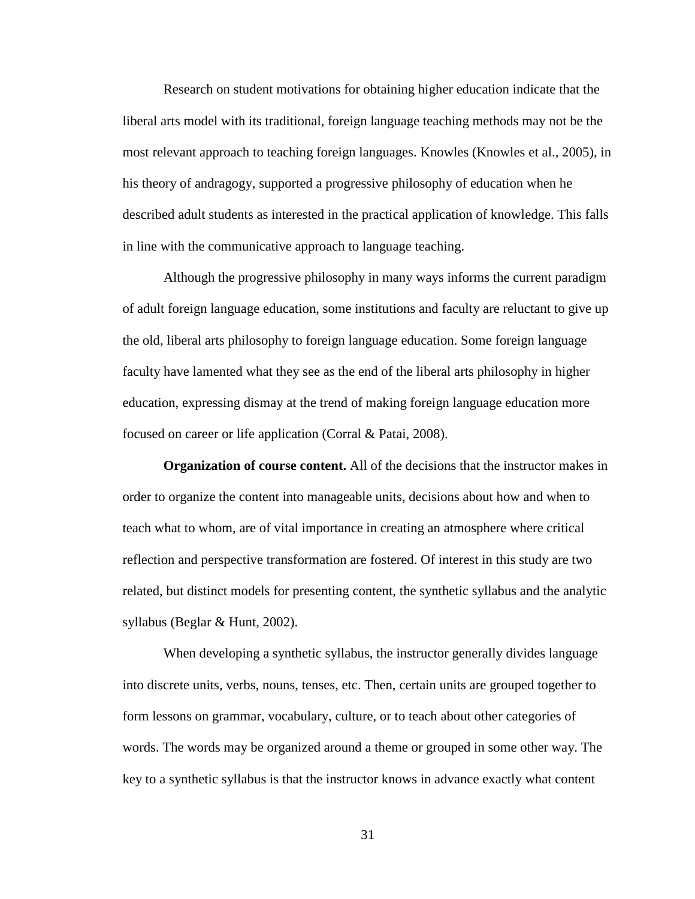Research on student motivations for obtaining higher education indicate that the liberal arts model with its traditional, foreign language teaching methods may not be the most relevant approach to teaching foreign languages. Knowles (Knowles et al., 2005), in his theory of andragogy, supported a progressive philosophy of education when he described adult students as interested in the practical application of knowledge. This falls in line with the communicative approach to language teaching.

Although the progressive philosophy in many ways informs the current paradigm of adult foreign language education, some institutions and faculty are reluctant to give up the old, liberal arts philosophy to foreign language education. Some foreign language faculty have lamented what they see as the end of the liberal arts philosophy in higher education, expressing dismay at the trend of making foreign language education more focused on career or life application (Corral & Patai, 2008).

**Organization of course content.** All of the decisions that the instructor makes in order to organize the content into manageable units, decisions about how and when to teach what to whom, are of vital importance in creating an atmosphere where critical reflection and perspective transformation are fostered. Of interest in this study are two related, but distinct models for presenting content, the synthetic syllabus and the analytic syllabus (Beglar & Hunt, 2002).

When developing a synthetic syllabus, the instructor generally divides language into discrete units, verbs, nouns, tenses, etc. Then, certain units are grouped together to form lessons on grammar, vocabulary, culture, or to teach about other categories of words. The words may be organized around a theme or grouped in some other way. The key to a synthetic syllabus is that the instructor knows in advance exactly what content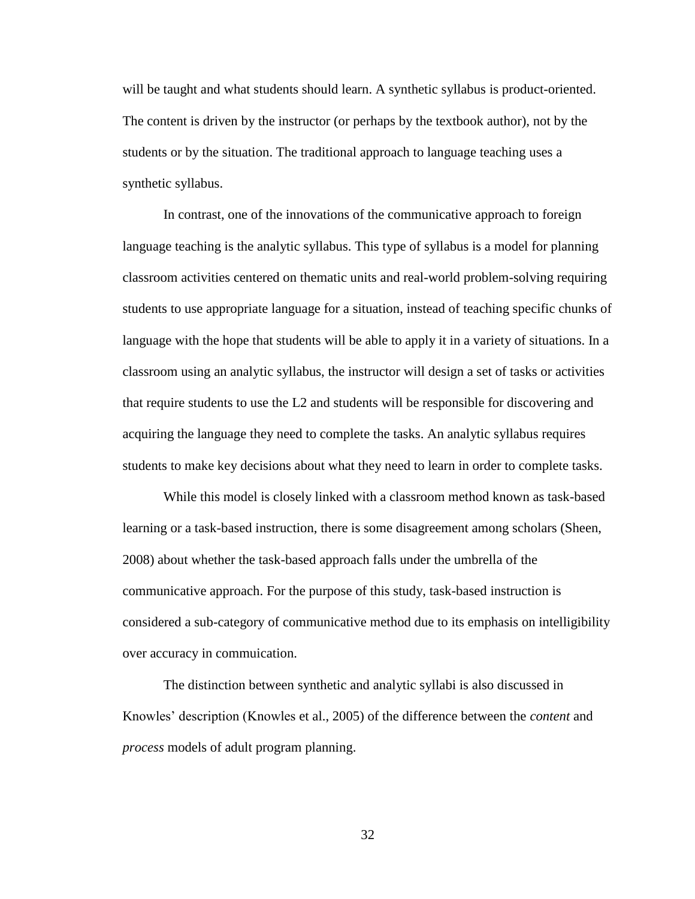will be taught and what students should learn. A synthetic syllabus is product-oriented. The content is driven by the instructor (or perhaps by the textbook author), not by the students or by the situation. The traditional approach to language teaching uses a synthetic syllabus.

In contrast, one of the innovations of the communicative approach to foreign language teaching is the analytic syllabus. This type of syllabus is a model for planning classroom activities centered on thematic units and real-world problem-solving requiring students to use appropriate language for a situation, instead of teaching specific chunks of language with the hope that students will be able to apply it in a variety of situations. In a classroom using an analytic syllabus, the instructor will design a set of tasks or activities that require students to use the L2 and students will be responsible for discovering and acquiring the language they need to complete the tasks. An analytic syllabus requires students to make key decisions about what they need to learn in order to complete tasks.

While this model is closely linked with a classroom method known as task-based learning or a task-based instruction, there is some disagreement among scholars (Sheen, 2008) about whether the task-based approach falls under the umbrella of the communicative approach. For the purpose of this study, task-based instruction is considered a sub-category of communicative method due to its emphasis on intelligibility over accuracy in commuication.

The distinction between synthetic and analytic syllabi is also discussed in Knowles' description (Knowles et al., 2005) of the difference between the *content* and *process* models of adult program planning.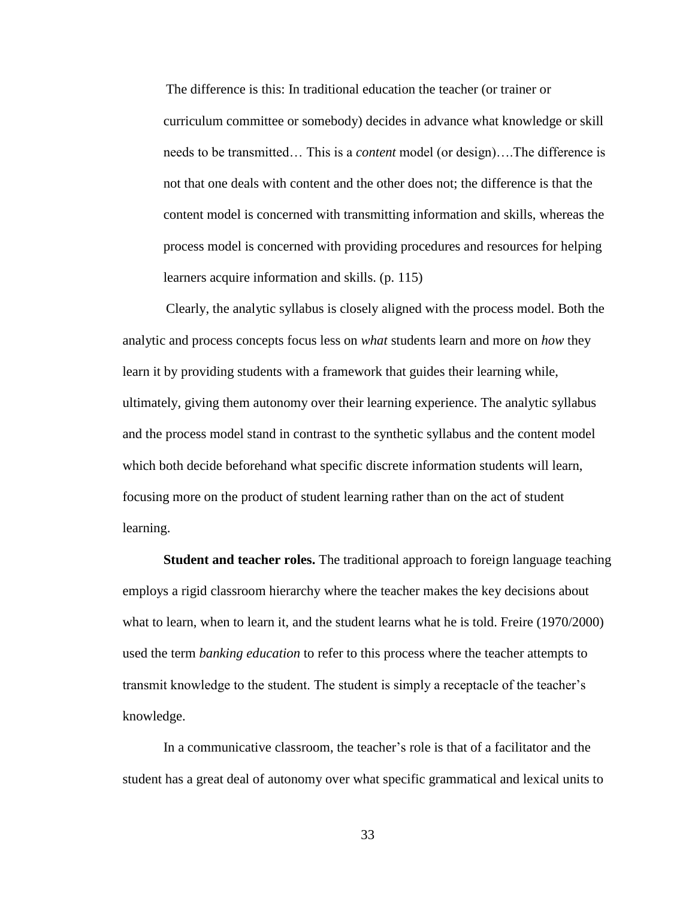The difference is this: In traditional education the teacher (or trainer or curriculum committee or somebody) decides in advance what knowledge or skill needs to be transmitted… This is a *content* model (or design)….The difference is not that one deals with content and the other does not; the difference is that the content model is concerned with transmitting information and skills, whereas the process model is concerned with providing procedures and resources for helping learners acquire information and skills. (p. 115)

Clearly, the analytic syllabus is closely aligned with the process model. Both the analytic and process concepts focus less on *what* students learn and more on *how* they learn it by providing students with a framework that guides their learning while, ultimately, giving them autonomy over their learning experience. The analytic syllabus and the process model stand in contrast to the synthetic syllabus and the content model which both decide beforehand what specific discrete information students will learn, focusing more on the product of student learning rather than on the act of student learning.

**Student and teacher roles.** The traditional approach to foreign language teaching employs a rigid classroom hierarchy where the teacher makes the key decisions about what to learn, when to learn it, and the student learns what he is told. Freire (1970/2000) used the term *banking education* to refer to this process where the teacher attempts to transmit knowledge to the student. The student is simply a receptacle of the teacher's knowledge.

In a communicative classroom, the teacher's role is that of a facilitator and the student has a great deal of autonomy over what specific grammatical and lexical units to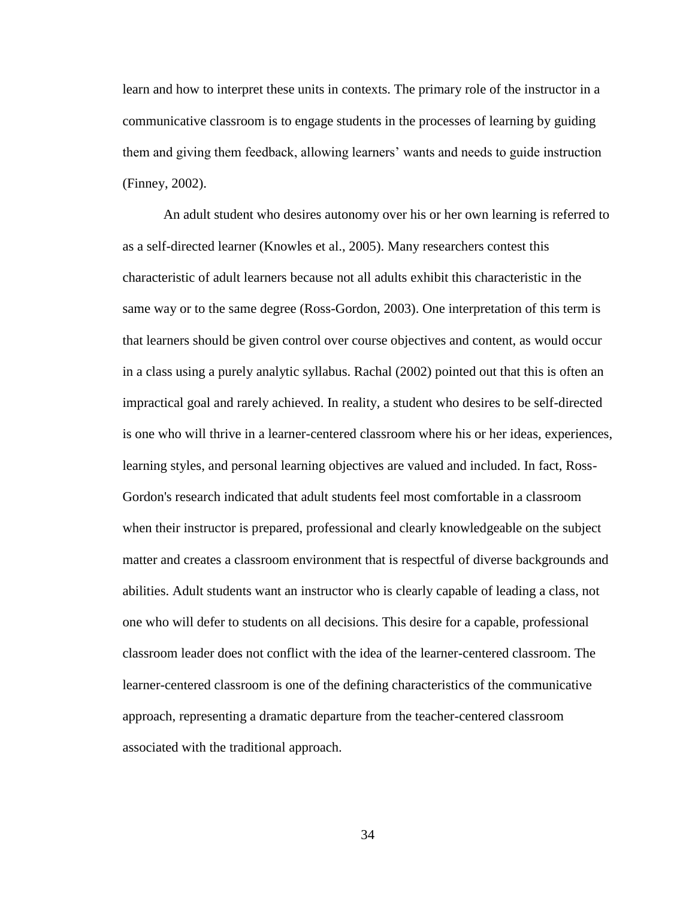learn and how to interpret these units in contexts. The primary role of the instructor in a communicative classroom is to engage students in the processes of learning by guiding them and giving them feedback, allowing learners' wants and needs to guide instruction (Finney, 2002).

An adult student who desires autonomy over his or her own learning is referred to as a self-directed learner (Knowles et al., 2005). Many researchers contest this characteristic of adult learners because not all adults exhibit this characteristic in the same way or to the same degree (Ross-Gordon, 2003). One interpretation of this term is that learners should be given control over course objectives and content, as would occur in a class using a purely analytic syllabus. Rachal (2002) pointed out that this is often an impractical goal and rarely achieved. In reality, a student who desires to be self-directed is one who will thrive in a learner-centered classroom where his or her ideas, experiences, learning styles, and personal learning objectives are valued and included. In fact, Ross-Gordon's research indicated that adult students feel most comfortable in a classroom when their instructor is prepared, professional and clearly knowledgeable on the subject matter and creates a classroom environment that is respectful of diverse backgrounds and abilities. Adult students want an instructor who is clearly capable of leading a class, not one who will defer to students on all decisions. This desire for a capable, professional classroom leader does not conflict with the idea of the learner-centered classroom. The learner-centered classroom is one of the defining characteristics of the communicative approach, representing a dramatic departure from the teacher-centered classroom associated with the traditional approach.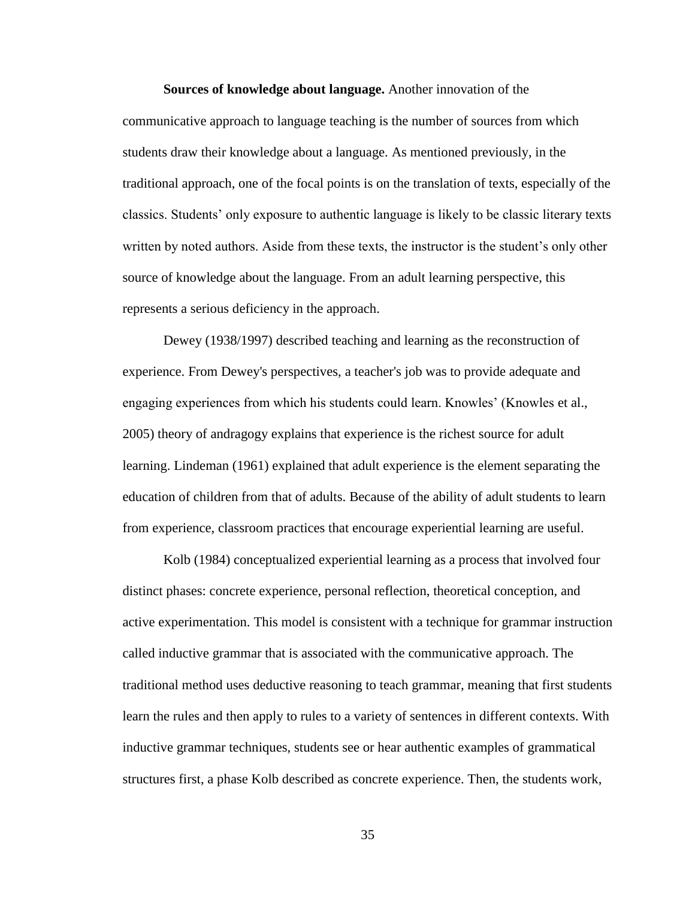**Sources of knowledge about language.** Another innovation of the communicative approach to language teaching is the number of sources from which students draw their knowledge about a language. As mentioned previously, in the traditional approach, one of the focal points is on the translation of texts, especially of the classics. Students' only exposure to authentic language is likely to be classic literary texts written by noted authors. Aside from these texts, the instructor is the student's only other source of knowledge about the language. From an adult learning perspective, this represents a serious deficiency in the approach.

Dewey (1938/1997) described teaching and learning as the reconstruction of experience. From Dewey's perspectives, a teacher's job was to provide adequate and engaging experiences from which his students could learn. Knowles' (Knowles et al., 2005) theory of andragogy explains that experience is the richest source for adult learning. Lindeman (1961) explained that adult experience is the element separating the education of children from that of adults. Because of the ability of adult students to learn from experience, classroom practices that encourage experiential learning are useful.

Kolb (1984) conceptualized experiential learning as a process that involved four distinct phases: concrete experience, personal reflection, theoretical conception, and active experimentation. This model is consistent with a technique for grammar instruction called inductive grammar that is associated with the communicative approach. The traditional method uses deductive reasoning to teach grammar, meaning that first students learn the rules and then apply to rules to a variety of sentences in different contexts. With inductive grammar techniques, students see or hear authentic examples of grammatical structures first, a phase Kolb described as concrete experience. Then, the students work,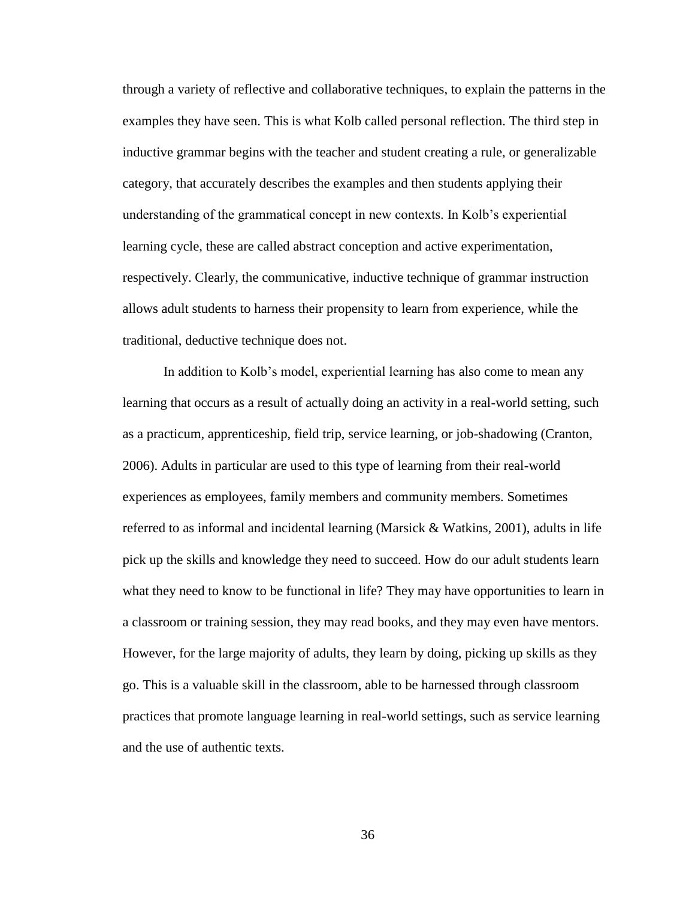through a variety of reflective and collaborative techniques, to explain the patterns in the examples they have seen. This is what Kolb called personal reflection. The third step in inductive grammar begins with the teacher and student creating a rule, or generalizable category, that accurately describes the examples and then students applying their understanding of the grammatical concept in new contexts. In Kolb's experiential learning cycle, these are called abstract conception and active experimentation, respectively. Clearly, the communicative, inductive technique of grammar instruction allows adult students to harness their propensity to learn from experience, while the traditional, deductive technique does not.

In addition to Kolb's model, experiential learning has also come to mean any learning that occurs as a result of actually doing an activity in a real-world setting, such as a practicum, apprenticeship, field trip, service learning, or job-shadowing (Cranton, 2006). Adults in particular are used to this type of learning from their real-world experiences as employees, family members and community members. Sometimes referred to as informal and incidental learning (Marsick  $\&$  Watkins, 2001), adults in life pick up the skills and knowledge they need to succeed. How do our adult students learn what they need to know to be functional in life? They may have opportunities to learn in a classroom or training session, they may read books, and they may even have mentors. However, for the large majority of adults, they learn by doing, picking up skills as they go. This is a valuable skill in the classroom, able to be harnessed through classroom practices that promote language learning in real-world settings, such as service learning and the use of authentic texts.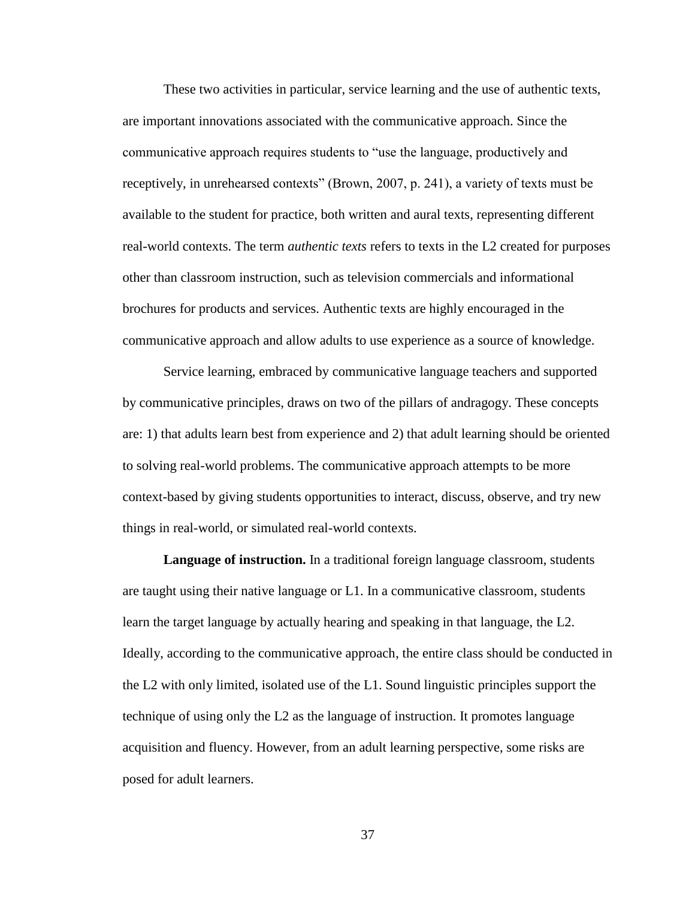These two activities in particular, service learning and the use of authentic texts, are important innovations associated with the communicative approach. Since the communicative approach requires students to "use the language, productively and receptively, in unrehearsed contexts" (Brown, 2007, p. 241), a variety of texts must be available to the student for practice, both written and aural texts, representing different real-world contexts. The term *authentic texts* refers to texts in the L2 created for purposes other than classroom instruction, such as television commercials and informational brochures for products and services. Authentic texts are highly encouraged in the communicative approach and allow adults to use experience as a source of knowledge.

Service learning, embraced by communicative language teachers and supported by communicative principles, draws on two of the pillars of andragogy. These concepts are: 1) that adults learn best from experience and 2) that adult learning should be oriented to solving real-world problems. The communicative approach attempts to be more context-based by giving students opportunities to interact, discuss, observe, and try new things in real-world, or simulated real-world contexts.

**Language of instruction.** In a traditional foreign language classroom, students are taught using their native language or  $L1$ . In a communicative classroom, students learn the target language by actually hearing and speaking in that language, the L2. Ideally, according to the communicative approach, the entire class should be conducted in the L2 with only limited, isolated use of the L1. Sound linguistic principles support the technique of using only the L2 as the language of instruction. It promotes language acquisition and fluency. However, from an adult learning perspective, some risks are posed for adult learners.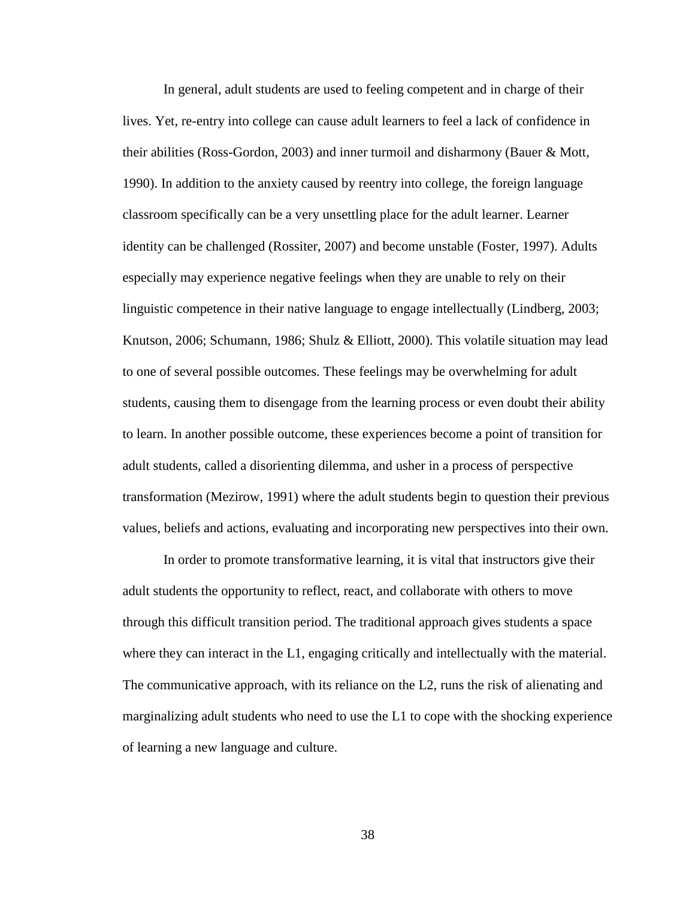In general, adult students are used to feeling competent and in charge of their lives. Yet, re-entry into college can cause adult learners to feel a lack of confidence in their abilities (Ross-Gordon, 2003) and inner turmoil and disharmony (Bauer & Mott, 1990). In addition to the anxiety caused by reentry into college, the foreign language classroom specifically can be a very unsettling place for the adult learner. Learner identity can be challenged (Rossiter, 2007) and become unstable (Foster, 1997). Adults especially may experience negative feelings when they are unable to rely on their linguistic competence in their native language to engage intellectually (Lindberg, 2003; Knutson, 2006; Schumann, 1986; Shulz & Elliott, 2000). This volatile situation may lead to one of several possible outcomes. These feelings may be overwhelming for adult students, causing them to disengage from the learning process or even doubt their ability to learn. In another possible outcome, these experiences become a point of transition for adult students, called a disorienting dilemma, and usher in a process of perspective transformation (Mezirow, 1991) where the adult students begin to question their previous values, beliefs and actions, evaluating and incorporating new perspectives into their own.

In order to promote transformative learning, it is vital that instructors give their adult students the opportunity to reflect, react, and collaborate with others to move through this difficult transition period. The traditional approach gives students a space where they can interact in the L1, engaging critically and intellectually with the material. The communicative approach, with its reliance on the L2, runs the risk of alienating and marginalizing adult students who need to use the L1 to cope with the shocking experience of learning a new language and culture.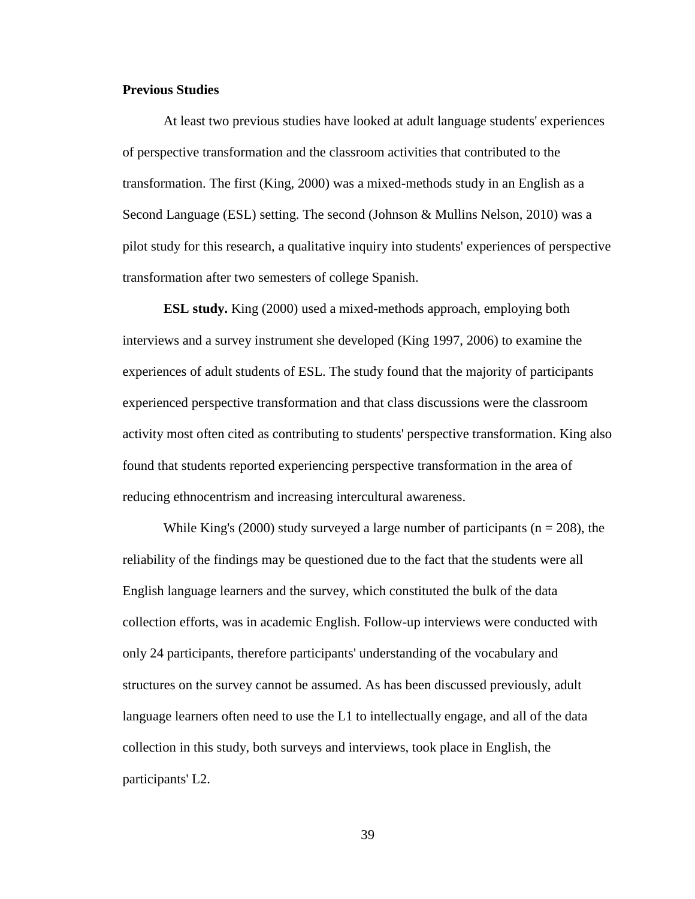### **Previous Studies**

At least two previous studies have looked at adult language students' experiences of perspective transformation and the classroom activities that contributed to the transformation. The first (King, 2000) was a mixed-methods study in an English as a Second Language (ESL) setting. The second (Johnson & Mullins Nelson, 2010) was a pilot study for this research, a qualitative inquiry into students' experiences of perspective transformation after two semesters of college Spanish.

**ESL study.** King (2000) used a mixed-methods approach, employing both interviews and a survey instrument she developed (King 1997, 2006) to examine the experiences of adult students of ESL. The study found that the majority of participants experienced perspective transformation and that class discussions were the classroom activity most often cited as contributing to students' perspective transformation. King also found that students reported experiencing perspective transformation in the area of reducing ethnocentrism and increasing intercultural awareness.

While King's (2000) study surveyed a large number of participants ( $n = 208$ ), the reliability of the findings may be questioned due to the fact that the students were all English language learners and the survey, which constituted the bulk of the data collection efforts, was in academic English. Follow-up interviews were conducted with only 24 participants, therefore participants' understanding of the vocabulary and structures on the survey cannot be assumed. As has been discussed previously, adult language learners often need to use the L1 to intellectually engage, and all of the data collection in this study, both surveys and interviews, took place in English, the participants' L2.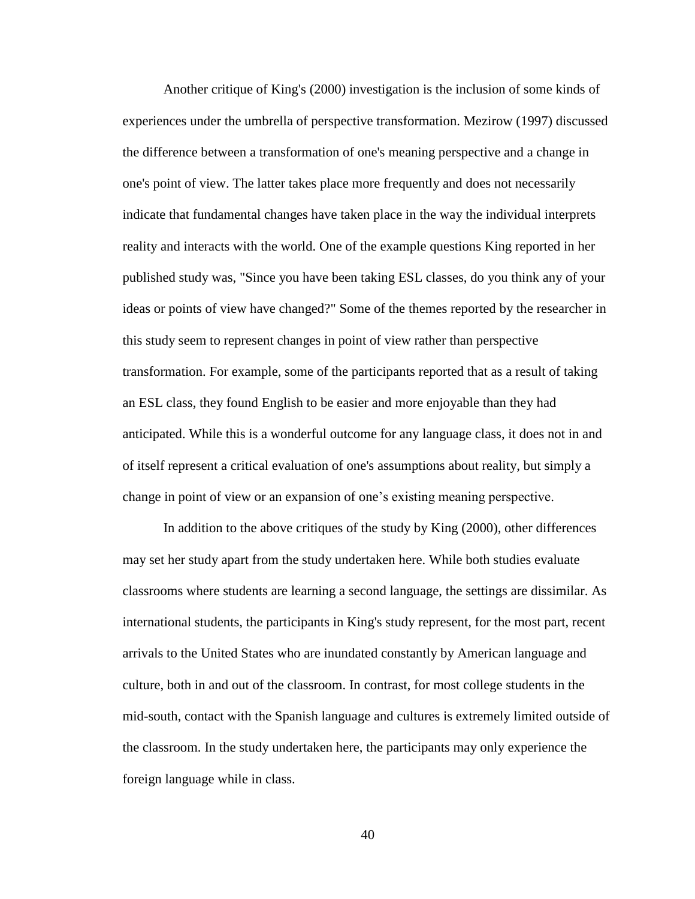Another critique of King's (2000) investigation is the inclusion of some kinds of experiences under the umbrella of perspective transformation. Mezirow (1997) discussed the difference between a transformation of one's meaning perspective and a change in one's point of view. The latter takes place more frequently and does not necessarily indicate that fundamental changes have taken place in the way the individual interprets reality and interacts with the world. One of the example questions King reported in her published study was, "Since you have been taking ESL classes, do you think any of your ideas or points of view have changed?" Some of the themes reported by the researcher in this study seem to represent changes in point of view rather than perspective transformation. For example, some of the participants reported that as a result of taking an ESL class, they found English to be easier and more enjoyable than they had anticipated. While this is a wonderful outcome for any language class, it does not in and of itself represent a critical evaluation of one's assumptions about reality, but simply a change in point of view or an expansion of one's existing meaning perspective.

In addition to the above critiques of the study by King (2000), other differences may set her study apart from the study undertaken here. While both studies evaluate classrooms where students are learning a second language, the settings are dissimilar. As international students, the participants in King's study represent, for the most part, recent arrivals to the United States who are inundated constantly by American language and culture, both in and out of the classroom. In contrast, for most college students in the mid-south, contact with the Spanish language and cultures is extremely limited outside of the classroom. In the study undertaken here, the participants may only experience the foreign language while in class.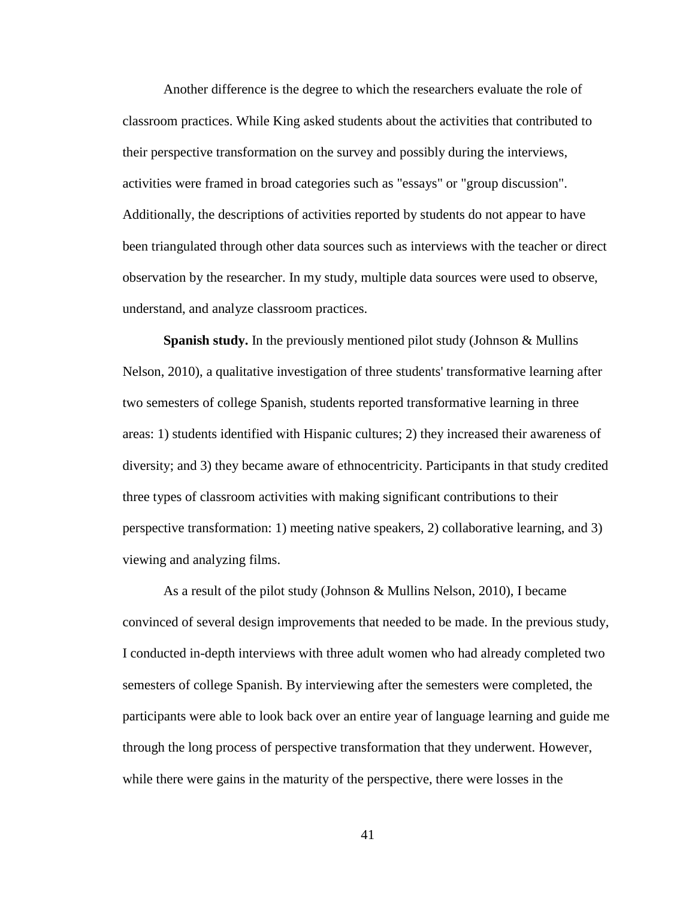Another difference is the degree to which the researchers evaluate the role of classroom practices. While King asked students about the activities that contributed to their perspective transformation on the survey and possibly during the interviews, activities were framed in broad categories such as "essays" or "group discussion". Additionally, the descriptions of activities reported by students do not appear to have been triangulated through other data sources such as interviews with the teacher or direct observation by the researcher. In my study, multiple data sources were used to observe, understand, and analyze classroom practices.

**Spanish study.** In the previously mentioned pilot study (Johnson & Mullins Nelson, 2010), a qualitative investigation of three students' transformative learning after two semesters of college Spanish, students reported transformative learning in three areas: 1) students identified with Hispanic cultures; 2) they increased their awareness of diversity; and 3) they became aware of ethnocentricity. Participants in that study credited three types of classroom activities with making significant contributions to their perspective transformation: 1) meeting native speakers, 2) collaborative learning, and 3) viewing and analyzing films.

As a result of the pilot study (Johnson & Mullins Nelson, 2010), I became convinced of several design improvements that needed to be made. In the previous study, I conducted in-depth interviews with three adult women who had already completed two semesters of college Spanish. By interviewing after the semesters were completed, the participants were able to look back over an entire year of language learning and guide me through the long process of perspective transformation that they underwent. However, while there were gains in the maturity of the perspective, there were losses in the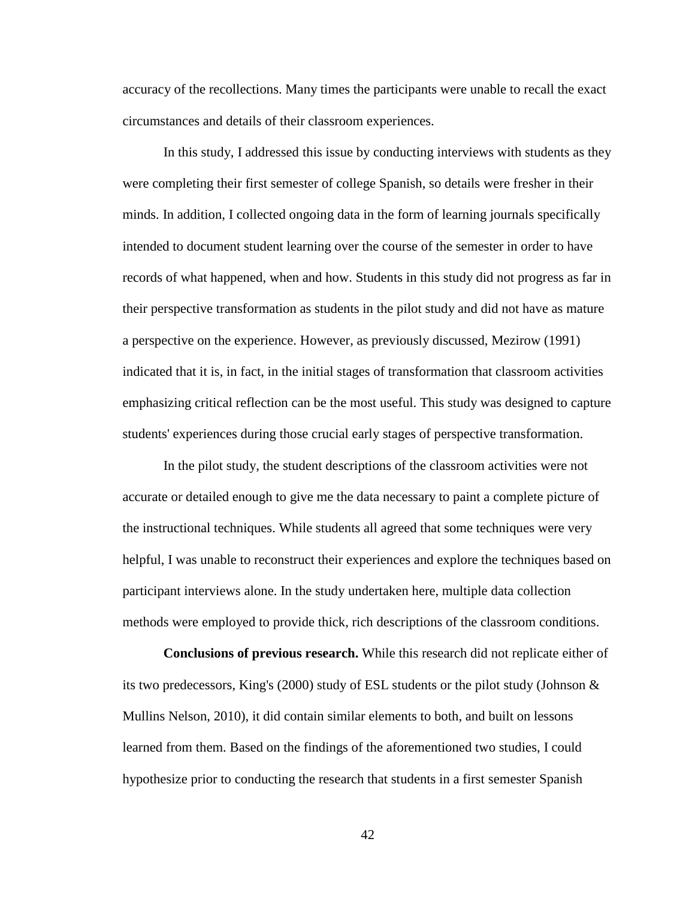accuracy of the recollections. Many times the participants were unable to recall the exact circumstances and details of their classroom experiences.

In this study, I addressed this issue by conducting interviews with students as they were completing their first semester of college Spanish, so details were fresher in their minds. In addition, I collected ongoing data in the form of learning journals specifically intended to document student learning over the course of the semester in order to have records of what happened, when and how. Students in this study did not progress as far in their perspective transformation as students in the pilot study and did not have as mature a perspective on the experience. However, as previously discussed, Mezirow (1991) indicated that it is, in fact, in the initial stages of transformation that classroom activities emphasizing critical reflection can be the most useful. This study was designed to capture students' experiences during those crucial early stages of perspective transformation.

In the pilot study, the student descriptions of the classroom activities were not accurate or detailed enough to give me the data necessary to paint a complete picture of the instructional techniques. While students all agreed that some techniques were very helpful, I was unable to reconstruct their experiences and explore the techniques based on participant interviews alone. In the study undertaken here, multiple data collection methods were employed to provide thick, rich descriptions of the classroom conditions.

**Conclusions of previous research.** While this research did not replicate either of its two predecessors, King's (2000) study of ESL students or the pilot study (Johnson & Mullins Nelson, 2010), it did contain similar elements to both, and built on lessons learned from them. Based on the findings of the aforementioned two studies, I could hypothesize prior to conducting the research that students in a first semester Spanish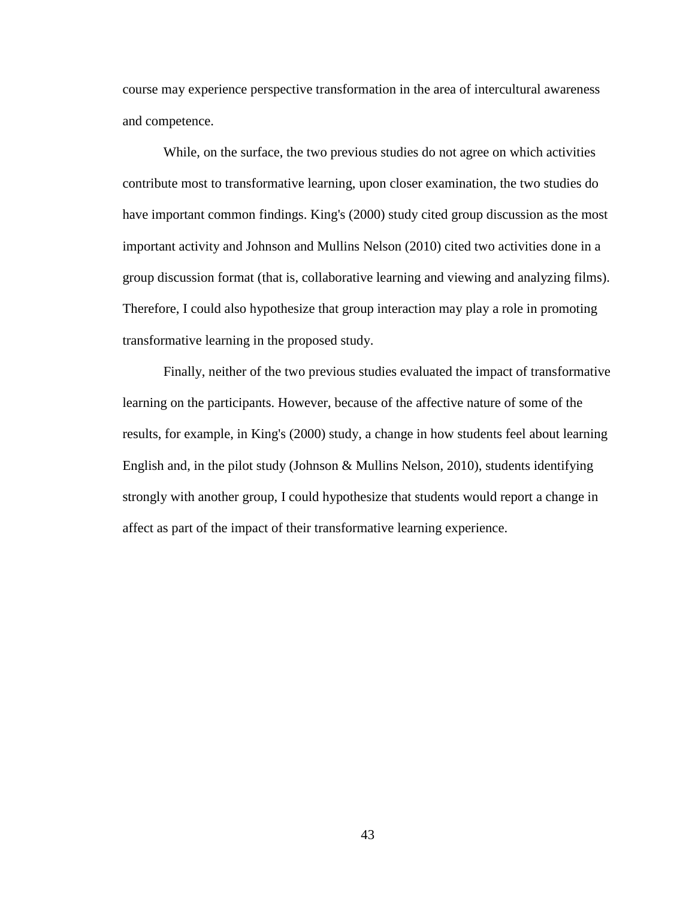course may experience perspective transformation in the area of intercultural awareness and competence.

While, on the surface, the two previous studies do not agree on which activities contribute most to transformative learning, upon closer examination, the two studies do have important common findings. King's (2000) study cited group discussion as the most important activity and Johnson and Mullins Nelson (2010) cited two activities done in a group discussion format (that is, collaborative learning and viewing and analyzing films). Therefore, I could also hypothesize that group interaction may play a role in promoting transformative learning in the proposed study.

Finally, neither of the two previous studies evaluated the impact of transformative learning on the participants. However, because of the affective nature of some of the results, for example, in King's (2000) study, a change in how students feel about learning English and, in the pilot study (Johnson & Mullins Nelson, 2010), students identifying strongly with another group, I could hypothesize that students would report a change in affect as part of the impact of their transformative learning experience.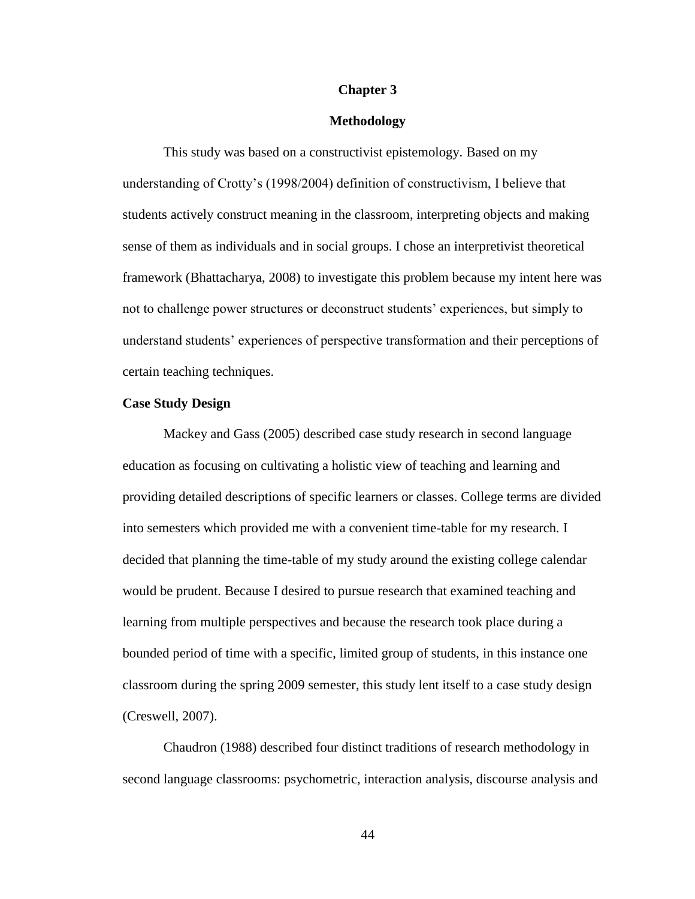### **Chapter 3**

# **Methodology**

This study was based on a constructivist epistemology. Based on my understanding of Crotty's (1998/2004) definition of constructivism, I believe that students actively construct meaning in the classroom, interpreting objects and making sense of them as individuals and in social groups. I chose an interpretivist theoretical framework (Bhattacharya, 2008) to investigate this problem because my intent here was not to challenge power structures or deconstruct students' experiences, but simply to understand students' experiences of perspective transformation and their perceptions of certain teaching techniques.

### **Case Study Design**

Mackey and Gass (2005) described case study research in second language education as focusing on cultivating a holistic view of teaching and learning and providing detailed descriptions of specific learners or classes. College terms are divided into semesters which provided me with a convenient time-table for my research. I decided that planning the time-table of my study around the existing college calendar would be prudent. Because I desired to pursue research that examined teaching and learning from multiple perspectives and because the research took place during a bounded period of time with a specific, limited group of students, in this instance one classroom during the spring 2009 semester, this study lent itself to a case study design (Creswell, 2007).

Chaudron (1988) described four distinct traditions of research methodology in second language classrooms: psychometric, interaction analysis, discourse analysis and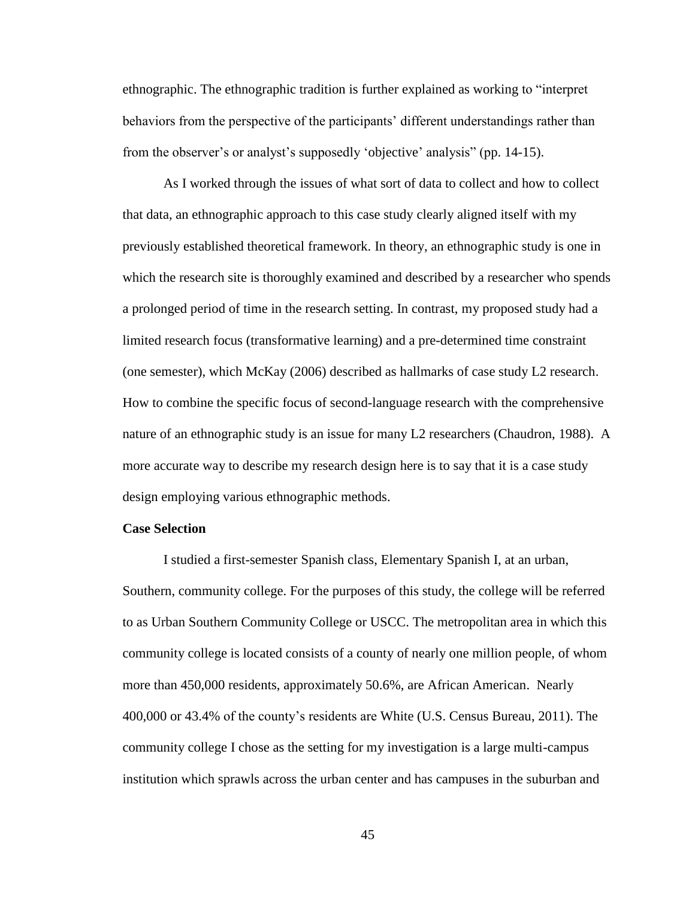ethnographic. The ethnographic tradition is further explained as working to "interpret behaviors from the perspective of the participants' different understandings rather than from the observer's or analyst's supposedly 'objective' analysis" (pp. 14-15).

As I worked through the issues of what sort of data to collect and how to collect that data, an ethnographic approach to this case study clearly aligned itself with my previously established theoretical framework. In theory, an ethnographic study is one in which the research site is thoroughly examined and described by a researcher who spends a prolonged period of time in the research setting. In contrast, my proposed study had a limited research focus (transformative learning) and a pre-determined time constraint (one semester), which McKay (2006) described as hallmarks of case study L2 research. How to combine the specific focus of second-language research with the comprehensive nature of an ethnographic study is an issue for many L2 researchers (Chaudron, 1988). A more accurate way to describe my research design here is to say that it is a case study design employing various ethnographic methods.

#### **Case Selection**

I studied a first-semester Spanish class, Elementary Spanish I, at an urban, Southern, community college. For the purposes of this study, the college will be referred to as Urban Southern Community College or USCC. The metropolitan area in which this community college is located consists of a county of nearly one million people, of whom more than 450,000 residents, approximately 50.6%, are African American. Nearly 400,000 or 43.4% of the county's residents are White (U.S. Census Bureau, 2011). The community college I chose as the setting for my investigation is a large multi-campus institution which sprawls across the urban center and has campuses in the suburban and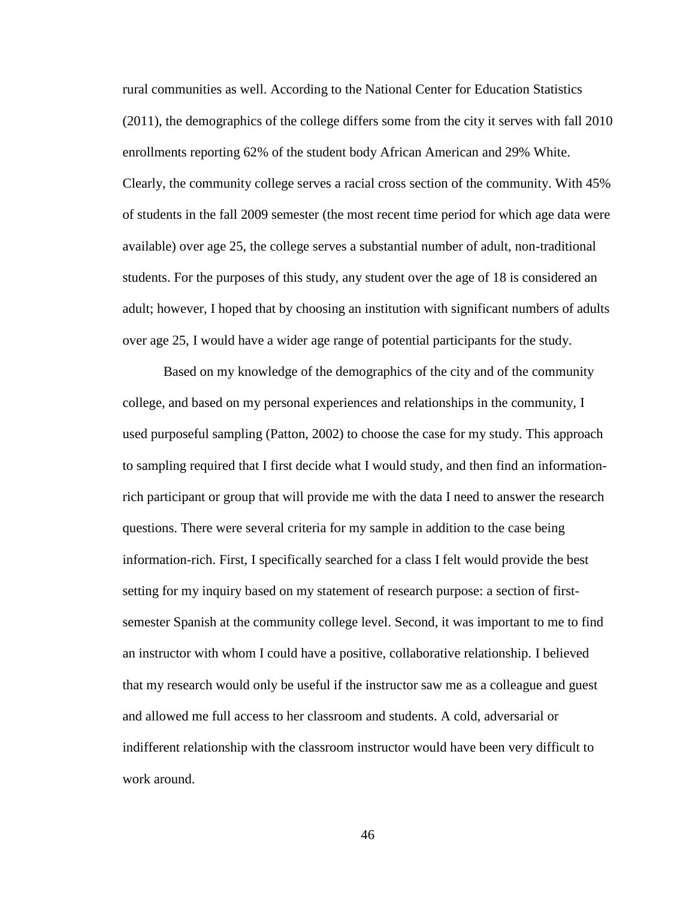rural communities as well. According to the National Center for Education Statistics (2011), the demographics of the college differs some from the city it serves with fall 2010 enrollments reporting 62% of the student body African American and 29% White. Clearly, the community college serves a racial cross section of the community. With 45% of students in the fall 2009 semester (the most recent time period for which age data were available) over age 25, the college serves a substantial number of adult, non-traditional students. For the purposes of this study, any student over the age of 18 is considered an adult; however, I hoped that by choosing an institution with significant numbers of adults over age 25, I would have a wider age range of potential participants for the study.

Based on my knowledge of the demographics of the city and of the community college, and based on my personal experiences and relationships in the community, I used purposeful sampling (Patton, 2002) to choose the case for my study. This approach to sampling required that I first decide what I would study, and then find an informationrich participant or group that will provide me with the data I need to answer the research questions. There were several criteria for my sample in addition to the case being information-rich. First, I specifically searched for a class I felt would provide the best setting for my inquiry based on my statement of research purpose: a section of firstsemester Spanish at the community college level. Second, it was important to me to find an instructor with whom I could have a positive, collaborative relationship. I believed that my research would only be useful if the instructor saw me as a colleague and guest and allowed me full access to her classroom and students. A cold, adversarial or indifferent relationship with the classroom instructor would have been very difficult to work around.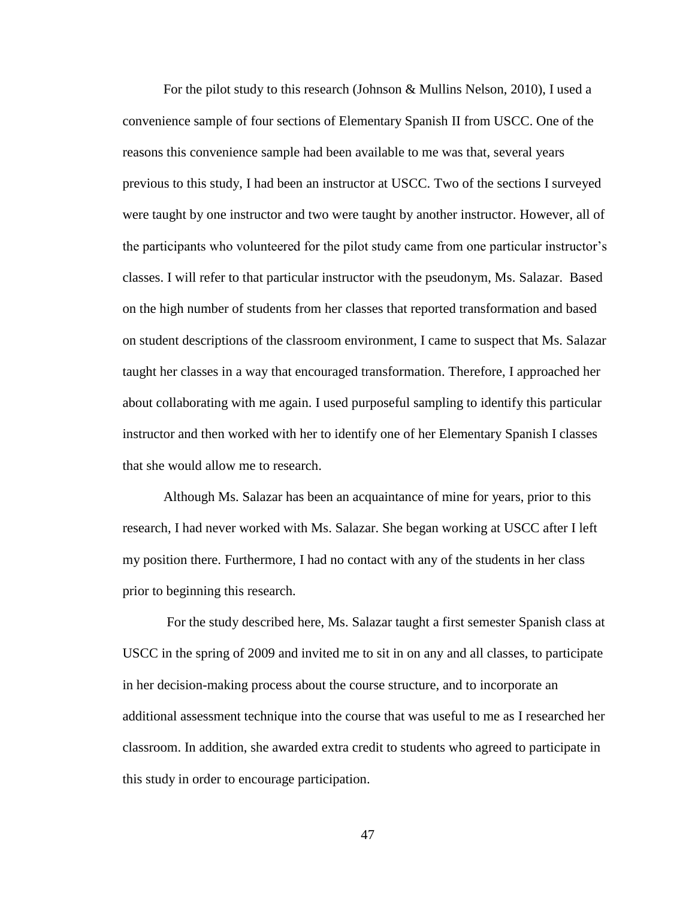For the pilot study to this research (Johnson & Mullins Nelson, 2010), I used a convenience sample of four sections of Elementary Spanish II from USCC. One of the reasons this convenience sample had been available to me was that, several years previous to this study, I had been an instructor at USCC. Two of the sections I surveyed were taught by one instructor and two were taught by another instructor. However, all of the participants who volunteered for the pilot study came from one particular instructor's classes. I will refer to that particular instructor with the pseudonym, Ms. Salazar. Based on the high number of students from her classes that reported transformation and based on student descriptions of the classroom environment, I came to suspect that Ms. Salazar taught her classes in a way that encouraged transformation. Therefore, I approached her about collaborating with me again. I used purposeful sampling to identify this particular instructor and then worked with her to identify one of her Elementary Spanish I classes that she would allow me to research.

Although Ms. Salazar has been an acquaintance of mine for years, prior to this research, I had never worked with Ms. Salazar. She began working at USCC after I left my position there. Furthermore, I had no contact with any of the students in her class prior to beginning this research.

For the study described here, Ms. Salazar taught a first semester Spanish class at USCC in the spring of 2009 and invited me to sit in on any and all classes, to participate in her decision-making process about the course structure, and to incorporate an additional assessment technique into the course that was useful to me as I researched her classroom. In addition, she awarded extra credit to students who agreed to participate in this study in order to encourage participation.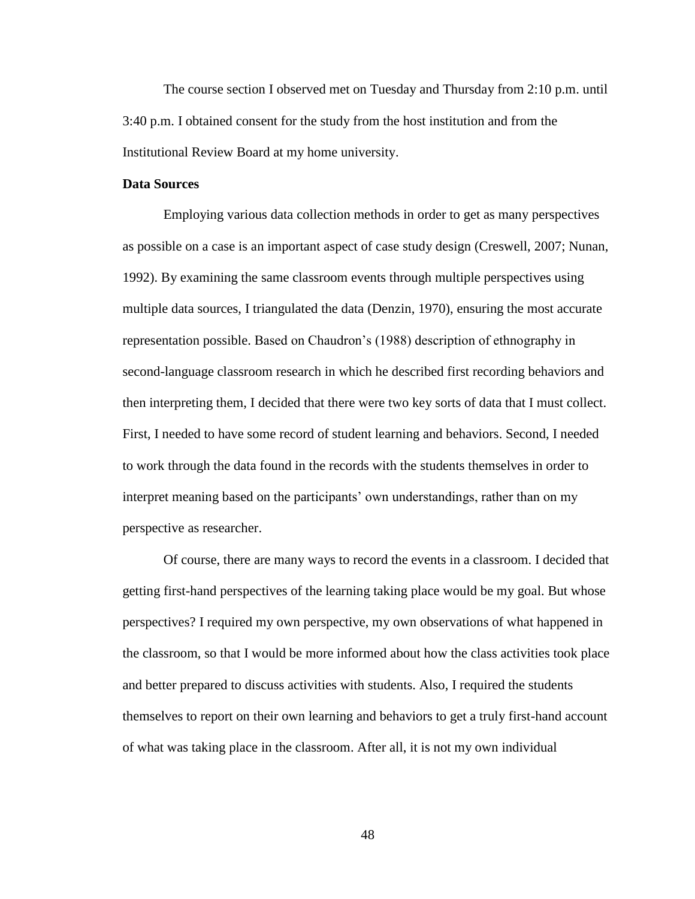The course section I observed met on Tuesday and Thursday from 2:10 p.m. until 3:40 p.m. I obtained consent for the study from the host institution and from the Institutional Review Board at my home university.

# **Data Sources**

Employing various data collection methods in order to get as many perspectives as possible on a case is an important aspect of case study design (Creswell, 2007; Nunan, 1992). By examining the same classroom events through multiple perspectives using multiple data sources, I triangulated the data (Denzin, 1970), ensuring the most accurate representation possible. Based on Chaudron's (1988) description of ethnography in second-language classroom research in which he described first recording behaviors and then interpreting them, I decided that there were two key sorts of data that I must collect. First, I needed to have some record of student learning and behaviors. Second, I needed to work through the data found in the records with the students themselves in order to interpret meaning based on the participants' own understandings, rather than on my perspective as researcher.

Of course, there are many ways to record the events in a classroom. I decided that getting first-hand perspectives of the learning taking place would be my goal. But whose perspectives? I required my own perspective, my own observations of what happened in the classroom, so that I would be more informed about how the class activities took place and better prepared to discuss activities with students. Also, I required the students themselves to report on their own learning and behaviors to get a truly first-hand account of what was taking place in the classroom. After all, it is not my own individual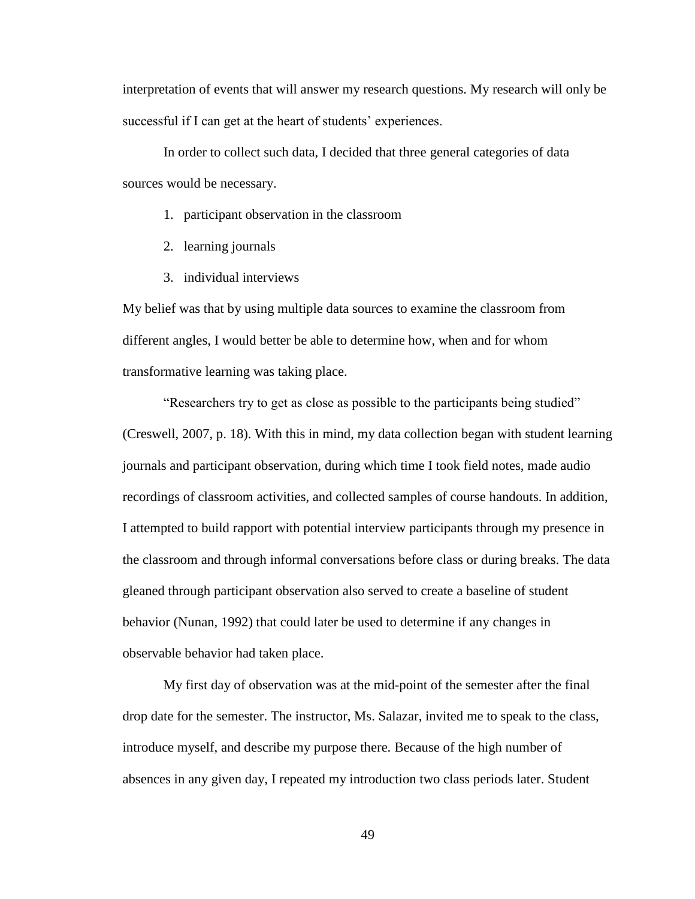interpretation of events that will answer my research questions. My research will only be successful if I can get at the heart of students' experiences.

In order to collect such data, I decided that three general categories of data sources would be necessary.

- 1. participant observation in the classroom
- 2. learning journals
- 3. individual interviews

My belief was that by using multiple data sources to examine the classroom from different angles, I would better be able to determine how, when and for whom transformative learning was taking place.

"Researchers try to get as close as possible to the participants being studied" (Creswell, 2007, p. 18). With this in mind, my data collection began with student learning journals and participant observation, during which time I took field notes, made audio recordings of classroom activities, and collected samples of course handouts. In addition, I attempted to build rapport with potential interview participants through my presence in the classroom and through informal conversations before class or during breaks. The data gleaned through participant observation also served to create a baseline of student behavior (Nunan, 1992) that could later be used to determine if any changes in observable behavior had taken place.

My first day of observation was at the mid-point of the semester after the final drop date for the semester. The instructor, Ms. Salazar, invited me to speak to the class, introduce myself, and describe my purpose there. Because of the high number of absences in any given day, I repeated my introduction two class periods later. Student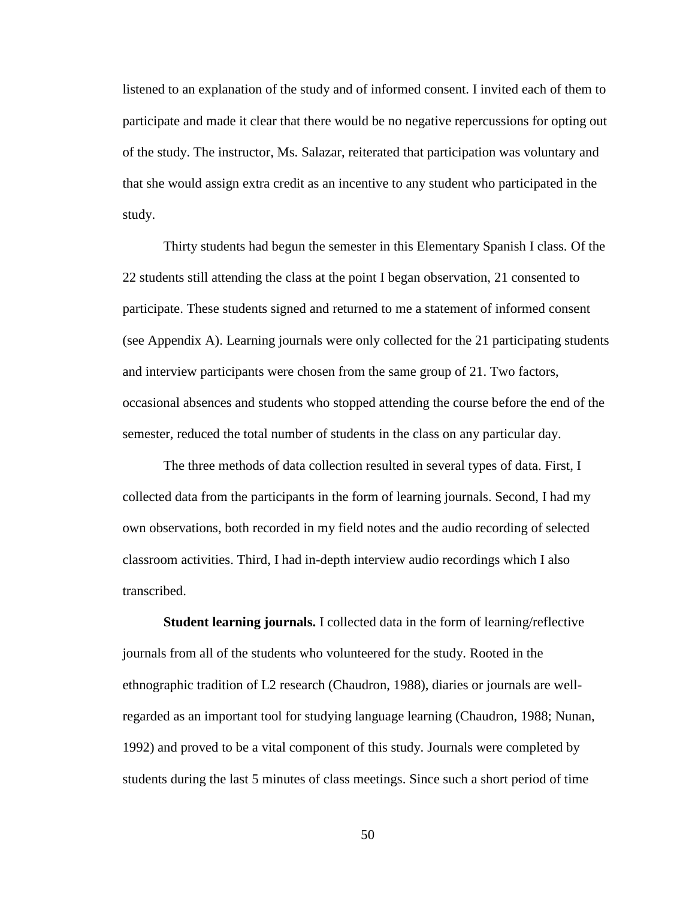listened to an explanation of the study and of informed consent. I invited each of them to participate and made it clear that there would be no negative repercussions for opting out of the study. The instructor, Ms. Salazar, reiterated that participation was voluntary and that she would assign extra credit as an incentive to any student who participated in the study.

Thirty students had begun the semester in this Elementary Spanish I class. Of the 22 students still attending the class at the point I began observation, 21 consented to participate. These students signed and returned to me a statement of informed consent (see Appendix A). Learning journals were only collected for the 21 participating students and interview participants were chosen from the same group of 21. Two factors, occasional absences and students who stopped attending the course before the end of the semester, reduced the total number of students in the class on any particular day.

The three methods of data collection resulted in several types of data. First, I collected data from the participants in the form of learning journals. Second, I had my own observations, both recorded in my field notes and the audio recording of selected classroom activities. Third, I had in-depth interview audio recordings which I also transcribed.

**Student learning journals.** I collected data in the form of learning/reflective journals from all of the students who volunteered for the study. Rooted in the ethnographic tradition of L2 research (Chaudron, 1988), diaries or journals are wellregarded as an important tool for studying language learning (Chaudron, 1988; Nunan, 1992) and proved to be a vital component of this study. Journals were completed by students during the last 5 minutes of class meetings. Since such a short period of time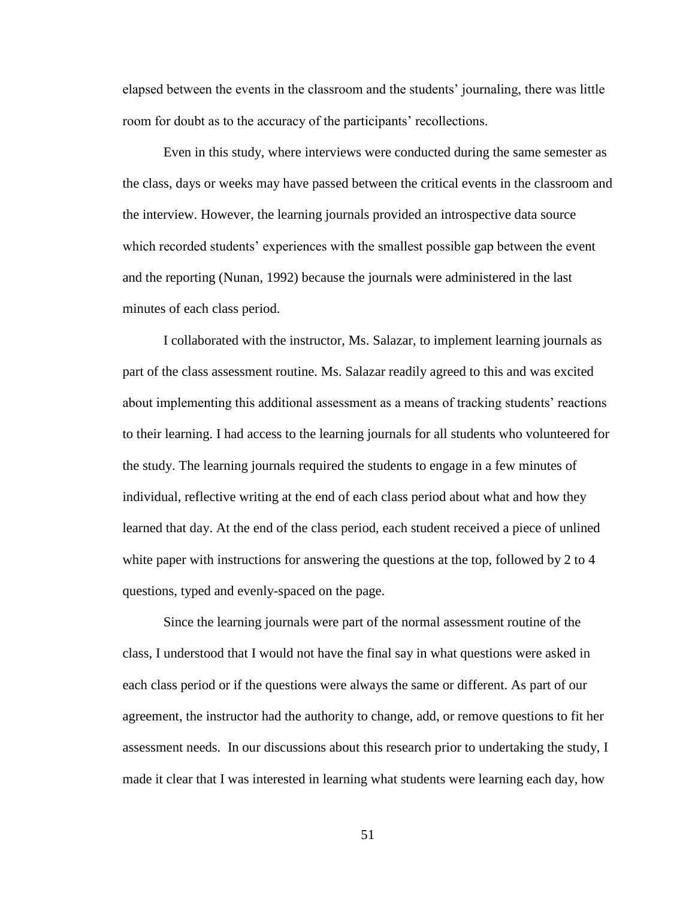elapsed between the events in the classroom and the students' journaling, there was little room for doubt as to the accuracy of the participants' recollections.

Even in this study, where interviews were conducted during the same semester as the class, days or weeks may have passed between the critical events in the classroom and the interview. However, the learning journals provided an introspective data source which recorded students' experiences with the smallest possible gap between the event and the reporting (Nunan, 1992) because the journals were administered in the last minutes of each class period.

I collaborated with the instructor, Ms. Salazar, to implement learning journals as part of the class assessment routine. Ms. Salazar readily agreed to this and was excited about implementing this additional assessment as a means of tracking students' reactions to their learning. I had access to the learning journals for all students who volunteered for the study. The learning journals required the students to engage in a few minutes of individual, reflective writing at the end of each class period about what and how they learned that day. At the end of the class period, each student received a piece of unlined white paper with instructions for answering the questions at the top, followed by 2 to 4 questions, typed and evenly-spaced on the page.

Since the learning journals were part of the normal assessment routine of the class, I understood that I would not have the final say in what questions were asked in each class period or if the questions were always the same or different. As part of our agreement, the instructor had the authority to change, add, or remove questions to fit her assessment needs. In our discussions about this research prior to undertaking the study, I made it clear that I was interested in learning what students were learning each day, how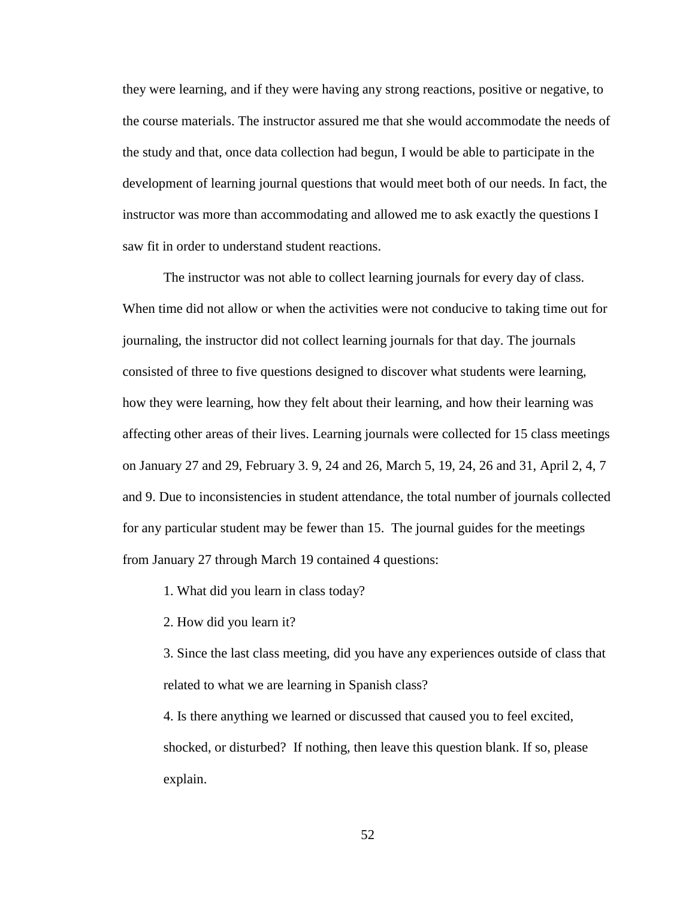they were learning, and if they were having any strong reactions, positive or negative, to the course materials. The instructor assured me that she would accommodate the needs of the study and that, once data collection had begun, I would be able to participate in the development of learning journal questions that would meet both of our needs. In fact, the instructor was more than accommodating and allowed me to ask exactly the questions I saw fit in order to understand student reactions.

The instructor was not able to collect learning journals for every day of class. When time did not allow or when the activities were not conducive to taking time out for journaling, the instructor did not collect learning journals for that day. The journals consisted of three to five questions designed to discover what students were learning, how they were learning, how they felt about their learning, and how their learning was affecting other areas of their lives. Learning journals were collected for 15 class meetings on January 27 and 29, February 3. 9, 24 and 26, March 5, 19, 24, 26 and 31, April 2, 4, 7 and 9. Due to inconsistencies in student attendance, the total number of journals collected for any particular student may be fewer than 15. The journal guides for the meetings from January 27 through March 19 contained 4 questions:

1. What did you learn in class today?

2. How did you learn it?

3. Since the last class meeting, did you have any experiences outside of class that related to what we are learning in Spanish class?

4. Is there anything we learned or discussed that caused you to feel excited, shocked, or disturbed? If nothing, then leave this question blank. If so, please explain.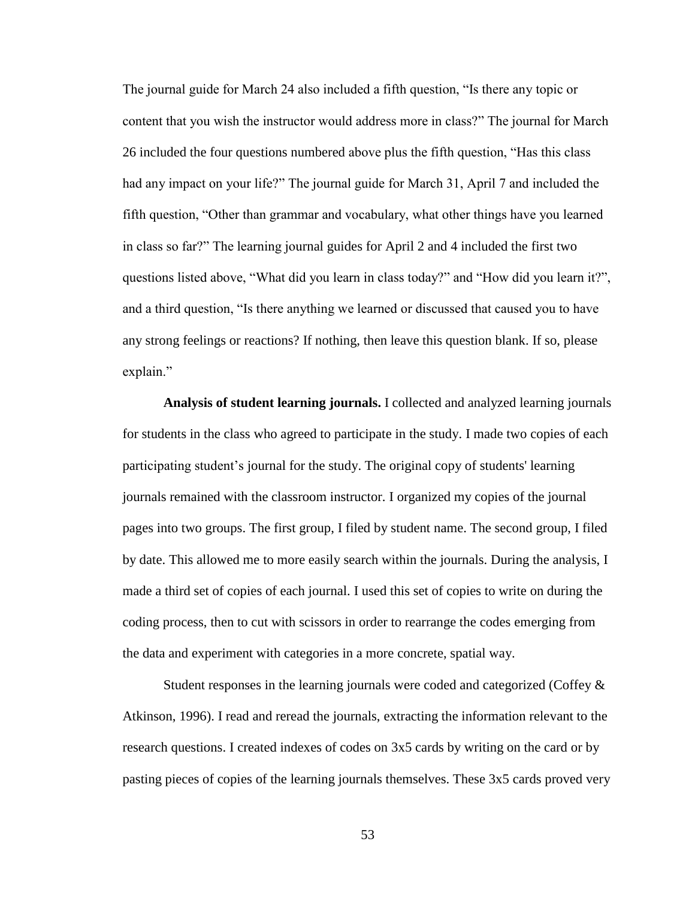The journal guide for March 24 also included a fifth question, "Is there any topic or content that you wish the instructor would address more in class?" The journal for March 26 included the four questions numbered above plus the fifth question, "Has this class had any impact on your life?" The journal guide for March 31, April 7 and included the fifth question, "Other than grammar and vocabulary, what other things have you learned in class so far?" The learning journal guides for April 2 and 4 included the first two questions listed above, "What did you learn in class today?" and "How did you learn it?", and a third question, "Is there anything we learned or discussed that caused you to have any strong feelings or reactions? If nothing, then leave this question blank. If so, please explain."

**Analysis of student learning journals.** I collected and analyzed learning journals for students in the class who agreed to participate in the study. I made two copies of each participating student's journal for the study. The original copy of students' learning journals remained with the classroom instructor. I organized my copies of the journal pages into two groups. The first group, I filed by student name. The second group, I filed by date. This allowed me to more easily search within the journals. During the analysis, I made a third set of copies of each journal. I used this set of copies to write on during the coding process, then to cut with scissors in order to rearrange the codes emerging from the data and experiment with categories in a more concrete, spatial way.

Student responses in the learning journals were coded and categorized (Coffey & Atkinson, 1996). I read and reread the journals, extracting the information relevant to the research questions. I created indexes of codes on 3x5 cards by writing on the card or by pasting pieces of copies of the learning journals themselves. These 3x5 cards proved very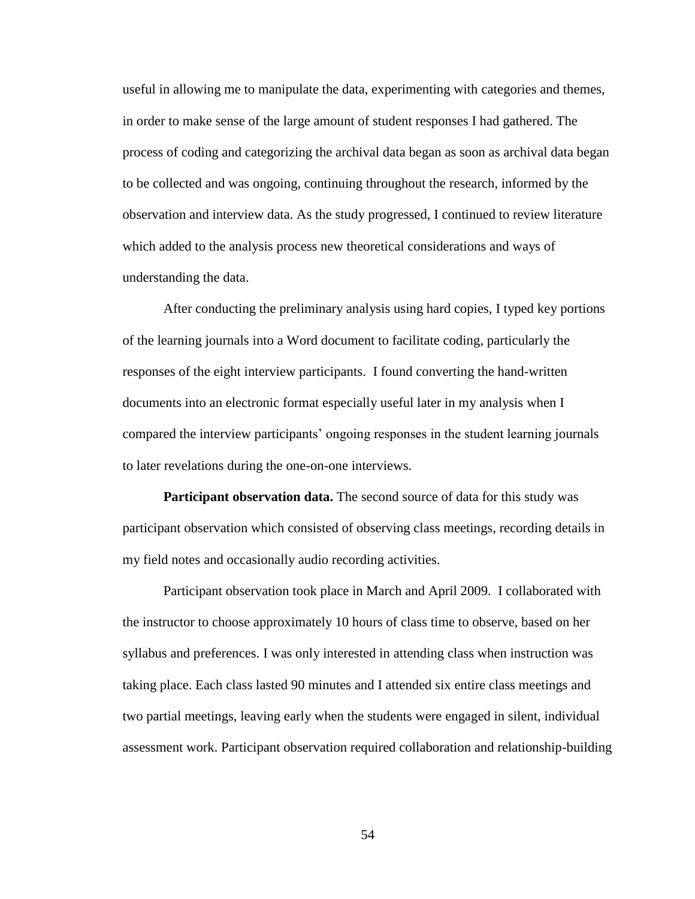useful in allowing me to manipulate the data, experimenting with categories and themes, in order to make sense of the large amount of student responses I had gathered. The process of coding and categorizing the archival data began as soon as archival data began to be collected and was ongoing, continuing throughout the research, informed by the observation and interview data. As the study progressed, I continued to review literature which added to the analysis process new theoretical considerations and ways of understanding the data.

After conducting the preliminary analysis using hard copies, I typed key portions of the learning journals into a Word document to facilitate coding, particularly the responses of the eight interview participants. I found converting the hand-written documents into an electronic format especially useful later in my analysis when I compared the interview participants' ongoing responses in the student learning journals to later revelations during the one-on-one interviews.

**Participant observation data.** The second source of data for this study was participant observation which consisted of observing class meetings, recording details in my field notes and occasionally audio recording activities.

Participant observation took place in March and April 2009. I collaborated with the instructor to choose approximately 10 hours of class time to observe, based on her syllabus and preferences. I was only interested in attending class when instruction was taking place. Each class lasted 90 minutes and I attended six entire class meetings and two partial meetings, leaving early when the students were engaged in silent, individual assessment work. Participant observation required collaboration and relationship-building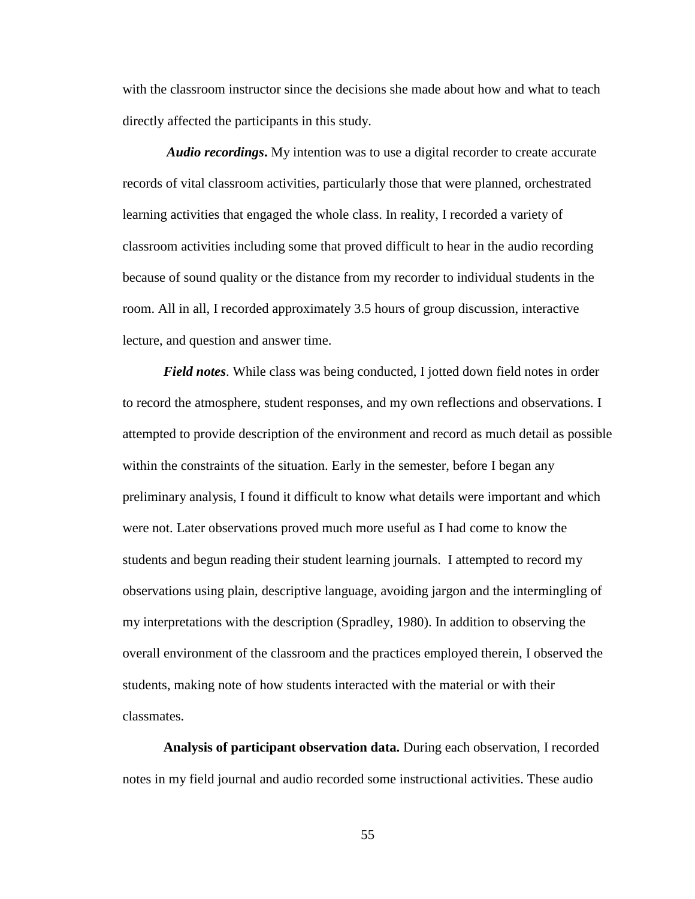with the classroom instructor since the decisions she made about how and what to teach directly affected the participants in this study.

*Audio recordings***.** My intention was to use a digital recorder to create accurate records of vital classroom activities, particularly those that were planned, orchestrated learning activities that engaged the whole class. In reality, I recorded a variety of classroom activities including some that proved difficult to hear in the audio recording because of sound quality or the distance from my recorder to individual students in the room. All in all, I recorded approximately 3.5 hours of group discussion, interactive lecture, and question and answer time.

*Field notes*. While class was being conducted, I jotted down field notes in order to record the atmosphere, student responses, and my own reflections and observations. I attempted to provide description of the environment and record as much detail as possible within the constraints of the situation. Early in the semester, before I began any preliminary analysis, I found it difficult to know what details were important and which were not. Later observations proved much more useful as I had come to know the students and begun reading their student learning journals. I attempted to record my observations using plain, descriptive language, avoiding jargon and the intermingling of my interpretations with the description (Spradley, 1980). In addition to observing the overall environment of the classroom and the practices employed therein, I observed the students, making note of how students interacted with the material or with their classmates.

**Analysis of participant observation data.** During each observation, I recorded notes in my field journal and audio recorded some instructional activities. These audio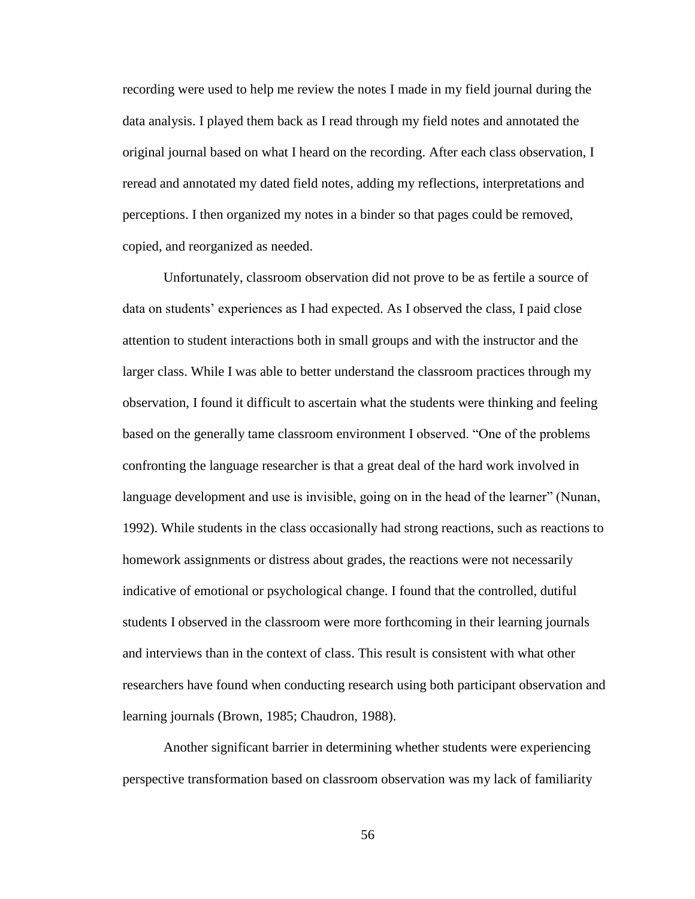recording were used to help me review the notes I made in my field journal during the data analysis. I played them back as I read through my field notes and annotated the original journal based on what I heard on the recording. After each class observation, I reread and annotated my dated field notes, adding my reflections, interpretations and perceptions. I then organized my notes in a binder so that pages could be removed, copied, and reorganized as needed.

Unfortunately, classroom observation did not prove to be as fertile a source of data on students' experiences as I had expected. As I observed the class, I paid close attention to student interactions both in small groups and with the instructor and the larger class. While I was able to better understand the classroom practices through my observation, I found it difficult to ascertain what the students were thinking and feeling based on the generally tame classroom environment I observed. "One of the problems confronting the language researcher is that a great deal of the hard work involved in language development and use is invisible, going on in the head of the learner" (Nunan, 1992). While students in the class occasionally had strong reactions, such as reactions to homework assignments or distress about grades, the reactions were not necessarily indicative of emotional or psychological change. I found that the controlled, dutiful students I observed in the classroom were more forthcoming in their learning journals and interviews than in the context of class. This result is consistent with what other researchers have found when conducting research using both participant observation and learning journals (Brown, 1985; Chaudron, 1988).

Another significant barrier in determining whether students were experiencing perspective transformation based on classroom observation was my lack of familiarity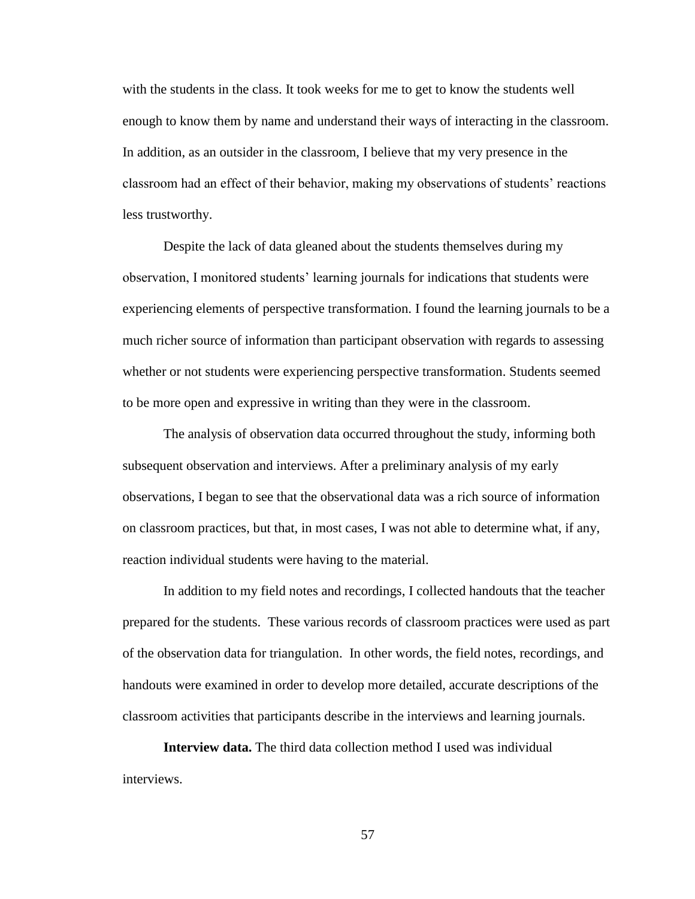with the students in the class. It took weeks for me to get to know the students well enough to know them by name and understand their ways of interacting in the classroom. In addition, as an outsider in the classroom, I believe that my very presence in the classroom had an effect of their behavior, making my observations of students' reactions less trustworthy.

Despite the lack of data gleaned about the students themselves during my observation, I monitored students' learning journals for indications that students were experiencing elements of perspective transformation. I found the learning journals to be a much richer source of information than participant observation with regards to assessing whether or not students were experiencing perspective transformation. Students seemed to be more open and expressive in writing than they were in the classroom.

The analysis of observation data occurred throughout the study, informing both subsequent observation and interviews. After a preliminary analysis of my early observations, I began to see that the observational data was a rich source of information on classroom practices, but that, in most cases, I was not able to determine what, if any, reaction individual students were having to the material.

In addition to my field notes and recordings, I collected handouts that the teacher prepared for the students. These various records of classroom practices were used as part of the observation data for triangulation. In other words, the field notes, recordings, and handouts were examined in order to develop more detailed, accurate descriptions of the classroom activities that participants describe in the interviews and learning journals.

**Interview data.** The third data collection method I used was individual interviews.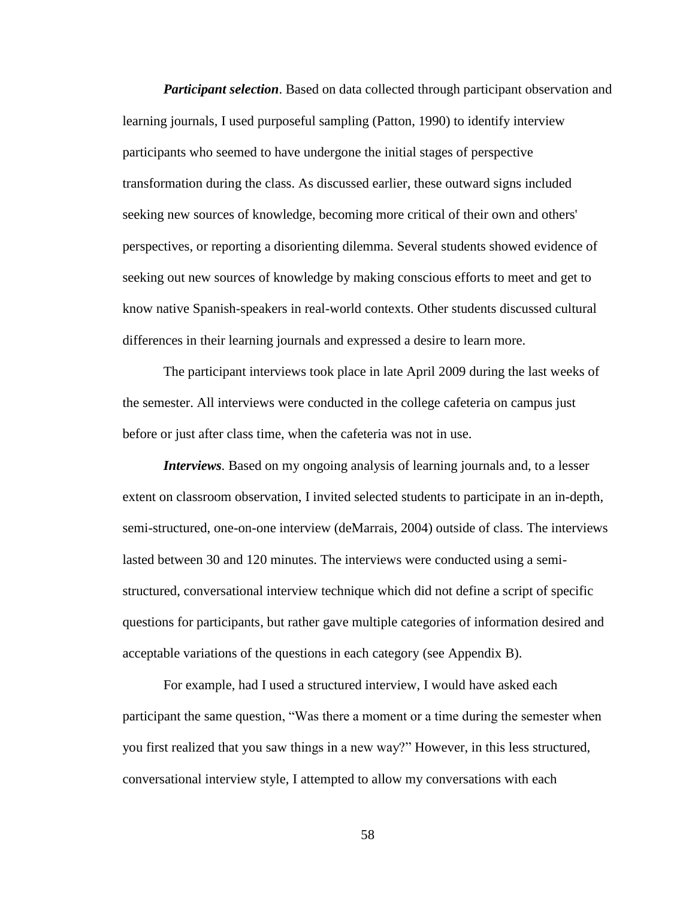*Participant selection*. Based on data collected through participant observation and learning journals, I used purposeful sampling (Patton, 1990) to identify interview participants who seemed to have undergone the initial stages of perspective transformation during the class. As discussed earlier, these outward signs included seeking new sources of knowledge, becoming more critical of their own and others' perspectives, or reporting a disorienting dilemma. Several students showed evidence of seeking out new sources of knowledge by making conscious efforts to meet and get to know native Spanish-speakers in real-world contexts. Other students discussed cultural differences in their learning journals and expressed a desire to learn more.

The participant interviews took place in late April 2009 during the last weeks of the semester. All interviews were conducted in the college cafeteria on campus just before or just after class time, when the cafeteria was not in use.

*Interviews*. Based on my ongoing analysis of learning journals and, to a lesser extent on classroom observation, I invited selected students to participate in an in-depth, semi-structured, one-on-one interview (deMarrais, 2004) outside of class. The interviews lasted between 30 and 120 minutes. The interviews were conducted using a semistructured, conversational interview technique which did not define a script of specific questions for participants, but rather gave multiple categories of information desired and acceptable variations of the questions in each category (see Appendix B).

For example, had I used a structured interview, I would have asked each participant the same question, "Was there a moment or a time during the semester when you first realized that you saw things in a new way?" However, in this less structured, conversational interview style, I attempted to allow my conversations with each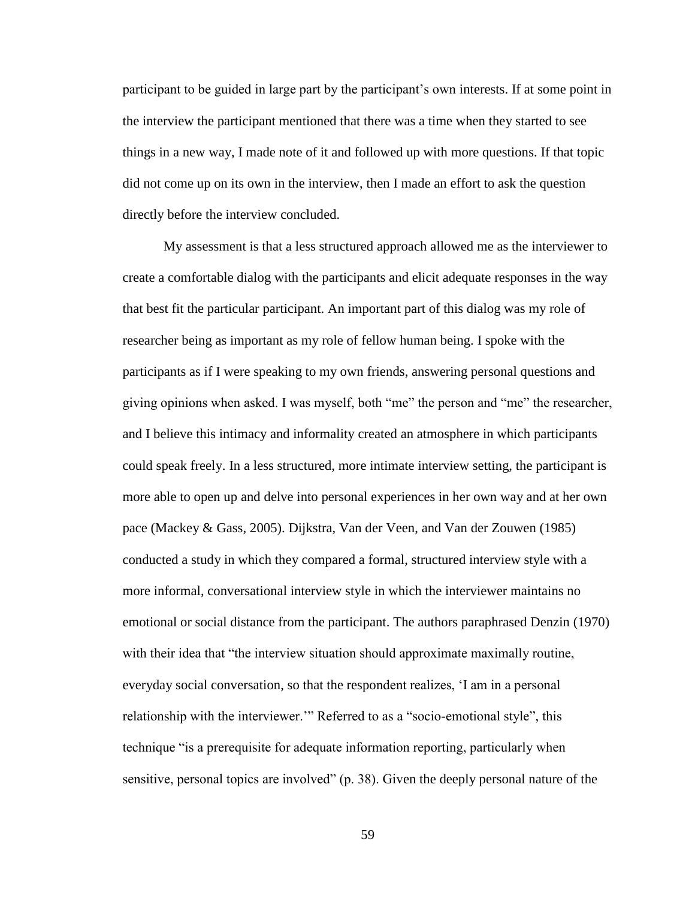participant to be guided in large part by the participant's own interests. If at some point in the interview the participant mentioned that there was a time when they started to see things in a new way, I made note of it and followed up with more questions. If that topic did not come up on its own in the interview, then I made an effort to ask the question directly before the interview concluded.

My assessment is that a less structured approach allowed me as the interviewer to create a comfortable dialog with the participants and elicit adequate responses in the way that best fit the particular participant. An important part of this dialog was my role of researcher being as important as my role of fellow human being. I spoke with the participants as if I were speaking to my own friends, answering personal questions and giving opinions when asked. I was myself, both "me" the person and "me" the researcher, and I believe this intimacy and informality created an atmosphere in which participants could speak freely. In a less structured, more intimate interview setting, the participant is more able to open up and delve into personal experiences in her own way and at her own pace (Mackey & Gass, 2005). Dijkstra, Van der Veen, and Van der Zouwen (1985) conducted a study in which they compared a formal, structured interview style with a more informal, conversational interview style in which the interviewer maintains no emotional or social distance from the participant. The authors paraphrased Denzin (1970) with their idea that "the interview situation should approximate maximally routine, everyday social conversation, so that the respondent realizes, 'I am in a personal relationship with the interviewer.'" Referred to as a "socio-emotional style", this technique "is a prerequisite for adequate information reporting, particularly when sensitive, personal topics are involved" (p. 38). Given the deeply personal nature of the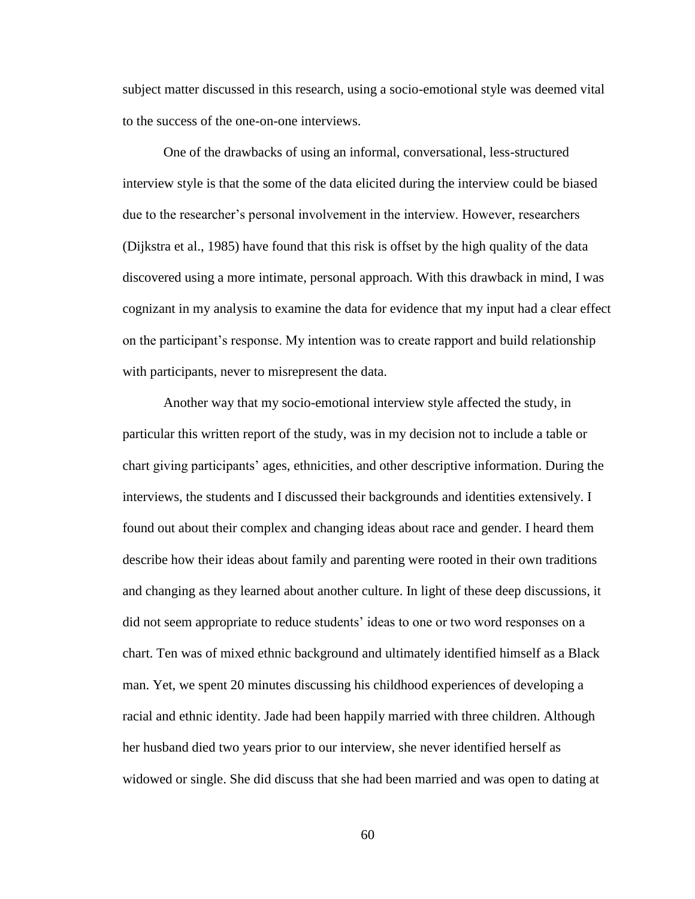subject matter discussed in this research, using a socio-emotional style was deemed vital to the success of the one-on-one interviews.

One of the drawbacks of using an informal, conversational, less-structured interview style is that the some of the data elicited during the interview could be biased due to the researcher's personal involvement in the interview. However, researchers (Dijkstra et al., 1985) have found that this risk is offset by the high quality of the data discovered using a more intimate, personal approach. With this drawback in mind, I was cognizant in my analysis to examine the data for evidence that my input had a clear effect on the participant's response. My intention was to create rapport and build relationship with participants, never to misrepresent the data.

Another way that my socio-emotional interview style affected the study, in particular this written report of the study, was in my decision not to include a table or chart giving participants' ages, ethnicities, and other descriptive information. During the interviews, the students and I discussed their backgrounds and identities extensively. I found out about their complex and changing ideas about race and gender. I heard them describe how their ideas about family and parenting were rooted in their own traditions and changing as they learned about another culture. In light of these deep discussions, it did not seem appropriate to reduce students' ideas to one or two word responses on a chart. Ten was of mixed ethnic background and ultimately identified himself as a Black man. Yet, we spent 20 minutes discussing his childhood experiences of developing a racial and ethnic identity. Jade had been happily married with three children. Although her husband died two years prior to our interview, she never identified herself as widowed or single. She did discuss that she had been married and was open to dating at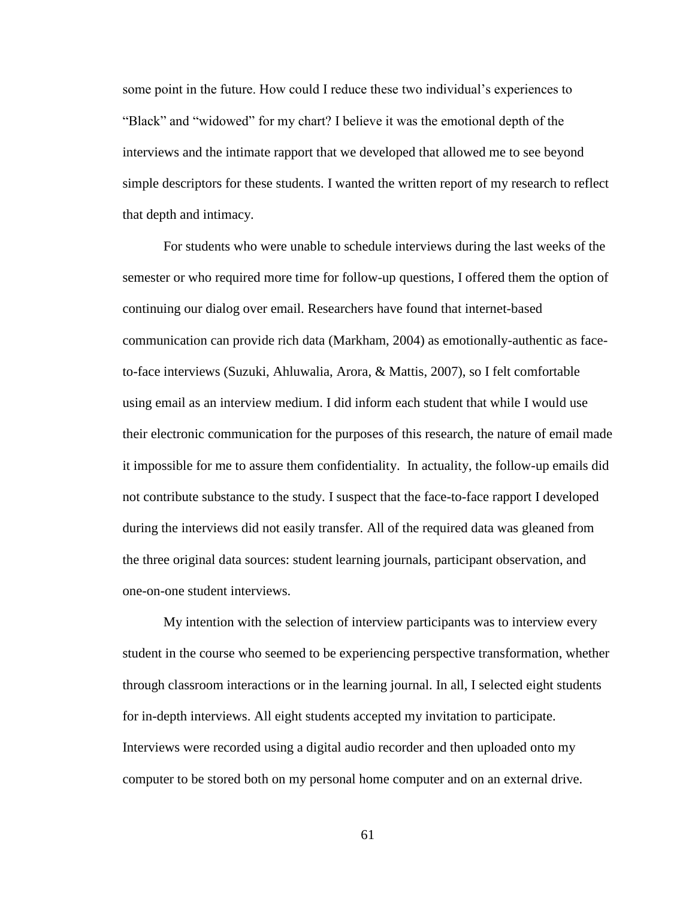some point in the future. How could I reduce these two individual's experiences to "Black" and "widowed" for my chart? I believe it was the emotional depth of the interviews and the intimate rapport that we developed that allowed me to see beyond simple descriptors for these students. I wanted the written report of my research to reflect that depth and intimacy.

For students who were unable to schedule interviews during the last weeks of the semester or who required more time for follow-up questions, I offered them the option of continuing our dialog over email. Researchers have found that internet-based communication can provide rich data (Markham, 2004) as emotionally-authentic as faceto-face interviews (Suzuki, Ahluwalia, Arora, & Mattis, 2007), so I felt comfortable using email as an interview medium. I did inform each student that while I would use their electronic communication for the purposes of this research, the nature of email made it impossible for me to assure them confidentiality. In actuality, the follow-up emails did not contribute substance to the study. I suspect that the face-to-face rapport I developed during the interviews did not easily transfer. All of the required data was gleaned from the three original data sources: student learning journals, participant observation, and one-on-one student interviews.

My intention with the selection of interview participants was to interview every student in the course who seemed to be experiencing perspective transformation, whether through classroom interactions or in the learning journal. In all, I selected eight students for in-depth interviews. All eight students accepted my invitation to participate. Interviews were recorded using a digital audio recorder and then uploaded onto my computer to be stored both on my personal home computer and on an external drive.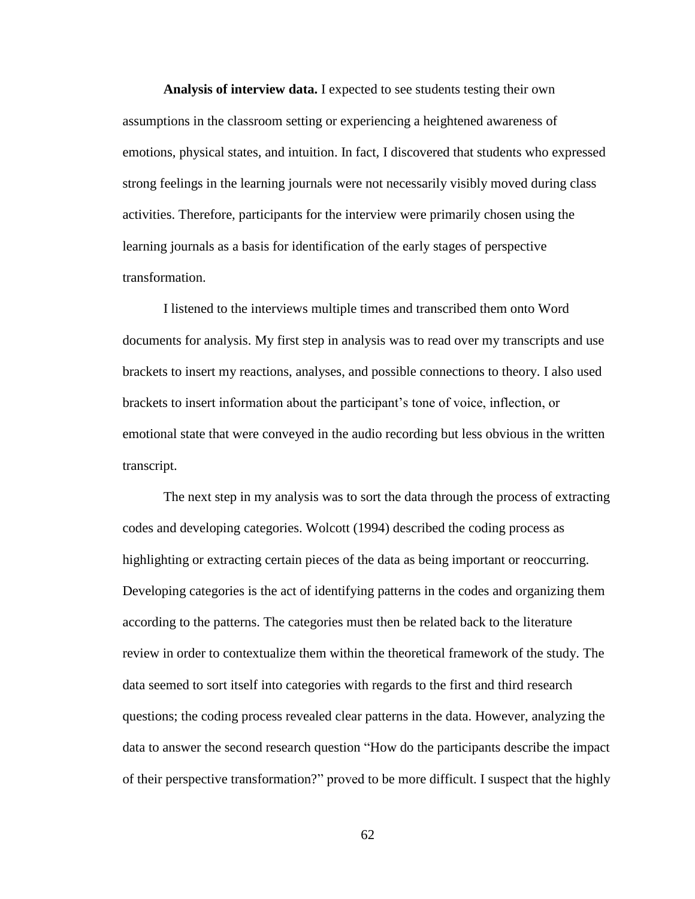**Analysis of interview data.** I expected to see students testing their own assumptions in the classroom setting or experiencing a heightened awareness of emotions, physical states, and intuition. In fact, I discovered that students who expressed strong feelings in the learning journals were not necessarily visibly moved during class activities. Therefore, participants for the interview were primarily chosen using the learning journals as a basis for identification of the early stages of perspective transformation.

I listened to the interviews multiple times and transcribed them onto Word documents for analysis. My first step in analysis was to read over my transcripts and use brackets to insert my reactions, analyses, and possible connections to theory. I also used brackets to insert information about the participant's tone of voice, inflection, or emotional state that were conveyed in the audio recording but less obvious in the written transcript.

The next step in my analysis was to sort the data through the process of extracting codes and developing categories. Wolcott (1994) described the coding process as highlighting or extracting certain pieces of the data as being important or reoccurring. Developing categories is the act of identifying patterns in the codes and organizing them according to the patterns. The categories must then be related back to the literature review in order to contextualize them within the theoretical framework of the study. The data seemed to sort itself into categories with regards to the first and third research questions; the coding process revealed clear patterns in the data. However, analyzing the data to answer the second research question "How do the participants describe the impact of their perspective transformation?" proved to be more difficult. I suspect that the highly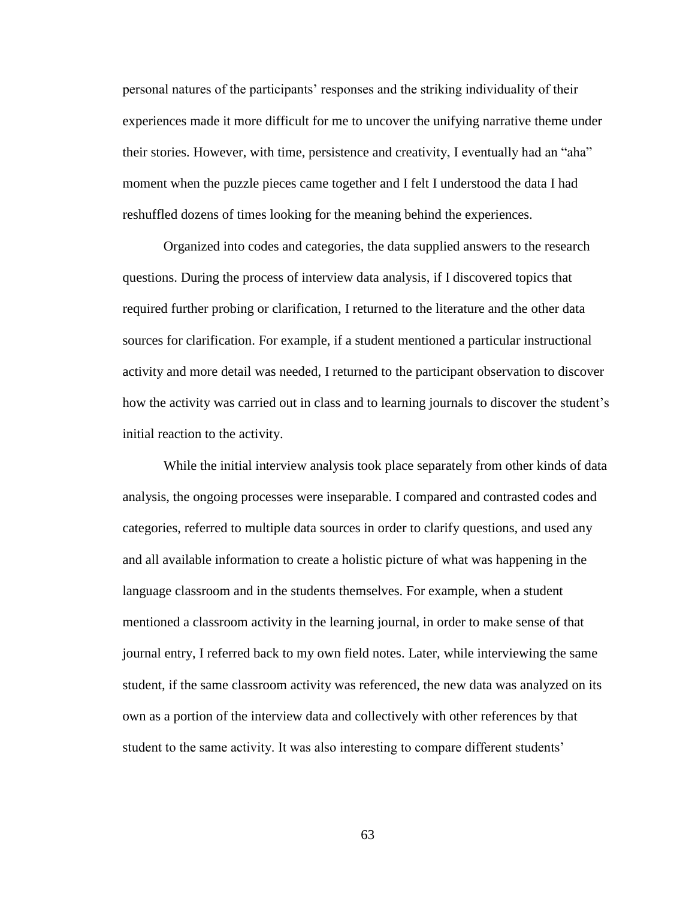personal natures of the participants' responses and the striking individuality of their experiences made it more difficult for me to uncover the unifying narrative theme under their stories. However, with time, persistence and creativity, I eventually had an "aha" moment when the puzzle pieces came together and I felt I understood the data I had reshuffled dozens of times looking for the meaning behind the experiences.

Organized into codes and categories, the data supplied answers to the research questions. During the process of interview data analysis, if I discovered topics that required further probing or clarification, I returned to the literature and the other data sources for clarification. For example, if a student mentioned a particular instructional activity and more detail was needed, I returned to the participant observation to discover how the activity was carried out in class and to learning journals to discover the student's initial reaction to the activity.

While the initial interview analysis took place separately from other kinds of data analysis, the ongoing processes were inseparable. I compared and contrasted codes and categories, referred to multiple data sources in order to clarify questions, and used any and all available information to create a holistic picture of what was happening in the language classroom and in the students themselves. For example, when a student mentioned a classroom activity in the learning journal, in order to make sense of that journal entry, I referred back to my own field notes. Later, while interviewing the same student, if the same classroom activity was referenced, the new data was analyzed on its own as a portion of the interview data and collectively with other references by that student to the same activity. It was also interesting to compare different students'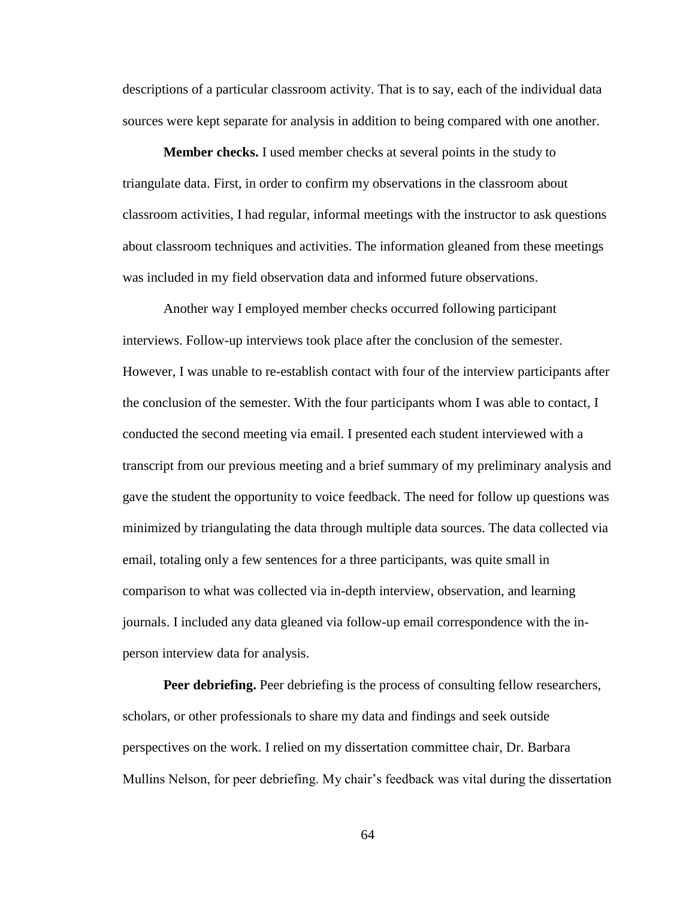descriptions of a particular classroom activity. That is to say, each of the individual data sources were kept separate for analysis in addition to being compared with one another.

**Member checks.** I used member checks at several points in the study to triangulate data. First, in order to confirm my observations in the classroom about classroom activities, I had regular, informal meetings with the instructor to ask questions about classroom techniques and activities. The information gleaned from these meetings was included in my field observation data and informed future observations.

Another way I employed member checks occurred following participant interviews. Follow-up interviews took place after the conclusion of the semester. However, I was unable to re-establish contact with four of the interview participants after the conclusion of the semester. With the four participants whom I was able to contact, I conducted the second meeting via email. I presented each student interviewed with a transcript from our previous meeting and a brief summary of my preliminary analysis and gave the student the opportunity to voice feedback. The need for follow up questions was minimized by triangulating the data through multiple data sources. The data collected via email, totaling only a few sentences for a three participants, was quite small in comparison to what was collected via in-depth interview, observation, and learning journals. I included any data gleaned via follow-up email correspondence with the inperson interview data for analysis.

**Peer debriefing.** Peer debriefing is the process of consulting fellow researchers, scholars, or other professionals to share my data and findings and seek outside perspectives on the work. I relied on my dissertation committee chair, Dr. Barbara Mullins Nelson, for peer debriefing. My chair's feedback was vital during the dissertation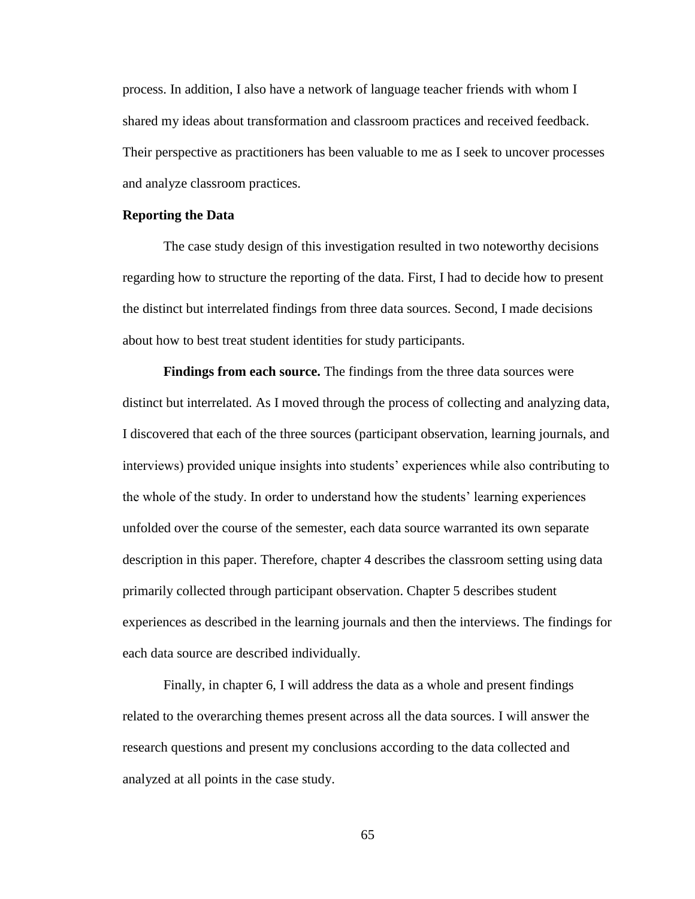process. In addition, I also have a network of language teacher friends with whom I shared my ideas about transformation and classroom practices and received feedback. Their perspective as practitioners has been valuable to me as I seek to uncover processes and analyze classroom practices.

### **Reporting the Data**

The case study design of this investigation resulted in two noteworthy decisions regarding how to structure the reporting of the data. First, I had to decide how to present the distinct but interrelated findings from three data sources. Second, I made decisions about how to best treat student identities for study participants.

**Findings from each source.** The findings from the three data sources were distinct but interrelated. As I moved through the process of collecting and analyzing data, I discovered that each of the three sources (participant observation, learning journals, and interviews) provided unique insights into students' experiences while also contributing to the whole of the study. In order to understand how the students' learning experiences unfolded over the course of the semester, each data source warranted its own separate description in this paper. Therefore, chapter 4 describes the classroom setting using data primarily collected through participant observation. Chapter 5 describes student experiences as described in the learning journals and then the interviews. The findings for each data source are described individually.

Finally, in chapter 6, I will address the data as a whole and present findings related to the overarching themes present across all the data sources. I will answer the research questions and present my conclusions according to the data collected and analyzed at all points in the case study.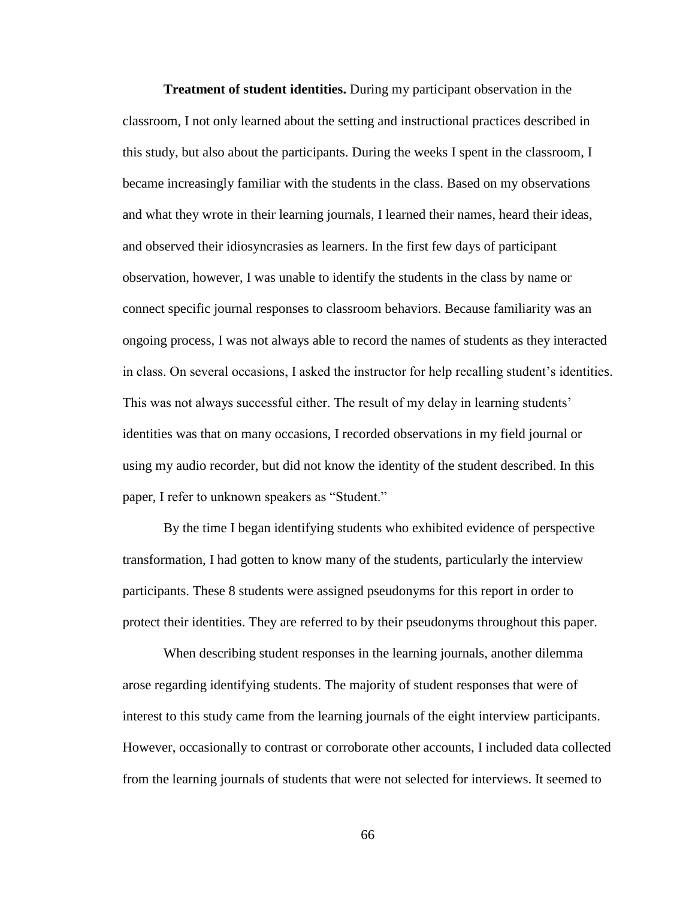**Treatment of student identities.** During my participant observation in the classroom, I not only learned about the setting and instructional practices described in this study, but also about the participants. During the weeks I spent in the classroom, I became increasingly familiar with the students in the class. Based on my observations and what they wrote in their learning journals, I learned their names, heard their ideas, and observed their idiosyncrasies as learners. In the first few days of participant observation, however, I was unable to identify the students in the class by name or connect specific journal responses to classroom behaviors. Because familiarity was an ongoing process, I was not always able to record the names of students as they interacted in class. On several occasions, I asked the instructor for help recalling student's identities. This was not always successful either. The result of my delay in learning students' identities was that on many occasions, I recorded observations in my field journal or using my audio recorder, but did not know the identity of the student described. In this paper, I refer to unknown speakers as "Student."

By the time I began identifying students who exhibited evidence of perspective transformation, I had gotten to know many of the students, particularly the interview participants. These 8 students were assigned pseudonyms for this report in order to protect their identities. They are referred to by their pseudonyms throughout this paper.

When describing student responses in the learning journals, another dilemma arose regarding identifying students. The majority of student responses that were of interest to this study came from the learning journals of the eight interview participants. However, occasionally to contrast or corroborate other accounts, I included data collected from the learning journals of students that were not selected for interviews. It seemed to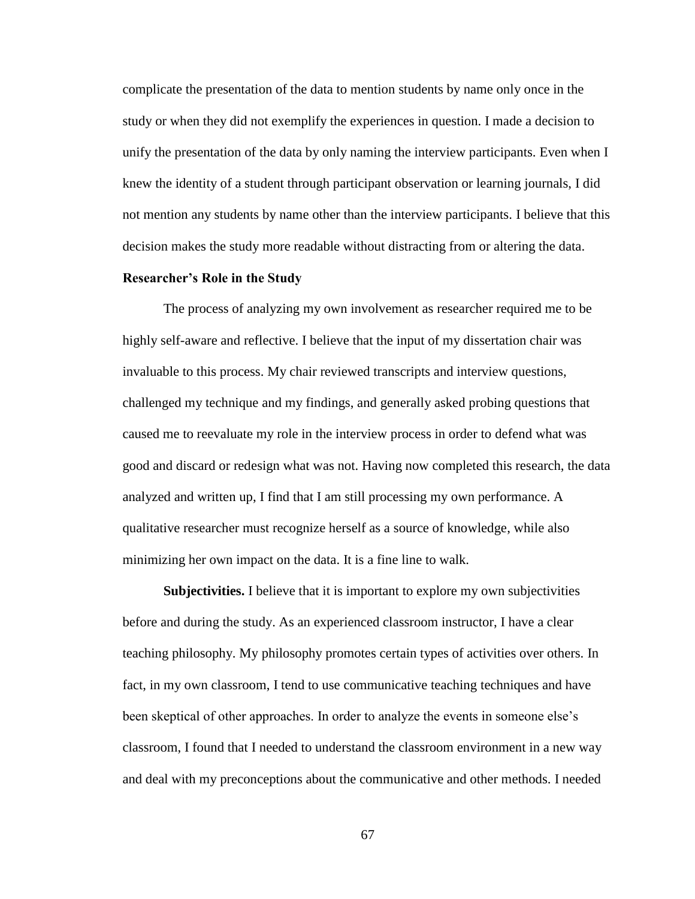complicate the presentation of the data to mention students by name only once in the study or when they did not exemplify the experiences in question. I made a decision to unify the presentation of the data by only naming the interview participants. Even when I knew the identity of a student through participant observation or learning journals, I did not mention any students by name other than the interview participants. I believe that this decision makes the study more readable without distracting from or altering the data.

# **Researcher's Role in the Study**

The process of analyzing my own involvement as researcher required me to be highly self-aware and reflective. I believe that the input of my dissertation chair was invaluable to this process. My chair reviewed transcripts and interview questions, challenged my technique and my findings, and generally asked probing questions that caused me to reevaluate my role in the interview process in order to defend what was good and discard or redesign what was not. Having now completed this research, the data analyzed and written up, I find that I am still processing my own performance. A qualitative researcher must recognize herself as a source of knowledge, while also minimizing her own impact on the data. It is a fine line to walk.

**Subjectivities.** I believe that it is important to explore my own subjectivities before and during the study. As an experienced classroom instructor, I have a clear teaching philosophy. My philosophy promotes certain types of activities over others. In fact, in my own classroom, I tend to use communicative teaching techniques and have been skeptical of other approaches. In order to analyze the events in someone else's classroom, I found that I needed to understand the classroom environment in a new way and deal with my preconceptions about the communicative and other methods. I needed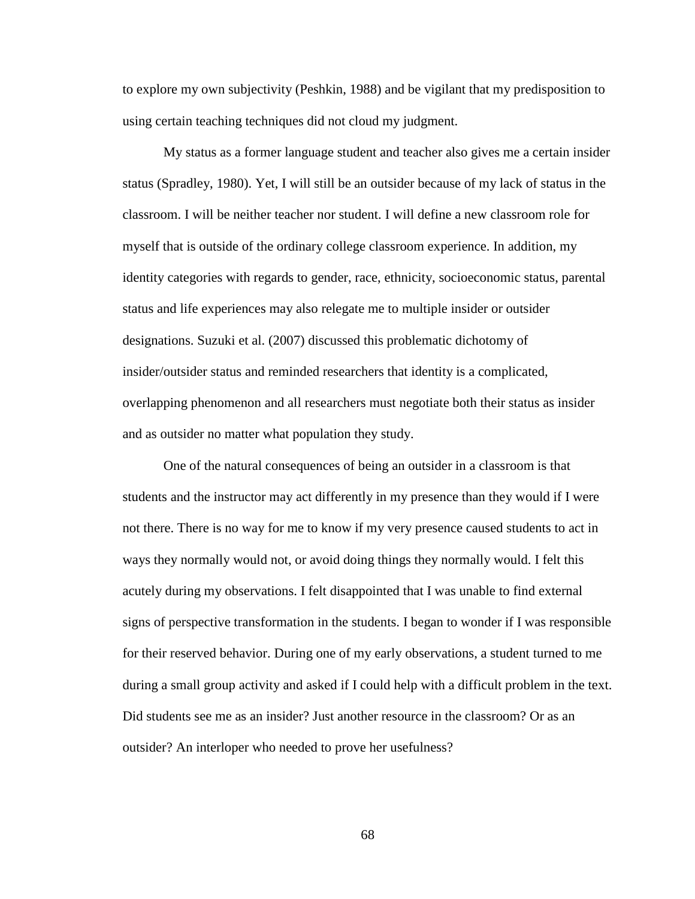to explore my own subjectivity (Peshkin, 1988) and be vigilant that my predisposition to using certain teaching techniques did not cloud my judgment.

My status as a former language student and teacher also gives me a certain insider status (Spradley, 1980). Yet, I will still be an outsider because of my lack of status in the classroom. I will be neither teacher nor student. I will define a new classroom role for myself that is outside of the ordinary college classroom experience. In addition, my identity categories with regards to gender, race, ethnicity, socioeconomic status, parental status and life experiences may also relegate me to multiple insider or outsider designations. Suzuki et al. (2007) discussed this problematic dichotomy of insider/outsider status and reminded researchers that identity is a complicated, overlapping phenomenon and all researchers must negotiate both their status as insider and as outsider no matter what population they study.

One of the natural consequences of being an outsider in a classroom is that students and the instructor may act differently in my presence than they would if I were not there. There is no way for me to know if my very presence caused students to act in ways they normally would not, or avoid doing things they normally would. I felt this acutely during my observations. I felt disappointed that I was unable to find external signs of perspective transformation in the students. I began to wonder if I was responsible for their reserved behavior. During one of my early observations, a student turned to me during a small group activity and asked if I could help with a difficult problem in the text. Did students see me as an insider? Just another resource in the classroom? Or as an outsider? An interloper who needed to prove her usefulness?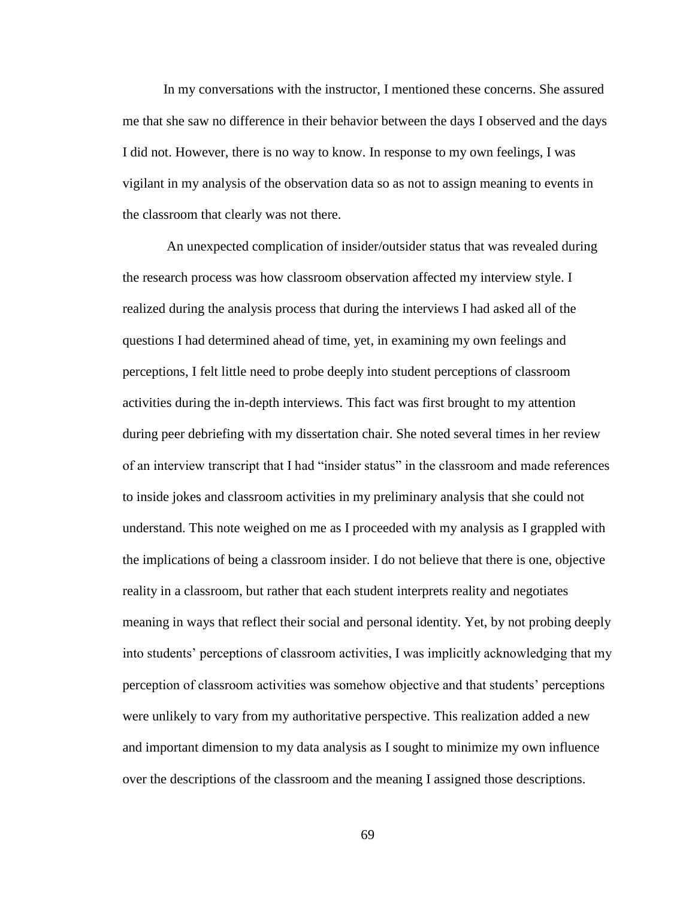In my conversations with the instructor, I mentioned these concerns. She assured me that she saw no difference in their behavior between the days I observed and the days I did not. However, there is no way to know. In response to my own feelings, I was vigilant in my analysis of the observation data so as not to assign meaning to events in the classroom that clearly was not there.

An unexpected complication of insider/outsider status that was revealed during the research process was how classroom observation affected my interview style. I realized during the analysis process that during the interviews I had asked all of the questions I had determined ahead of time, yet, in examining my own feelings and perceptions, I felt little need to probe deeply into student perceptions of classroom activities during the in-depth interviews. This fact was first brought to my attention during peer debriefing with my dissertation chair. She noted several times in her review of an interview transcript that I had "insider status" in the classroom and made references to inside jokes and classroom activities in my preliminary analysis that she could not understand. This note weighed on me as I proceeded with my analysis as I grappled with the implications of being a classroom insider. I do not believe that there is one, objective reality in a classroom, but rather that each student interprets reality and negotiates meaning in ways that reflect their social and personal identity. Yet, by not probing deeply into students' perceptions of classroom activities, I was implicitly acknowledging that my perception of classroom activities was somehow objective and that students' perceptions were unlikely to vary from my authoritative perspective. This realization added a new and important dimension to my data analysis as I sought to minimize my own influence over the descriptions of the classroom and the meaning I assigned those descriptions.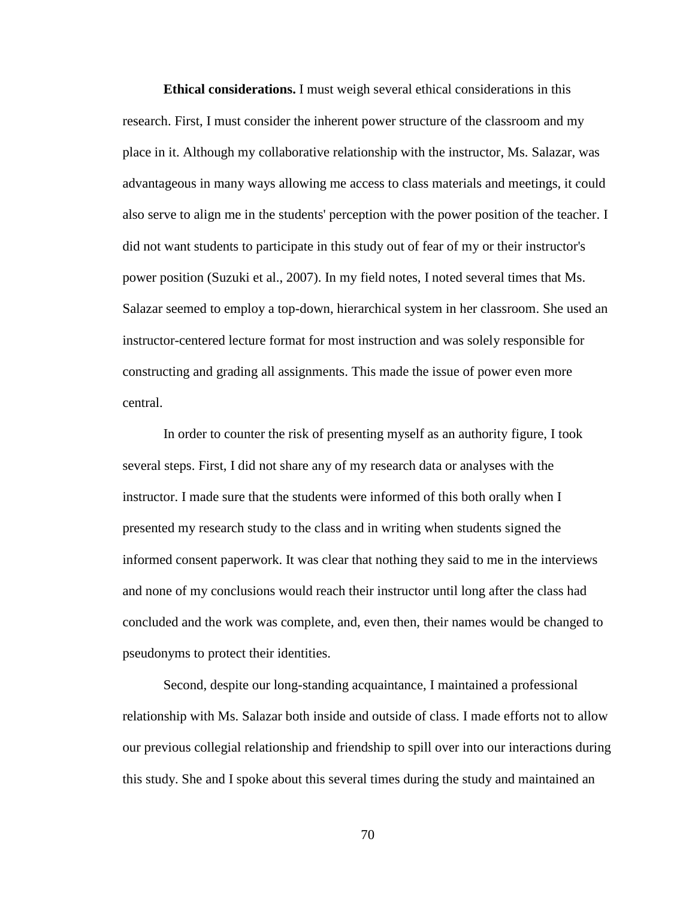**Ethical considerations.** I must weigh several ethical considerations in this research. First, I must consider the inherent power structure of the classroom and my place in it. Although my collaborative relationship with the instructor, Ms. Salazar, was advantageous in many ways allowing me access to class materials and meetings, it could also serve to align me in the students' perception with the power position of the teacher. I did not want students to participate in this study out of fear of my or their instructor's power position (Suzuki et al., 2007). In my field notes, I noted several times that Ms. Salazar seemed to employ a top-down, hierarchical system in her classroom. She used an instructor-centered lecture format for most instruction and was solely responsible for constructing and grading all assignments. This made the issue of power even more central.

In order to counter the risk of presenting myself as an authority figure, I took several steps. First, I did not share any of my research data or analyses with the instructor. I made sure that the students were informed of this both orally when I presented my research study to the class and in writing when students signed the informed consent paperwork. It was clear that nothing they said to me in the interviews and none of my conclusions would reach their instructor until long after the class had concluded and the work was complete, and, even then, their names would be changed to pseudonyms to protect their identities.

Second, despite our long-standing acquaintance, I maintained a professional relationship with Ms. Salazar both inside and outside of class. I made efforts not to allow our previous collegial relationship and friendship to spill over into our interactions during this study. She and I spoke about this several times during the study and maintained an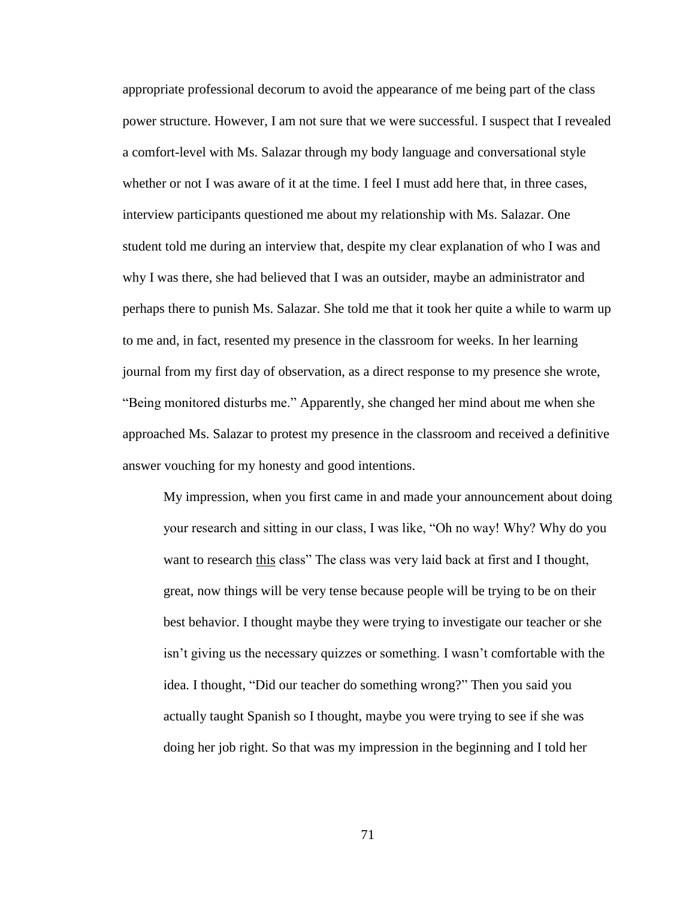appropriate professional decorum to avoid the appearance of me being part of the class power structure. However, I am not sure that we were successful. I suspect that I revealed a comfort-level with Ms. Salazar through my body language and conversational style whether or not I was aware of it at the time. I feel I must add here that, in three cases, interview participants questioned me about my relationship with Ms. Salazar. One student told me during an interview that, despite my clear explanation of who I was and why I was there, she had believed that I was an outsider, maybe an administrator and perhaps there to punish Ms. Salazar. She told me that it took her quite a while to warm up to me and, in fact, resented my presence in the classroom for weeks. In her learning journal from my first day of observation, as a direct response to my presence she wrote, "Being monitored disturbs me." Apparently, she changed her mind about me when she approached Ms. Salazar to protest my presence in the classroom and received a definitive answer vouching for my honesty and good intentions.

My impression, when you first came in and made your announcement about doing your research and sitting in our class, I was like, "Oh no way! Why? Why do you want to research this class" The class was very laid back at first and I thought, great, now things will be very tense because people will be trying to be on their best behavior. I thought maybe they were trying to investigate our teacher or she isn't giving us the necessary quizzes or something. I wasn't comfortable with the idea. I thought, "Did our teacher do something wrong?" Then you said you actually taught Spanish so I thought, maybe you were trying to see if she was doing her job right. So that was my impression in the beginning and I told her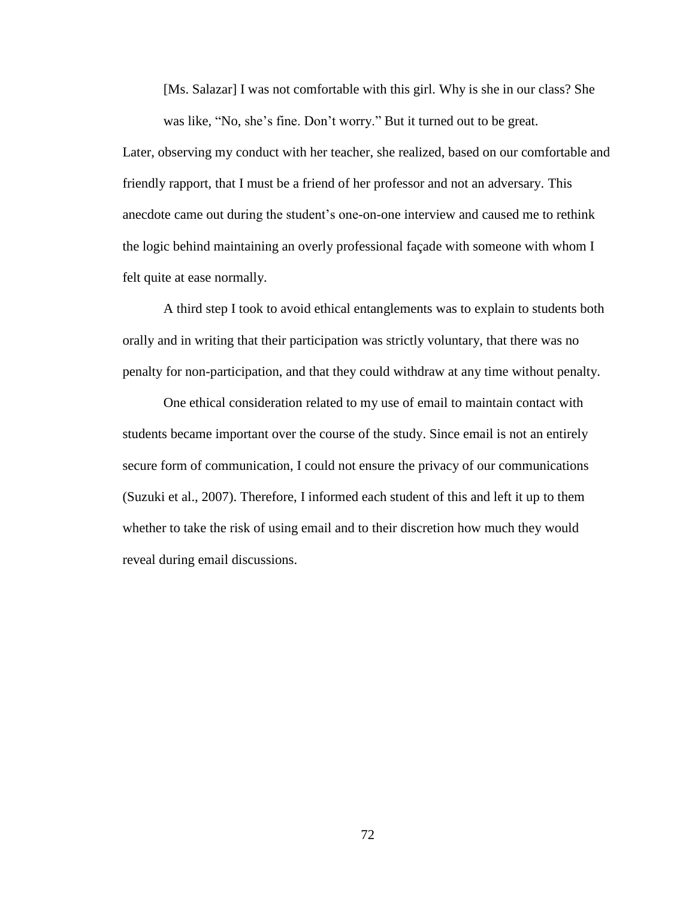[Ms. Salazar] I was not comfortable with this girl. Why is she in our class? She was like, "No, she's fine. Don't worry." But it turned out to be great.

Later, observing my conduct with her teacher, she realized, based on our comfortable and friendly rapport, that I must be a friend of her professor and not an adversary. This anecdote came out during the student's one-on-one interview and caused me to rethink the logic behind maintaining an overly professional façade with someone with whom I felt quite at ease normally.

A third step I took to avoid ethical entanglements was to explain to students both orally and in writing that their participation was strictly voluntary, that there was no penalty for non-participation, and that they could withdraw at any time without penalty.

One ethical consideration related to my use of email to maintain contact with students became important over the course of the study. Since email is not an entirely secure form of communication, I could not ensure the privacy of our communications (Suzuki et al., 2007). Therefore, I informed each student of this and left it up to them whether to take the risk of using email and to their discretion how much they would reveal during email discussions.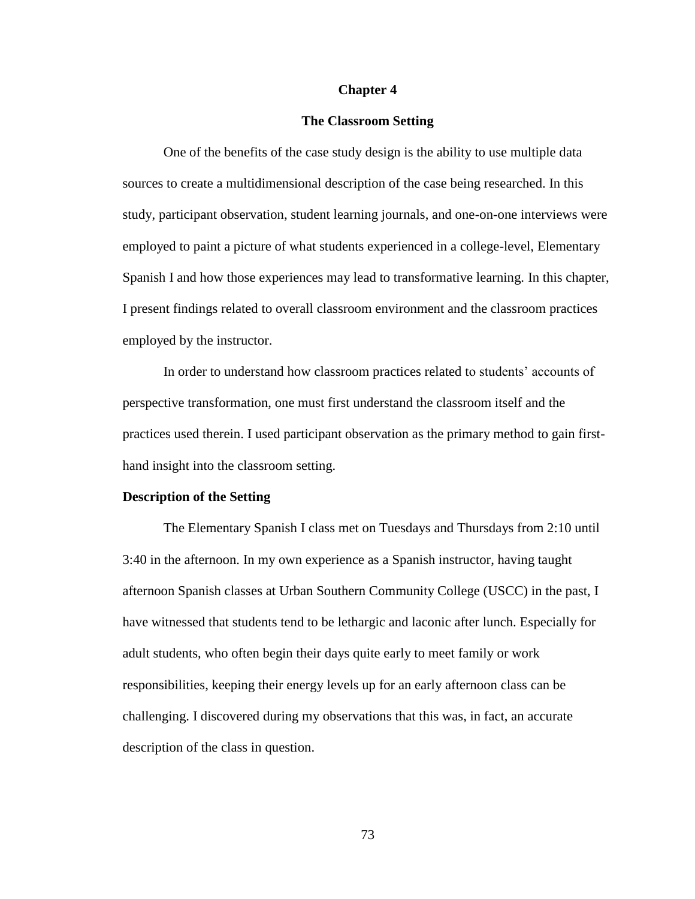## **Chapter 4**

## **The Classroom Setting**

One of the benefits of the case study design is the ability to use multiple data sources to create a multidimensional description of the case being researched. In this study, participant observation, student learning journals, and one-on-one interviews were employed to paint a picture of what students experienced in a college-level, Elementary Spanish I and how those experiences may lead to transformative learning. In this chapter, I present findings related to overall classroom environment and the classroom practices employed by the instructor.

In order to understand how classroom practices related to students' accounts of perspective transformation, one must first understand the classroom itself and the practices used therein. I used participant observation as the primary method to gain firsthand insight into the classroom setting.

#### **Description of the Setting**

The Elementary Spanish I class met on Tuesdays and Thursdays from 2:10 until 3:40 in the afternoon. In my own experience as a Spanish instructor, having taught afternoon Spanish classes at Urban Southern Community College (USCC) in the past, I have witnessed that students tend to be lethargic and laconic after lunch. Especially for adult students, who often begin their days quite early to meet family or work responsibilities, keeping their energy levels up for an early afternoon class can be challenging. I discovered during my observations that this was, in fact, an accurate description of the class in question.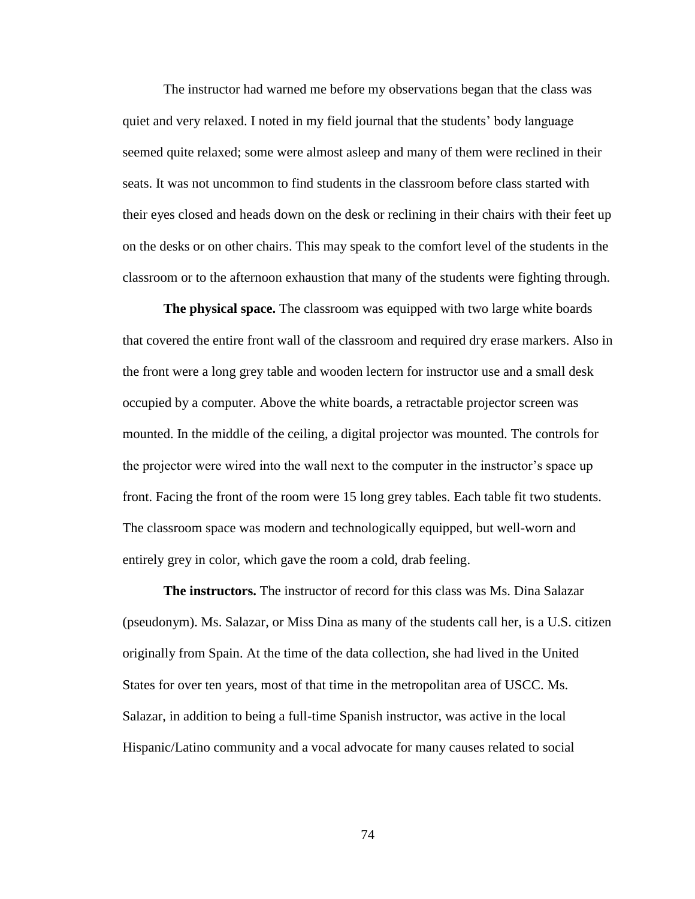The instructor had warned me before my observations began that the class was quiet and very relaxed. I noted in my field journal that the students' body language seemed quite relaxed; some were almost asleep and many of them were reclined in their seats. It was not uncommon to find students in the classroom before class started with their eyes closed and heads down on the desk or reclining in their chairs with their feet up on the desks or on other chairs. This may speak to the comfort level of the students in the classroom or to the afternoon exhaustion that many of the students were fighting through.

**The physical space.** The classroom was equipped with two large white boards that covered the entire front wall of the classroom and required dry erase markers. Also in the front were a long grey table and wooden lectern for instructor use and a small desk occupied by a computer. Above the white boards, a retractable projector screen was mounted. In the middle of the ceiling, a digital projector was mounted. The controls for the projector were wired into the wall next to the computer in the instructor's space up front. Facing the front of the room were 15 long grey tables. Each table fit two students. The classroom space was modern and technologically equipped, but well-worn and entirely grey in color, which gave the room a cold, drab feeling.

**The instructors.** The instructor of record for this class was Ms. Dina Salazar (pseudonym). Ms. Salazar, or Miss Dina as many of the students call her, is a U.S. citizen originally from Spain. At the time of the data collection, she had lived in the United States for over ten years, most of that time in the metropolitan area of USCC. Ms. Salazar, in addition to being a full-time Spanish instructor, was active in the local Hispanic/Latino community and a vocal advocate for many causes related to social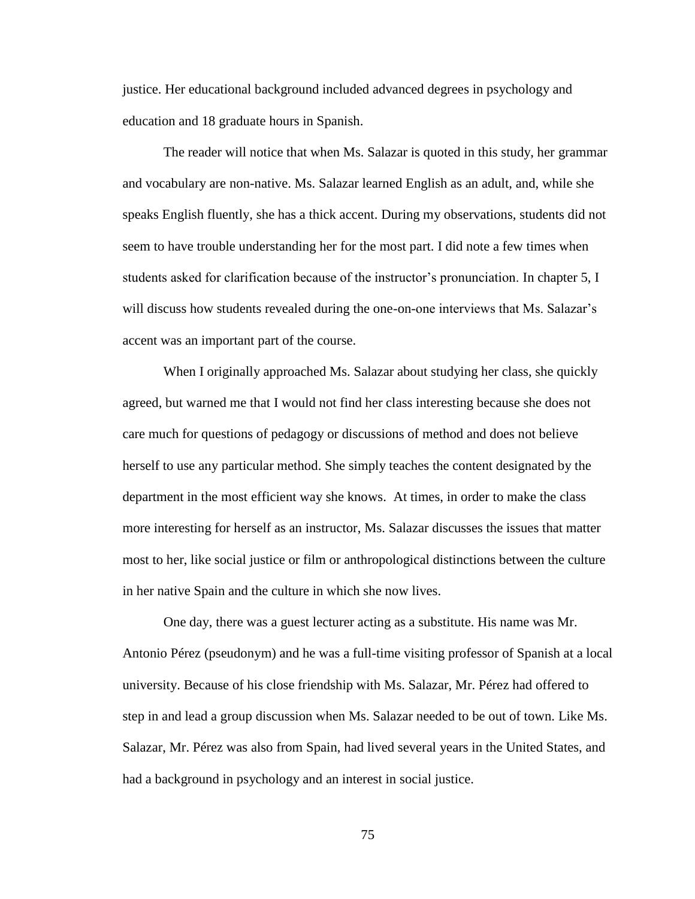justice. Her educational background included advanced degrees in psychology and education and 18 graduate hours in Spanish.

The reader will notice that when Ms. Salazar is quoted in this study, her grammar and vocabulary are non-native. Ms. Salazar learned English as an adult, and, while she speaks English fluently, she has a thick accent. During my observations, students did not seem to have trouble understanding her for the most part. I did note a few times when students asked for clarification because of the instructor's pronunciation. In chapter 5, I will discuss how students revealed during the one-on-one interviews that Ms. Salazar's accent was an important part of the course.

When I originally approached Ms. Salazar about studying her class, she quickly agreed, but warned me that I would not find her class interesting because she does not care much for questions of pedagogy or discussions of method and does not believe herself to use any particular method. She simply teaches the content designated by the department in the most efficient way she knows. At times, in order to make the class more interesting for herself as an instructor, Ms. Salazar discusses the issues that matter most to her, like social justice or film or anthropological distinctions between the culture in her native Spain and the culture in which she now lives.

One day, there was a guest lecturer acting as a substitute. His name was Mr. Antonio Pérez (pseudonym) and he was a full-time visiting professor of Spanish at a local university. Because of his close friendship with Ms. Salazar, Mr. Pérez had offered to step in and lead a group discussion when Ms. Salazar needed to be out of town. Like Ms. Salazar, Mr. Pérez was also from Spain, had lived several years in the United States, and had a background in psychology and an interest in social justice.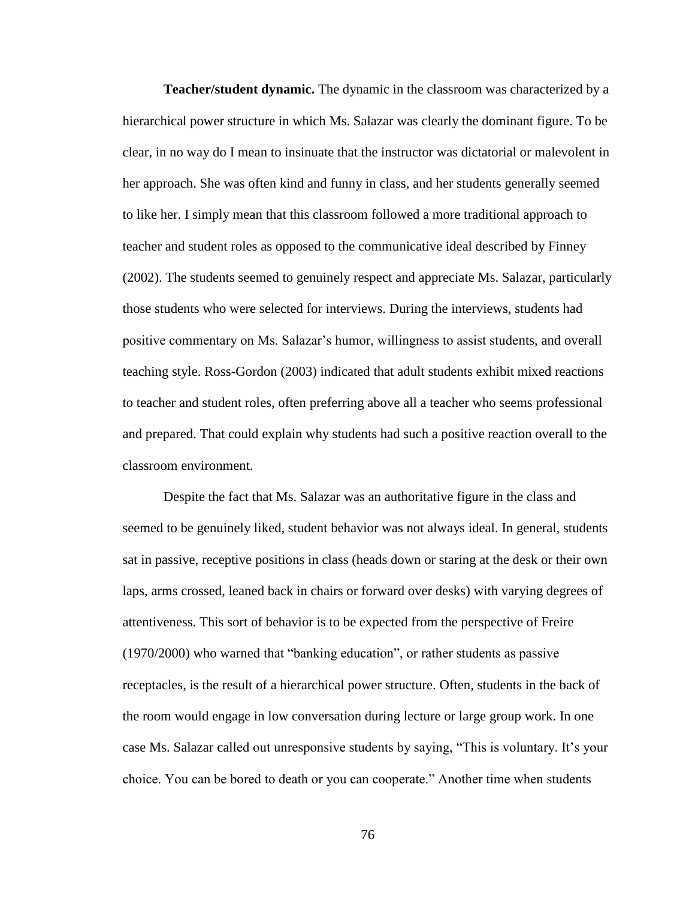**Teacher/student dynamic.** The dynamic in the classroom was characterized by a hierarchical power structure in which Ms. Salazar was clearly the dominant figure. To be clear, in no way do I mean to insinuate that the instructor was dictatorial or malevolent in her approach. She was often kind and funny in class, and her students generally seemed to like her. I simply mean that this classroom followed a more traditional approach to teacher and student roles as opposed to the communicative ideal described by Finney (2002). The students seemed to genuinely respect and appreciate Ms. Salazar, particularly those students who were selected for interviews. During the interviews, students had positive commentary on Ms. Salazar's humor, willingness to assist students, and overall teaching style. Ross-Gordon (2003) indicated that adult students exhibit mixed reactions to teacher and student roles, often preferring above all a teacher who seems professional and prepared. That could explain why students had such a positive reaction overall to the classroom environment.

Despite the fact that Ms. Salazar was an authoritative figure in the class and seemed to be genuinely liked, student behavior was not always ideal. In general, students sat in passive, receptive positions in class (heads down or staring at the desk or their own laps, arms crossed, leaned back in chairs or forward over desks) with varying degrees of attentiveness. This sort of behavior is to be expected from the perspective of Freire (1970/2000) who warned that "banking education", or rather students as passive receptacles, is the result of a hierarchical power structure. Often, students in the back of the room would engage in low conversation during lecture or large group work. In one case Ms. Salazar called out unresponsive students by saying, "This is voluntary. It's your choice. You can be bored to death or you can cooperate." Another time when students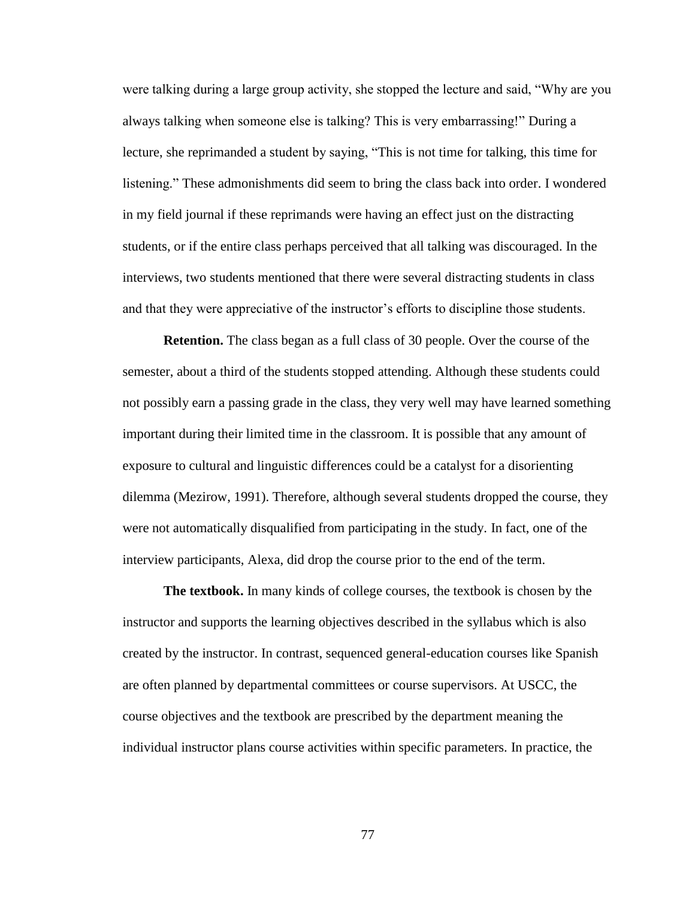were talking during a large group activity, she stopped the lecture and said, "Why are you always talking when someone else is talking? This is very embarrassing!" During a lecture, she reprimanded a student by saying, "This is not time for talking, this time for listening." These admonishments did seem to bring the class back into order. I wondered in my field journal if these reprimands were having an effect just on the distracting students, or if the entire class perhaps perceived that all talking was discouraged. In the interviews, two students mentioned that there were several distracting students in class and that they were appreciative of the instructor's efforts to discipline those students.

**Retention.** The class began as a full class of 30 people. Over the course of the semester, about a third of the students stopped attending. Although these students could not possibly earn a passing grade in the class, they very well may have learned something important during their limited time in the classroom. It is possible that any amount of exposure to cultural and linguistic differences could be a catalyst for a disorienting dilemma (Mezirow, 1991). Therefore, although several students dropped the course, they were not automatically disqualified from participating in the study. In fact, one of the interview participants, Alexa, did drop the course prior to the end of the term.

**The textbook.** In many kinds of college courses, the textbook is chosen by the instructor and supports the learning objectives described in the syllabus which is also created by the instructor. In contrast, sequenced general-education courses like Spanish are often planned by departmental committees or course supervisors. At USCC, the course objectives and the textbook are prescribed by the department meaning the individual instructor plans course activities within specific parameters. In practice, the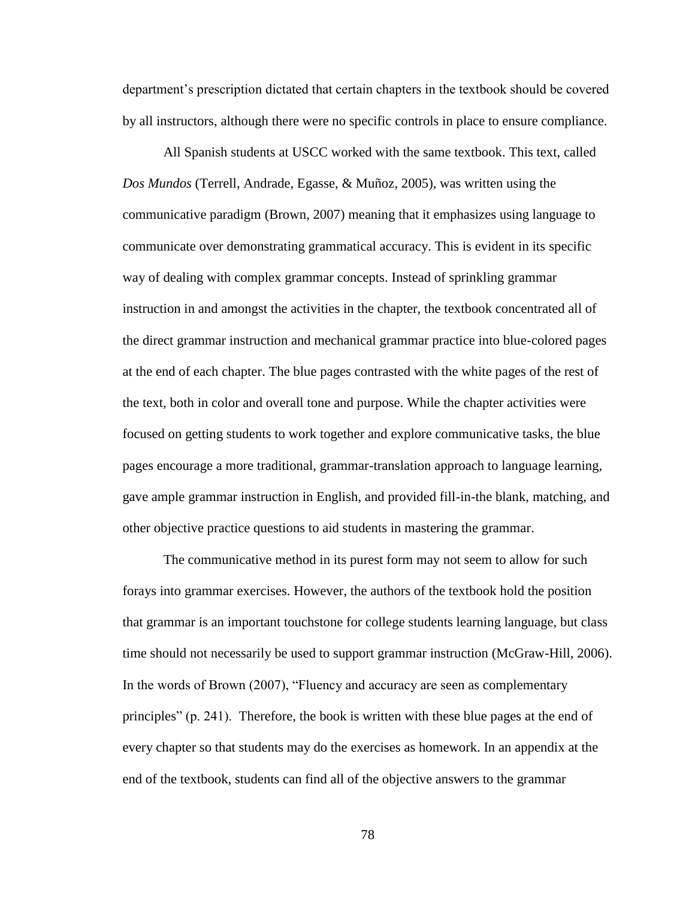department's prescription dictated that certain chapters in the textbook should be covered by all instructors, although there were no specific controls in place to ensure compliance.

All Spanish students at USCC worked with the same textbook. This text, called *Dos Mundos* (Terrell, Andrade, Egasse, & Muñoz, 2005), was written using the communicative paradigm (Brown, 2007) meaning that it emphasizes using language to communicate over demonstrating grammatical accuracy. This is evident in its specific way of dealing with complex grammar concepts. Instead of sprinkling grammar instruction in and amongst the activities in the chapter, the textbook concentrated all of the direct grammar instruction and mechanical grammar practice into blue-colored pages at the end of each chapter. The blue pages contrasted with the white pages of the rest of the text, both in color and overall tone and purpose. While the chapter activities were focused on getting students to work together and explore communicative tasks, the blue pages encourage a more traditional, grammar-translation approach to language learning, gave ample grammar instruction in English, and provided fill-in-the blank, matching, and other objective practice questions to aid students in mastering the grammar.

The communicative method in its purest form may not seem to allow for such forays into grammar exercises. However, the authors of the textbook hold the position that grammar is an important touchstone for college students learning language, but class time should not necessarily be used to support grammar instruction (McGraw-Hill, 2006). In the words of Brown (2007), "Fluency and accuracy are seen as complementary principles" (p. 241). Therefore, the book is written with these blue pages at the end of every chapter so that students may do the exercises as homework. In an appendix at the end of the textbook, students can find all of the objective answers to the grammar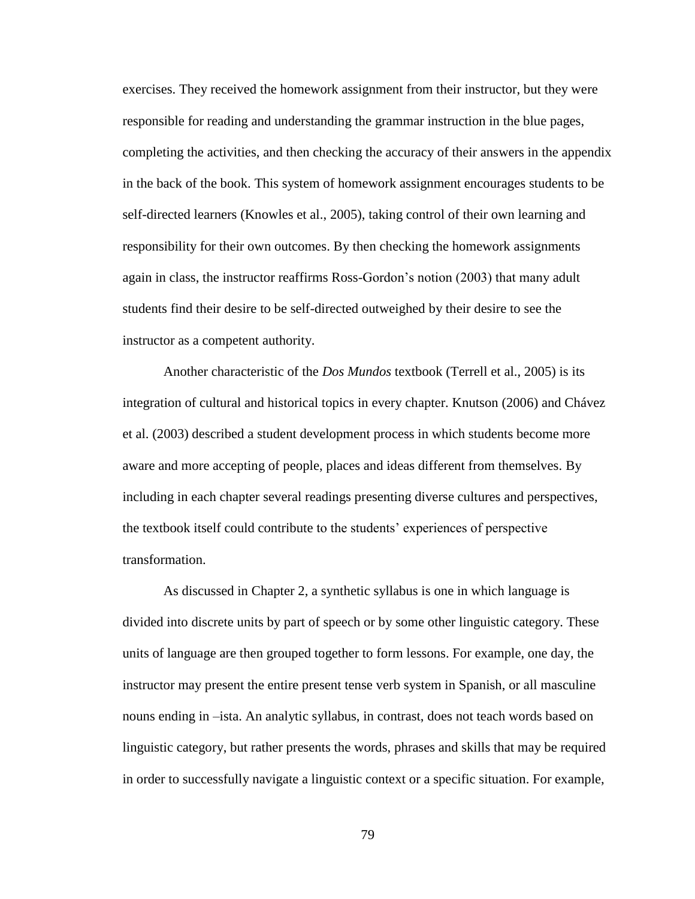exercises. They received the homework assignment from their instructor, but they were responsible for reading and understanding the grammar instruction in the blue pages, completing the activities, and then checking the accuracy of their answers in the appendix in the back of the book. This system of homework assignment encourages students to be self-directed learners (Knowles et al., 2005), taking control of their own learning and responsibility for their own outcomes. By then checking the homework assignments again in class, the instructor reaffirms Ross-Gordon's notion (2003) that many adult students find their desire to be self-directed outweighed by their desire to see the instructor as a competent authority.

Another characteristic of the *Dos Mundos* textbook (Terrell et al., 2005) is its integration of cultural and historical topics in every chapter. Knutson (2006) and Chávez et al. (2003) described a student development process in which students become more aware and more accepting of people, places and ideas different from themselves. By including in each chapter several readings presenting diverse cultures and perspectives, the textbook itself could contribute to the students' experiences of perspective transformation.

As discussed in Chapter 2, a synthetic syllabus is one in which language is divided into discrete units by part of speech or by some other linguistic category. These units of language are then grouped together to form lessons. For example, one day, the instructor may present the entire present tense verb system in Spanish, or all masculine nouns ending in –ista. An analytic syllabus, in contrast, does not teach words based on linguistic category, but rather presents the words, phrases and skills that may be required in order to successfully navigate a linguistic context or a specific situation. For example,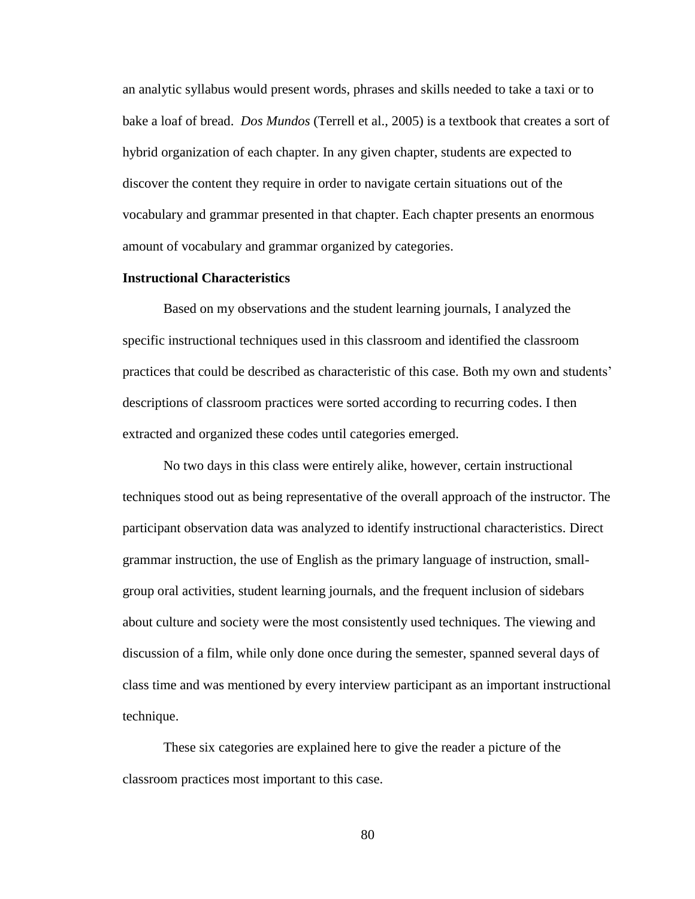an analytic syllabus would present words, phrases and skills needed to take a taxi or to bake a loaf of bread. *Dos Mundos* (Terrell et al., 2005) is a textbook that creates a sort of hybrid organization of each chapter. In any given chapter, students are expected to discover the content they require in order to navigate certain situations out of the vocabulary and grammar presented in that chapter. Each chapter presents an enormous amount of vocabulary and grammar organized by categories.

# **Instructional Characteristics**

Based on my observations and the student learning journals, I analyzed the specific instructional techniques used in this classroom and identified the classroom practices that could be described as characteristic of this case. Both my own and students' descriptions of classroom practices were sorted according to recurring codes. I then extracted and organized these codes until categories emerged.

No two days in this class were entirely alike, however, certain instructional techniques stood out as being representative of the overall approach of the instructor. The participant observation data was analyzed to identify instructional characteristics. Direct grammar instruction, the use of English as the primary language of instruction, smallgroup oral activities, student learning journals, and the frequent inclusion of sidebars about culture and society were the most consistently used techniques. The viewing and discussion of a film, while only done once during the semester, spanned several days of class time and was mentioned by every interview participant as an important instructional technique.

These six categories are explained here to give the reader a picture of the classroom practices most important to this case.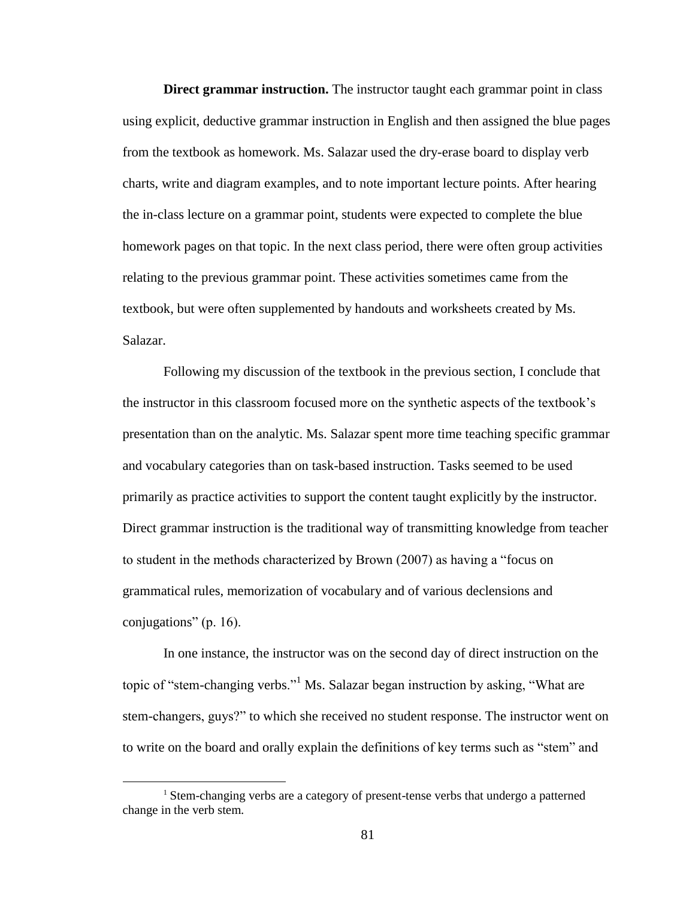**Direct grammar instruction.** The instructor taught each grammar point in class using explicit, deductive grammar instruction in English and then assigned the blue pages from the textbook as homework. Ms. Salazar used the dry-erase board to display verb charts, write and diagram examples, and to note important lecture points. After hearing the in-class lecture on a grammar point, students were expected to complete the blue homework pages on that topic. In the next class period, there were often group activities relating to the previous grammar point. These activities sometimes came from the textbook, but were often supplemented by handouts and worksheets created by Ms. Salazar.

Following my discussion of the textbook in the previous section, I conclude that the instructor in this classroom focused more on the synthetic aspects of the textbook's presentation than on the analytic. Ms. Salazar spent more time teaching specific grammar and vocabulary categories than on task-based instruction. Tasks seemed to be used primarily as practice activities to support the content taught explicitly by the instructor. Direct grammar instruction is the traditional way of transmitting knowledge from teacher to student in the methods characterized by Brown (2007) as having a "focus on grammatical rules, memorization of vocabulary and of various declensions and conjugations" (p. 16).

In one instance, the instructor was on the second day of direct instruction on the topic of "stem-changing verbs."<sup>1</sup> Ms. Salazar began instruction by asking, "What are stem-changers, guys?" to which she received no student response. The instructor went on to write on the board and orally explain the definitions of key terms such as "stem" and

 $\overline{a}$ 

<sup>&</sup>lt;sup>1</sup> Stem-changing verbs are a category of present-tense verbs that undergo a patterned change in the verb stem.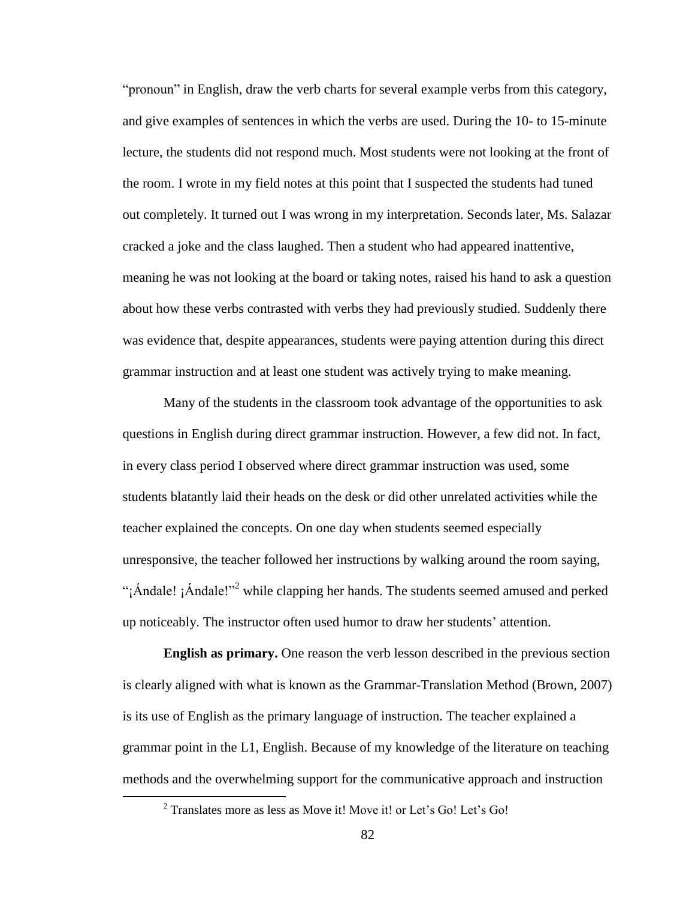"pronoun" in English, draw the verb charts for several example verbs from this category, and give examples of sentences in which the verbs are used. During the 10- to 15-minute lecture, the students did not respond much. Most students were not looking at the front of the room. I wrote in my field notes at this point that I suspected the students had tuned out completely. It turned out I was wrong in my interpretation. Seconds later, Ms. Salazar cracked a joke and the class laughed. Then a student who had appeared inattentive, meaning he was not looking at the board or taking notes, raised his hand to ask a question about how these verbs contrasted with verbs they had previously studied. Suddenly there was evidence that, despite appearances, students were paying attention during this direct grammar instruction and at least one student was actively trying to make meaning.

Many of the students in the classroom took advantage of the opportunities to ask questions in English during direct grammar instruction. However, a few did not. In fact, in every class period I observed where direct grammar instruction was used, some students blatantly laid their heads on the desk or did other unrelated activities while the teacher explained the concepts. On one day when students seemed especially unresponsive, the teacher followed her instructions by walking around the room saying, "¡Ándale! ¡Ándale!"<sup>2</sup> while clapping her hands. The students seemed amused and perked up noticeably. The instructor often used humor to draw her students' attention.

**English as primary.** One reason the verb lesson described in the previous section is clearly aligned with what is known as the Grammar-Translation Method (Brown, 2007) is its use of English as the primary language of instruction. The teacher explained a grammar point in the L1, English. Because of my knowledge of the literature on teaching methods and the overwhelming support for the communicative approach and instruction

 $\overline{a}$ 

<sup>&</sup>lt;sup>2</sup> Translates more as less as Move it! Move it! or Let's Go! Let's Go!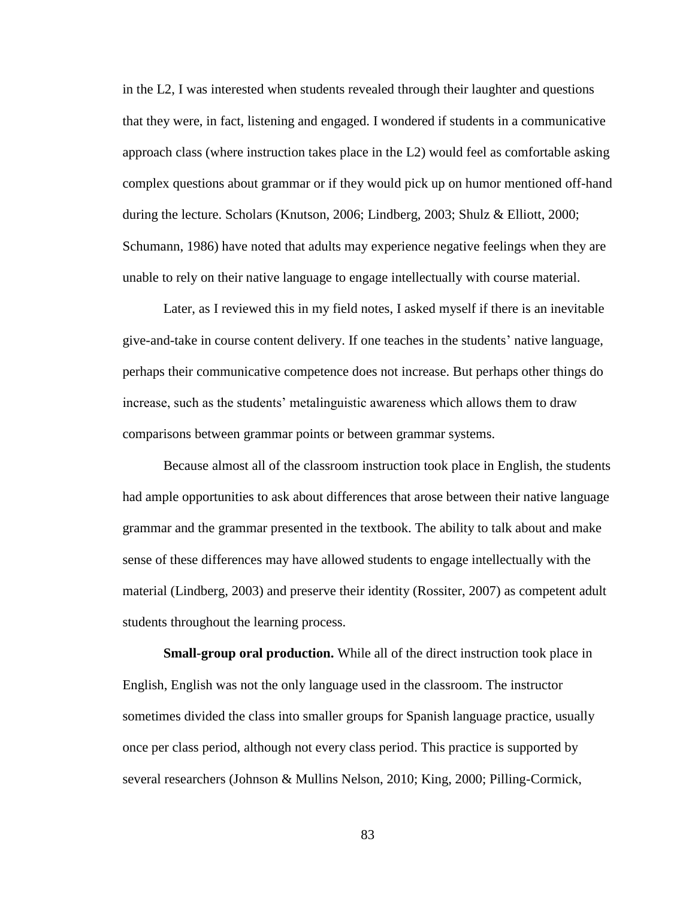in the L2, I was interested when students revealed through their laughter and questions that they were, in fact, listening and engaged. I wondered if students in a communicative approach class (where instruction takes place in the L2) would feel as comfortable asking complex questions about grammar or if they would pick up on humor mentioned off-hand during the lecture. Scholars (Knutson, 2006; Lindberg, 2003; Shulz & Elliott, 2000; Schumann, 1986) have noted that adults may experience negative feelings when they are unable to rely on their native language to engage intellectually with course material.

Later, as I reviewed this in my field notes, I asked myself if there is an inevitable give-and-take in course content delivery. If one teaches in the students' native language, perhaps their communicative competence does not increase. But perhaps other things do increase, such as the students' metalinguistic awareness which allows them to draw comparisons between grammar points or between grammar systems.

Because almost all of the classroom instruction took place in English, the students had ample opportunities to ask about differences that arose between their native language grammar and the grammar presented in the textbook. The ability to talk about and make sense of these differences may have allowed students to engage intellectually with the material (Lindberg, 2003) and preserve their identity (Rossiter, 2007) as competent adult students throughout the learning process.

**Small-group oral production.** While all of the direct instruction took place in English, English was not the only language used in the classroom. The instructor sometimes divided the class into smaller groups for Spanish language practice, usually once per class period, although not every class period. This practice is supported by several researchers (Johnson & Mullins Nelson, 2010; King, 2000; Pilling-Cormick,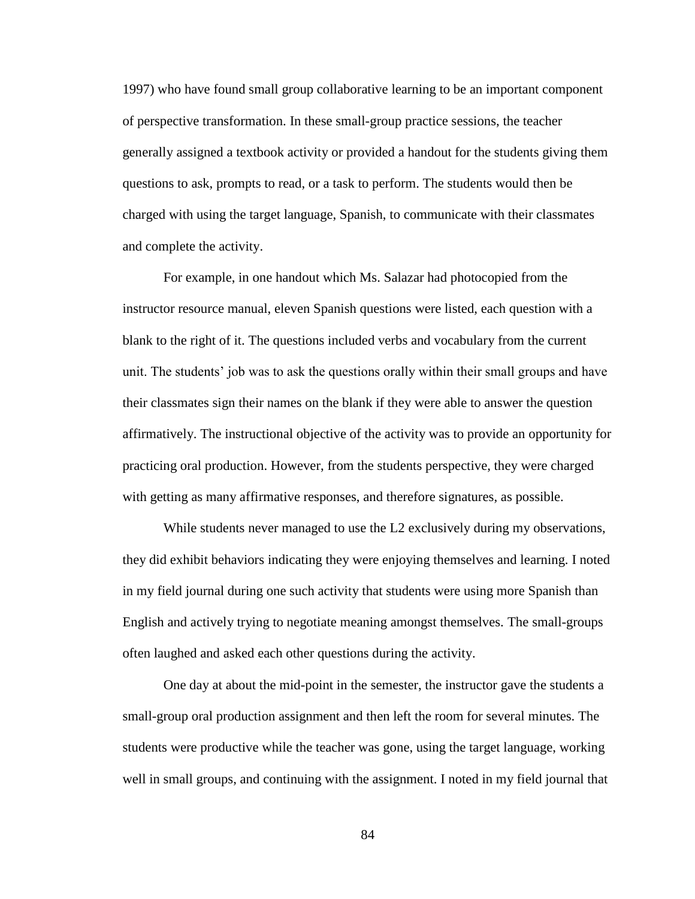1997) who have found small group collaborative learning to be an important component of perspective transformation. In these small-group practice sessions, the teacher generally assigned a textbook activity or provided a handout for the students giving them questions to ask, prompts to read, or a task to perform. The students would then be charged with using the target language, Spanish, to communicate with their classmates and complete the activity.

For example, in one handout which Ms. Salazar had photocopied from the instructor resource manual, eleven Spanish questions were listed, each question with a blank to the right of it. The questions included verbs and vocabulary from the current unit. The students' job was to ask the questions orally within their small groups and have their classmates sign their names on the blank if they were able to answer the question affirmatively. The instructional objective of the activity was to provide an opportunity for practicing oral production. However, from the students perspective, they were charged with getting as many affirmative responses, and therefore signatures, as possible.

While students never managed to use the L2 exclusively during my observations, they did exhibit behaviors indicating they were enjoying themselves and learning. I noted in my field journal during one such activity that students were using more Spanish than English and actively trying to negotiate meaning amongst themselves. The small-groups often laughed and asked each other questions during the activity.

One day at about the mid-point in the semester, the instructor gave the students a small-group oral production assignment and then left the room for several minutes. The students were productive while the teacher was gone, using the target language, working well in small groups, and continuing with the assignment. I noted in my field journal that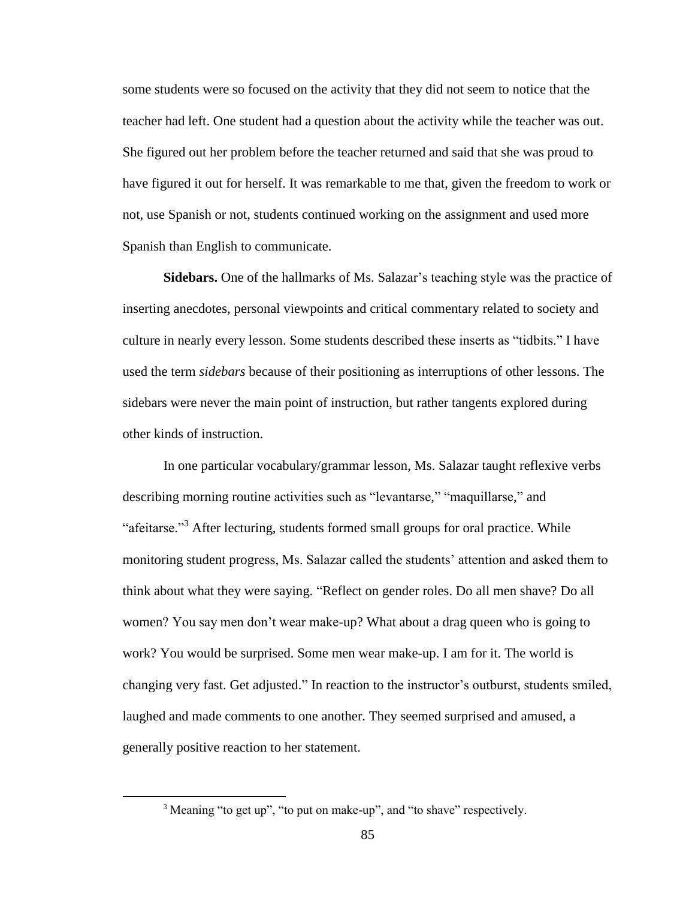some students were so focused on the activity that they did not seem to notice that the teacher had left. One student had a question about the activity while the teacher was out. She figured out her problem before the teacher returned and said that she was proud to have figured it out for herself. It was remarkable to me that, given the freedom to work or not, use Spanish or not, students continued working on the assignment and used more Spanish than English to communicate.

**Sidebars.** One of the hallmarks of Ms. Salazar's teaching style was the practice of inserting anecdotes, personal viewpoints and critical commentary related to society and culture in nearly every lesson. Some students described these inserts as "tidbits." I have used the term *sidebars* because of their positioning as interruptions of other lessons. The sidebars were never the main point of instruction, but rather tangents explored during other kinds of instruction.

In one particular vocabulary/grammar lesson, Ms. Salazar taught reflexive verbs describing morning routine activities such as "levantarse," "maquillarse," and "afeitarse."<sup>3</sup> After lecturing, students formed small groups for oral practice. While monitoring student progress, Ms. Salazar called the students' attention and asked them to think about what they were saying. "Reflect on gender roles. Do all men shave? Do all women? You say men don't wear make-up? What about a drag queen who is going to work? You would be surprised. Some men wear make-up. I am for it. The world is changing very fast. Get adjusted." In reaction to the instructor's outburst, students smiled, laughed and made comments to one another. They seemed surprised and amused, a generally positive reaction to her statement.

 $\overline{a}$ 

<sup>&</sup>lt;sup>3</sup> Meaning "to get up", "to put on make-up", and "to shave" respectively.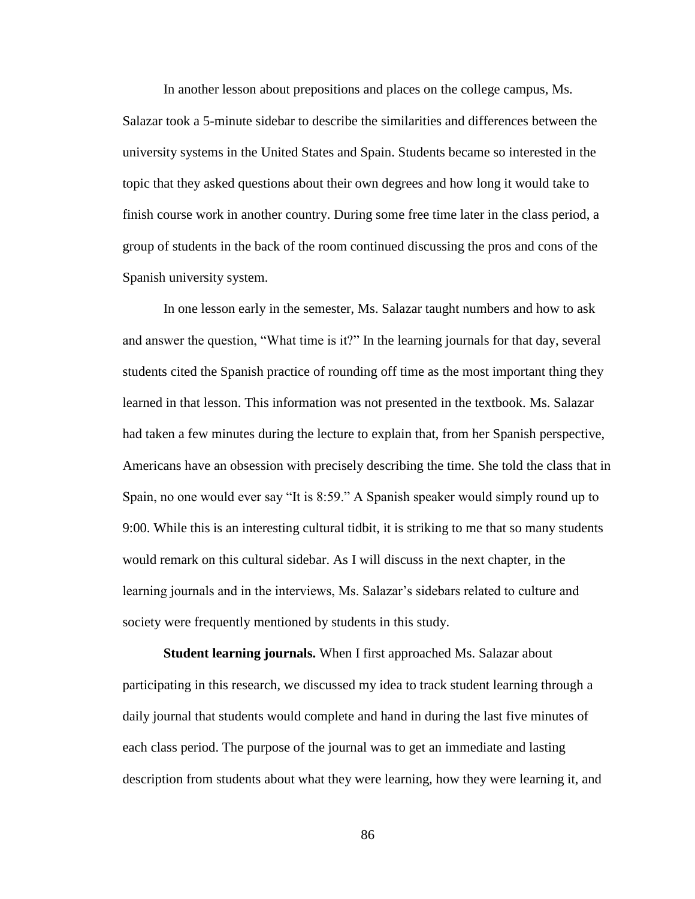In another lesson about prepositions and places on the college campus, Ms.

Salazar took a 5-minute sidebar to describe the similarities and differences between the university systems in the United States and Spain. Students became so interested in the topic that they asked questions about their own degrees and how long it would take to finish course work in another country. During some free time later in the class period, a group of students in the back of the room continued discussing the pros and cons of the Spanish university system.

In one lesson early in the semester, Ms. Salazar taught numbers and how to ask and answer the question, "What time is it?" In the learning journals for that day, several students cited the Spanish practice of rounding off time as the most important thing they learned in that lesson. This information was not presented in the textbook. Ms. Salazar had taken a few minutes during the lecture to explain that, from her Spanish perspective, Americans have an obsession with precisely describing the time. She told the class that in Spain, no one would ever say "It is 8:59." A Spanish speaker would simply round up to 9:00. While this is an interesting cultural tidbit, it is striking to me that so many students would remark on this cultural sidebar. As I will discuss in the next chapter, in the learning journals and in the interviews, Ms. Salazar's sidebars related to culture and society were frequently mentioned by students in this study.

**Student learning journals.** When I first approached Ms. Salazar about participating in this research, we discussed my idea to track student learning through a daily journal that students would complete and hand in during the last five minutes of each class period. The purpose of the journal was to get an immediate and lasting description from students about what they were learning, how they were learning it, and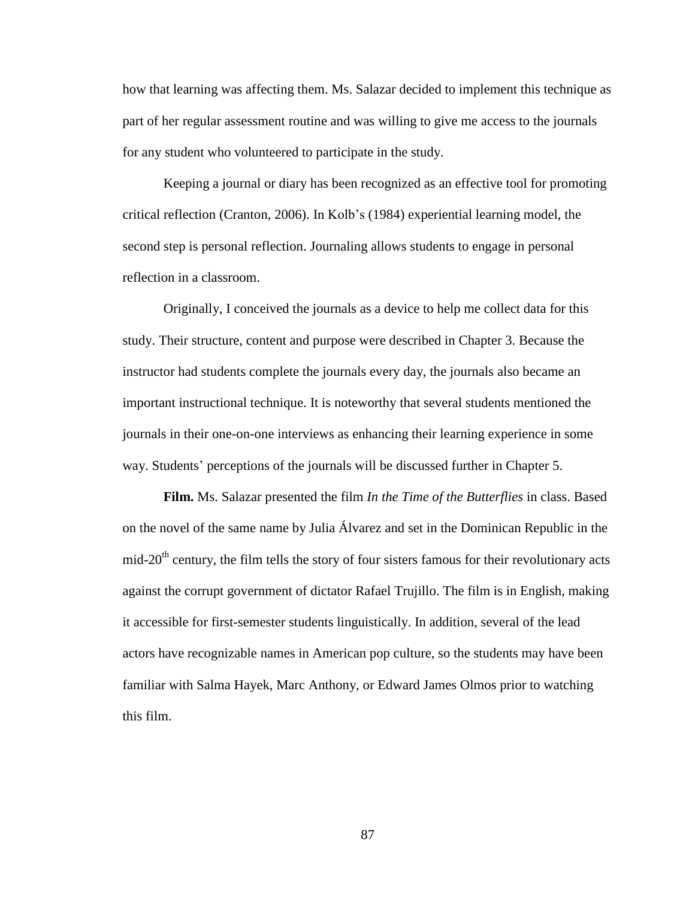how that learning was affecting them. Ms. Salazar decided to implement this technique as part of her regular assessment routine and was willing to give me access to the journals for any student who volunteered to participate in the study.

Keeping a journal or diary has been recognized as an effective tool for promoting critical reflection (Cranton, 2006). In Kolb's (1984) experiential learning model, the second step is personal reflection. Journaling allows students to engage in personal reflection in a classroom.

Originally, I conceived the journals as a device to help me collect data for this study. Their structure, content and purpose were described in Chapter 3. Because the instructor had students complete the journals every day, the journals also became an important instructional technique. It is noteworthy that several students mentioned the journals in their one-on-one interviews as enhancing their learning experience in some way. Students' perceptions of the journals will be discussed further in Chapter 5.

**Film.** Ms. Salazar presented the film *In the Time of the Butterflies* in class. Based on the novel of the same name by Julia Álvarez and set in the Dominican Republic in the  $mid-20<sup>th</sup>$  century, the film tells the story of four sisters famous for their revolutionary acts against the corrupt government of dictator Rafael Trujillo. The film is in English, making it accessible for first-semester students linguistically. In addition, several of the lead actors have recognizable names in American pop culture, so the students may have been familiar with Salma Hayek, Marc Anthony, or Edward James Olmos prior to watching this film.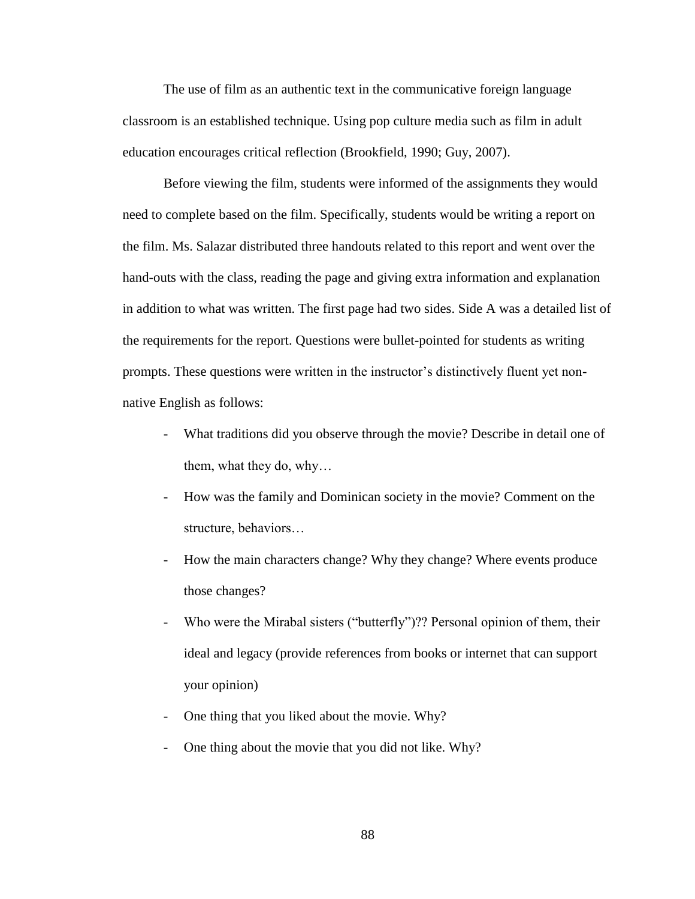The use of film as an authentic text in the communicative foreign language classroom is an established technique. Using pop culture media such as film in adult education encourages critical reflection (Brookfield, 1990; Guy, 2007).

Before viewing the film, students were informed of the assignments they would need to complete based on the film. Specifically, students would be writing a report on the film. Ms. Salazar distributed three handouts related to this report and went over the hand-outs with the class, reading the page and giving extra information and explanation in addition to what was written. The first page had two sides. Side A was a detailed list of the requirements for the report. Questions were bullet-pointed for students as writing prompts. These questions were written in the instructor's distinctively fluent yet nonnative English as follows:

- What traditions did you observe through the movie? Describe in detail one of them, what they do, why…
- How was the family and Dominican society in the movie? Comment on the structure, behaviors…
- How the main characters change? Why they change? Where events produce those changes?
- Who were the Mirabal sisters ("butterfly")?? Personal opinion of them, their ideal and legacy (provide references from books or internet that can support your opinion)
- One thing that you liked about the movie. Why?
- One thing about the movie that you did not like. Why?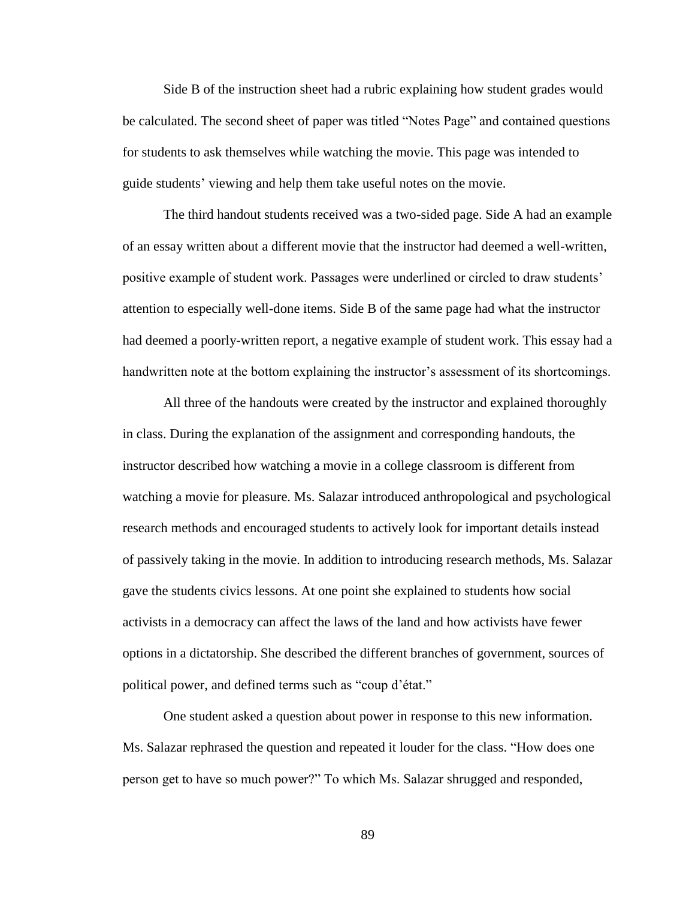Side B of the instruction sheet had a rubric explaining how student grades would be calculated. The second sheet of paper was titled "Notes Page" and contained questions for students to ask themselves while watching the movie. This page was intended to guide students' viewing and help them take useful notes on the movie.

The third handout students received was a two-sided page. Side A had an example of an essay written about a different movie that the instructor had deemed a well-written, positive example of student work. Passages were underlined or circled to draw students' attention to especially well-done items. Side B of the same page had what the instructor had deemed a poorly-written report, a negative example of student work. This essay had a handwritten note at the bottom explaining the instructor's assessment of its shortcomings.

All three of the handouts were created by the instructor and explained thoroughly in class. During the explanation of the assignment and corresponding handouts, the instructor described how watching a movie in a college classroom is different from watching a movie for pleasure. Ms. Salazar introduced anthropological and psychological research methods and encouraged students to actively look for important details instead of passively taking in the movie. In addition to introducing research methods, Ms. Salazar gave the students civics lessons. At one point she explained to students how social activists in a democracy can affect the laws of the land and how activists have fewer options in a dictatorship. She described the different branches of government, sources of political power, and defined terms such as "coup d'état."

One student asked a question about power in response to this new information. Ms. Salazar rephrased the question and repeated it louder for the class. "How does one person get to have so much power?" To which Ms. Salazar shrugged and responded,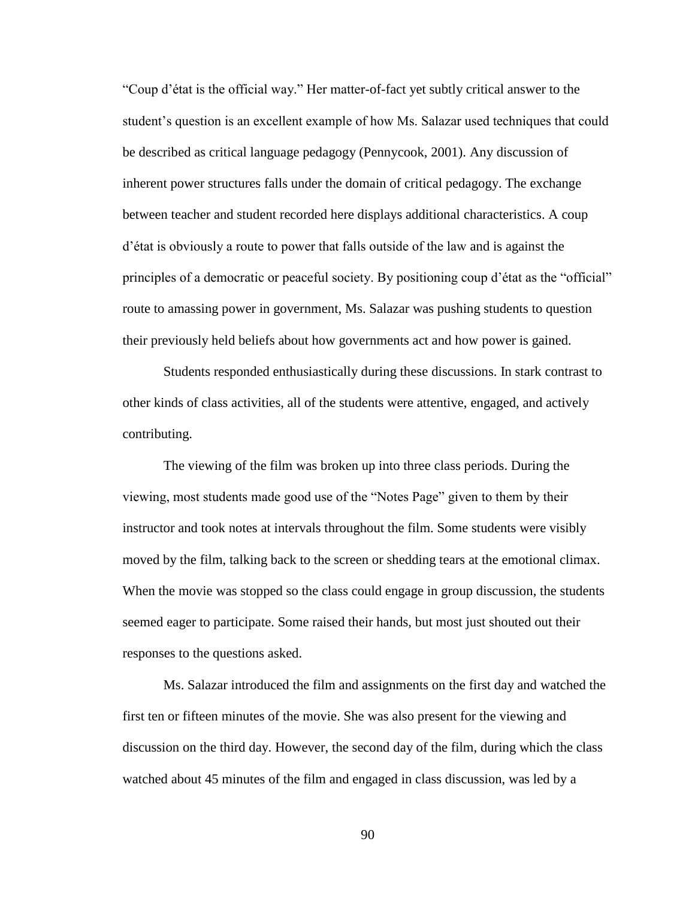"Coup d'état is the official way." Her matter-of-fact yet subtly critical answer to the student's question is an excellent example of how Ms. Salazar used techniques that could be described as critical language pedagogy (Pennycook, 2001). Any discussion of inherent power structures falls under the domain of critical pedagogy. The exchange between teacher and student recorded here displays additional characteristics. A coup d'état is obviously a route to power that falls outside of the law and is against the principles of a democratic or peaceful society. By positioning coup d'état as the "official" route to amassing power in government, Ms. Salazar was pushing students to question their previously held beliefs about how governments act and how power is gained.

Students responded enthusiastically during these discussions. In stark contrast to other kinds of class activities, all of the students were attentive, engaged, and actively contributing.

The viewing of the film was broken up into three class periods. During the viewing, most students made good use of the "Notes Page" given to them by their instructor and took notes at intervals throughout the film. Some students were visibly moved by the film, talking back to the screen or shedding tears at the emotional climax. When the movie was stopped so the class could engage in group discussion, the students seemed eager to participate. Some raised their hands, but most just shouted out their responses to the questions asked.

Ms. Salazar introduced the film and assignments on the first day and watched the first ten or fifteen minutes of the movie. She was also present for the viewing and discussion on the third day. However, the second day of the film, during which the class watched about 45 minutes of the film and engaged in class discussion, was led by a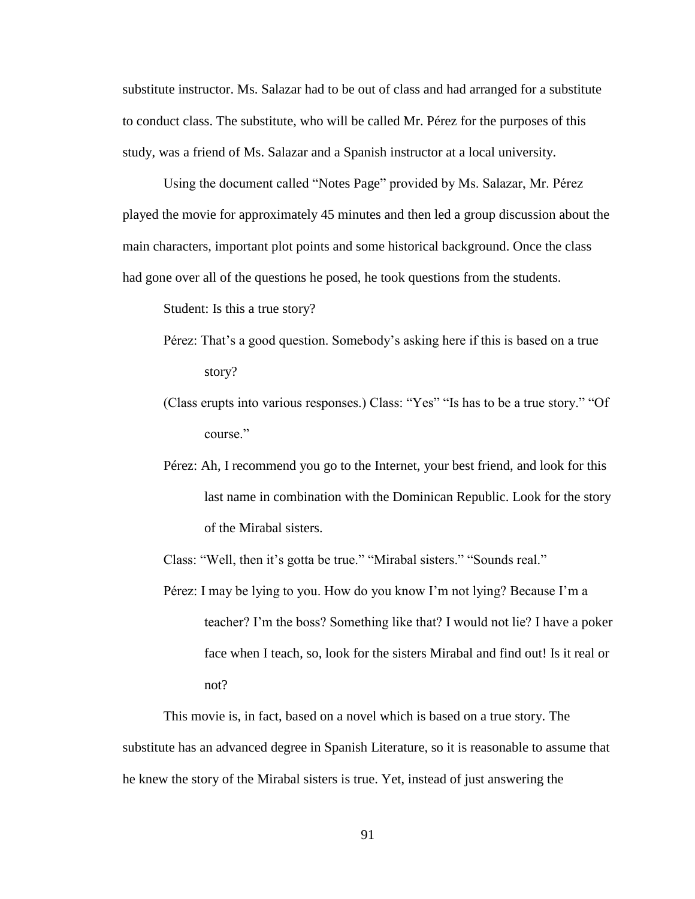substitute instructor. Ms. Salazar had to be out of class and had arranged for a substitute to conduct class. The substitute, who will be called Mr. Pérez for the purposes of this study, was a friend of Ms. Salazar and a Spanish instructor at a local university.

Using the document called "Notes Page" provided by Ms. Salazar, Mr. Pérez played the movie for approximately 45 minutes and then led a group discussion about the main characters, important plot points and some historical background. Once the class had gone over all of the questions he posed, he took questions from the students.

Student: Is this a true story?

- Pérez: That's a good question. Somebody's asking here if this is based on a true story?
- (Class erupts into various responses.) Class: "Yes" "Is has to be a true story." "Of course."
- Pérez: Ah, I recommend you go to the Internet, your best friend, and look for this last name in combination with the Dominican Republic. Look for the story of the Mirabal sisters.

Class: "Well, then it's gotta be true." "Mirabal sisters." "Sounds real."

Pérez: I may be lying to you. How do you know I'm not lying? Because I'm a teacher? I'm the boss? Something like that? I would not lie? I have a poker face when I teach, so, look for the sisters Mirabal and find out! Is it real or not?

This movie is, in fact, based on a novel which is based on a true story. The substitute has an advanced degree in Spanish Literature, so it is reasonable to assume that he knew the story of the Mirabal sisters is true. Yet, instead of just answering the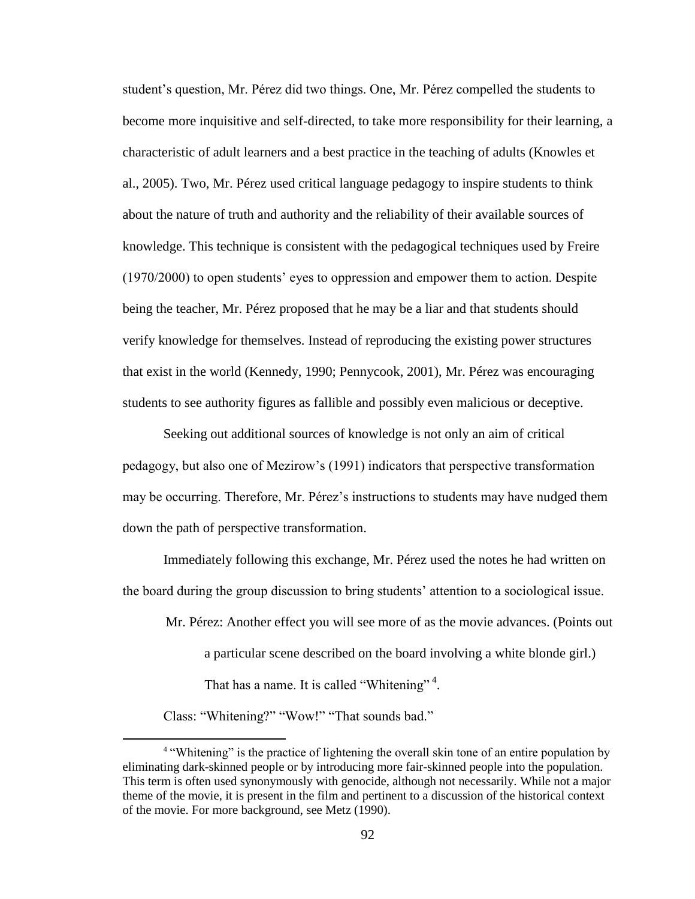student's question, Mr. Pérez did two things. One, Mr. Pérez compelled the students to become more inquisitive and self-directed, to take more responsibility for their learning, a characteristic of adult learners and a best practice in the teaching of adults (Knowles et al., 2005). Two, Mr. Pérez used critical language pedagogy to inspire students to think about the nature of truth and authority and the reliability of their available sources of knowledge. This technique is consistent with the pedagogical techniques used by Freire (1970/2000) to open students' eyes to oppression and empower them to action. Despite being the teacher, Mr. Pérez proposed that he may be a liar and that students should verify knowledge for themselves. Instead of reproducing the existing power structures that exist in the world (Kennedy, 1990; Pennycook, 2001), Mr. Pérez was encouraging students to see authority figures as fallible and possibly even malicious or deceptive.

Seeking out additional sources of knowledge is not only an aim of critical pedagogy, but also one of Mezirow's (1991) indicators that perspective transformation may be occurring. Therefore, Mr. Pérez's instructions to students may have nudged them down the path of perspective transformation.

Immediately following this exchange, Mr. Pérez used the notes he had written on the board during the group discussion to bring students' attention to a sociological issue.

Mr. Pérez: Another effect you will see more of as the movie advances. (Points out

a particular scene described on the board involving a white blonde girl.) That has a name. It is called "Whitening"<sup>4</sup>.

Class: "Whitening?" "Wow!" "That sounds bad."

 $\overline{a}$ 

<sup>&</sup>lt;sup>4</sup> "Whitening" is the practice of lightening the overall skin tone of an entire population by eliminating dark-skinned people or by introducing more fair-skinned people into the population. This term is often used synonymously with genocide, although not necessarily. While not a major theme of the movie, it is present in the film and pertinent to a discussion of the historical context of the movie. For more background, see Metz (1990).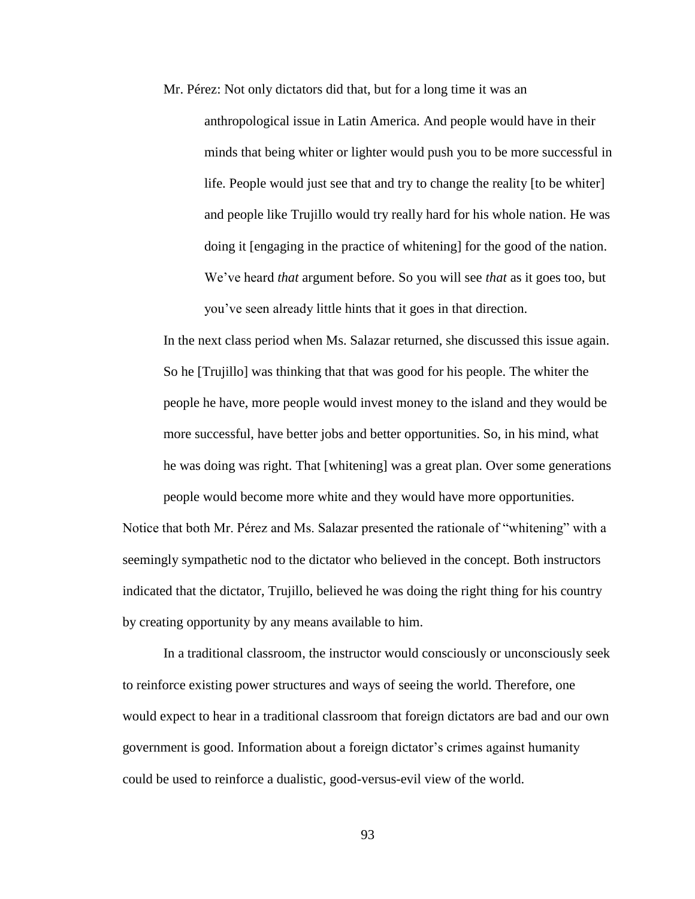Mr. Pérez: Not only dictators did that, but for a long time it was an anthropological issue in Latin America. And people would have in their minds that being whiter or lighter would push you to be more successful in life. People would just see that and try to change the reality [to be whiter] and people like Trujillo would try really hard for his whole nation. He was doing it [engaging in the practice of whitening] for the good of the nation. We've heard *that* argument before. So you will see *that* as it goes too, but you've seen already little hints that it goes in that direction.

In the next class period when Ms. Salazar returned, she discussed this issue again. So he [Trujillo] was thinking that that was good for his people. The whiter the people he have, more people would invest money to the island and they would be more successful, have better jobs and better opportunities. So, in his mind, what he was doing was right. That [whitening] was a great plan. Over some generations people would become more white and they would have more opportunities.

Notice that both Mr. Pérez and Ms. Salazar presented the rationale of "whitening" with a seemingly sympathetic nod to the dictator who believed in the concept. Both instructors indicated that the dictator, Trujillo, believed he was doing the right thing for his country by creating opportunity by any means available to him.

In a traditional classroom, the instructor would consciously or unconsciously seek to reinforce existing power structures and ways of seeing the world. Therefore, one would expect to hear in a traditional classroom that foreign dictators are bad and our own government is good. Information about a foreign dictator's crimes against humanity could be used to reinforce a dualistic, good-versus-evil view of the world.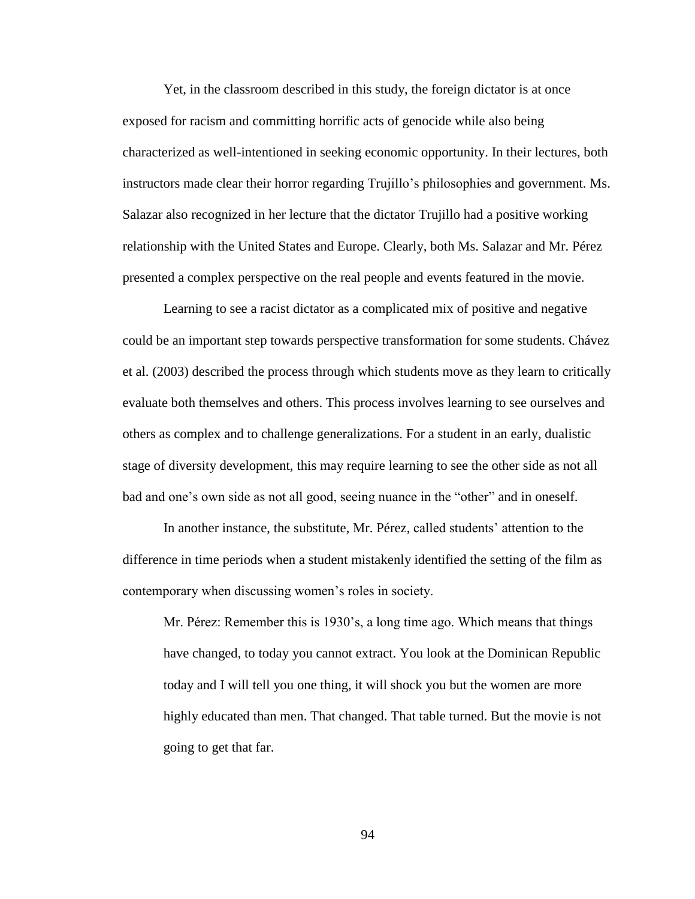Yet, in the classroom described in this study, the foreign dictator is at once exposed for racism and committing horrific acts of genocide while also being characterized as well-intentioned in seeking economic opportunity. In their lectures, both instructors made clear their horror regarding Trujillo's philosophies and government. Ms. Salazar also recognized in her lecture that the dictator Trujillo had a positive working relationship with the United States and Europe. Clearly, both Ms. Salazar and Mr. Pérez presented a complex perspective on the real people and events featured in the movie.

Learning to see a racist dictator as a complicated mix of positive and negative could be an important step towards perspective transformation for some students. Chávez et al. (2003) described the process through which students move as they learn to critically evaluate both themselves and others. This process involves learning to see ourselves and others as complex and to challenge generalizations. For a student in an early, dualistic stage of diversity development, this may require learning to see the other side as not all bad and one's own side as not all good, seeing nuance in the "other" and in oneself.

In another instance, the substitute, Mr. Pérez, called students' attention to the difference in time periods when a student mistakenly identified the setting of the film as contemporary when discussing women's roles in society.

Mr. Pérez: Remember this is 1930's, a long time ago. Which means that things have changed, to today you cannot extract. You look at the Dominican Republic today and I will tell you one thing, it will shock you but the women are more highly educated than men. That changed. That table turned. But the movie is not going to get that far.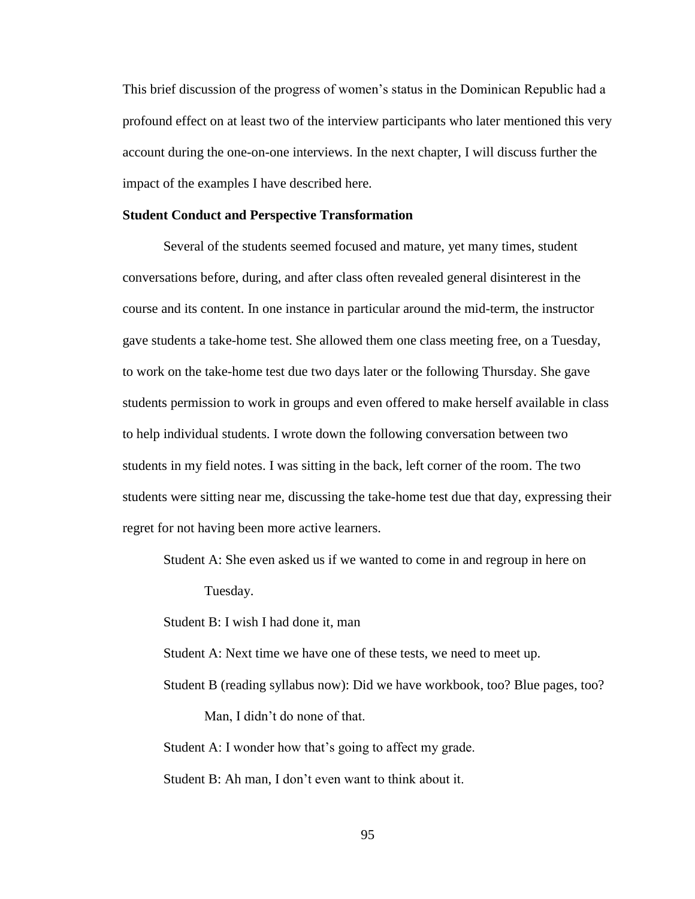This brief discussion of the progress of women's status in the Dominican Republic had a profound effect on at least two of the interview participants who later mentioned this very account during the one-on-one interviews. In the next chapter, I will discuss further the impact of the examples I have described here.

### **Student Conduct and Perspective Transformation**

Several of the students seemed focused and mature, yet many times, student conversations before, during, and after class often revealed general disinterest in the course and its content. In one instance in particular around the mid-term, the instructor gave students a take-home test. She allowed them one class meeting free, on a Tuesday, to work on the take-home test due two days later or the following Thursday. She gave students permission to work in groups and even offered to make herself available in class to help individual students. I wrote down the following conversation between two students in my field notes. I was sitting in the back, left corner of the room. The two students were sitting near me, discussing the take-home test due that day, expressing their regret for not having been more active learners.

Student A: She even asked us if we wanted to come in and regroup in here on

Tuesday.

Student B: I wish I had done it, man

Student A: Next time we have one of these tests, we need to meet up.

Student B (reading syllabus now): Did we have workbook, too? Blue pages, too?

Man, I didn't do none of that.

Student A: I wonder how that's going to affect my grade.

Student B: Ah man, I don't even want to think about it.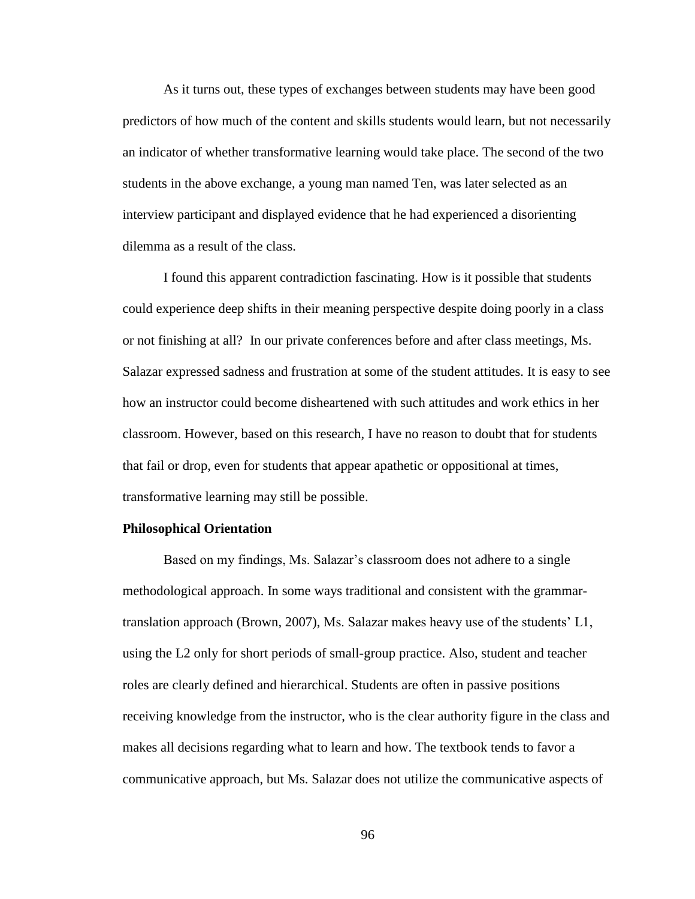As it turns out, these types of exchanges between students may have been good predictors of how much of the content and skills students would learn, but not necessarily an indicator of whether transformative learning would take place. The second of the two students in the above exchange, a young man named Ten, was later selected as an interview participant and displayed evidence that he had experienced a disorienting dilemma as a result of the class.

I found this apparent contradiction fascinating. How is it possible that students could experience deep shifts in their meaning perspective despite doing poorly in a class or not finishing at all? In our private conferences before and after class meetings, Ms. Salazar expressed sadness and frustration at some of the student attitudes. It is easy to see how an instructor could become disheartened with such attitudes and work ethics in her classroom. However, based on this research, I have no reason to doubt that for students that fail or drop, even for students that appear apathetic or oppositional at times, transformative learning may still be possible.

# **Philosophical Orientation**

Based on my findings, Ms. Salazar's classroom does not adhere to a single methodological approach. In some ways traditional and consistent with the grammartranslation approach (Brown, 2007), Ms. Salazar makes heavy use of the students' L1, using the L2 only for short periods of small-group practice. Also, student and teacher roles are clearly defined and hierarchical. Students are often in passive positions receiving knowledge from the instructor, who is the clear authority figure in the class and makes all decisions regarding what to learn and how. The textbook tends to favor a communicative approach, but Ms. Salazar does not utilize the communicative aspects of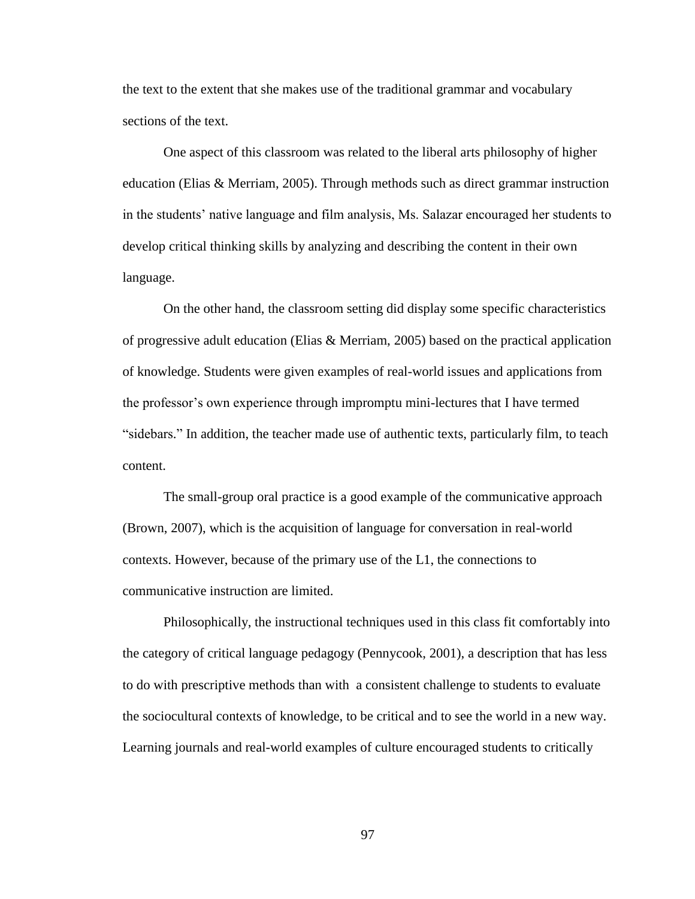the text to the extent that she makes use of the traditional grammar and vocabulary sections of the text.

One aspect of this classroom was related to the liberal arts philosophy of higher education (Elias & Merriam, 2005). Through methods such as direct grammar instruction in the students' native language and film analysis, Ms. Salazar encouraged her students to develop critical thinking skills by analyzing and describing the content in their own language.

On the other hand, the classroom setting did display some specific characteristics of progressive adult education (Elias & Merriam, 2005) based on the practical application of knowledge. Students were given examples of real-world issues and applications from the professor's own experience through impromptu mini-lectures that I have termed "sidebars." In addition, the teacher made use of authentic texts, particularly film, to teach content.

The small-group oral practice is a good example of the communicative approach (Brown, 2007), which is the acquisition of language for conversation in real-world contexts. However, because of the primary use of the L1, the connections to communicative instruction are limited.

Philosophically, the instructional techniques used in this class fit comfortably into the category of critical language pedagogy (Pennycook, 2001), a description that has less to do with prescriptive methods than with a consistent challenge to students to evaluate the sociocultural contexts of knowledge, to be critical and to see the world in a new way. Learning journals and real-world examples of culture encouraged students to critically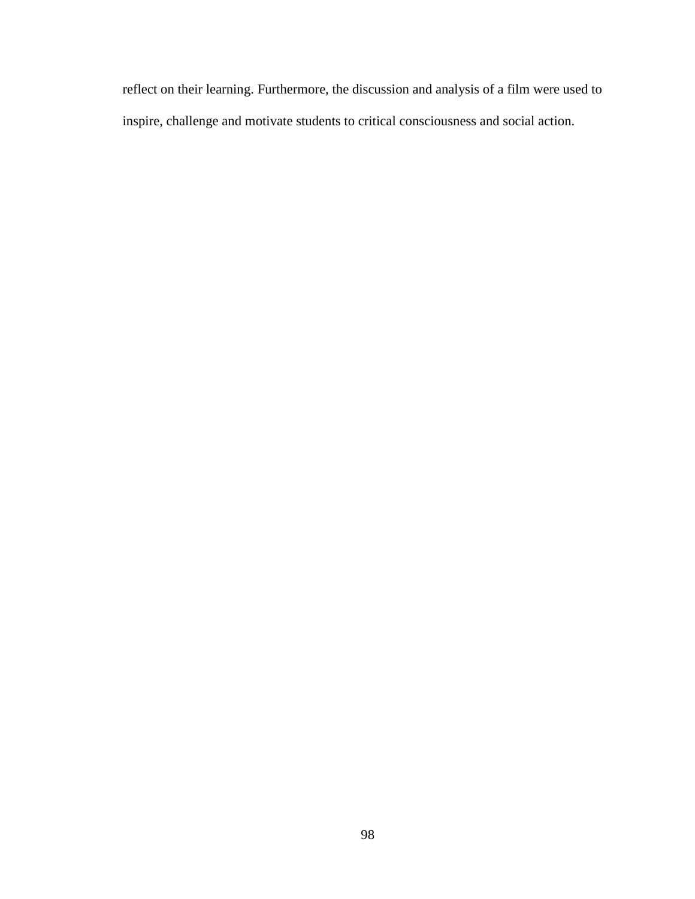reflect on their learning. Furthermore, the discussion and analysis of a film were used to inspire, challenge and motivate students to critical consciousness and social action.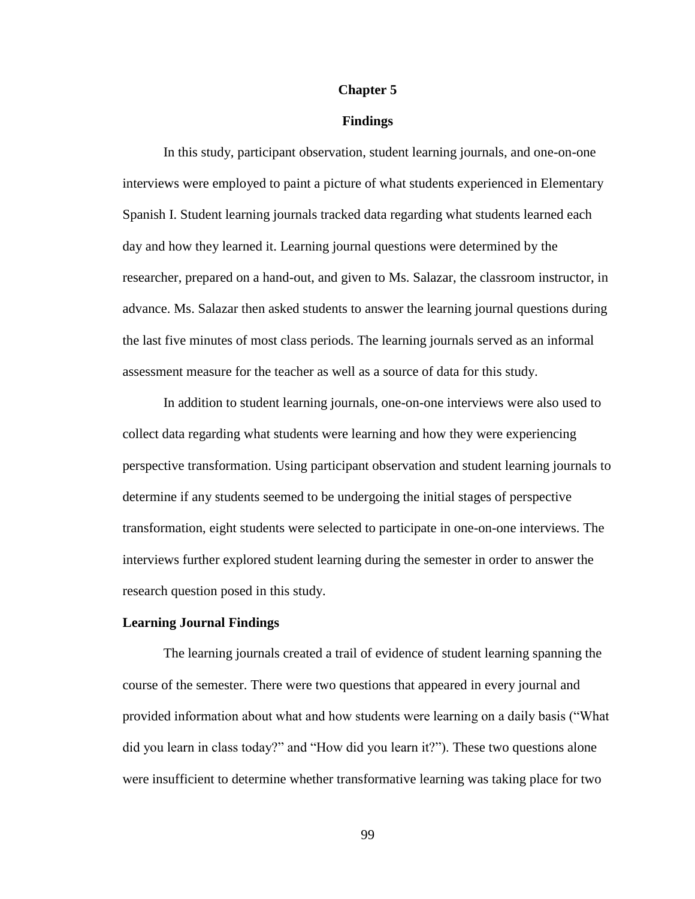#### **Chapter 5**

# **Findings**

In this study, participant observation, student learning journals, and one-on-one interviews were employed to paint a picture of what students experienced in Elementary Spanish I. Student learning journals tracked data regarding what students learned each day and how they learned it. Learning journal questions were determined by the researcher, prepared on a hand-out, and given to Ms. Salazar, the classroom instructor, in advance. Ms. Salazar then asked students to answer the learning journal questions during the last five minutes of most class periods. The learning journals served as an informal assessment measure for the teacher as well as a source of data for this study.

In addition to student learning journals, one-on-one interviews were also used to collect data regarding what students were learning and how they were experiencing perspective transformation. Using participant observation and student learning journals to determine if any students seemed to be undergoing the initial stages of perspective transformation, eight students were selected to participate in one-on-one interviews. The interviews further explored student learning during the semester in order to answer the research question posed in this study.

### **Learning Journal Findings**

The learning journals created a trail of evidence of student learning spanning the course of the semester. There were two questions that appeared in every journal and provided information about what and how students were learning on a daily basis ("What did you learn in class today?" and "How did you learn it?"). These two questions alone were insufficient to determine whether transformative learning was taking place for two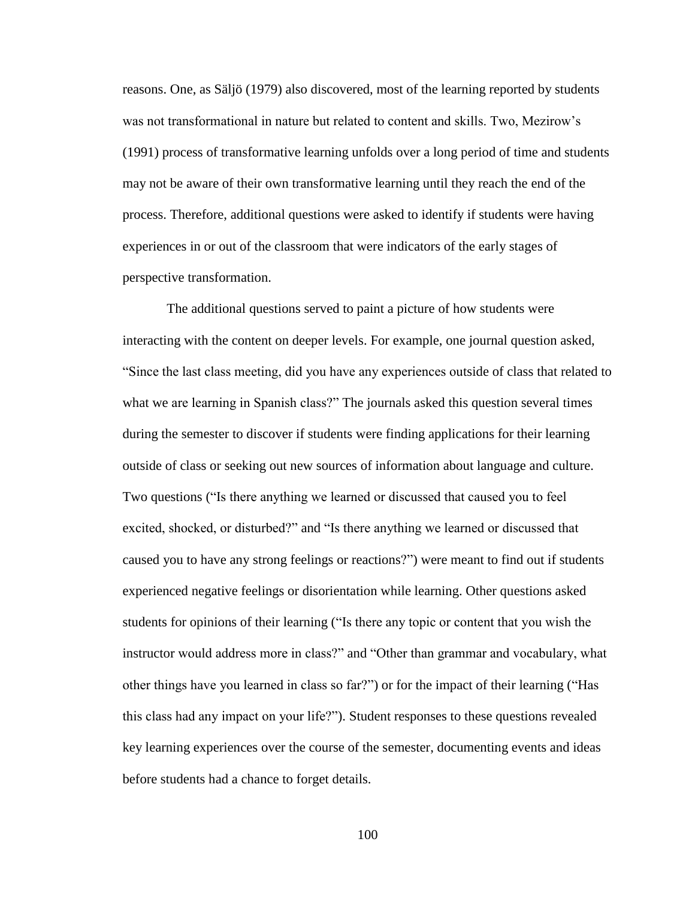reasons. One, as Säljö (1979) also discovered, most of the learning reported by students was not transformational in nature but related to content and skills. Two, Mezirow's (1991) process of transformative learning unfolds over a long period of time and students may not be aware of their own transformative learning until they reach the end of the process. Therefore, additional questions were asked to identify if students were having experiences in or out of the classroom that were indicators of the early stages of perspective transformation.

The additional questions served to paint a picture of how students were interacting with the content on deeper levels. For example, one journal question asked, "Since the last class meeting, did you have any experiences outside of class that related to what we are learning in Spanish class?" The journals asked this question several times during the semester to discover if students were finding applications for their learning outside of class or seeking out new sources of information about language and culture. Two questions ("Is there anything we learned or discussed that caused you to feel excited, shocked, or disturbed?" and "Is there anything we learned or discussed that caused you to have any strong feelings or reactions?") were meant to find out if students experienced negative feelings or disorientation while learning. Other questions asked students for opinions of their learning ("Is there any topic or content that you wish the instructor would address more in class?" and "Other than grammar and vocabulary, what other things have you learned in class so far?") or for the impact of their learning ("Has this class had any impact on your life?"). Student responses to these questions revealed key learning experiences over the course of the semester, documenting events and ideas before students had a chance to forget details.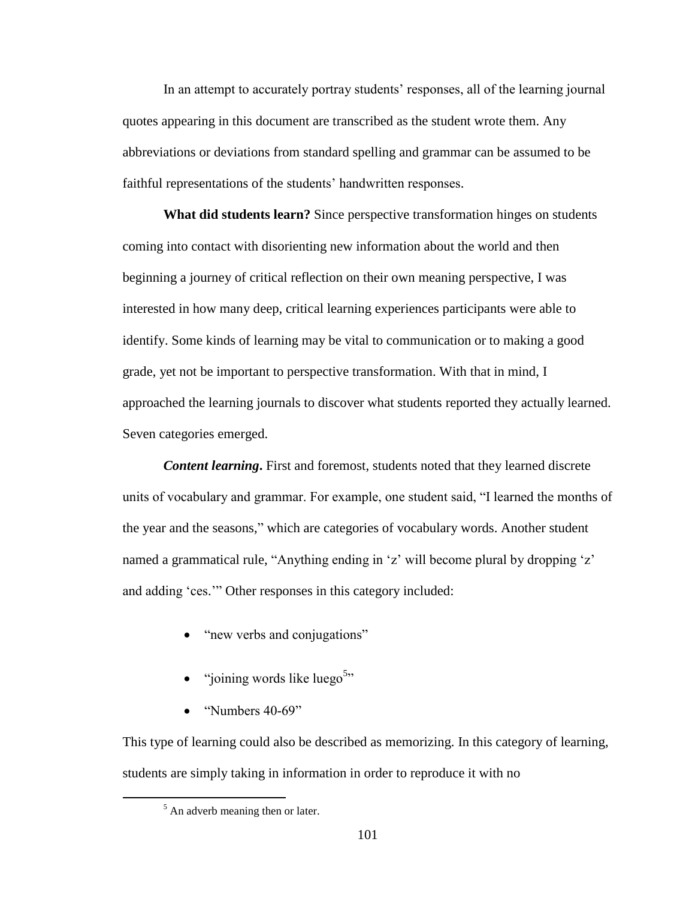In an attempt to accurately portray students' responses, all of the learning journal quotes appearing in this document are transcribed as the student wrote them. Any abbreviations or deviations from standard spelling and grammar can be assumed to be faithful representations of the students' handwritten responses.

**What did students learn?** Since perspective transformation hinges on students coming into contact with disorienting new information about the world and then beginning a journey of critical reflection on their own meaning perspective, I was interested in how many deep, critical learning experiences participants were able to identify. Some kinds of learning may be vital to communication or to making a good grade, yet not be important to perspective transformation. With that in mind, I approached the learning journals to discover what students reported they actually learned. Seven categories emerged.

*Content learning*. First and foremost, students noted that they learned discrete units of vocabulary and grammar. For example, one student said, "I learned the months of the year and the seasons," which are categories of vocabulary words. Another student named a grammatical rule, "Anything ending in 'z' will become plural by dropping 'z' and adding 'ces.'" Other responses in this category included:

- "new verbs and conjugations"
- $\bullet$  "joining words like luego<sup>5</sup>"
- $\bullet$  "Numbers 40-69"

This type of learning could also be described as memorizing. In this category of learning, students are simply taking in information in order to reproduce it with no

 $\overline{a}$ 

 $<sup>5</sup>$  An adverb meaning then or later.</sup>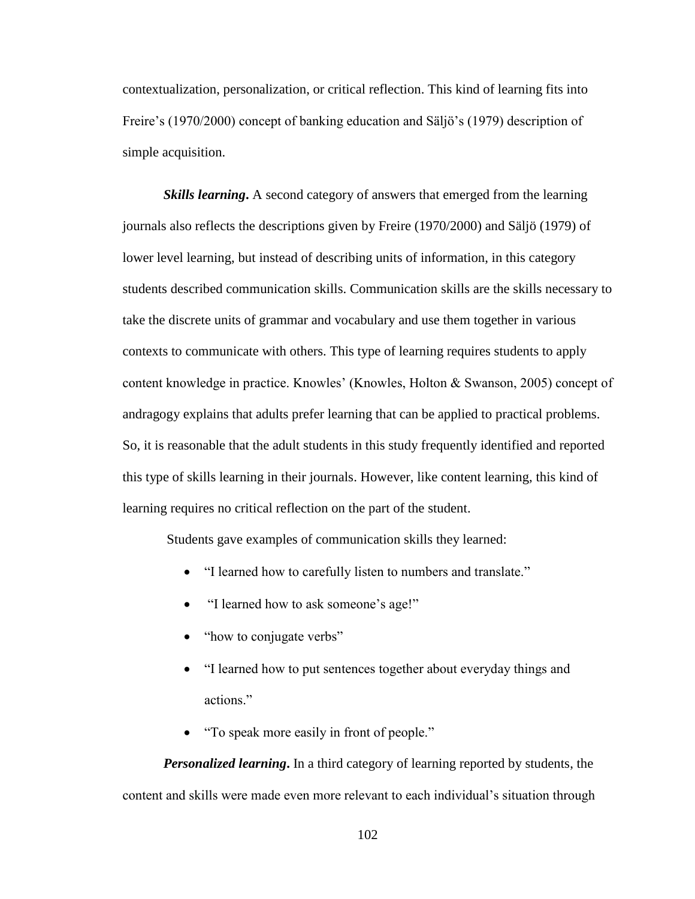contextualization, personalization, or critical reflection. This kind of learning fits into Freire's (1970/2000) concept of banking education and Säljö's (1979) description of simple acquisition.

**Skills learning.** A second category of answers that emerged from the learning journals also reflects the descriptions given by Freire (1970/2000) and Säljö (1979) of lower level learning, but instead of describing units of information, in this category students described communication skills. Communication skills are the skills necessary to take the discrete units of grammar and vocabulary and use them together in various contexts to communicate with others. This type of learning requires students to apply content knowledge in practice. Knowles' (Knowles, Holton & Swanson, 2005) concept of andragogy explains that adults prefer learning that can be applied to practical problems. So, it is reasonable that the adult students in this study frequently identified and reported this type of skills learning in their journals. However, like content learning, this kind of learning requires no critical reflection on the part of the student.

Students gave examples of communication skills they learned:

- "I learned how to carefully listen to numbers and translate."
- "I learned how to ask someone's age!"
- "how to conjugate verbs"
- "I learned how to put sentences together about everyday things and actions."
- "To speak more easily in front of people."

*Personalized learning***.** In a third category of learning reported by students, the content and skills were made even more relevant to each individual's situation through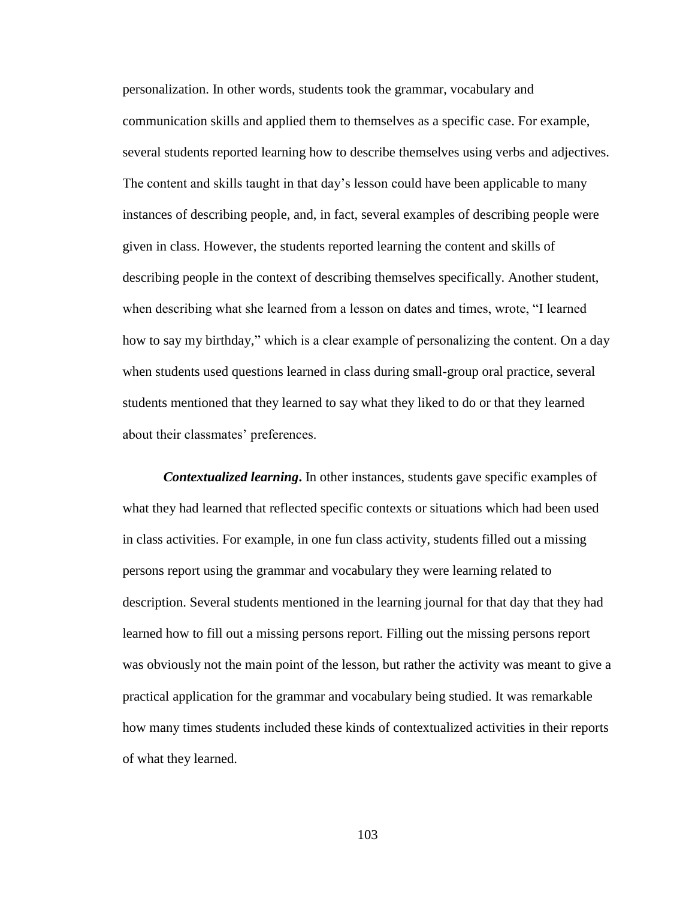personalization. In other words, students took the grammar, vocabulary and communication skills and applied them to themselves as a specific case. For example, several students reported learning how to describe themselves using verbs and adjectives. The content and skills taught in that day's lesson could have been applicable to many instances of describing people, and, in fact, several examples of describing people were given in class. However, the students reported learning the content and skills of describing people in the context of describing themselves specifically. Another student, when describing what she learned from a lesson on dates and times, wrote, "I learned how to say my birthday," which is a clear example of personalizing the content. On a day when students used questions learned in class during small-group oral practice, several students mentioned that they learned to say what they liked to do or that they learned about their classmates' preferences.

*Contextualized learning***.** In other instances, students gave specific examples of what they had learned that reflected specific contexts or situations which had been used in class activities. For example, in one fun class activity, students filled out a missing persons report using the grammar and vocabulary they were learning related to description. Several students mentioned in the learning journal for that day that they had learned how to fill out a missing persons report. Filling out the missing persons report was obviously not the main point of the lesson, but rather the activity was meant to give a practical application for the grammar and vocabulary being studied. It was remarkable how many times students included these kinds of contextualized activities in their reports of what they learned.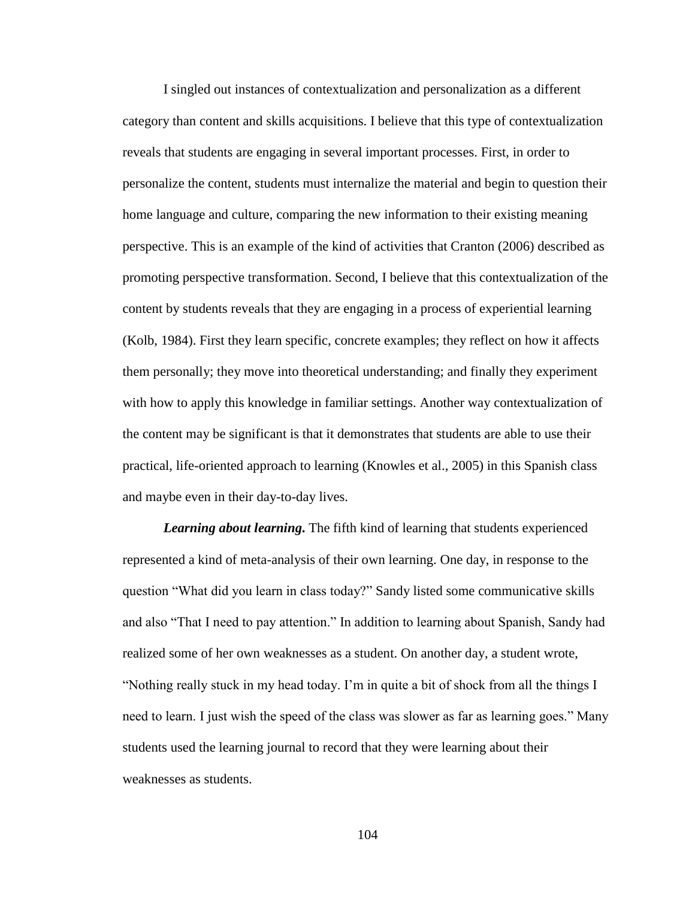I singled out instances of contextualization and personalization as a different category than content and skills acquisitions. I believe that this type of contextualization reveals that students are engaging in several important processes. First, in order to personalize the content, students must internalize the material and begin to question their home language and culture, comparing the new information to their existing meaning perspective. This is an example of the kind of activities that Cranton (2006) described as promoting perspective transformation. Second, I believe that this contextualization of the content by students reveals that they are engaging in a process of experiential learning (Kolb, 1984). First they learn specific, concrete examples; they reflect on how it affects them personally; they move into theoretical understanding; and finally they experiment with how to apply this knowledge in familiar settings. Another way contextualization of the content may be significant is that it demonstrates that students are able to use their practical, life-oriented approach to learning (Knowles et al., 2005) in this Spanish class and maybe even in their day-to-day lives.

*Learning about learning***.** The fifth kind of learning that students experienced represented a kind of meta-analysis of their own learning. One day, in response to the question "What did you learn in class today?" Sandy listed some communicative skills and also "That I need to pay attention." In addition to learning about Spanish, Sandy had realized some of her own weaknesses as a student. On another day, a student wrote, "Nothing really stuck in my head today. I'm in quite a bit of shock from all the things I need to learn. I just wish the speed of the class was slower as far as learning goes." Many students used the learning journal to record that they were learning about their weaknesses as students.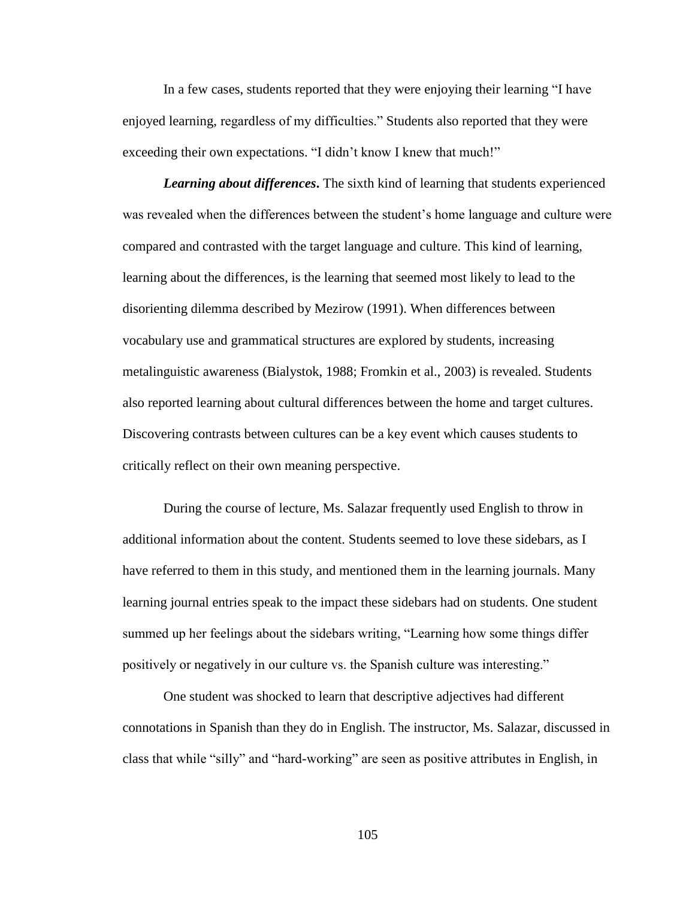In a few cases, students reported that they were enjoying their learning "I have enjoyed learning, regardless of my difficulties." Students also reported that they were exceeding their own expectations. "I didn't know I knew that much!"

*Learning about differences***.** The sixth kind of learning that students experienced was revealed when the differences between the student's home language and culture were compared and contrasted with the target language and culture. This kind of learning, learning about the differences, is the learning that seemed most likely to lead to the disorienting dilemma described by Mezirow (1991). When differences between vocabulary use and grammatical structures are explored by students, increasing metalinguistic awareness (Bialystok, 1988; Fromkin et al., 2003) is revealed. Students also reported learning about cultural differences between the home and target cultures. Discovering contrasts between cultures can be a key event which causes students to critically reflect on their own meaning perspective.

During the course of lecture, Ms. Salazar frequently used English to throw in additional information about the content. Students seemed to love these sidebars, as I have referred to them in this study, and mentioned them in the learning journals. Many learning journal entries speak to the impact these sidebars had on students. One student summed up her feelings about the sidebars writing, "Learning how some things differ positively or negatively in our culture vs. the Spanish culture was interesting."

One student was shocked to learn that descriptive adjectives had different connotations in Spanish than they do in English. The instructor, Ms. Salazar, discussed in class that while "silly" and "hard-working" are seen as positive attributes in English, in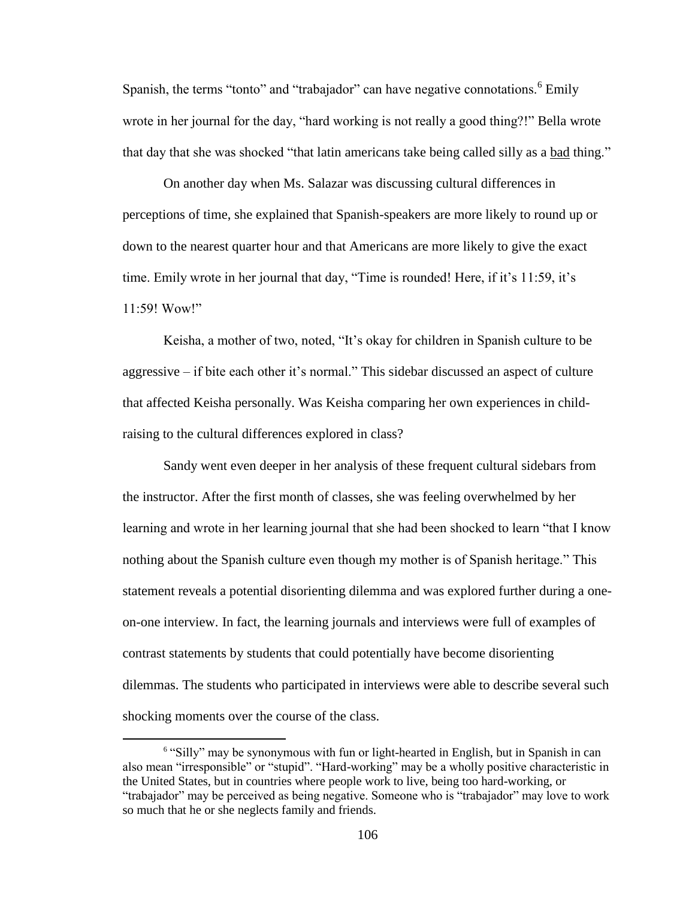Spanish, the terms "tonto" and "trabajador" can have negative connotations.<sup>6</sup> Emily wrote in her journal for the day, "hard working is not really a good thing?!" Bella wrote that day that she was shocked "that latin americans take being called silly as a bad thing."

On another day when Ms. Salazar was discussing cultural differences in perceptions of time, she explained that Spanish-speakers are more likely to round up or down to the nearest quarter hour and that Americans are more likely to give the exact time. Emily wrote in her journal that day, "Time is rounded! Here, if it's 11:59, it's 11:59! Wow!"

Keisha, a mother of two, noted, "It's okay for children in Spanish culture to be aggressive – if bite each other it's normal." This sidebar discussed an aspect of culture that affected Keisha personally. Was Keisha comparing her own experiences in childraising to the cultural differences explored in class?

Sandy went even deeper in her analysis of these frequent cultural sidebars from the instructor. After the first month of classes, she was feeling overwhelmed by her learning and wrote in her learning journal that she had been shocked to learn "that I know nothing about the Spanish culture even though my mother is of Spanish heritage." This statement reveals a potential disorienting dilemma and was explored further during a oneon-one interview. In fact, the learning journals and interviews were full of examples of contrast statements by students that could potentially have become disorienting dilemmas. The students who participated in interviews were able to describe several such shocking moments over the course of the class.

 $\overline{a}$ 

<sup>&</sup>lt;sup>6</sup> "Silly" may be synonymous with fun or light-hearted in English, but in Spanish in can also mean "irresponsible" or "stupid". "Hard-working" may be a wholly positive characteristic in the United States, but in countries where people work to live, being too hard-working, or "trabajador" may be perceived as being negative. Someone who is "trabajador" may love to work so much that he or she neglects family and friends.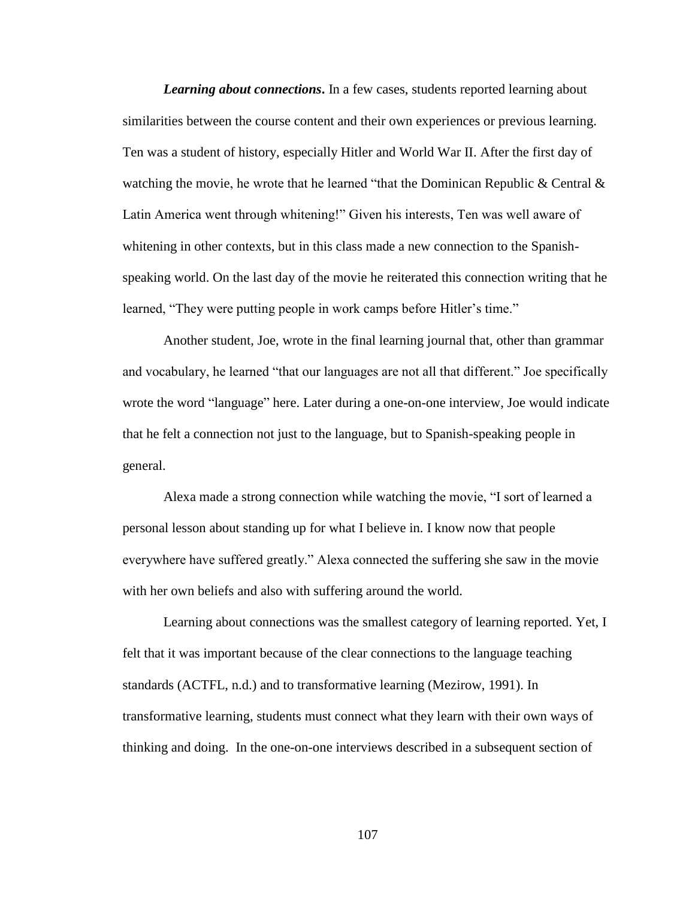*Learning about connections*. In a few cases, students reported learning about similarities between the course content and their own experiences or previous learning. Ten was a student of history, especially Hitler and World War II. After the first day of watching the movie, he wrote that he learned "that the Dominican Republic & Central  $\&$ Latin America went through whitening!" Given his interests, Ten was well aware of whitening in other contexts, but in this class made a new connection to the Spanishspeaking world. On the last day of the movie he reiterated this connection writing that he learned, "They were putting people in work camps before Hitler's time."

Another student, Joe, wrote in the final learning journal that, other than grammar and vocabulary, he learned "that our languages are not all that different." Joe specifically wrote the word "language" here. Later during a one-on-one interview, Joe would indicate that he felt a connection not just to the language, but to Spanish-speaking people in general.

Alexa made a strong connection while watching the movie, "I sort of learned a personal lesson about standing up for what I believe in. I know now that people everywhere have suffered greatly." Alexa connected the suffering she saw in the movie with her own beliefs and also with suffering around the world.

Learning about connections was the smallest category of learning reported. Yet, I felt that it was important because of the clear connections to the language teaching standards (ACTFL, n.d.) and to transformative learning (Mezirow, 1991). In transformative learning, students must connect what they learn with their own ways of thinking and doing. In the one-on-one interviews described in a subsequent section of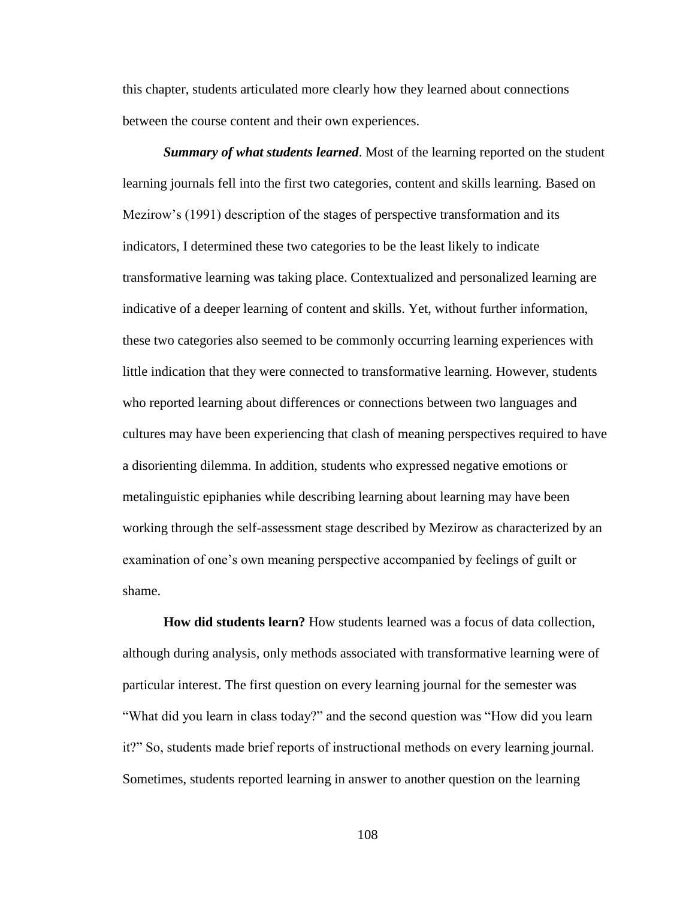this chapter, students articulated more clearly how they learned about connections between the course content and their own experiences.

*Summary of what students learned*. Most of the learning reported on the student learning journals fell into the first two categories, content and skills learning. Based on Mezirow's (1991) description of the stages of perspective transformation and its indicators, I determined these two categories to be the least likely to indicate transformative learning was taking place. Contextualized and personalized learning are indicative of a deeper learning of content and skills. Yet, without further information, these two categories also seemed to be commonly occurring learning experiences with little indication that they were connected to transformative learning. However, students who reported learning about differences or connections between two languages and cultures may have been experiencing that clash of meaning perspectives required to have a disorienting dilemma. In addition, students who expressed negative emotions or metalinguistic epiphanies while describing learning about learning may have been working through the self-assessment stage described by Mezirow as characterized by an examination of one's own meaning perspective accompanied by feelings of guilt or shame.

**How did students learn?** How students learned was a focus of data collection, although during analysis, only methods associated with transformative learning were of particular interest. The first question on every learning journal for the semester was "What did you learn in class today?" and the second question was "How did you learn it?" So, students made brief reports of instructional methods on every learning journal. Sometimes, students reported learning in answer to another question on the learning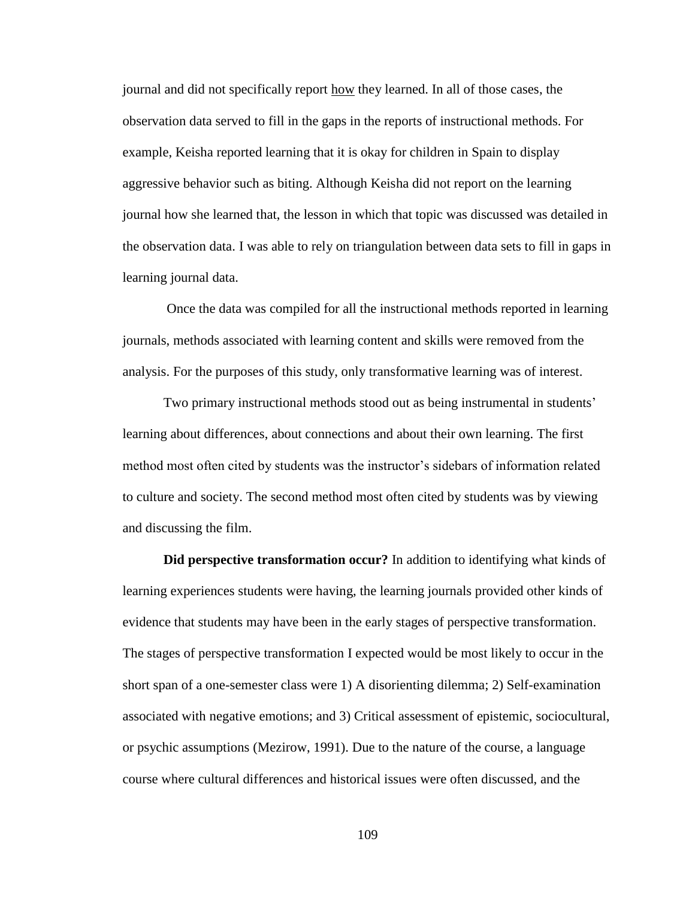journal and did not specifically report how they learned. In all of those cases, the observation data served to fill in the gaps in the reports of instructional methods. For example, Keisha reported learning that it is okay for children in Spain to display aggressive behavior such as biting. Although Keisha did not report on the learning journal how she learned that, the lesson in which that topic was discussed was detailed in the observation data. I was able to rely on triangulation between data sets to fill in gaps in learning journal data.

Once the data was compiled for all the instructional methods reported in learning journals, methods associated with learning content and skills were removed from the analysis. For the purposes of this study, only transformative learning was of interest.

Two primary instructional methods stood out as being instrumental in students' learning about differences, about connections and about their own learning. The first method most often cited by students was the instructor's sidebars of information related to culture and society. The second method most often cited by students was by viewing and discussing the film.

**Did perspective transformation occur?** In addition to identifying what kinds of learning experiences students were having, the learning journals provided other kinds of evidence that students may have been in the early stages of perspective transformation. The stages of perspective transformation I expected would be most likely to occur in the short span of a one-semester class were 1) A disorienting dilemma; 2) Self-examination associated with negative emotions; and 3) Critical assessment of epistemic, sociocultural, or psychic assumptions (Mezirow, 1991). Due to the nature of the course, a language course where cultural differences and historical issues were often discussed, and the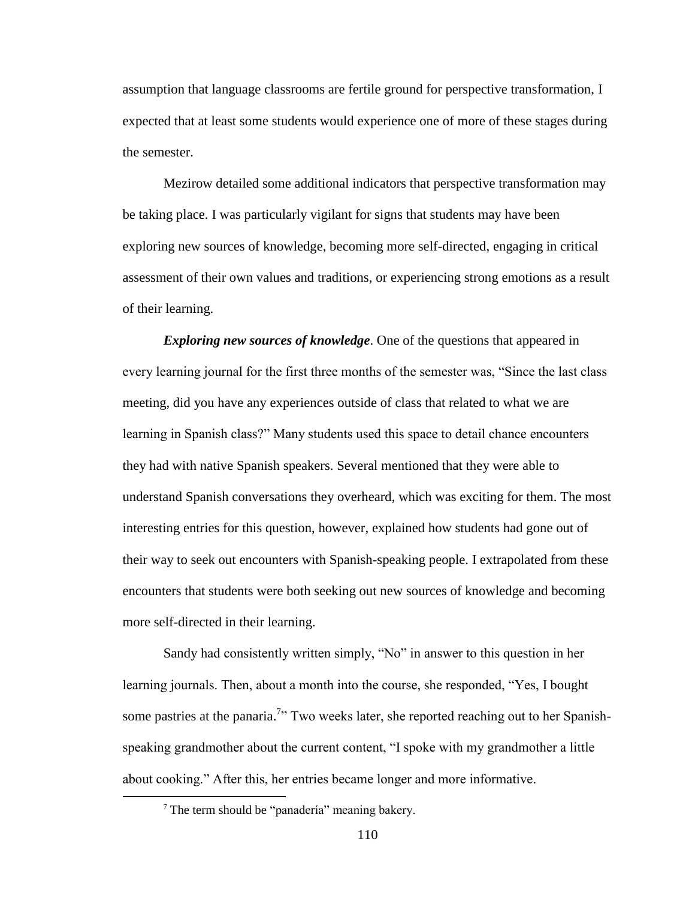assumption that language classrooms are fertile ground for perspective transformation, I expected that at least some students would experience one of more of these stages during the semester.

Mezirow detailed some additional indicators that perspective transformation may be taking place. I was particularly vigilant for signs that students may have been exploring new sources of knowledge, becoming more self-directed, engaging in critical assessment of their own values and traditions, or experiencing strong emotions as a result of their learning.

*Exploring new sources of knowledge*. One of the questions that appeared in every learning journal for the first three months of the semester was, "Since the last class meeting, did you have any experiences outside of class that related to what we are learning in Spanish class?" Many students used this space to detail chance encounters they had with native Spanish speakers. Several mentioned that they were able to understand Spanish conversations they overheard, which was exciting for them. The most interesting entries for this question, however, explained how students had gone out of their way to seek out encounters with Spanish-speaking people. I extrapolated from these encounters that students were both seeking out new sources of knowledge and becoming more self-directed in their learning.

Sandy had consistently written simply, "No" in answer to this question in her learning journals. Then, about a month into the course, she responded, "Yes, I bought some pastries at the panaria.<sup>7</sup>" Two weeks later, she reported reaching out to her Spanishspeaking grandmother about the current content, "I spoke with my grandmother a little about cooking." After this, her entries became longer and more informative.

 $\overline{a}$ 

 $<sup>7</sup>$  The term should be "panadería" meaning bakery.</sup>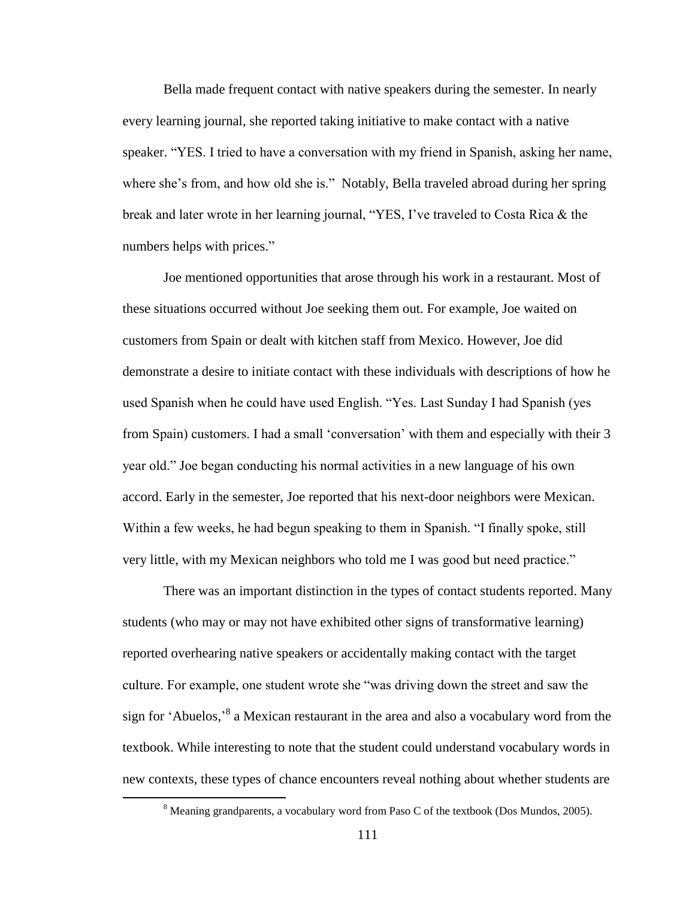Bella made frequent contact with native speakers during the semester. In nearly every learning journal, she reported taking initiative to make contact with a native speaker. "YES. I tried to have a conversation with my friend in Spanish, asking her name, where she's from, and how old she is." Notably, Bella traveled abroad during her spring break and later wrote in her learning journal, "YES, I've traveled to Costa Rica & the numbers helps with prices."

Joe mentioned opportunities that arose through his work in a restaurant. Most of these situations occurred without Joe seeking them out. For example, Joe waited on customers from Spain or dealt with kitchen staff from Mexico. However, Joe did demonstrate a desire to initiate contact with these individuals with descriptions of how he used Spanish when he could have used English. "Yes. Last Sunday I had Spanish (yes from Spain) customers. I had a small 'conversation' with them and especially with their 3 year old." Joe began conducting his normal activities in a new language of his own accord. Early in the semester, Joe reported that his next-door neighbors were Mexican. Within a few weeks, he had begun speaking to them in Spanish. "I finally spoke, still very little, with my Mexican neighbors who told me I was good but need practice."

There was an important distinction in the types of contact students reported. Many students (who may or may not have exhibited other signs of transformative learning) reported overhearing native speakers or accidentally making contact with the target culture. For example, one student wrote she "was driving down the street and saw the sign for 'Abuelos,'<sup>8</sup> a Mexican restaurant in the area and also a vocabulary word from the textbook. While interesting to note that the student could understand vocabulary words in new contexts, these types of chance encounters reveal nothing about whether students are

 $\overline{a}$ 

<sup>&</sup>lt;sup>8</sup> Meaning grandparents, a vocabulary word from Paso C of the textbook (Dos Mundos, 2005).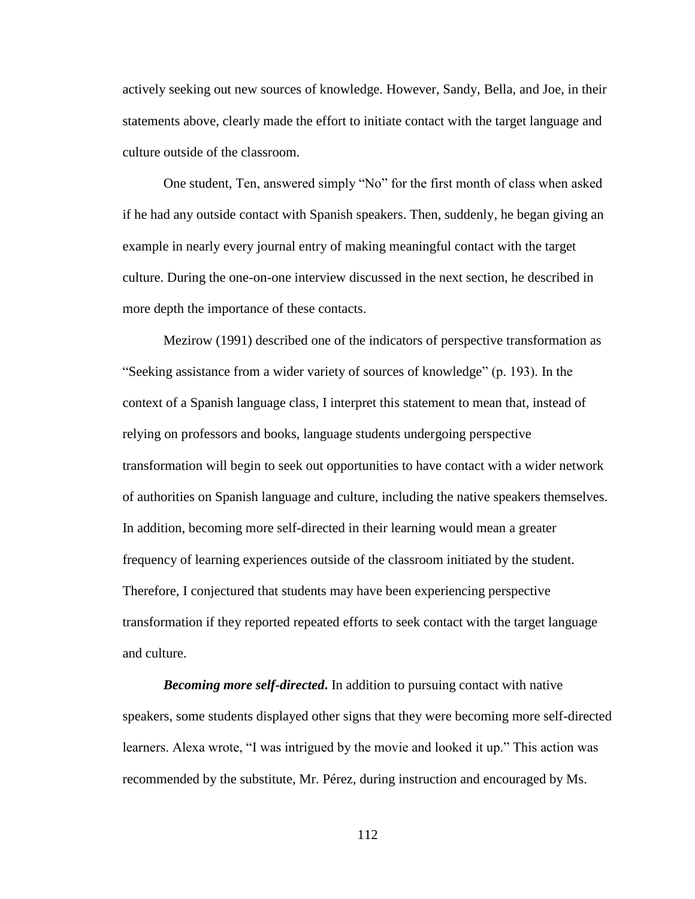actively seeking out new sources of knowledge. However, Sandy, Bella, and Joe, in their statements above, clearly made the effort to initiate contact with the target language and culture outside of the classroom.

One student, Ten, answered simply "No" for the first month of class when asked if he had any outside contact with Spanish speakers. Then, suddenly, he began giving an example in nearly every journal entry of making meaningful contact with the target culture. During the one-on-one interview discussed in the next section, he described in more depth the importance of these contacts.

Mezirow (1991) described one of the indicators of perspective transformation as "Seeking assistance from a wider variety of sources of knowledge" (p. 193). In the context of a Spanish language class, I interpret this statement to mean that, instead of relying on professors and books, language students undergoing perspective transformation will begin to seek out opportunities to have contact with a wider network of authorities on Spanish language and culture, including the native speakers themselves. In addition, becoming more self-directed in their learning would mean a greater frequency of learning experiences outside of the classroom initiated by the student. Therefore, I conjectured that students may have been experiencing perspective transformation if they reported repeated efforts to seek contact with the target language and culture.

*Becoming more self-directed***.** In addition to pursuing contact with native speakers, some students displayed other signs that they were becoming more self-directed learners. Alexa wrote, "I was intrigued by the movie and looked it up." This action was recommended by the substitute, Mr. Pérez, during instruction and encouraged by Ms.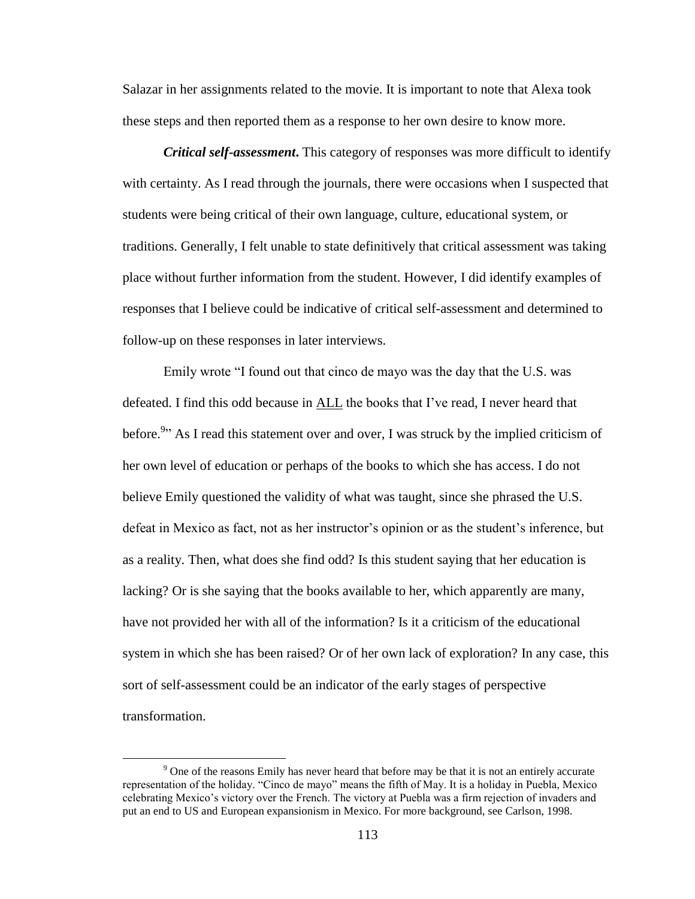Salazar in her assignments related to the movie. It is important to note that Alexa took these steps and then reported them as a response to her own desire to know more.

*Critical self-assessment***.** This category of responses was more difficult to identify with certainty. As I read through the journals, there were occasions when I suspected that students were being critical of their own language, culture, educational system, or traditions. Generally, I felt unable to state definitively that critical assessment was taking place without further information from the student. However, I did identify examples of responses that I believe could be indicative of critical self-assessment and determined to follow-up on these responses in later interviews.

Emily wrote "I found out that cinco de mayo was the day that the U.S. was defeated. I find this odd because in ALL the books that I've read, I never heard that before.<sup>9</sup>" As I read this statement over and over, I was struck by the implied criticism of her own level of education or perhaps of the books to which she has access. I do not believe Emily questioned the validity of what was taught, since she phrased the U.S. defeat in Mexico as fact, not as her instructor's opinion or as the student's inference, but as a reality. Then, what does she find odd? Is this student saying that her education is lacking? Or is she saying that the books available to her, which apparently are many, have not provided her with all of the information? Is it a criticism of the educational system in which she has been raised? Or of her own lack of exploration? In any case, this sort of self-assessment could be an indicator of the early stages of perspective transformation.

 $\overline{a}$ 

<sup>9</sup> One of the reasons Emily has never heard that before may be that it is not an entirely accurate representation of the holiday. "Cinco de mayo" means the fifth of May. It is a holiday in Puebla, Mexico celebrating Mexico's victory over the French. The victory at Puebla was a firm rejection of invaders and put an end to US and European expansionism in Mexico. For more background, see Carlson, 1998.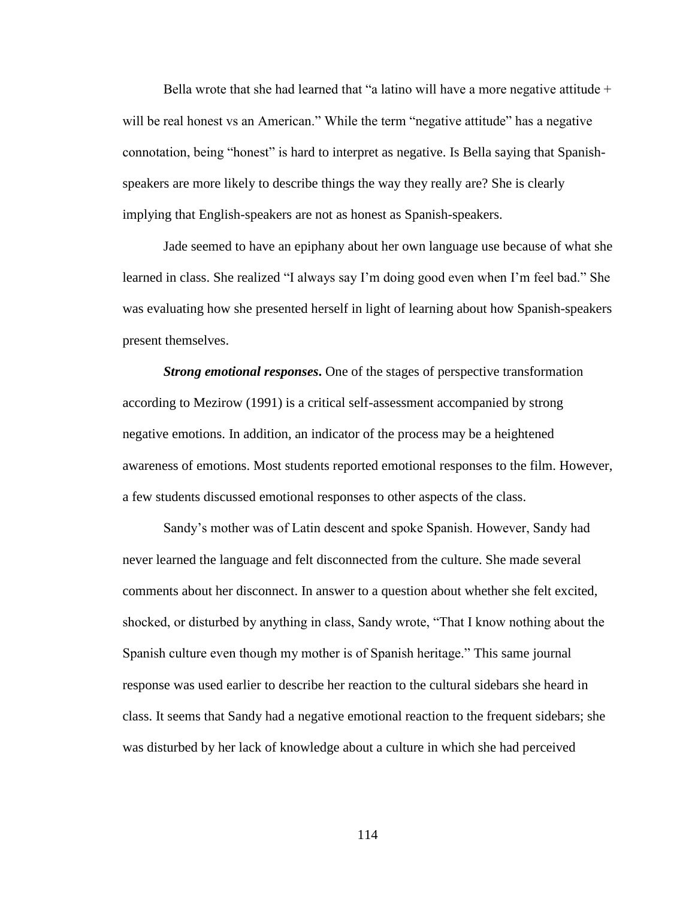Bella wrote that she had learned that "a latino will have a more negative attitude  $+$ will be real honest vs an American." While the term "negative attitude" has a negative connotation, being "honest" is hard to interpret as negative. Is Bella saying that Spanishspeakers are more likely to describe things the way they really are? She is clearly implying that English-speakers are not as honest as Spanish-speakers.

Jade seemed to have an epiphany about her own language use because of what she learned in class. She realized "I always say I'm doing good even when I'm feel bad." She was evaluating how she presented herself in light of learning about how Spanish-speakers present themselves.

*Strong emotional responses***.** One of the stages of perspective transformation according to Mezirow (1991) is a critical self-assessment accompanied by strong negative emotions. In addition, an indicator of the process may be a heightened awareness of emotions. Most students reported emotional responses to the film. However, a few students discussed emotional responses to other aspects of the class.

Sandy's mother was of Latin descent and spoke Spanish. However, Sandy had never learned the language and felt disconnected from the culture. She made several comments about her disconnect. In answer to a question about whether she felt excited, shocked, or disturbed by anything in class, Sandy wrote, "That I know nothing about the Spanish culture even though my mother is of Spanish heritage." This same journal response was used earlier to describe her reaction to the cultural sidebars she heard in class. It seems that Sandy had a negative emotional reaction to the frequent sidebars; she was disturbed by her lack of knowledge about a culture in which she had perceived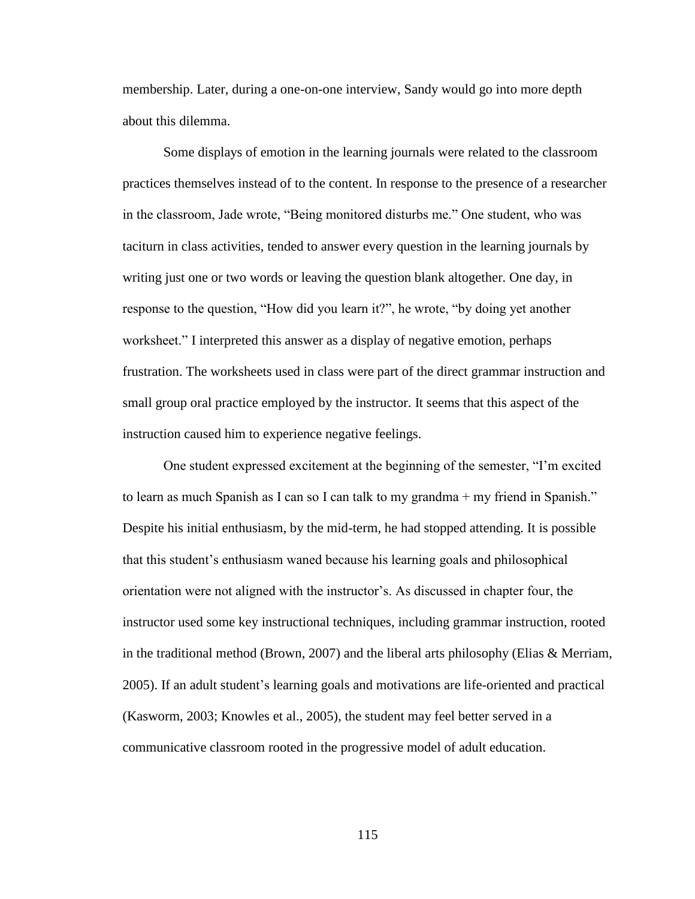membership. Later, during a one-on-one interview, Sandy would go into more depth about this dilemma.

Some displays of emotion in the learning journals were related to the classroom practices themselves instead of to the content. In response to the presence of a researcher in the classroom, Jade wrote, "Being monitored disturbs me." One student, who was taciturn in class activities, tended to answer every question in the learning journals by writing just one or two words or leaving the question blank altogether. One day, in response to the question, "How did you learn it?", he wrote, "by doing yet another worksheet." I interpreted this answer as a display of negative emotion, perhaps frustration. The worksheets used in class were part of the direct grammar instruction and small group oral practice employed by the instructor. It seems that this aspect of the instruction caused him to experience negative feelings.

One student expressed excitement at the beginning of the semester, "I'm excited to learn as much Spanish as I can so I can talk to my grandma + my friend in Spanish." Despite his initial enthusiasm, by the mid-term, he had stopped attending. It is possible that this student's enthusiasm waned because his learning goals and philosophical orientation were not aligned with the instructor's. As discussed in chapter four, the instructor used some key instructional techniques, including grammar instruction, rooted in the traditional method (Brown, 2007) and the liberal arts philosophy (Elias  $\&$  Merriam, 2005). If an adult student's learning goals and motivations are life-oriented and practical (Kasworm, 2003; Knowles et al., 2005), the student may feel better served in a communicative classroom rooted in the progressive model of adult education.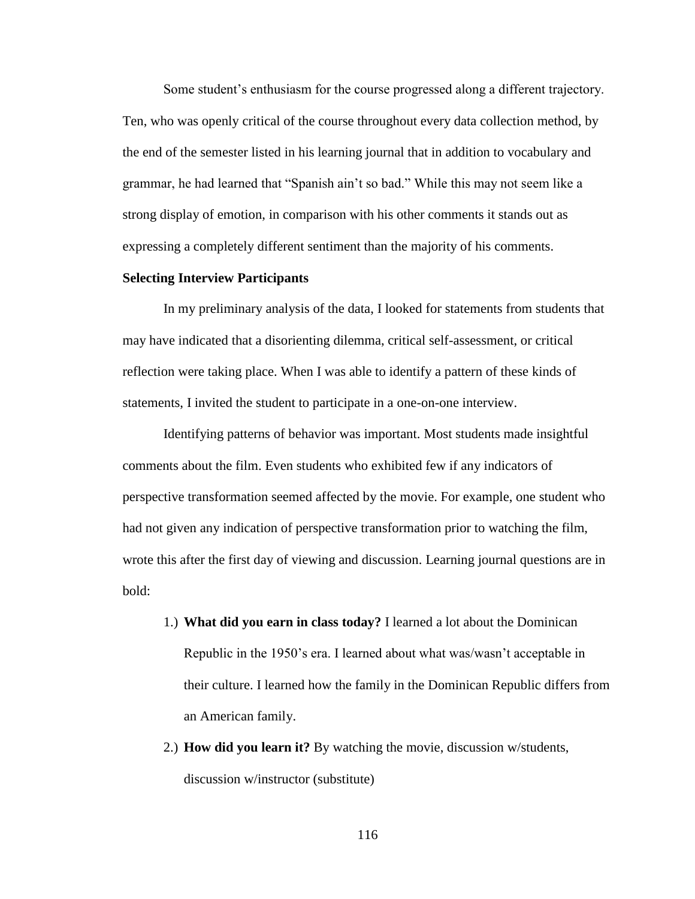Some student's enthusiasm for the course progressed along a different trajectory. Ten, who was openly critical of the course throughout every data collection method, by the end of the semester listed in his learning journal that in addition to vocabulary and grammar, he had learned that "Spanish ain't so bad." While this may not seem like a strong display of emotion, in comparison with his other comments it stands out as expressing a completely different sentiment than the majority of his comments.

# **Selecting Interview Participants**

In my preliminary analysis of the data, I looked for statements from students that may have indicated that a disorienting dilemma, critical self-assessment, or critical reflection were taking place. When I was able to identify a pattern of these kinds of statements, I invited the student to participate in a one-on-one interview.

Identifying patterns of behavior was important. Most students made insightful comments about the film. Even students who exhibited few if any indicators of perspective transformation seemed affected by the movie. For example, one student who had not given any indication of perspective transformation prior to watching the film, wrote this after the first day of viewing and discussion. Learning journal questions are in bold:

- 1.) **What did you earn in class today?** I learned a lot about the Dominican Republic in the 1950's era. I learned about what was/wasn't acceptable in their culture. I learned how the family in the Dominican Republic differs from an American family.
- 2.) **How did you learn it?** By watching the movie, discussion w/students, discussion w/instructor (substitute)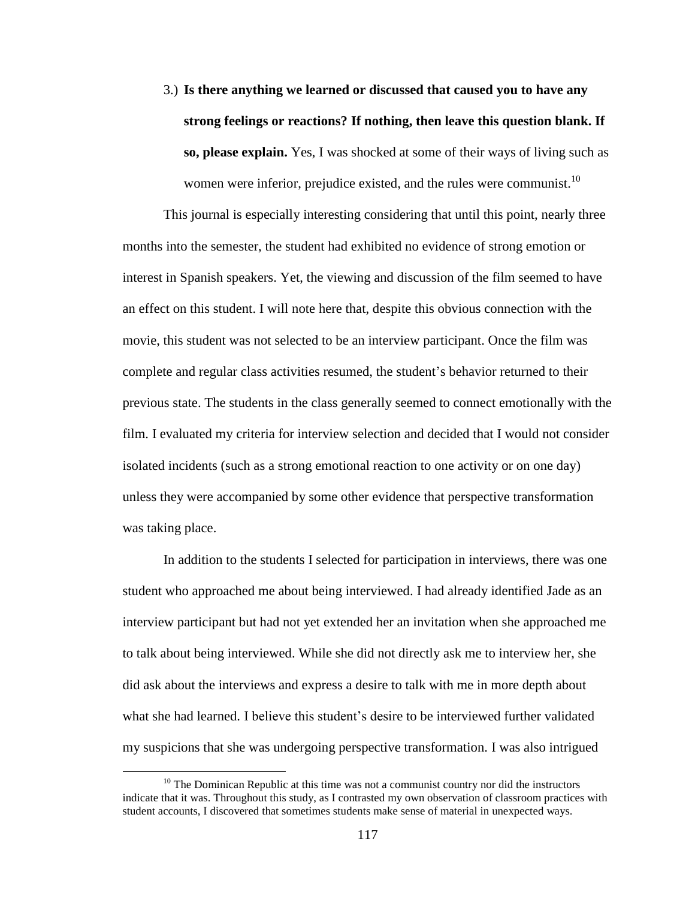3.) **Is there anything we learned or discussed that caused you to have any strong feelings or reactions? If nothing, then leave this question blank. If so, please explain.** Yes, I was shocked at some of their ways of living such as women were inferior, prejudice existed, and the rules were communist.<sup>10</sup>

This journal is especially interesting considering that until this point, nearly three months into the semester, the student had exhibited no evidence of strong emotion or interest in Spanish speakers. Yet, the viewing and discussion of the film seemed to have an effect on this student. I will note here that, despite this obvious connection with the movie, this student was not selected to be an interview participant. Once the film was complete and regular class activities resumed, the student's behavior returned to their previous state. The students in the class generally seemed to connect emotionally with the film. I evaluated my criteria for interview selection and decided that I would not consider isolated incidents (such as a strong emotional reaction to one activity or on one day) unless they were accompanied by some other evidence that perspective transformation was taking place.

In addition to the students I selected for participation in interviews, there was one student who approached me about being interviewed. I had already identified Jade as an interview participant but had not yet extended her an invitation when she approached me to talk about being interviewed. While she did not directly ask me to interview her, she did ask about the interviews and express a desire to talk with me in more depth about what she had learned. I believe this student's desire to be interviewed further validated my suspicions that she was undergoing perspective transformation. I was also intrigued

 $\overline{a}$ 

 $10$  The Dominican Republic at this time was not a communist country nor did the instructors indicate that it was. Throughout this study, as I contrasted my own observation of classroom practices with student accounts, I discovered that sometimes students make sense of material in unexpected ways.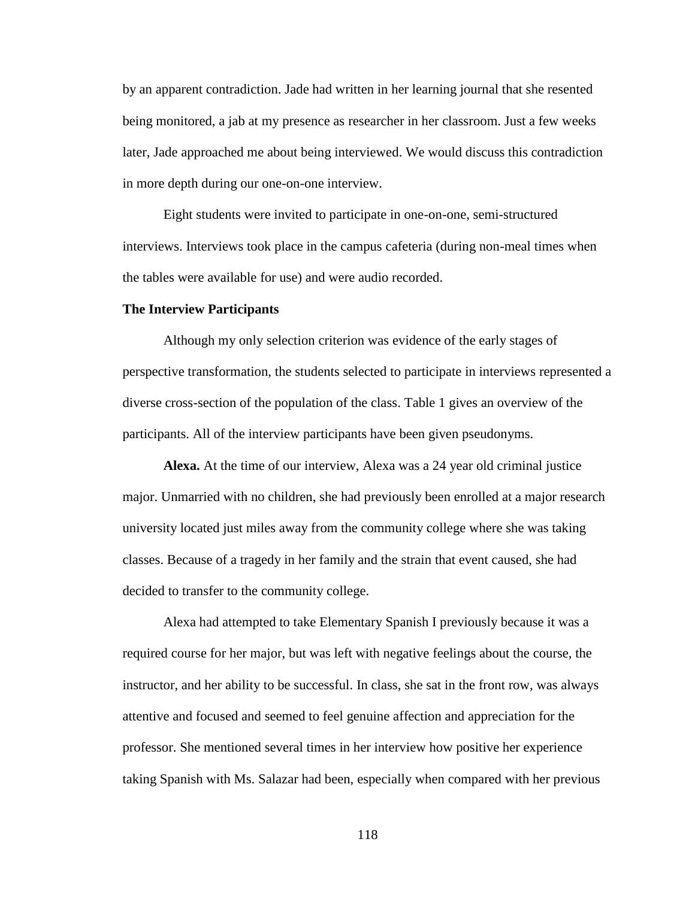by an apparent contradiction. Jade had written in her learning journal that she resented being monitored, a jab at my presence as researcher in her classroom. Just a few weeks later, Jade approached me about being interviewed. We would discuss this contradiction in more depth during our one-on-one interview.

Eight students were invited to participate in one-on-one, semi-structured interviews. Interviews took place in the campus cafeteria (during non-meal times when the tables were available for use) and were audio recorded.

### **The Interview Participants**

Although my only selection criterion was evidence of the early stages of perspective transformation, the students selected to participate in interviews represented a diverse cross-section of the population of the class. Table 1 gives an overview of the participants. All of the interview participants have been given pseudonyms.

**Alexa.** At the time of our interview, Alexa was a 24 year old criminal justice major. Unmarried with no children, she had previously been enrolled at a major research university located just miles away from the community college where she was taking classes. Because of a tragedy in her family and the strain that event caused, she had decided to transfer to the community college.

Alexa had attempted to take Elementary Spanish I previously because it was a required course for her major, but was left with negative feelings about the course, the instructor, and her ability to be successful. In class, she sat in the front row, was always attentive and focused and seemed to feel genuine affection and appreciation for the professor. She mentioned several times in her interview how positive her experience taking Spanish with Ms. Salazar had been, especially when compared with her previous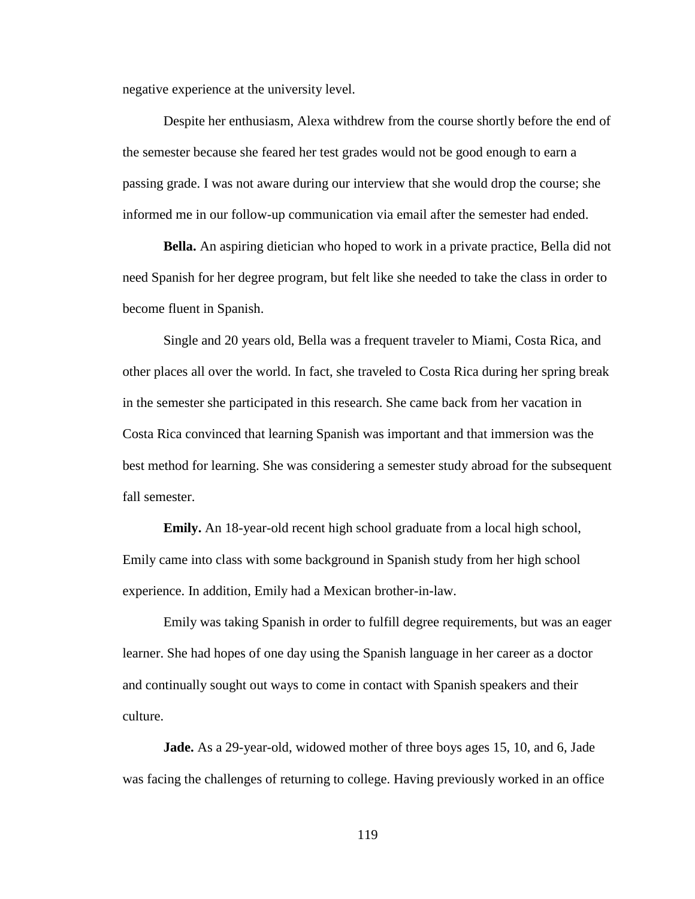negative experience at the university level.

Despite her enthusiasm, Alexa withdrew from the course shortly before the end of the semester because she feared her test grades would not be good enough to earn a passing grade. I was not aware during our interview that she would drop the course; she informed me in our follow-up communication via email after the semester had ended.

**Bella.** An aspiring dietician who hoped to work in a private practice, Bella did not need Spanish for her degree program, but felt like she needed to take the class in order to become fluent in Spanish.

Single and 20 years old, Bella was a frequent traveler to Miami, Costa Rica, and other places all over the world. In fact, she traveled to Costa Rica during her spring break in the semester she participated in this research. She came back from her vacation in Costa Rica convinced that learning Spanish was important and that immersion was the best method for learning. She was considering a semester study abroad for the subsequent fall semester.

**Emily.** An 18-year-old recent high school graduate from a local high school, Emily came into class with some background in Spanish study from her high school experience. In addition, Emily had a Mexican brother-in-law.

Emily was taking Spanish in order to fulfill degree requirements, but was an eager learner. She had hopes of one day using the Spanish language in her career as a doctor and continually sought out ways to come in contact with Spanish speakers and their culture.

**Jade.** As a 29-year-old, widowed mother of three boys ages 15, 10, and 6, Jade was facing the challenges of returning to college. Having previously worked in an office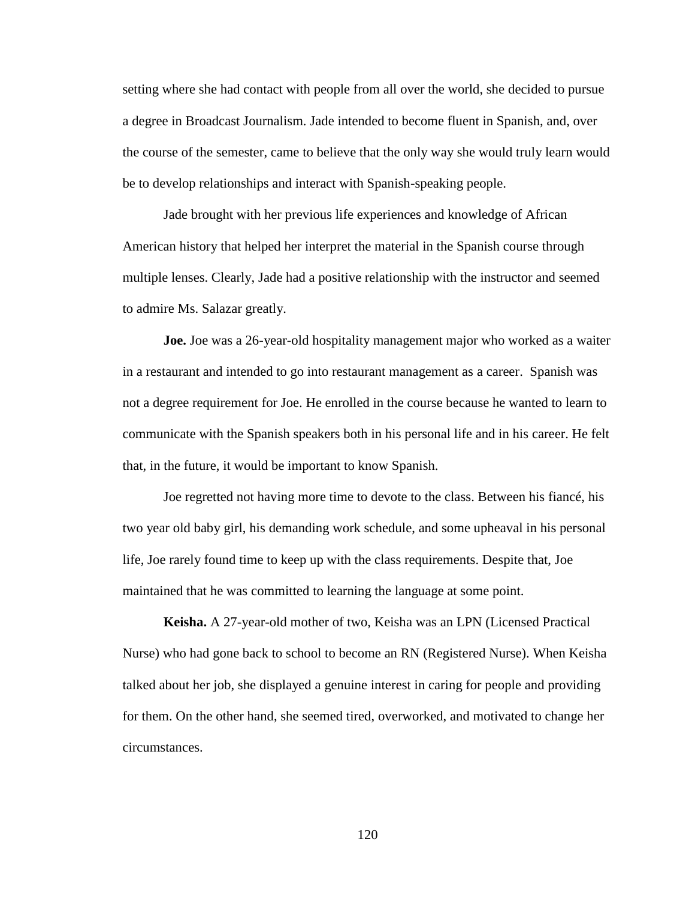setting where she had contact with people from all over the world, she decided to pursue a degree in Broadcast Journalism. Jade intended to become fluent in Spanish, and, over the course of the semester, came to believe that the only way she would truly learn would be to develop relationships and interact with Spanish-speaking people.

Jade brought with her previous life experiences and knowledge of African American history that helped her interpret the material in the Spanish course through multiple lenses. Clearly, Jade had a positive relationship with the instructor and seemed to admire Ms. Salazar greatly.

**Joe.** Joe was a 26-year-old hospitality management major who worked as a waiter in a restaurant and intended to go into restaurant management as a career. Spanish was not a degree requirement for Joe. He enrolled in the course because he wanted to learn to communicate with the Spanish speakers both in his personal life and in his career. He felt that, in the future, it would be important to know Spanish.

Joe regretted not having more time to devote to the class. Between his fiancé, his two year old baby girl, his demanding work schedule, and some upheaval in his personal life, Joe rarely found time to keep up with the class requirements. Despite that, Joe maintained that he was committed to learning the language at some point.

**Keisha.** A 27-year-old mother of two, Keisha was an LPN (Licensed Practical Nurse) who had gone back to school to become an RN (Registered Nurse). When Keisha talked about her job, she displayed a genuine interest in caring for people and providing for them. On the other hand, she seemed tired, overworked, and motivated to change her circumstances.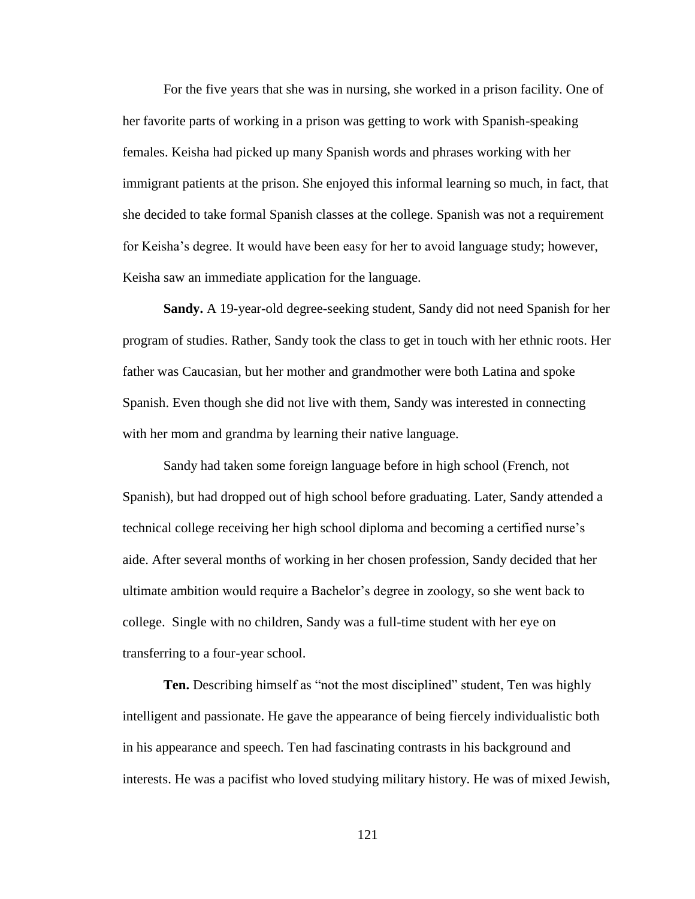For the five years that she was in nursing, she worked in a prison facility. One of her favorite parts of working in a prison was getting to work with Spanish-speaking females. Keisha had picked up many Spanish words and phrases working with her immigrant patients at the prison. She enjoyed this informal learning so much, in fact, that she decided to take formal Spanish classes at the college. Spanish was not a requirement for Keisha's degree. It would have been easy for her to avoid language study; however, Keisha saw an immediate application for the language.

**Sandy.** A 19-year-old degree-seeking student, Sandy did not need Spanish for her program of studies. Rather, Sandy took the class to get in touch with her ethnic roots. Her father was Caucasian, but her mother and grandmother were both Latina and spoke Spanish. Even though she did not live with them, Sandy was interested in connecting with her mom and grandma by learning their native language.

Sandy had taken some foreign language before in high school (French, not Spanish), but had dropped out of high school before graduating. Later, Sandy attended a technical college receiving her high school diploma and becoming a certified nurse's aide. After several months of working in her chosen profession, Sandy decided that her ultimate ambition would require a Bachelor's degree in zoology, so she went back to college. Single with no children, Sandy was a full-time student with her eye on transferring to a four-year school.

**Ten.** Describing himself as "not the most disciplined" student, Ten was highly intelligent and passionate. He gave the appearance of being fiercely individualistic both in his appearance and speech. Ten had fascinating contrasts in his background and interests. He was a pacifist who loved studying military history. He was of mixed Jewish,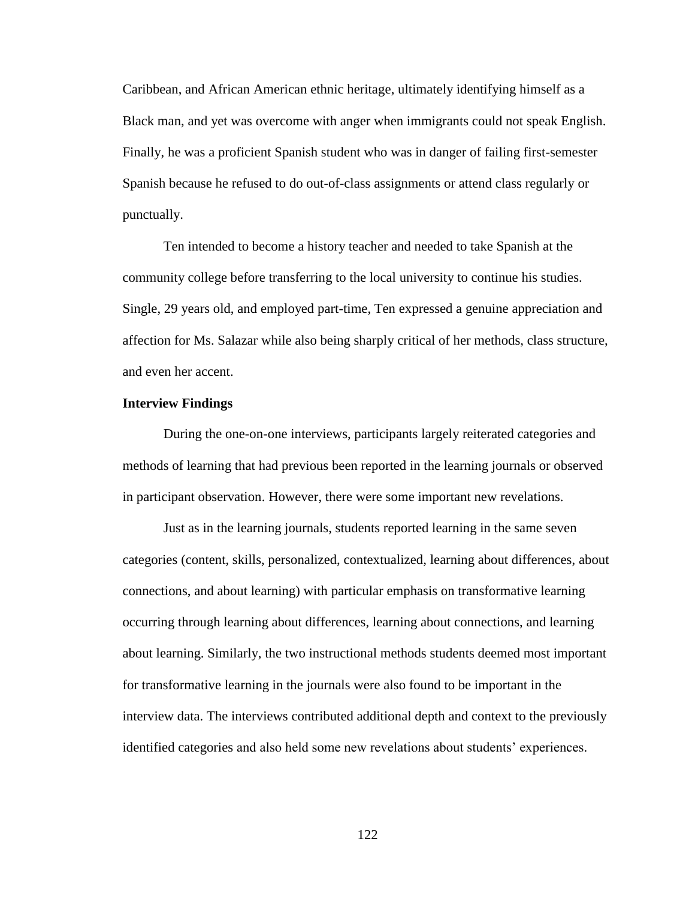Caribbean, and African American ethnic heritage, ultimately identifying himself as a Black man, and yet was overcome with anger when immigrants could not speak English. Finally, he was a proficient Spanish student who was in danger of failing first-semester Spanish because he refused to do out-of-class assignments or attend class regularly or punctually.

Ten intended to become a history teacher and needed to take Spanish at the community college before transferring to the local university to continue his studies. Single, 29 years old, and employed part-time, Ten expressed a genuine appreciation and affection for Ms. Salazar while also being sharply critical of her methods, class structure, and even her accent.

# **Interview Findings**

During the one-on-one interviews, participants largely reiterated categories and methods of learning that had previous been reported in the learning journals or observed in participant observation. However, there were some important new revelations.

Just as in the learning journals, students reported learning in the same seven categories (content, skills, personalized, contextualized, learning about differences, about connections, and about learning) with particular emphasis on transformative learning occurring through learning about differences, learning about connections, and learning about learning. Similarly, the two instructional methods students deemed most important for transformative learning in the journals were also found to be important in the interview data. The interviews contributed additional depth and context to the previously identified categories and also held some new revelations about students' experiences.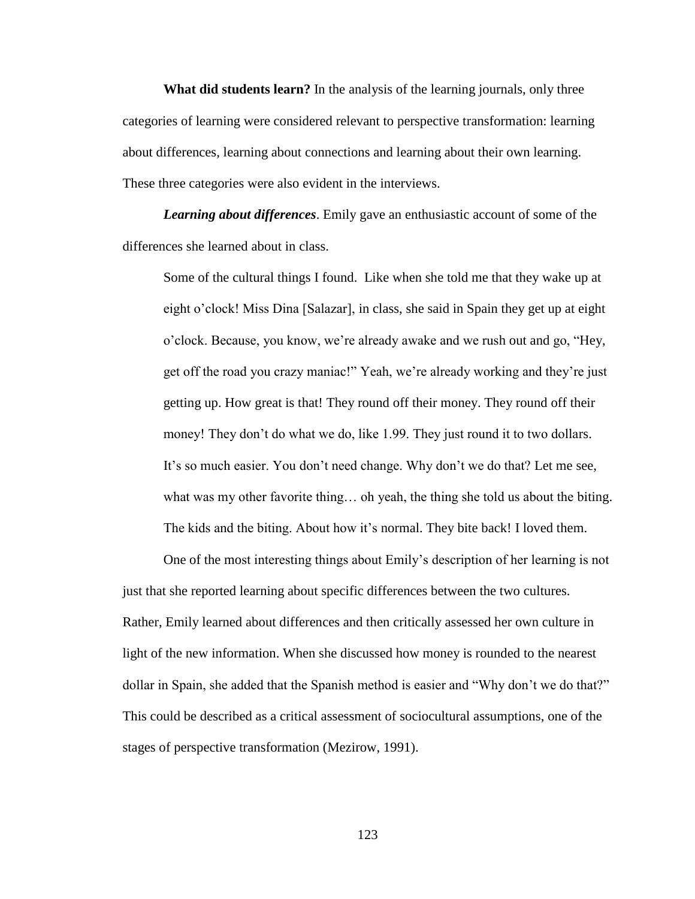**What did students learn?** In the analysis of the learning journals, only three categories of learning were considered relevant to perspective transformation: learning about differences, learning about connections and learning about their own learning. These three categories were also evident in the interviews.

*Learning about differences*. Emily gave an enthusiastic account of some of the differences she learned about in class.

Some of the cultural things I found. Like when she told me that they wake up at eight o'clock! Miss Dina [Salazar], in class, she said in Spain they get up at eight o'clock. Because, you know, we're already awake and we rush out and go, "Hey, get off the road you crazy maniac!" Yeah, we're already working and they're just getting up. How great is that! They round off their money. They round off their money! They don't do what we do, like 1.99. They just round it to two dollars. It's so much easier. You don't need change. Why don't we do that? Let me see, what was my other favorite thing... oh yeah, the thing she told us about the biting. The kids and the biting. About how it's normal. They bite back! I loved them.

One of the most interesting things about Emily's description of her learning is not just that she reported learning about specific differences between the two cultures. Rather, Emily learned about differences and then critically assessed her own culture in light of the new information. When she discussed how money is rounded to the nearest dollar in Spain, she added that the Spanish method is easier and "Why don't we do that?" This could be described as a critical assessment of sociocultural assumptions, one of the stages of perspective transformation (Mezirow, 1991).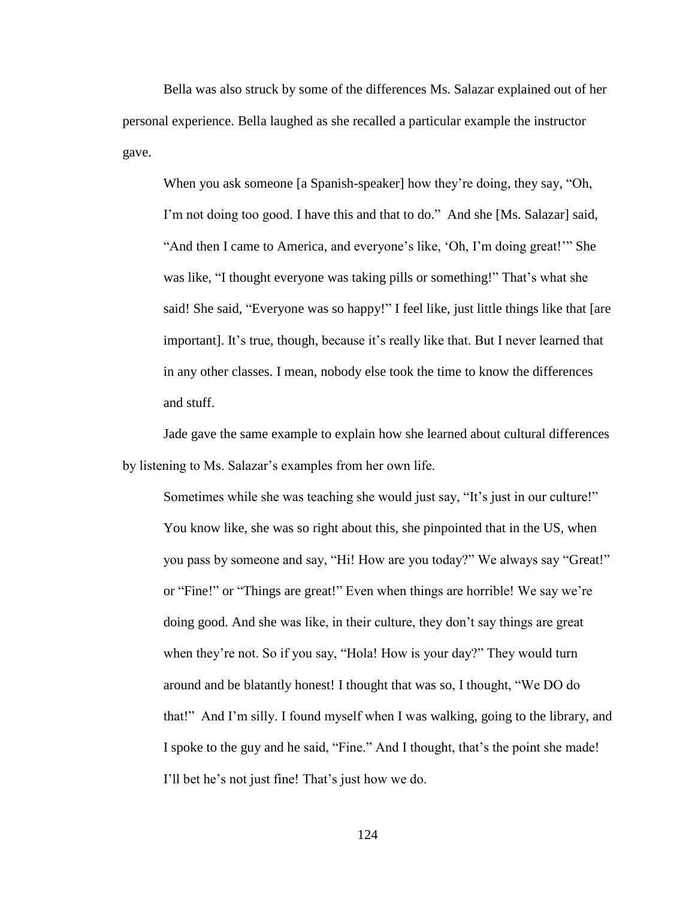Bella was also struck by some of the differences Ms. Salazar explained out of her personal experience. Bella laughed as she recalled a particular example the instructor gave.

When you ask someone [a Spanish-speaker] how they're doing, they say, "Oh, I'm not doing too good. I have this and that to do." And she [Ms. Salazar] said, "And then I came to America, and everyone's like, 'Oh, I'm doing great!'" She was like, "I thought everyone was taking pills or something!" That's what she said! She said, "Everyone was so happy!" I feel like, just little things like that [are important]. It's true, though, because it's really like that. But I never learned that in any other classes. I mean, nobody else took the time to know the differences and stuff.

Jade gave the same example to explain how she learned about cultural differences by listening to Ms. Salazar's examples from her own life.

Sometimes while she was teaching she would just say, "It's just in our culture!" You know like, she was so right about this, she pinpointed that in the US, when you pass by someone and say, "Hi! How are you today?" We always say "Great!" or "Fine!" or "Things are great!" Even when things are horrible! We say we're doing good. And she was like, in their culture, they don't say things are great when they're not. So if you say, "Hola! How is your day?" They would turn around and be blatantly honest! I thought that was so, I thought, "We DO do that!" And I'm silly. I found myself when I was walking, going to the library, and I spoke to the guy and he said, "Fine." And I thought, that's the point she made! I'll bet he's not just fine! That's just how we do.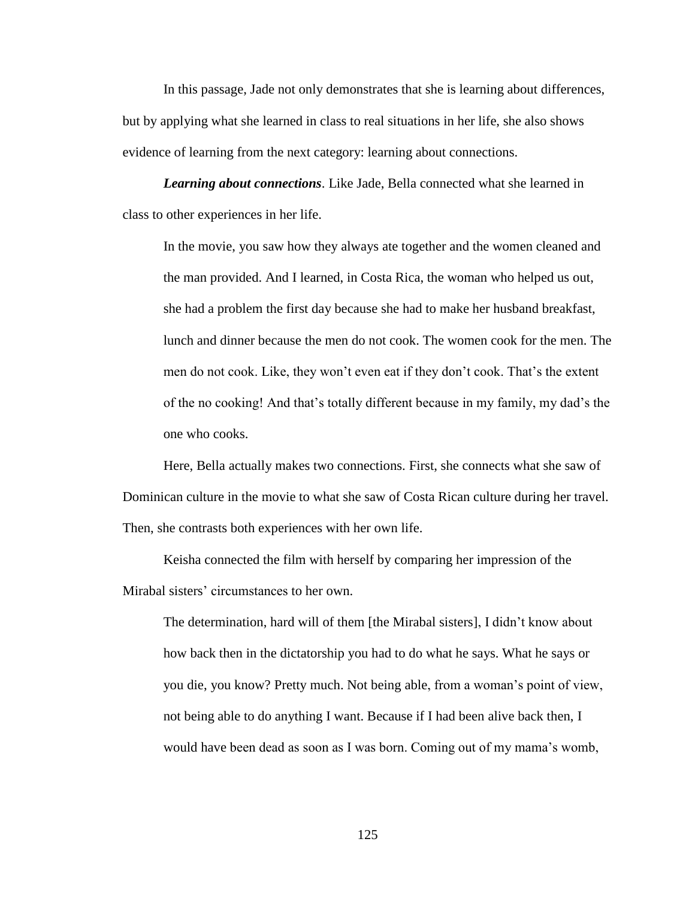In this passage, Jade not only demonstrates that she is learning about differences, but by applying what she learned in class to real situations in her life, she also shows evidence of learning from the next category: learning about connections.

*Learning about connections*. Like Jade, Bella connected what she learned in class to other experiences in her life.

In the movie, you saw how they always ate together and the women cleaned and the man provided. And I learned, in Costa Rica, the woman who helped us out, she had a problem the first day because she had to make her husband breakfast, lunch and dinner because the men do not cook. The women cook for the men. The men do not cook. Like, they won't even eat if they don't cook. That's the extent of the no cooking! And that's totally different because in my family, my dad's the one who cooks.

Here, Bella actually makes two connections. First, she connects what she saw of Dominican culture in the movie to what she saw of Costa Rican culture during her travel. Then, she contrasts both experiences with her own life.

Keisha connected the film with herself by comparing her impression of the Mirabal sisters' circumstances to her own.

The determination, hard will of them [the Mirabal sisters], I didn't know about how back then in the dictatorship you had to do what he says. What he says or you die, you know? Pretty much. Not being able, from a woman's point of view, not being able to do anything I want. Because if I had been alive back then, I would have been dead as soon as I was born. Coming out of my mama's womb,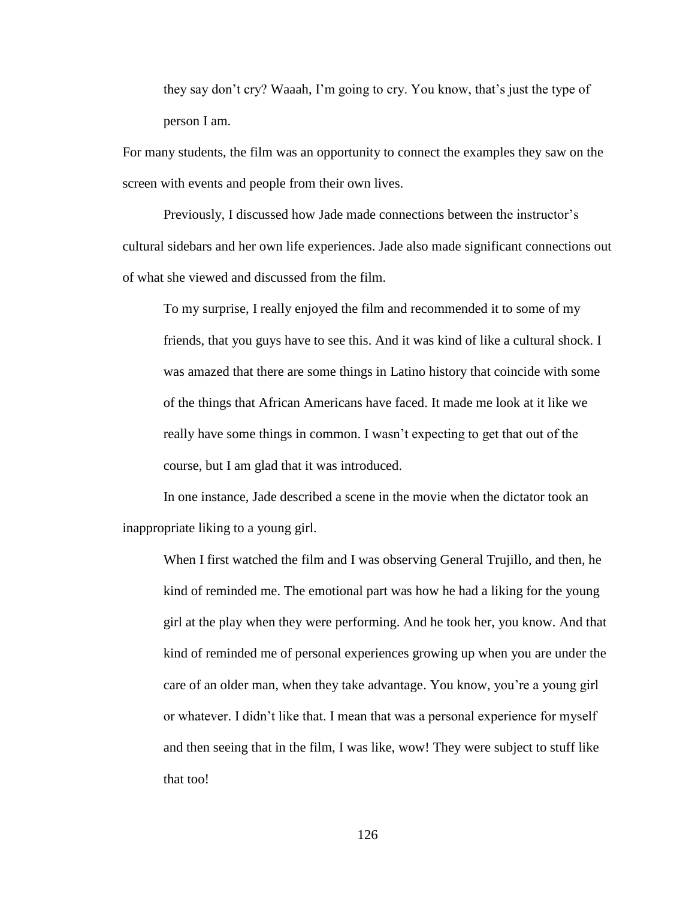they say don't cry? Waaah, I'm going to cry. You know, that's just the type of person I am.

For many students, the film was an opportunity to connect the examples they saw on the screen with events and people from their own lives.

Previously, I discussed how Jade made connections between the instructor's cultural sidebars and her own life experiences. Jade also made significant connections out of what she viewed and discussed from the film.

To my surprise, I really enjoyed the film and recommended it to some of my friends, that you guys have to see this. And it was kind of like a cultural shock. I was amazed that there are some things in Latino history that coincide with some of the things that African Americans have faced. It made me look at it like we really have some things in common. I wasn't expecting to get that out of the course, but I am glad that it was introduced.

In one instance, Jade described a scene in the movie when the dictator took an inappropriate liking to a young girl.

When I first watched the film and I was observing General Trujillo, and then, he kind of reminded me. The emotional part was how he had a liking for the young girl at the play when they were performing. And he took her, you know. And that kind of reminded me of personal experiences growing up when you are under the care of an older man, when they take advantage. You know, you're a young girl or whatever. I didn't like that. I mean that was a personal experience for myself and then seeing that in the film, I was like, wow! They were subject to stuff like that too!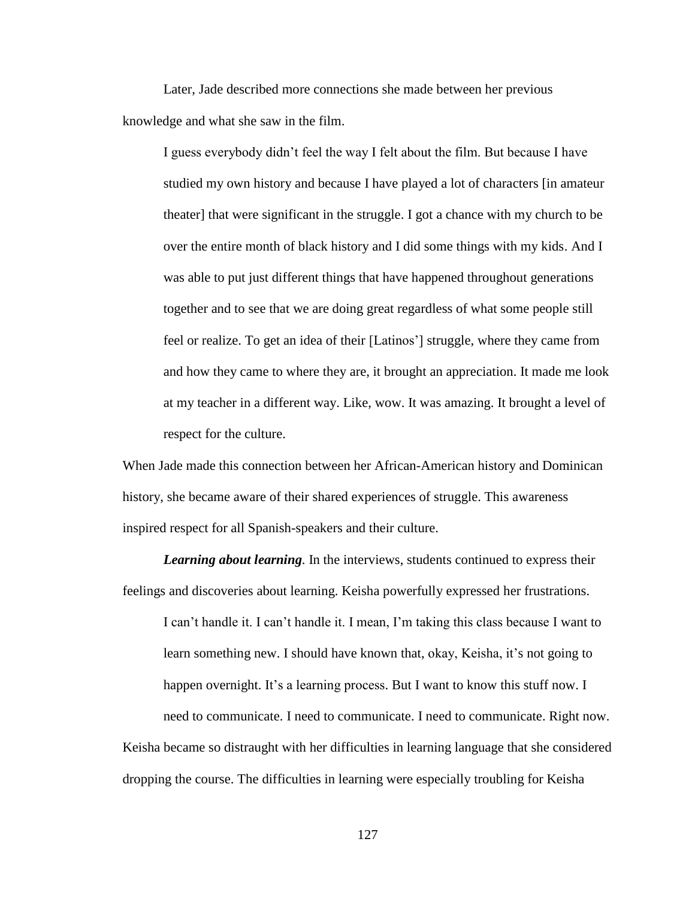Later, Jade described more connections she made between her previous knowledge and what she saw in the film.

I guess everybody didn't feel the way I felt about the film. But because I have studied my own history and because I have played a lot of characters [in amateur theater] that were significant in the struggle. I got a chance with my church to be over the entire month of black history and I did some things with my kids. And I was able to put just different things that have happened throughout generations together and to see that we are doing great regardless of what some people still feel or realize. To get an idea of their [Latinos'] struggle, where they came from and how they came to where they are, it brought an appreciation. It made me look at my teacher in a different way. Like, wow. It was amazing. It brought a level of respect for the culture.

When Jade made this connection between her African-American history and Dominican history, she became aware of their shared experiences of struggle. This awareness inspired respect for all Spanish-speakers and their culture.

*Learning about learning*. In the interviews, students continued to express their feelings and discoveries about learning. Keisha powerfully expressed her frustrations.

I can't handle it. I can't handle it. I mean, I'm taking this class because I want to learn something new. I should have known that, okay, Keisha, it's not going to happen overnight. It's a learning process. But I want to know this stuff now. I need to communicate. I need to communicate. I need to communicate. Right now. Keisha became so distraught with her difficulties in learning language that she considered dropping the course. The difficulties in learning were especially troubling for Keisha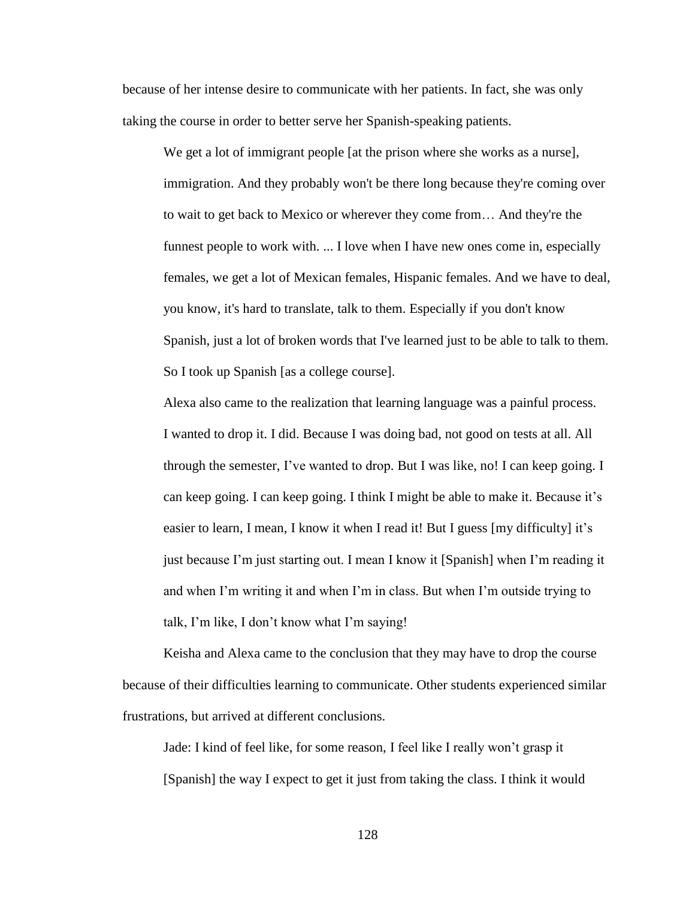because of her intense desire to communicate with her patients. In fact, she was only taking the course in order to better serve her Spanish-speaking patients.

We get a lot of immigrant people [at the prison where she works as a nurse], immigration. And they probably won't be there long because they're coming over to wait to get back to Mexico or wherever they come from… And they're the funnest people to work with. ... I love when I have new ones come in, especially females, we get a lot of Mexican females, Hispanic females. And we have to deal, you know, it's hard to translate, talk to them. Especially if you don't know Spanish, just a lot of broken words that I've learned just to be able to talk to them. So I took up Spanish [as a college course].

Alexa also came to the realization that learning language was a painful process. I wanted to drop it. I did. Because I was doing bad, not good on tests at all. All through the semester, I've wanted to drop. But I was like, no! I can keep going. I can keep going. I can keep going. I think I might be able to make it. Because it's easier to learn, I mean, I know it when I read it! But I guess [my difficulty] it's just because I'm just starting out. I mean I know it [Spanish] when I'm reading it and when I'm writing it and when I'm in class. But when I'm outside trying to talk, I'm like, I don't know what I'm saying!

Keisha and Alexa came to the conclusion that they may have to drop the course because of their difficulties learning to communicate. Other students experienced similar frustrations, but arrived at different conclusions.

Jade: I kind of feel like, for some reason, I feel like I really won't grasp it [Spanish] the way I expect to get it just from taking the class. I think it would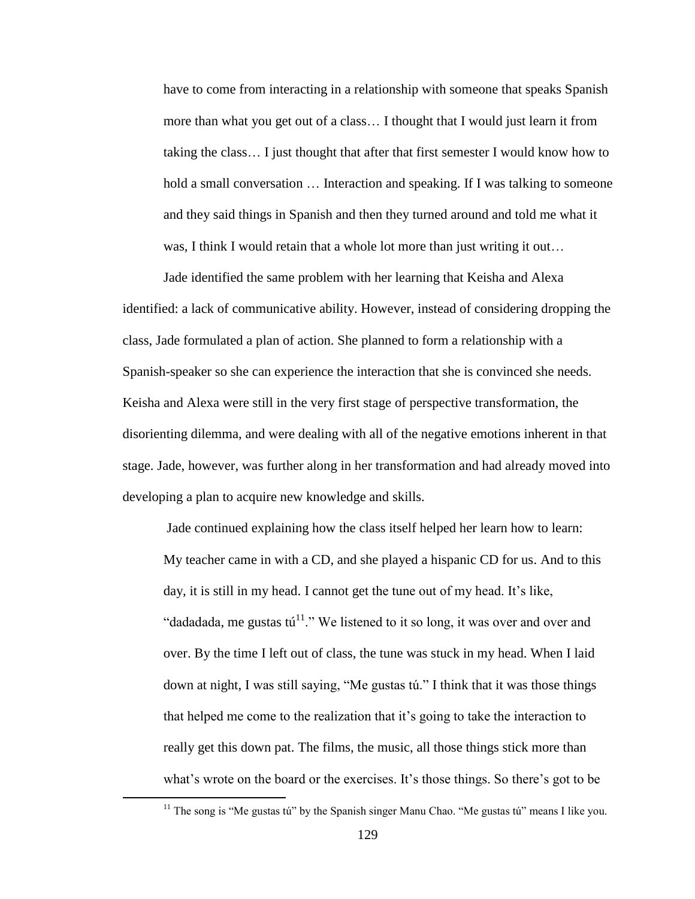have to come from interacting in a relationship with someone that speaks Spanish more than what you get out of a class… I thought that I would just learn it from taking the class… I just thought that after that first semester I would know how to hold a small conversation ... Interaction and speaking. If I was talking to someone and they said things in Spanish and then they turned around and told me what it was, I think I would retain that a whole lot more than just writing it out…

Jade identified the same problem with her learning that Keisha and Alexa identified: a lack of communicative ability. However, instead of considering dropping the class, Jade formulated a plan of action. She planned to form a relationship with a Spanish-speaker so she can experience the interaction that she is convinced she needs. Keisha and Alexa were still in the very first stage of perspective transformation, the disorienting dilemma, and were dealing with all of the negative emotions inherent in that stage. Jade, however, was further along in her transformation and had already moved into developing a plan to acquire new knowledge and skills.

Jade continued explaining how the class itself helped her learn how to learn: My teacher came in with a CD, and she played a hispanic CD for us. And to this day, it is still in my head. I cannot get the tune out of my head. It's like, "dadadada, me gustas tú<sup>11</sup>." We listened to it so long, it was over and over and over. By the time I left out of class, the tune was stuck in my head. When I laid down at night, I was still saying, "Me gustas tú." I think that it was those things that helped me come to the realization that it's going to take the interaction to really get this down pat. The films, the music, all those things stick more than what's wrote on the board or the exercises. It's those things. So there's got to be

 $\overline{a}$ 

 $11$  The song is "Me gustas tú" by the Spanish singer Manu Chao. "Me gustas tú" means I like you.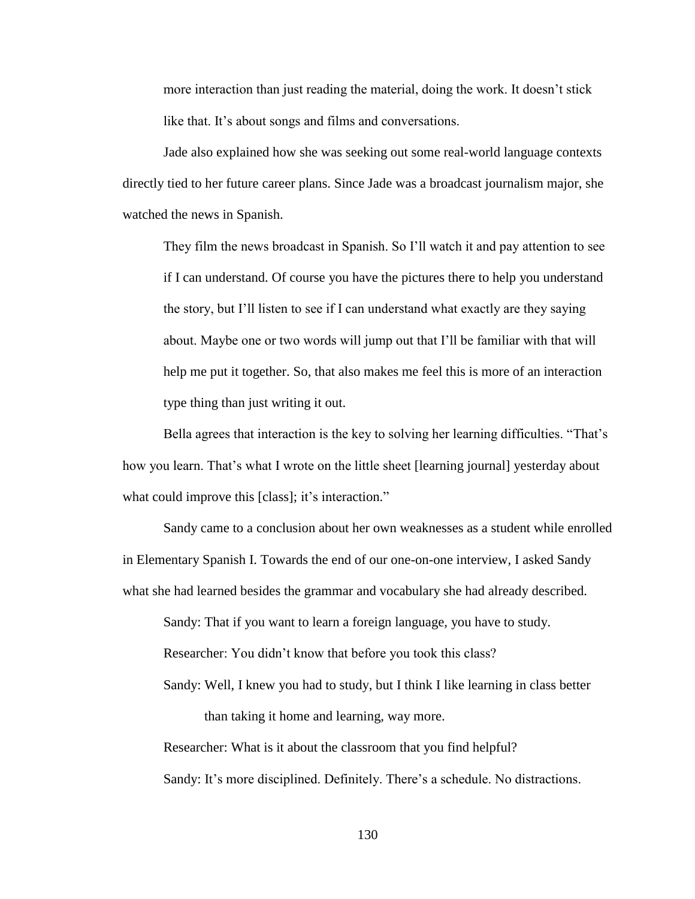more interaction than just reading the material, doing the work. It doesn't stick like that. It's about songs and films and conversations.

Jade also explained how she was seeking out some real-world language contexts directly tied to her future career plans. Since Jade was a broadcast journalism major, she watched the news in Spanish.

They film the news broadcast in Spanish. So I'll watch it and pay attention to see if I can understand. Of course you have the pictures there to help you understand the story, but I'll listen to see if I can understand what exactly are they saying about. Maybe one or two words will jump out that I'll be familiar with that will help me put it together. So, that also makes me feel this is more of an interaction type thing than just writing it out.

Bella agrees that interaction is the key to solving her learning difficulties. "That's how you learn. That's what I wrote on the little sheet [learning journal] yesterday about what could improve this [class]; it's interaction."

Sandy came to a conclusion about her own weaknesses as a student while enrolled in Elementary Spanish I. Towards the end of our one-on-one interview, I asked Sandy what she had learned besides the grammar and vocabulary she had already described.

Sandy: That if you want to learn a foreign language, you have to study.

Researcher: You didn't know that before you took this class?

Sandy: Well, I knew you had to study, but I think I like learning in class better than taking it home and learning, way more.

Researcher: What is it about the classroom that you find helpful?

Sandy: It's more disciplined. Definitely. There's a schedule. No distractions.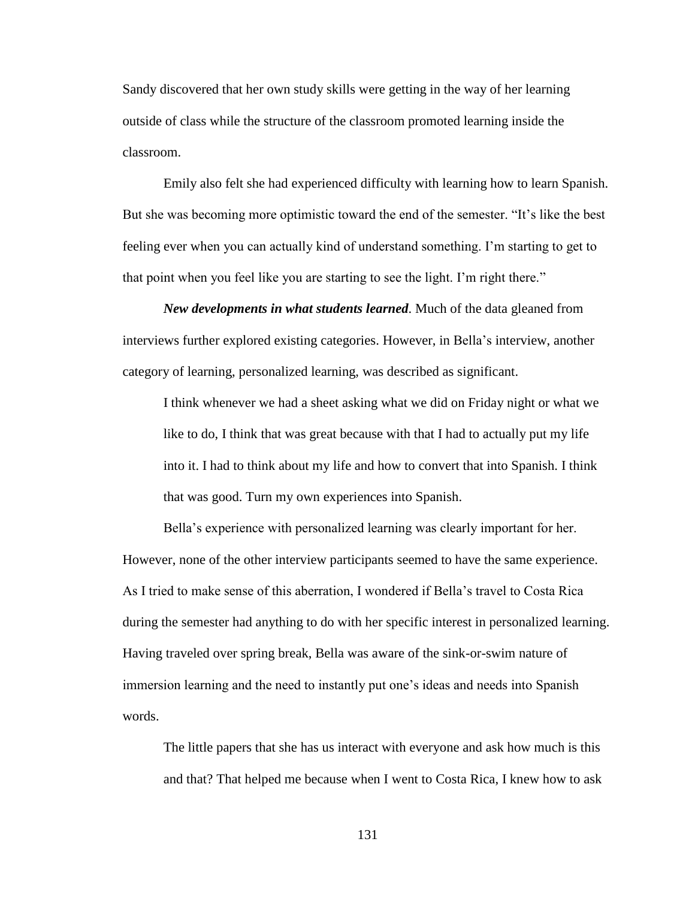Sandy discovered that her own study skills were getting in the way of her learning outside of class while the structure of the classroom promoted learning inside the classroom.

Emily also felt she had experienced difficulty with learning how to learn Spanish. But she was becoming more optimistic toward the end of the semester. "It's like the best feeling ever when you can actually kind of understand something. I'm starting to get to that point when you feel like you are starting to see the light. I'm right there."

*New developments in what students learned*. Much of the data gleaned from interviews further explored existing categories. However, in Bella's interview, another category of learning, personalized learning, was described as significant.

I think whenever we had a sheet asking what we did on Friday night or what we like to do, I think that was great because with that I had to actually put my life into it. I had to think about my life and how to convert that into Spanish. I think that was good. Turn my own experiences into Spanish.

Bella's experience with personalized learning was clearly important for her. However, none of the other interview participants seemed to have the same experience. As I tried to make sense of this aberration, I wondered if Bella's travel to Costa Rica during the semester had anything to do with her specific interest in personalized learning. Having traveled over spring break, Bella was aware of the sink-or-swim nature of immersion learning and the need to instantly put one's ideas and needs into Spanish words.

The little papers that she has us interact with everyone and ask how much is this and that? That helped me because when I went to Costa Rica, I knew how to ask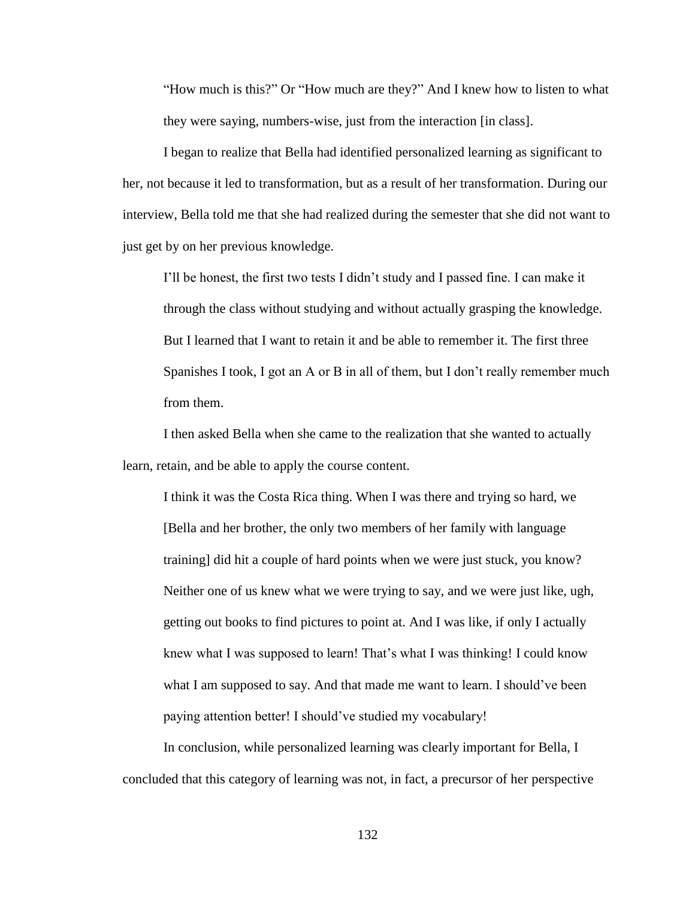"How much is this?" Or "How much are they?" And I knew how to listen to what they were saying, numbers-wise, just from the interaction [in class].

I began to realize that Bella had identified personalized learning as significant to her, not because it led to transformation, but as a result of her transformation. During our interview, Bella told me that she had realized during the semester that she did not want to just get by on her previous knowledge.

I'll be honest, the first two tests I didn't study and I passed fine. I can make it through the class without studying and without actually grasping the knowledge. But I learned that I want to retain it and be able to remember it. The first three Spanishes I took, I got an A or B in all of them, but I don't really remember much from them.

I then asked Bella when she came to the realization that she wanted to actually learn, retain, and be able to apply the course content.

I think it was the Costa Rica thing. When I was there and trying so hard, we [Bella and her brother, the only two members of her family with language training] did hit a couple of hard points when we were just stuck, you know? Neither one of us knew what we were trying to say, and we were just like, ugh, getting out books to find pictures to point at. And I was like, if only I actually knew what I was supposed to learn! That's what I was thinking! I could know what I am supposed to say. And that made me want to learn. I should've been paying attention better! I should've studied my vocabulary!

In conclusion, while personalized learning was clearly important for Bella, I concluded that this category of learning was not, in fact, a precursor of her perspective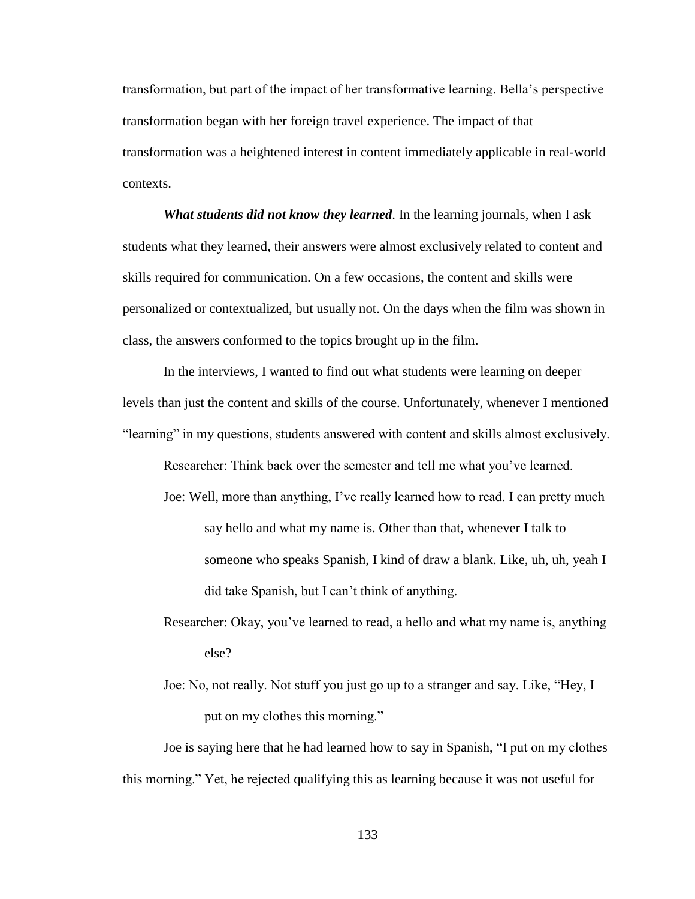transformation, but part of the impact of her transformative learning. Bella's perspective transformation began with her foreign travel experience. The impact of that transformation was a heightened interest in content immediately applicable in real-world contexts.

*What students did not know they learned*. In the learning journals, when I ask students what they learned, their answers were almost exclusively related to content and skills required for communication. On a few occasions, the content and skills were personalized or contextualized, but usually not. On the days when the film was shown in class, the answers conformed to the topics brought up in the film.

In the interviews, I wanted to find out what students were learning on deeper levels than just the content and skills of the course. Unfortunately, whenever I mentioned "learning" in my questions, students answered with content and skills almost exclusively.

Researcher: Think back over the semester and tell me what you've learned.

- Joe: Well, more than anything, I've really learned how to read. I can pretty much say hello and what my name is. Other than that, whenever I talk to someone who speaks Spanish, I kind of draw a blank. Like, uh, uh, yeah I did take Spanish, but I can't think of anything.
- Researcher: Okay, you've learned to read, a hello and what my name is, anything else?
- Joe: No, not really. Not stuff you just go up to a stranger and say. Like, "Hey, I put on my clothes this morning."

Joe is saying here that he had learned how to say in Spanish, "I put on my clothes this morning." Yet, he rejected qualifying this as learning because it was not useful for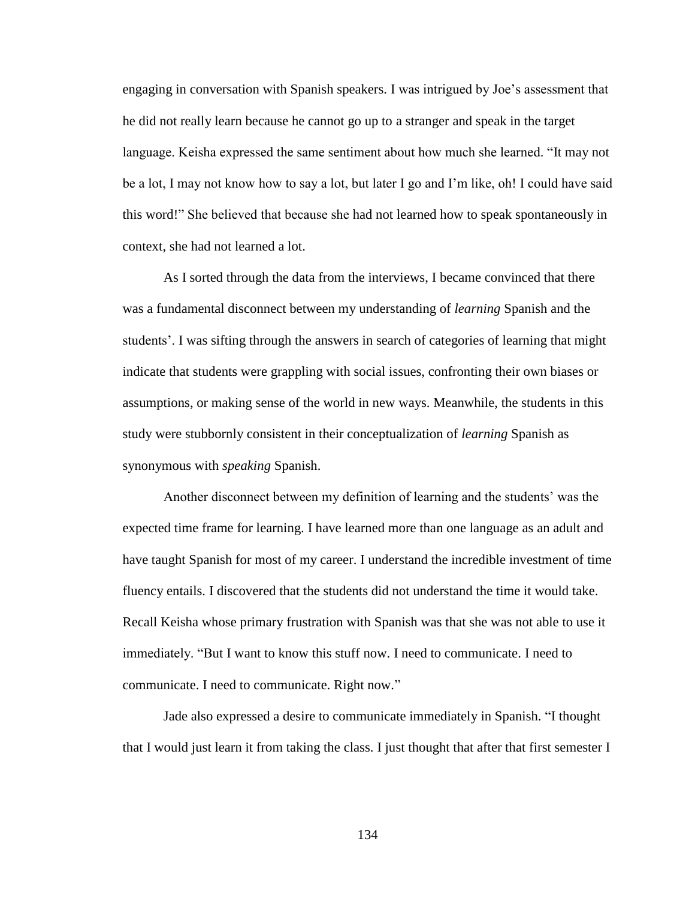engaging in conversation with Spanish speakers. I was intrigued by Joe's assessment that he did not really learn because he cannot go up to a stranger and speak in the target language. Keisha expressed the same sentiment about how much she learned. "It may not be a lot, I may not know how to say a lot, but later I go and I'm like, oh! I could have said this word!" She believed that because she had not learned how to speak spontaneously in context, she had not learned a lot.

As I sorted through the data from the interviews, I became convinced that there was a fundamental disconnect between my understanding of *learning* Spanish and the students'. I was sifting through the answers in search of categories of learning that might indicate that students were grappling with social issues, confronting their own biases or assumptions, or making sense of the world in new ways. Meanwhile, the students in this study were stubbornly consistent in their conceptualization of *learning* Spanish as synonymous with *speaking* Spanish.

Another disconnect between my definition of learning and the students' was the expected time frame for learning. I have learned more than one language as an adult and have taught Spanish for most of my career. I understand the incredible investment of time fluency entails. I discovered that the students did not understand the time it would take. Recall Keisha whose primary frustration with Spanish was that she was not able to use it immediately. "But I want to know this stuff now. I need to communicate. I need to communicate. I need to communicate. Right now."

Jade also expressed a desire to communicate immediately in Spanish. "I thought that I would just learn it from taking the class. I just thought that after that first semester I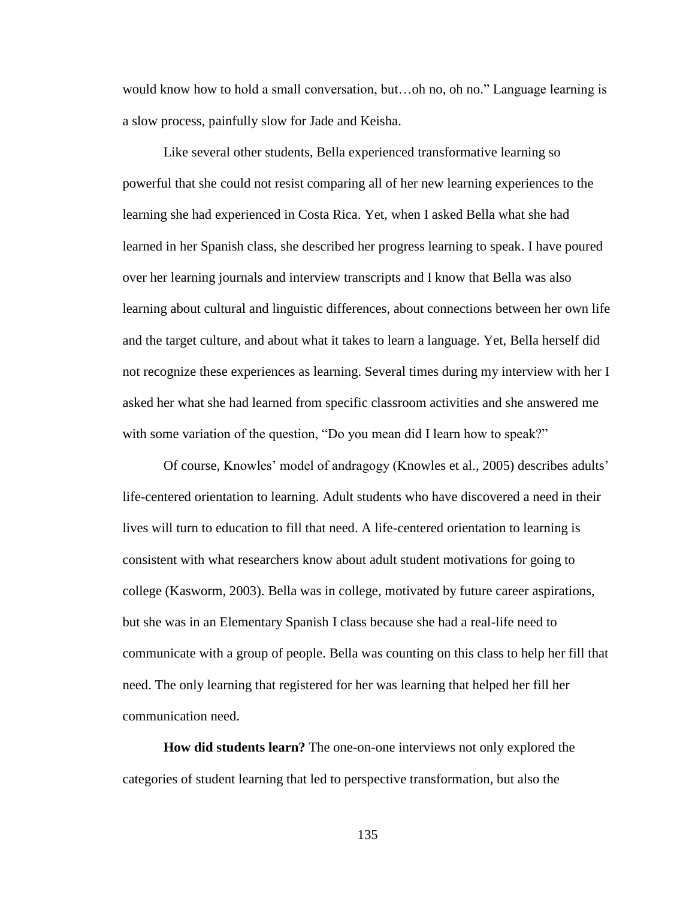would know how to hold a small conversation, but…oh no, oh no." Language learning is a slow process, painfully slow for Jade and Keisha.

Like several other students, Bella experienced transformative learning so powerful that she could not resist comparing all of her new learning experiences to the learning she had experienced in Costa Rica. Yet, when I asked Bella what she had learned in her Spanish class, she described her progress learning to speak. I have poured over her learning journals and interview transcripts and I know that Bella was also learning about cultural and linguistic differences, about connections between her own life and the target culture, and about what it takes to learn a language. Yet, Bella herself did not recognize these experiences as learning. Several times during my interview with her I asked her what she had learned from specific classroom activities and she answered me with some variation of the question, "Do you mean did I learn how to speak?"

Of course, Knowles' model of andragogy (Knowles et al., 2005) describes adults' life-centered orientation to learning. Adult students who have discovered a need in their lives will turn to education to fill that need. A life-centered orientation to learning is consistent with what researchers know about adult student motivations for going to college (Kasworm, 2003). Bella was in college, motivated by future career aspirations, but she was in an Elementary Spanish I class because she had a real-life need to communicate with a group of people. Bella was counting on this class to help her fill that need. The only learning that registered for her was learning that helped her fill her communication need.

**How did students learn?** The one-on-one interviews not only explored the categories of student learning that led to perspective transformation, but also the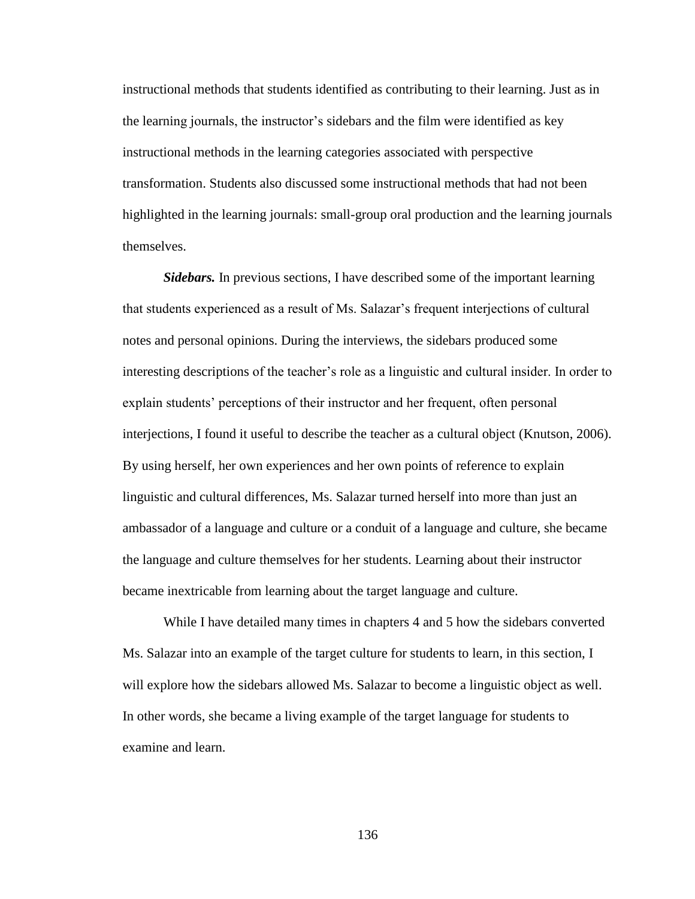instructional methods that students identified as contributing to their learning. Just as in the learning journals, the instructor's sidebars and the film were identified as key instructional methods in the learning categories associated with perspective transformation. Students also discussed some instructional methods that had not been highlighted in the learning journals: small-group oral production and the learning journals themselves.

*Sidebars.* In previous sections, I have described some of the important learning that students experienced as a result of Ms. Salazar's frequent interjections of cultural notes and personal opinions. During the interviews, the sidebars produced some interesting descriptions of the teacher's role as a linguistic and cultural insider. In order to explain students' perceptions of their instructor and her frequent, often personal interjections, I found it useful to describe the teacher as a cultural object (Knutson, 2006). By using herself, her own experiences and her own points of reference to explain linguistic and cultural differences, Ms. Salazar turned herself into more than just an ambassador of a language and culture or a conduit of a language and culture, she became the language and culture themselves for her students. Learning about their instructor became inextricable from learning about the target language and culture.

While I have detailed many times in chapters 4 and 5 how the sidebars converted Ms. Salazar into an example of the target culture for students to learn, in this section, I will explore how the sidebars allowed Ms. Salazar to become a linguistic object as well. In other words, she became a living example of the target language for students to examine and learn.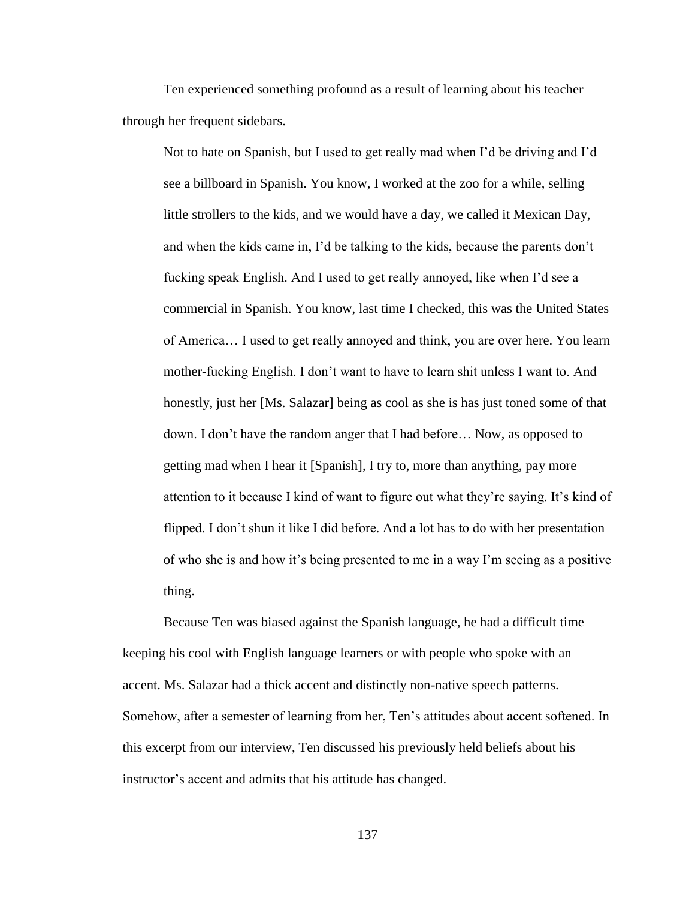Ten experienced something profound as a result of learning about his teacher through her frequent sidebars.

Not to hate on Spanish, but I used to get really mad when I'd be driving and I'd see a billboard in Spanish. You know, I worked at the zoo for a while, selling little strollers to the kids, and we would have a day, we called it Mexican Day, and when the kids came in, I'd be talking to the kids, because the parents don't fucking speak English. And I used to get really annoyed, like when I'd see a commercial in Spanish. You know, last time I checked, this was the United States of America… I used to get really annoyed and think, you are over here. You learn mother-fucking English. I don't want to have to learn shit unless I want to. And honestly, just her [Ms. Salazar] being as cool as she is has just toned some of that down. I don't have the random anger that I had before… Now, as opposed to getting mad when I hear it [Spanish], I try to, more than anything, pay more attention to it because I kind of want to figure out what they're saying. It's kind of flipped. I don't shun it like I did before. And a lot has to do with her presentation of who she is and how it's being presented to me in a way I'm seeing as a positive thing.

Because Ten was biased against the Spanish language, he had a difficult time keeping his cool with English language learners or with people who spoke with an accent. Ms. Salazar had a thick accent and distinctly non-native speech patterns. Somehow, after a semester of learning from her, Ten's attitudes about accent softened. In this excerpt from our interview, Ten discussed his previously held beliefs about his instructor's accent and admits that his attitude has changed.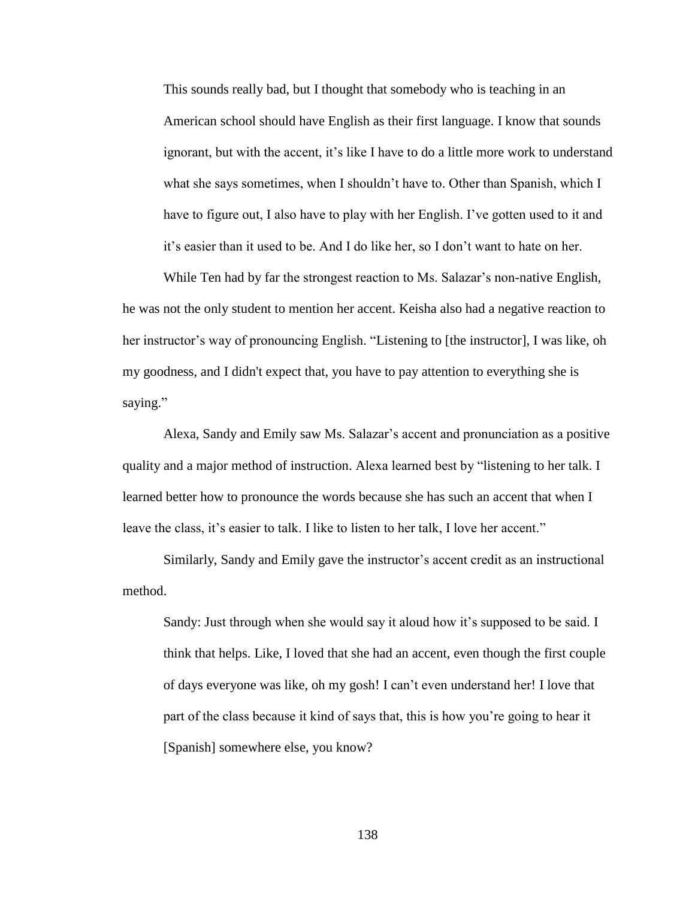This sounds really bad, but I thought that somebody who is teaching in an American school should have English as their first language. I know that sounds ignorant, but with the accent, it's like I have to do a little more work to understand what she says sometimes, when I shouldn't have to. Other than Spanish, which I have to figure out, I also have to play with her English. I've gotten used to it and it's easier than it used to be. And I do like her, so I don't want to hate on her.

While Ten had by far the strongest reaction to Ms. Salazar's non-native English, he was not the only student to mention her accent. Keisha also had a negative reaction to her instructor's way of pronouncing English. "Listening to [the instructor], I was like, oh my goodness, and I didn't expect that, you have to pay attention to everything she is saying."

Alexa, Sandy and Emily saw Ms. Salazar's accent and pronunciation as a positive quality and a major method of instruction. Alexa learned best by "listening to her talk. I learned better how to pronounce the words because she has such an accent that when I leave the class, it's easier to talk. I like to listen to her talk, I love her accent."

Similarly, Sandy and Emily gave the instructor's accent credit as an instructional method.

Sandy: Just through when she would say it aloud how it's supposed to be said. I think that helps. Like, I loved that she had an accent, even though the first couple of days everyone was like, oh my gosh! I can't even understand her! I love that part of the class because it kind of says that, this is how you're going to hear it [Spanish] somewhere else, you know?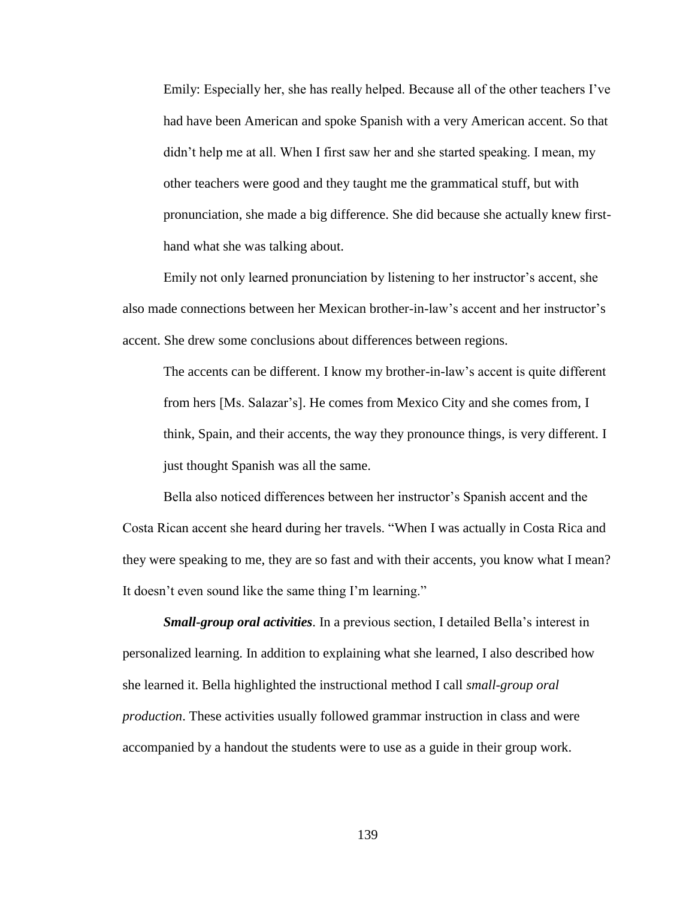Emily: Especially her, she has really helped. Because all of the other teachers I've had have been American and spoke Spanish with a very American accent. So that didn't help me at all. When I first saw her and she started speaking. I mean, my other teachers were good and they taught me the grammatical stuff, but with pronunciation, she made a big difference. She did because she actually knew firsthand what she was talking about.

Emily not only learned pronunciation by listening to her instructor's accent, she also made connections between her Mexican brother-in-law's accent and her instructor's accent. She drew some conclusions about differences between regions.

The accents can be different. I know my brother-in-law's accent is quite different from hers [Ms. Salazar's]. He comes from Mexico City and she comes from, I think, Spain, and their accents, the way they pronounce things, is very different. I just thought Spanish was all the same.

Bella also noticed differences between her instructor's Spanish accent and the Costa Rican accent she heard during her travels. "When I was actually in Costa Rica and they were speaking to me, they are so fast and with their accents, you know what I mean? It doesn't even sound like the same thing I'm learning."

*Small-group oral activities*. In a previous section, I detailed Bella's interest in personalized learning. In addition to explaining what she learned, I also described how she learned it. Bella highlighted the instructional method I call *small-group oral production*. These activities usually followed grammar instruction in class and were accompanied by a handout the students were to use as a guide in their group work.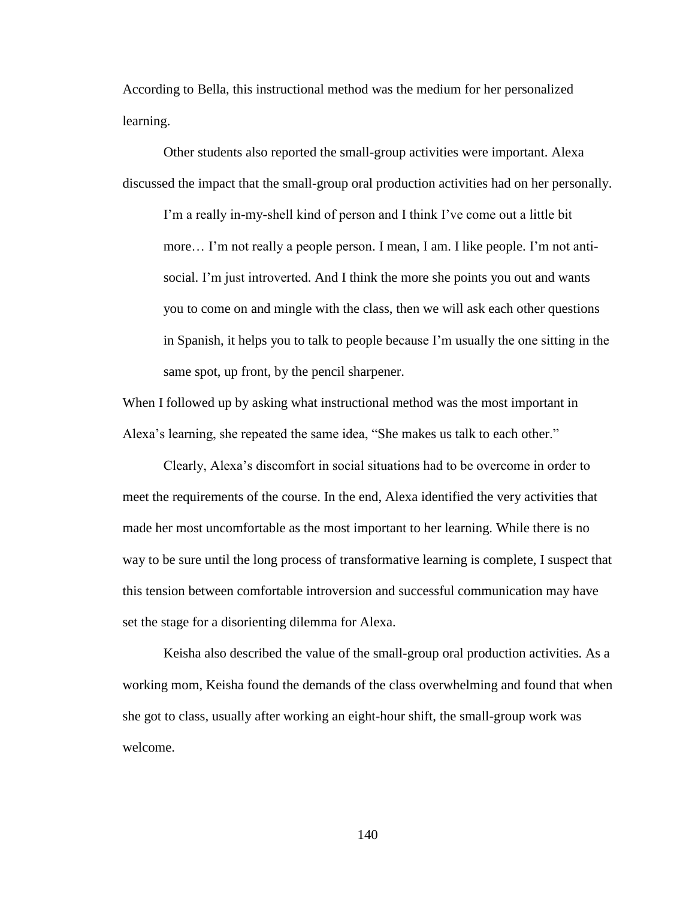According to Bella, this instructional method was the medium for her personalized learning.

Other students also reported the small-group activities were important. Alexa discussed the impact that the small-group oral production activities had on her personally.

I'm a really in-my-shell kind of person and I think I've come out a little bit more… I'm not really a people person. I mean, I am. I like people. I'm not antisocial. I'm just introverted. And I think the more she points you out and wants you to come on and mingle with the class, then we will ask each other questions in Spanish, it helps you to talk to people because I'm usually the one sitting in the same spot, up front, by the pencil sharpener.

When I followed up by asking what instructional method was the most important in Alexa's learning, she repeated the same idea, "She makes us talk to each other."

Clearly, Alexa's discomfort in social situations had to be overcome in order to meet the requirements of the course. In the end, Alexa identified the very activities that made her most uncomfortable as the most important to her learning. While there is no way to be sure until the long process of transformative learning is complete, I suspect that this tension between comfortable introversion and successful communication may have set the stage for a disorienting dilemma for Alexa.

Keisha also described the value of the small-group oral production activities. As a working mom, Keisha found the demands of the class overwhelming and found that when she got to class, usually after working an eight-hour shift, the small-group work was welcome.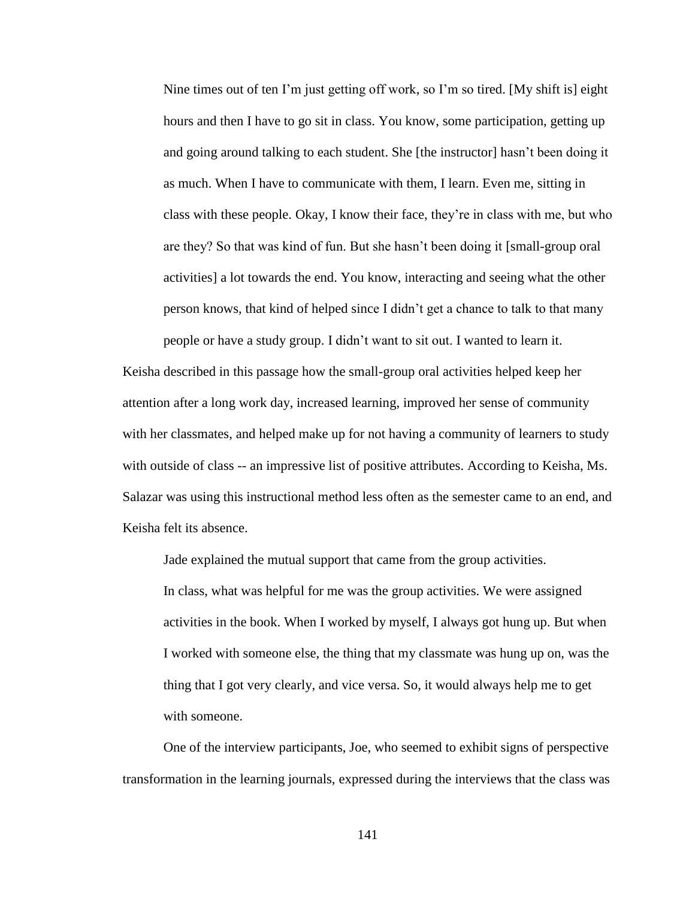Nine times out of ten I'm just getting off work, so I'm so tired. [My shift is] eight hours and then I have to go sit in class. You know, some participation, getting up and going around talking to each student. She [the instructor] hasn't been doing it as much. When I have to communicate with them, I learn. Even me, sitting in class with these people. Okay, I know their face, they're in class with me, but who are they? So that was kind of fun. But she hasn't been doing it [small-group oral activities] a lot towards the end. You know, interacting and seeing what the other person knows, that kind of helped since I didn't get a chance to talk to that many people or have a study group. I didn't want to sit out. I wanted to learn it.

Keisha described in this passage how the small-group oral activities helped keep her attention after a long work day, increased learning, improved her sense of community with her classmates, and helped make up for not having a community of learners to study with outside of class -- an impressive list of positive attributes. According to Keisha, Ms. Salazar was using this instructional method less often as the semester came to an end, and Keisha felt its absence.

Jade explained the mutual support that came from the group activities. In class, what was helpful for me was the group activities. We were assigned activities in the book. When I worked by myself, I always got hung up. But when I worked with someone else, the thing that my classmate was hung up on, was the thing that I got very clearly, and vice versa. So, it would always help me to get with someone.

One of the interview participants, Joe, who seemed to exhibit signs of perspective transformation in the learning journals, expressed during the interviews that the class was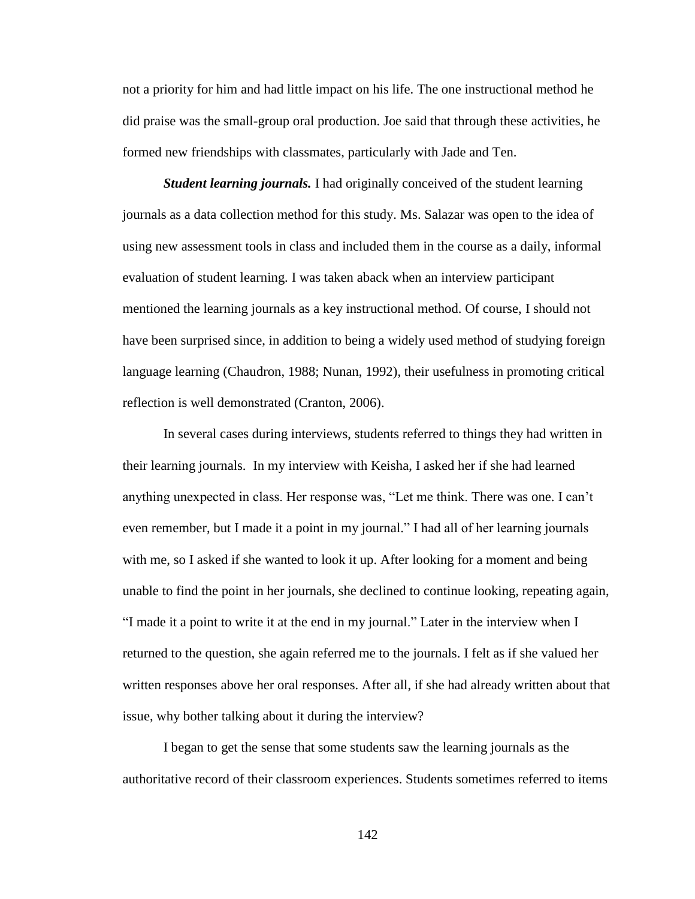not a priority for him and had little impact on his life. The one instructional method he did praise was the small-group oral production. Joe said that through these activities, he formed new friendships with classmates, particularly with Jade and Ten.

*Student learning journals.* I had originally conceived of the student learning journals as a data collection method for this study. Ms. Salazar was open to the idea of using new assessment tools in class and included them in the course as a daily, informal evaluation of student learning. I was taken aback when an interview participant mentioned the learning journals as a key instructional method. Of course, I should not have been surprised since, in addition to being a widely used method of studying foreign language learning (Chaudron, 1988; Nunan, 1992), their usefulness in promoting critical reflection is well demonstrated (Cranton, 2006).

In several cases during interviews, students referred to things they had written in their learning journals. In my interview with Keisha, I asked her if she had learned anything unexpected in class. Her response was, "Let me think. There was one. I can't even remember, but I made it a point in my journal." I had all of her learning journals with me, so I asked if she wanted to look it up. After looking for a moment and being unable to find the point in her journals, she declined to continue looking, repeating again, "I made it a point to write it at the end in my journal." Later in the interview when I returned to the question, she again referred me to the journals. I felt as if she valued her written responses above her oral responses. After all, if she had already written about that issue, why bother talking about it during the interview?

I began to get the sense that some students saw the learning journals as the authoritative record of their classroom experiences. Students sometimes referred to items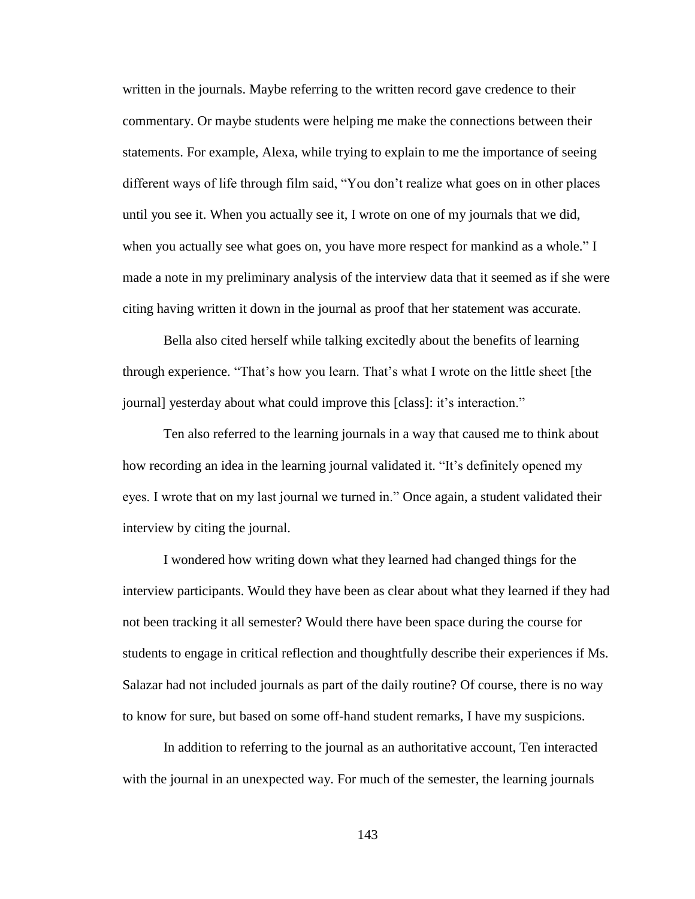written in the journals. Maybe referring to the written record gave credence to their commentary. Or maybe students were helping me make the connections between their statements. For example, Alexa, while trying to explain to me the importance of seeing different ways of life through film said, "You don't realize what goes on in other places until you see it. When you actually see it, I wrote on one of my journals that we did, when you actually see what goes on, you have more respect for mankind as a whole." I made a note in my preliminary analysis of the interview data that it seemed as if she were citing having written it down in the journal as proof that her statement was accurate.

Bella also cited herself while talking excitedly about the benefits of learning through experience. "That's how you learn. That's what I wrote on the little sheet [the journal] yesterday about what could improve this [class]: it's interaction."

Ten also referred to the learning journals in a way that caused me to think about how recording an idea in the learning journal validated it. "It's definitely opened my eyes. I wrote that on my last journal we turned in." Once again, a student validated their interview by citing the journal.

I wondered how writing down what they learned had changed things for the interview participants. Would they have been as clear about what they learned if they had not been tracking it all semester? Would there have been space during the course for students to engage in critical reflection and thoughtfully describe their experiences if Ms. Salazar had not included journals as part of the daily routine? Of course, there is no way to know for sure, but based on some off-hand student remarks, I have my suspicions.

In addition to referring to the journal as an authoritative account, Ten interacted with the journal in an unexpected way. For much of the semester, the learning journals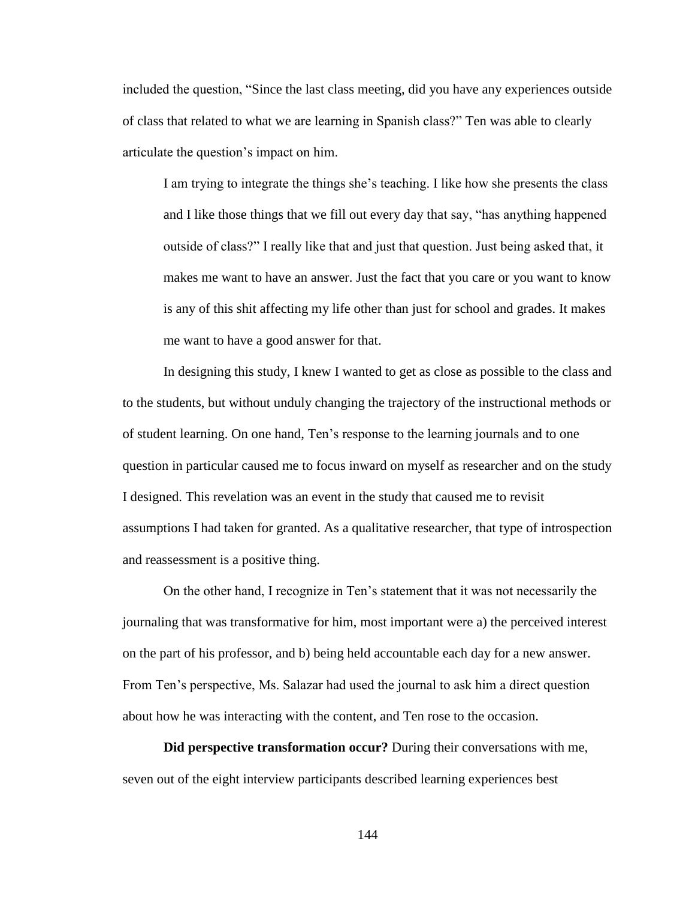included the question, "Since the last class meeting, did you have any experiences outside of class that related to what we are learning in Spanish class?" Ten was able to clearly articulate the question's impact on him.

I am trying to integrate the things she's teaching. I like how she presents the class and I like those things that we fill out every day that say, "has anything happened outside of class?" I really like that and just that question. Just being asked that, it makes me want to have an answer. Just the fact that you care or you want to know is any of this shit affecting my life other than just for school and grades. It makes me want to have a good answer for that.

In designing this study, I knew I wanted to get as close as possible to the class and to the students, but without unduly changing the trajectory of the instructional methods or of student learning. On one hand, Ten's response to the learning journals and to one question in particular caused me to focus inward on myself as researcher and on the study I designed. This revelation was an event in the study that caused me to revisit assumptions I had taken for granted. As a qualitative researcher, that type of introspection and reassessment is a positive thing.

On the other hand, I recognize in Ten's statement that it was not necessarily the journaling that was transformative for him, most important were a) the perceived interest on the part of his professor, and b) being held accountable each day for a new answer. From Ten's perspective, Ms. Salazar had used the journal to ask him a direct question about how he was interacting with the content, and Ten rose to the occasion.

**Did perspective transformation occur?** During their conversations with me, seven out of the eight interview participants described learning experiences best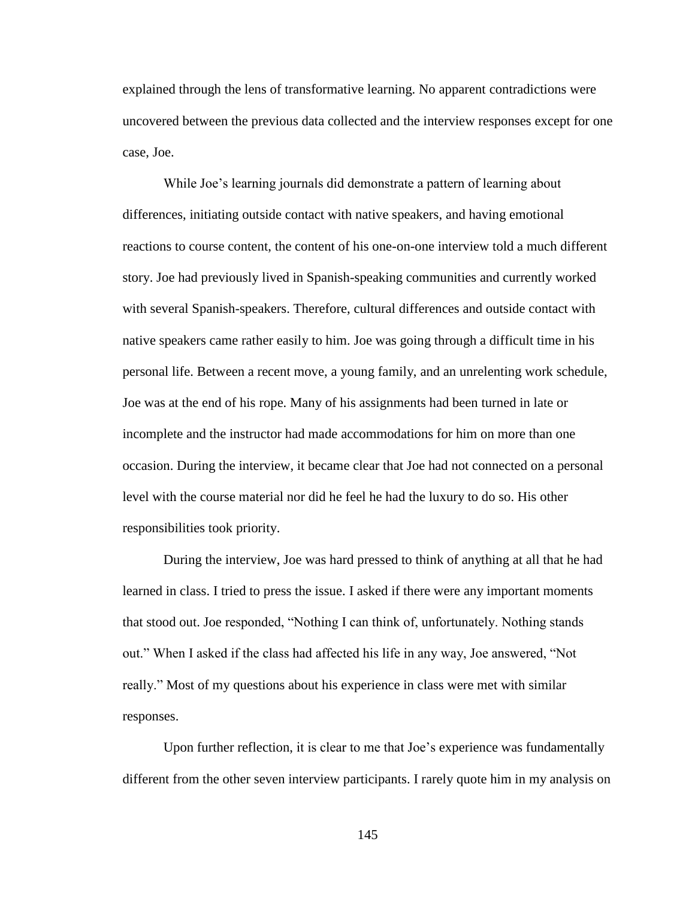explained through the lens of transformative learning. No apparent contradictions were uncovered between the previous data collected and the interview responses except for one case, Joe.

While Joe's learning journals did demonstrate a pattern of learning about differences, initiating outside contact with native speakers, and having emotional reactions to course content, the content of his one-on-one interview told a much different story. Joe had previously lived in Spanish-speaking communities and currently worked with several Spanish-speakers. Therefore, cultural differences and outside contact with native speakers came rather easily to him. Joe was going through a difficult time in his personal life. Between a recent move, a young family, and an unrelenting work schedule, Joe was at the end of his rope. Many of his assignments had been turned in late or incomplete and the instructor had made accommodations for him on more than one occasion. During the interview, it became clear that Joe had not connected on a personal level with the course material nor did he feel he had the luxury to do so. His other responsibilities took priority.

During the interview, Joe was hard pressed to think of anything at all that he had learned in class. I tried to press the issue. I asked if there were any important moments that stood out. Joe responded, "Nothing I can think of, unfortunately. Nothing stands out." When I asked if the class had affected his life in any way, Joe answered, "Not really." Most of my questions about his experience in class were met with similar responses.

Upon further reflection, it is clear to me that Joe's experience was fundamentally different from the other seven interview participants. I rarely quote him in my analysis on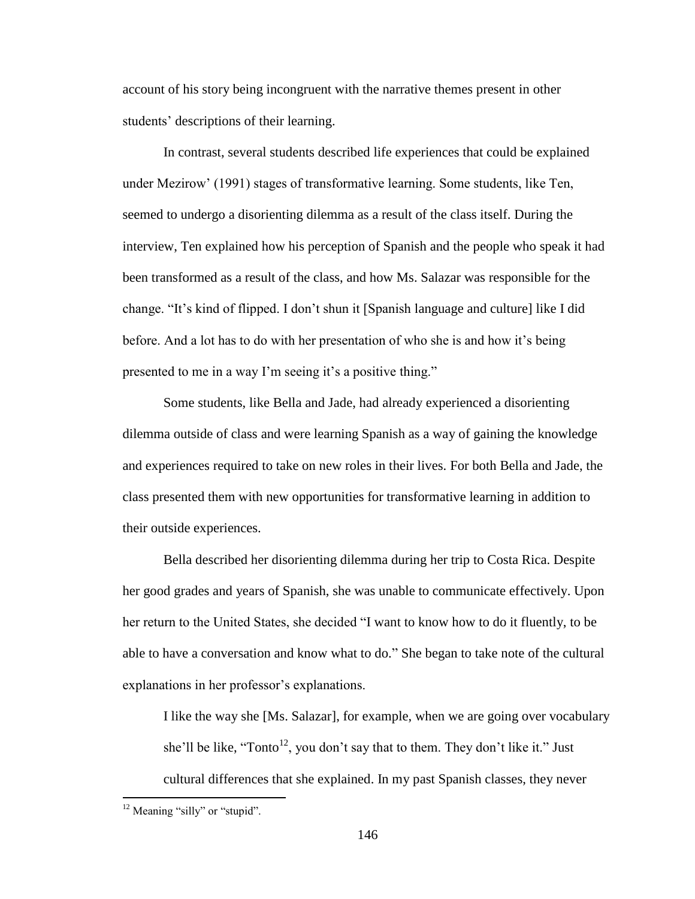account of his story being incongruent with the narrative themes present in other students' descriptions of their learning.

In contrast, several students described life experiences that could be explained under Mezirow' (1991) stages of transformative learning. Some students, like Ten, seemed to undergo a disorienting dilemma as a result of the class itself. During the interview, Ten explained how his perception of Spanish and the people who speak it had been transformed as a result of the class, and how Ms. Salazar was responsible for the change. "It's kind of flipped. I don't shun it [Spanish language and culture] like I did before. And a lot has to do with her presentation of who she is and how it's being presented to me in a way I'm seeing it's a positive thing."

Some students, like Bella and Jade, had already experienced a disorienting dilemma outside of class and were learning Spanish as a way of gaining the knowledge and experiences required to take on new roles in their lives. For both Bella and Jade, the class presented them with new opportunities for transformative learning in addition to their outside experiences.

Bella described her disorienting dilemma during her trip to Costa Rica. Despite her good grades and years of Spanish, she was unable to communicate effectively. Upon her return to the United States, she decided "I want to know how to do it fluently, to be able to have a conversation and know what to do." She began to take note of the cultural explanations in her professor's explanations.

I like the way she [Ms. Salazar], for example, when we are going over vocabulary she'll be like, "Tonto<sup>12</sup>, you don't say that to them. They don't like it." Just cultural differences that she explained. In my past Spanish classes, they never

 $\overline{a}$ 

 $12$  Meaning "silly" or "stupid".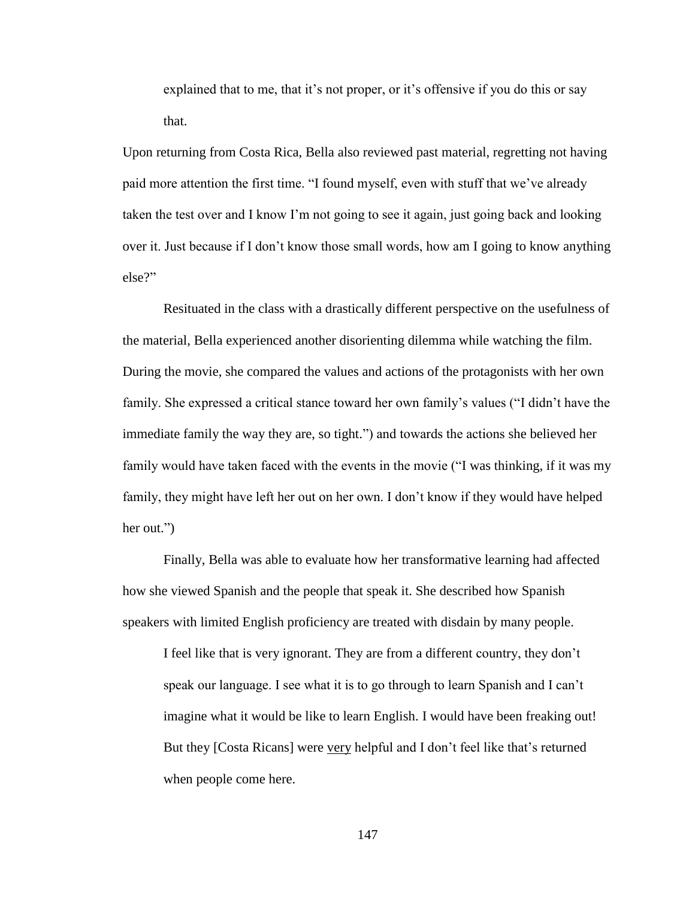explained that to me, that it's not proper, or it's offensive if you do this or say that.

Upon returning from Costa Rica, Bella also reviewed past material, regretting not having paid more attention the first time. "I found myself, even with stuff that we've already taken the test over and I know I'm not going to see it again, just going back and looking over it. Just because if I don't know those small words, how am I going to know anything else?"

Resituated in the class with a drastically different perspective on the usefulness of the material, Bella experienced another disorienting dilemma while watching the film. During the movie, she compared the values and actions of the protagonists with her own family. She expressed a critical stance toward her own family's values ("I didn't have the immediate family the way they are, so tight.") and towards the actions she believed her family would have taken faced with the events in the movie ("I was thinking, if it was my family, they might have left her out on her own. I don't know if they would have helped her out.")

Finally, Bella was able to evaluate how her transformative learning had affected how she viewed Spanish and the people that speak it. She described how Spanish speakers with limited English proficiency are treated with disdain by many people.

I feel like that is very ignorant. They are from a different country, they don't speak our language. I see what it is to go through to learn Spanish and I can't imagine what it would be like to learn English. I would have been freaking out! But they [Costa Ricans] were very helpful and I don't feel like that's returned when people come here.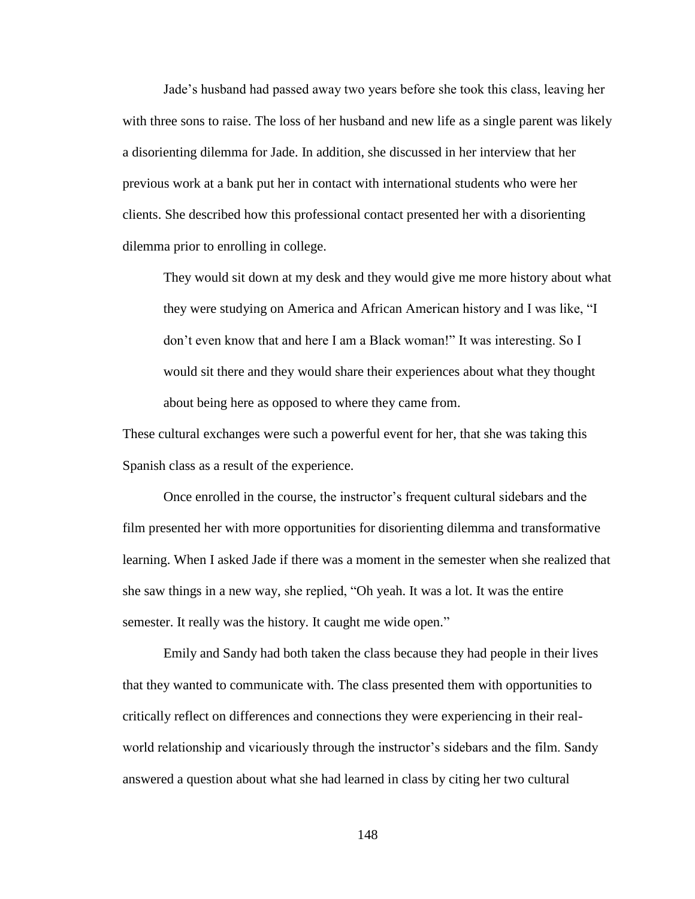Jade's husband had passed away two years before she took this class, leaving her with three sons to raise. The loss of her husband and new life as a single parent was likely a disorienting dilemma for Jade. In addition, she discussed in her interview that her previous work at a bank put her in contact with international students who were her clients. She described how this professional contact presented her with a disorienting dilemma prior to enrolling in college.

They would sit down at my desk and they would give me more history about what they were studying on America and African American history and I was like, "I don't even know that and here I am a Black woman!" It was interesting. So I would sit there and they would share their experiences about what they thought about being here as opposed to where they came from.

These cultural exchanges were such a powerful event for her, that she was taking this Spanish class as a result of the experience.

Once enrolled in the course, the instructor's frequent cultural sidebars and the film presented her with more opportunities for disorienting dilemma and transformative learning. When I asked Jade if there was a moment in the semester when she realized that she saw things in a new way, she replied, "Oh yeah. It was a lot. It was the entire semester. It really was the history. It caught me wide open."

Emily and Sandy had both taken the class because they had people in their lives that they wanted to communicate with. The class presented them with opportunities to critically reflect on differences and connections they were experiencing in their realworld relationship and vicariously through the instructor's sidebars and the film. Sandy answered a question about what she had learned in class by citing her two cultural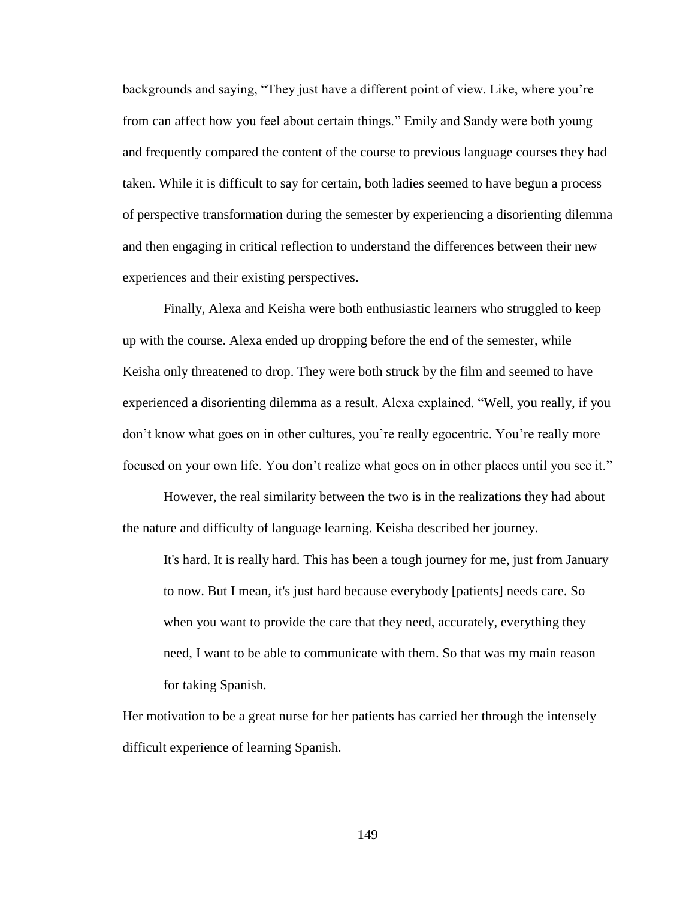backgrounds and saying, "They just have a different point of view. Like, where you're from can affect how you feel about certain things." Emily and Sandy were both young and frequently compared the content of the course to previous language courses they had taken. While it is difficult to say for certain, both ladies seemed to have begun a process of perspective transformation during the semester by experiencing a disorienting dilemma and then engaging in critical reflection to understand the differences between their new experiences and their existing perspectives.

Finally, Alexa and Keisha were both enthusiastic learners who struggled to keep up with the course. Alexa ended up dropping before the end of the semester, while Keisha only threatened to drop. They were both struck by the film and seemed to have experienced a disorienting dilemma as a result. Alexa explained. "Well, you really, if you don't know what goes on in other cultures, you're really egocentric. You're really more focused on your own life. You don't realize what goes on in other places until you see it."

However, the real similarity between the two is in the realizations they had about the nature and difficulty of language learning. Keisha described her journey.

It's hard. It is really hard. This has been a tough journey for me, just from January to now. But I mean, it's just hard because everybody [patients] needs care. So when you want to provide the care that they need, accurately, everything they need, I want to be able to communicate with them. So that was my main reason for taking Spanish.

Her motivation to be a great nurse for her patients has carried her through the intensely difficult experience of learning Spanish.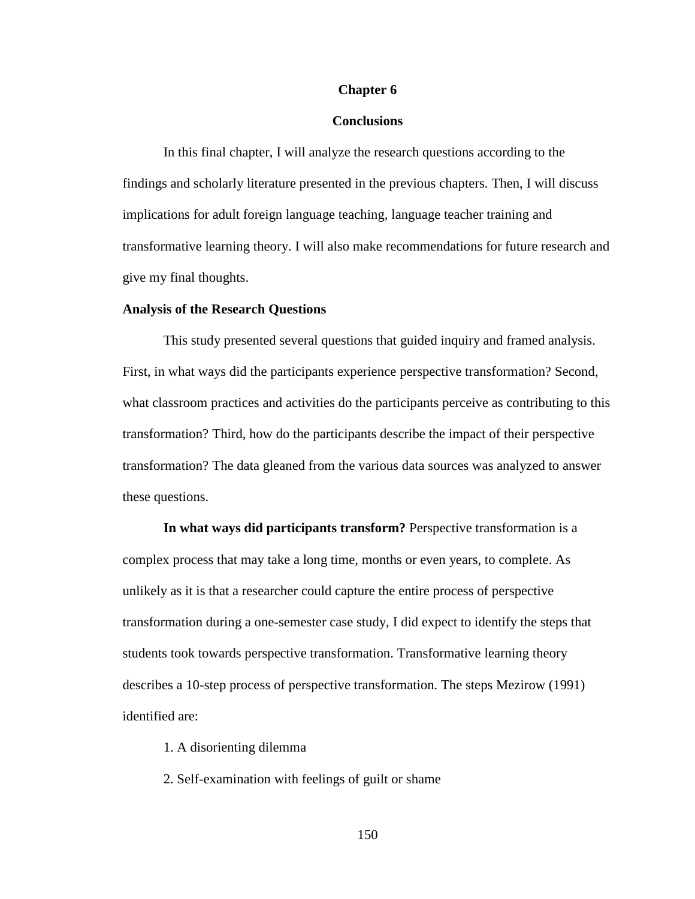## **Chapter 6**

## **Conclusions**

In this final chapter, I will analyze the research questions according to the findings and scholarly literature presented in the previous chapters. Then, I will discuss implications for adult foreign language teaching, language teacher training and transformative learning theory. I will also make recommendations for future research and give my final thoughts.

## **Analysis of the Research Questions**

This study presented several questions that guided inquiry and framed analysis. First, in what ways did the participants experience perspective transformation? Second, what classroom practices and activities do the participants perceive as contributing to this transformation? Third, how do the participants describe the impact of their perspective transformation? The data gleaned from the various data sources was analyzed to answer these questions.

**In what ways did participants transform?** Perspective transformation is a complex process that may take a long time, months or even years, to complete. As unlikely as it is that a researcher could capture the entire process of perspective transformation during a one-semester case study, I did expect to identify the steps that students took towards perspective transformation. Transformative learning theory describes a 10-step process of perspective transformation. The steps Mezirow (1991) identified are:

1. A disorienting dilemma

2. Self-examination with feelings of guilt or shame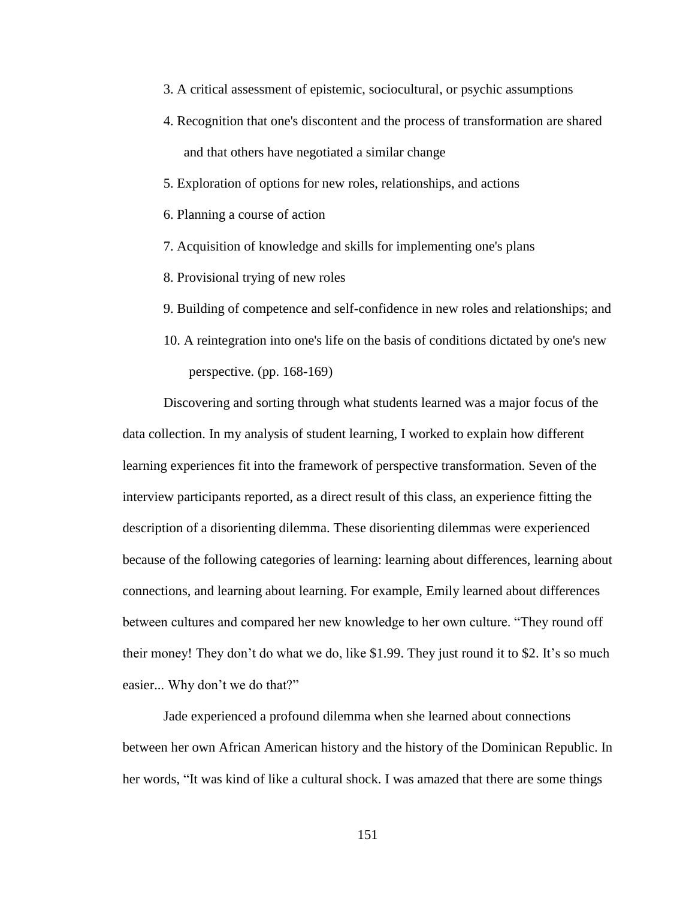- 3. A critical assessment of epistemic, sociocultural, or psychic assumptions
- 4. Recognition that one's discontent and the process of transformation are shared and that others have negotiated a similar change
- 5. Exploration of options for new roles, relationships, and actions
- 6. Planning a course of action
- 7. Acquisition of knowledge and skills for implementing one's plans
- 8. Provisional trying of new roles
- 9. Building of competence and self-confidence in new roles and relationships; and
- 10. A reintegration into one's life on the basis of conditions dictated by one's new perspective. (pp. 168-169)

Discovering and sorting through what students learned was a major focus of the data collection. In my analysis of student learning, I worked to explain how different learning experiences fit into the framework of perspective transformation. Seven of the interview participants reported, as a direct result of this class, an experience fitting the description of a disorienting dilemma. These disorienting dilemmas were experienced because of the following categories of learning: learning about differences, learning about connections, and learning about learning. For example, Emily learned about differences between cultures and compared her new knowledge to her own culture. "They round off their money! They don't do what we do, like \$1.99. They just round it to \$2. It's so much easier... Why don't we do that?"

Jade experienced a profound dilemma when she learned about connections between her own African American history and the history of the Dominican Republic. In her words, "It was kind of like a cultural shock. I was amazed that there are some things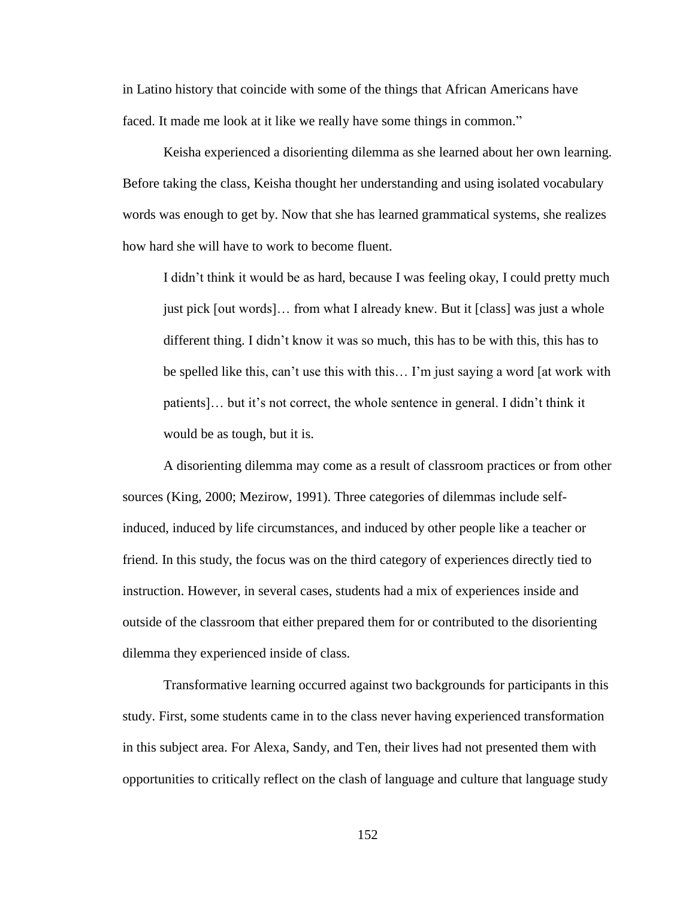in Latino history that coincide with some of the things that African Americans have faced. It made me look at it like we really have some things in common."

Keisha experienced a disorienting dilemma as she learned about her own learning. Before taking the class, Keisha thought her understanding and using isolated vocabulary words was enough to get by. Now that she has learned grammatical systems, she realizes how hard she will have to work to become fluent.

I didn't think it would be as hard, because I was feeling okay, I could pretty much just pick [out words]… from what I already knew. But it [class] was just a whole different thing. I didn't know it was so much, this has to be with this, this has to be spelled like this, can't use this with this… I'm just saying a word [at work with patients]… but it's not correct, the whole sentence in general. I didn't think it would be as tough, but it is.

A disorienting dilemma may come as a result of classroom practices or from other sources (King, 2000; Mezirow, 1991). Three categories of dilemmas include selfinduced, induced by life circumstances, and induced by other people like a teacher or friend. In this study, the focus was on the third category of experiences directly tied to instruction. However, in several cases, students had a mix of experiences inside and outside of the classroom that either prepared them for or contributed to the disorienting dilemma they experienced inside of class.

Transformative learning occurred against two backgrounds for participants in this study. First, some students came in to the class never having experienced transformation in this subject area. For Alexa, Sandy, and Ten, their lives had not presented them with opportunities to critically reflect on the clash of language and culture that language study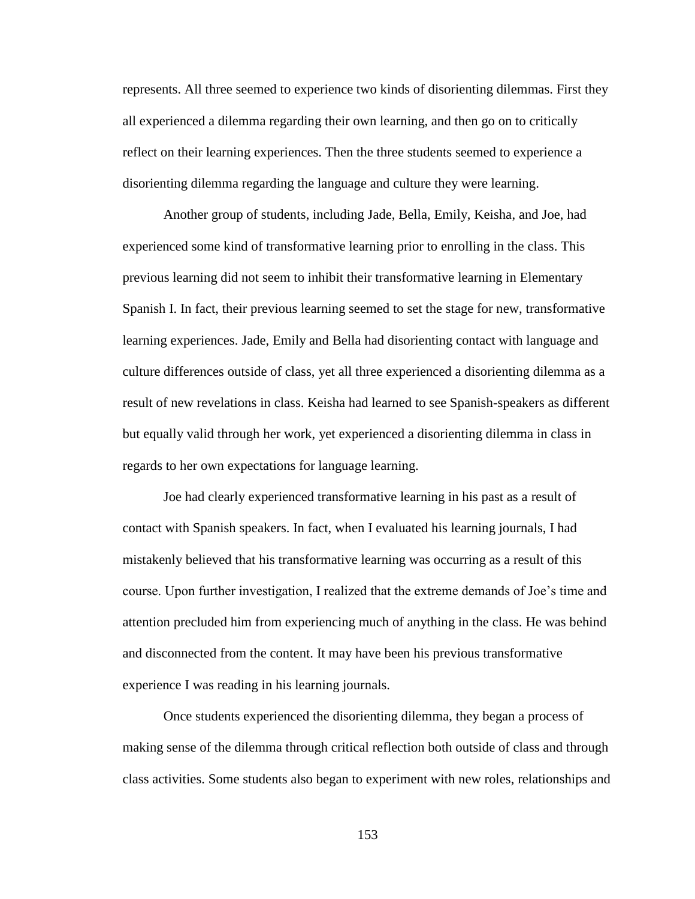represents. All three seemed to experience two kinds of disorienting dilemmas. First they all experienced a dilemma regarding their own learning, and then go on to critically reflect on their learning experiences. Then the three students seemed to experience a disorienting dilemma regarding the language and culture they were learning.

Another group of students, including Jade, Bella, Emily, Keisha, and Joe, had experienced some kind of transformative learning prior to enrolling in the class. This previous learning did not seem to inhibit their transformative learning in Elementary Spanish I. In fact, their previous learning seemed to set the stage for new, transformative learning experiences. Jade, Emily and Bella had disorienting contact with language and culture differences outside of class, yet all three experienced a disorienting dilemma as a result of new revelations in class. Keisha had learned to see Spanish-speakers as different but equally valid through her work, yet experienced a disorienting dilemma in class in regards to her own expectations for language learning.

Joe had clearly experienced transformative learning in his past as a result of contact with Spanish speakers. In fact, when I evaluated his learning journals, I had mistakenly believed that his transformative learning was occurring as a result of this course. Upon further investigation, I realized that the extreme demands of Joe's time and attention precluded him from experiencing much of anything in the class. He was behind and disconnected from the content. It may have been his previous transformative experience I was reading in his learning journals.

Once students experienced the disorienting dilemma, they began a process of making sense of the dilemma through critical reflection both outside of class and through class activities. Some students also began to experiment with new roles, relationships and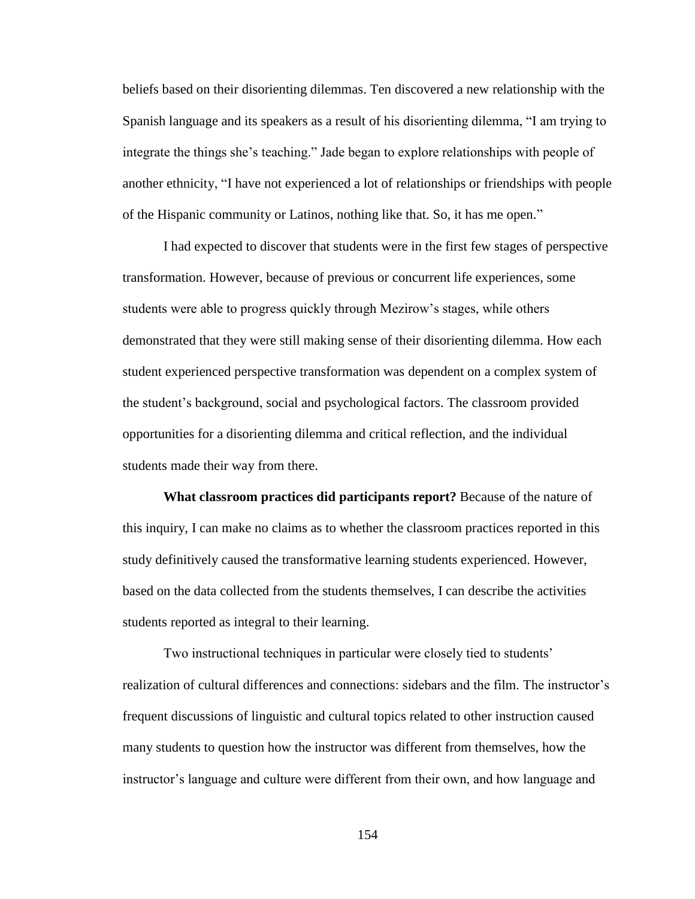beliefs based on their disorienting dilemmas. Ten discovered a new relationship with the Spanish language and its speakers as a result of his disorienting dilemma, "I am trying to integrate the things she's teaching." Jade began to explore relationships with people of another ethnicity, "I have not experienced a lot of relationships or friendships with people of the Hispanic community or Latinos, nothing like that. So, it has me open."

I had expected to discover that students were in the first few stages of perspective transformation. However, because of previous or concurrent life experiences, some students were able to progress quickly through Mezirow's stages, while others demonstrated that they were still making sense of their disorienting dilemma. How each student experienced perspective transformation was dependent on a complex system of the student's background, social and psychological factors. The classroom provided opportunities for a disorienting dilemma and critical reflection, and the individual students made their way from there.

**What classroom practices did participants report?** Because of the nature of this inquiry, I can make no claims as to whether the classroom practices reported in this study definitively caused the transformative learning students experienced. However, based on the data collected from the students themselves, I can describe the activities students reported as integral to their learning.

Two instructional techniques in particular were closely tied to students' realization of cultural differences and connections: sidebars and the film. The instructor's frequent discussions of linguistic and cultural topics related to other instruction caused many students to question how the instructor was different from themselves, how the instructor's language and culture were different from their own, and how language and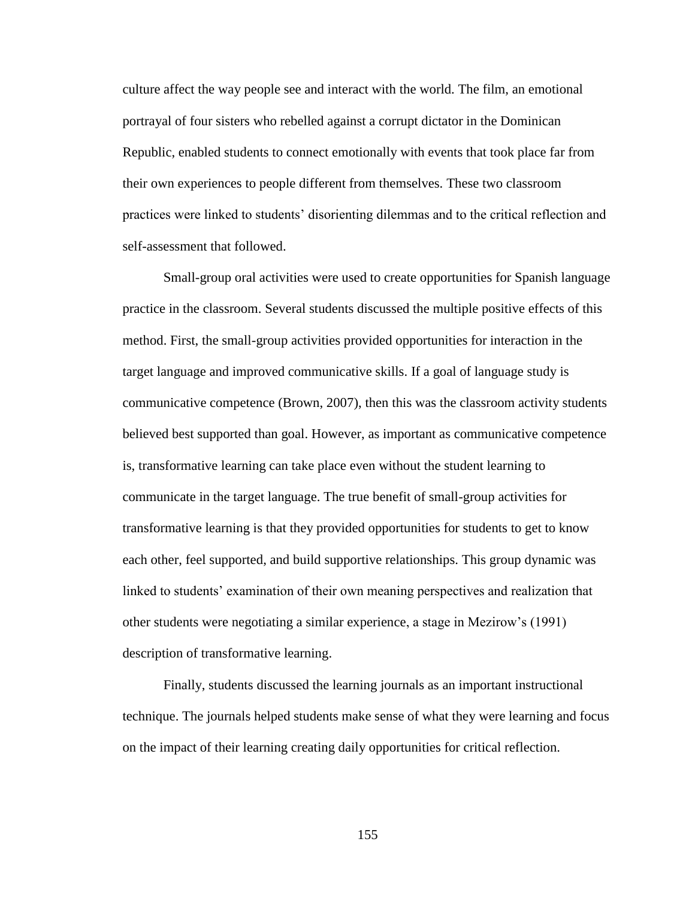culture affect the way people see and interact with the world. The film, an emotional portrayal of four sisters who rebelled against a corrupt dictator in the Dominican Republic, enabled students to connect emotionally with events that took place far from their own experiences to people different from themselves. These two classroom practices were linked to students' disorienting dilemmas and to the critical reflection and self-assessment that followed.

Small-group oral activities were used to create opportunities for Spanish language practice in the classroom. Several students discussed the multiple positive effects of this method. First, the small-group activities provided opportunities for interaction in the target language and improved communicative skills. If a goal of language study is communicative competence (Brown, 2007), then this was the classroom activity students believed best supported than goal. However, as important as communicative competence is, transformative learning can take place even without the student learning to communicate in the target language. The true benefit of small-group activities for transformative learning is that they provided opportunities for students to get to know each other, feel supported, and build supportive relationships. This group dynamic was linked to students' examination of their own meaning perspectives and realization that other students were negotiating a similar experience, a stage in Mezirow's (1991) description of transformative learning.

Finally, students discussed the learning journals as an important instructional technique. The journals helped students make sense of what they were learning and focus on the impact of their learning creating daily opportunities for critical reflection.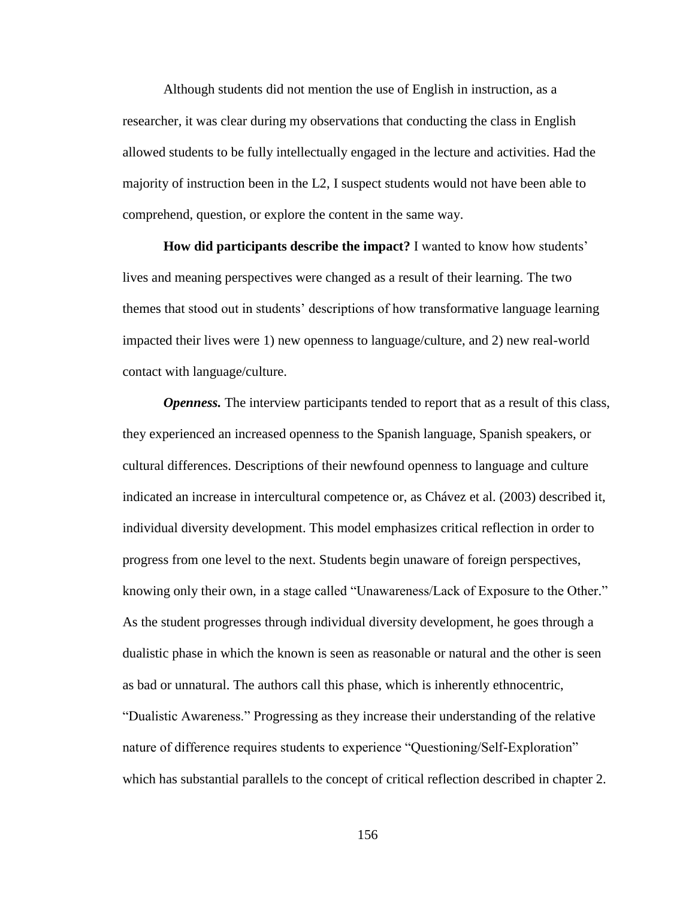Although students did not mention the use of English in instruction, as a researcher, it was clear during my observations that conducting the class in English allowed students to be fully intellectually engaged in the lecture and activities. Had the majority of instruction been in the L2, I suspect students would not have been able to comprehend, question, or explore the content in the same way.

**How did participants describe the impact?** I wanted to know how students' lives and meaning perspectives were changed as a result of their learning. The two themes that stood out in students' descriptions of how transformative language learning impacted their lives were 1) new openness to language/culture, and 2) new real-world contact with language/culture.

*Openness.* The interview participants tended to report that as a result of this class, they experienced an increased openness to the Spanish language, Spanish speakers, or cultural differences. Descriptions of their newfound openness to language and culture indicated an increase in intercultural competence or, as Chávez et al. (2003) described it, individual diversity development. This model emphasizes critical reflection in order to progress from one level to the next. Students begin unaware of foreign perspectives, knowing only their own, in a stage called "Unawareness/Lack of Exposure to the Other." As the student progresses through individual diversity development, he goes through a dualistic phase in which the known is seen as reasonable or natural and the other is seen as bad or unnatural. The authors call this phase, which is inherently ethnocentric, "Dualistic Awareness." Progressing as they increase their understanding of the relative nature of difference requires students to experience "Questioning/Self-Exploration" which has substantial parallels to the concept of critical reflection described in chapter 2.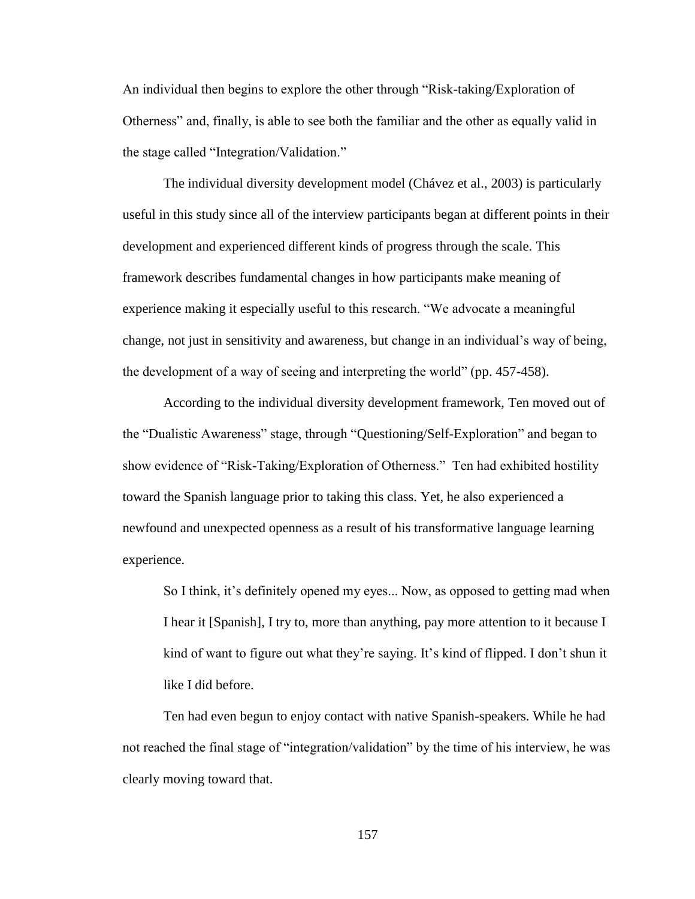An individual then begins to explore the other through "Risk-taking/Exploration of Otherness" and, finally, is able to see both the familiar and the other as equally valid in the stage called "Integration/Validation."

The individual diversity development model (Chávez et al., 2003) is particularly useful in this study since all of the interview participants began at different points in their development and experienced different kinds of progress through the scale. This framework describes fundamental changes in how participants make meaning of experience making it especially useful to this research. "We advocate a meaningful change, not just in sensitivity and awareness, but change in an individual's way of being, the development of a way of seeing and interpreting the world" (pp. 457-458).

According to the individual diversity development framework, Ten moved out of the "Dualistic Awareness" stage, through "Questioning/Self-Exploration" and began to show evidence of "Risk-Taking/Exploration of Otherness." Ten had exhibited hostility toward the Spanish language prior to taking this class. Yet, he also experienced a newfound and unexpected openness as a result of his transformative language learning experience.

So I think, it's definitely opened my eyes... Now, as opposed to getting mad when I hear it [Spanish], I try to, more than anything, pay more attention to it because I kind of want to figure out what they're saying. It's kind of flipped. I don't shun it like I did before.

Ten had even begun to enjoy contact with native Spanish-speakers. While he had not reached the final stage of "integration/validation" by the time of his interview, he was clearly moving toward that.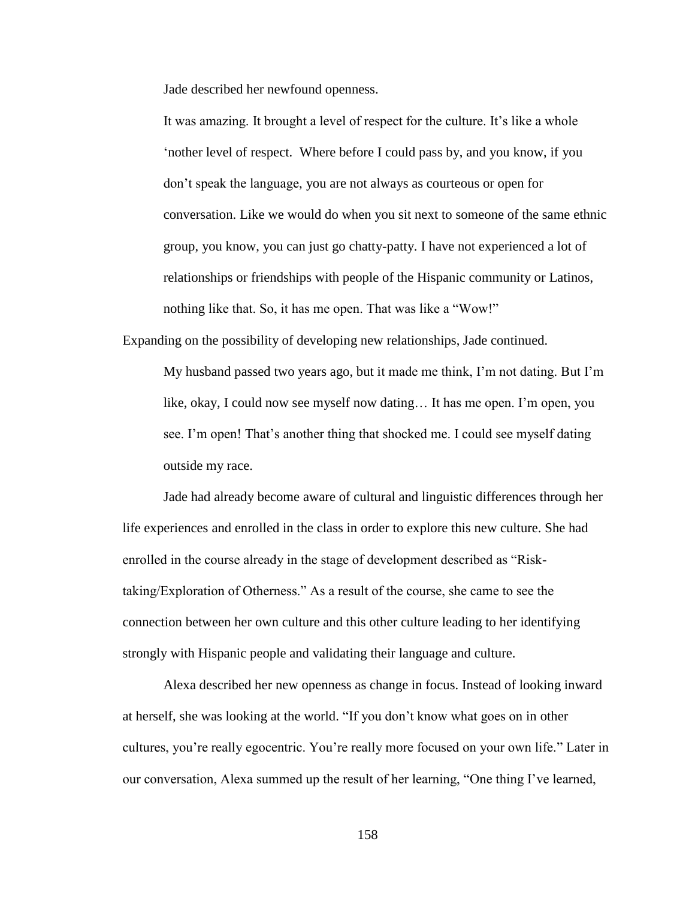Jade described her newfound openness.

It was amazing. It brought a level of respect for the culture. It's like a whole 'nother level of respect. Where before I could pass by, and you know, if you don't speak the language, you are not always as courteous or open for conversation. Like we would do when you sit next to someone of the same ethnic group, you know, you can just go chatty-patty. I have not experienced a lot of relationships or friendships with people of the Hispanic community or Latinos, nothing like that. So, it has me open. That was like a "Wow!"

Expanding on the possibility of developing new relationships, Jade continued.

My husband passed two years ago, but it made me think, I'm not dating. But I'm like, okay, I could now see myself now dating… It has me open. I'm open, you see. I'm open! That's another thing that shocked me. I could see myself dating outside my race.

Jade had already become aware of cultural and linguistic differences through her life experiences and enrolled in the class in order to explore this new culture. She had enrolled in the course already in the stage of development described as "Risktaking/Exploration of Otherness." As a result of the course, she came to see the connection between her own culture and this other culture leading to her identifying strongly with Hispanic people and validating their language and culture.

Alexa described her new openness as change in focus. Instead of looking inward at herself, she was looking at the world. "If you don't know what goes on in other cultures, you're really egocentric. You're really more focused on your own life." Later in our conversation, Alexa summed up the result of her learning, "One thing I've learned,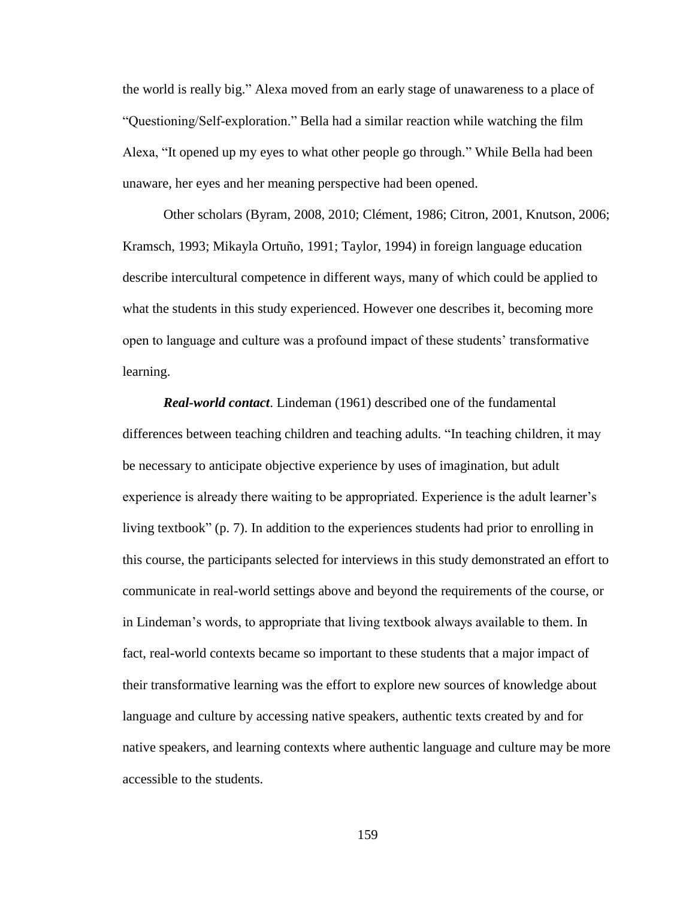the world is really big." Alexa moved from an early stage of unawareness to a place of "Questioning/Self-exploration." Bella had a similar reaction while watching the film Alexa, "It opened up my eyes to what other people go through." While Bella had been unaware, her eyes and her meaning perspective had been opened.

Other scholars (Byram, 2008, 2010; Clément, 1986; Citron, 2001, Knutson, 2006; Kramsch, 1993; Mikayla Ortuño, 1991; Taylor, 1994) in foreign language education describe intercultural competence in different ways, many of which could be applied to what the students in this study experienced. However one describes it, becoming more open to language and culture was a profound impact of these students' transformative learning.

*Real-world contact*. Lindeman (1961) described one of the fundamental differences between teaching children and teaching adults. "In teaching children, it may be necessary to anticipate objective experience by uses of imagination, but adult experience is already there waiting to be appropriated. Experience is the adult learner's living textbook" (p. 7). In addition to the experiences students had prior to enrolling in this course, the participants selected for interviews in this study demonstrated an effort to communicate in real-world settings above and beyond the requirements of the course, or in Lindeman's words, to appropriate that living textbook always available to them. In fact, real-world contexts became so important to these students that a major impact of their transformative learning was the effort to explore new sources of knowledge about language and culture by accessing native speakers, authentic texts created by and for native speakers, and learning contexts where authentic language and culture may be more accessible to the students.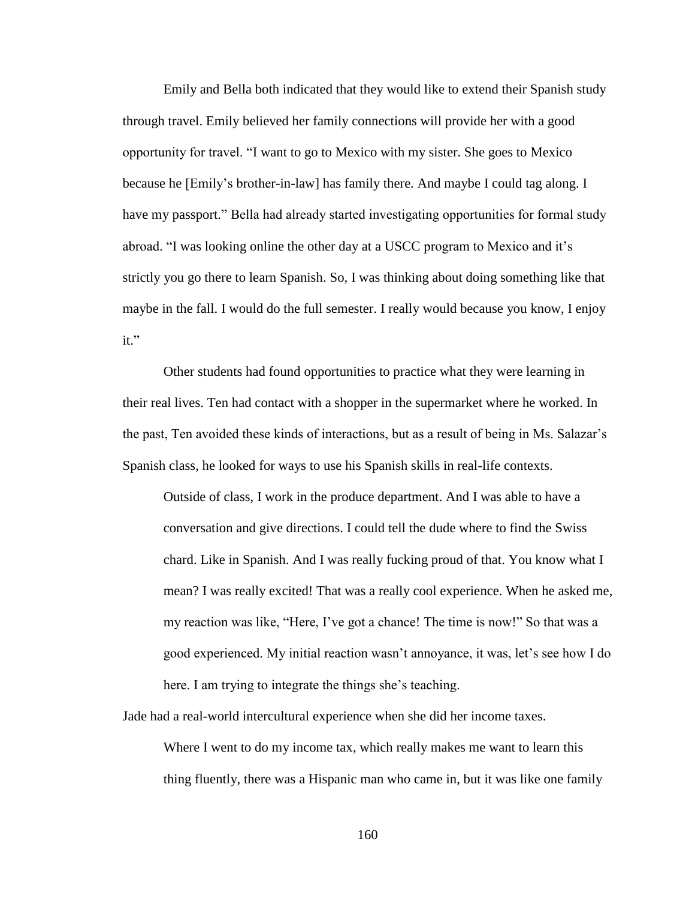Emily and Bella both indicated that they would like to extend their Spanish study through travel. Emily believed her family connections will provide her with a good opportunity for travel. "I want to go to Mexico with my sister. She goes to Mexico because he [Emily's brother-in-law] has family there. And maybe I could tag along. I have my passport." Bella had already started investigating opportunities for formal study abroad. "I was looking online the other day at a USCC program to Mexico and it's strictly you go there to learn Spanish. So, I was thinking about doing something like that maybe in the fall. I would do the full semester. I really would because you know, I enjoy it."

Other students had found opportunities to practice what they were learning in their real lives. Ten had contact with a shopper in the supermarket where he worked. In the past, Ten avoided these kinds of interactions, but as a result of being in Ms. Salazar's Spanish class, he looked for ways to use his Spanish skills in real-life contexts.

Outside of class, I work in the produce department. And I was able to have a conversation and give directions. I could tell the dude where to find the Swiss chard. Like in Spanish. And I was really fucking proud of that. You know what I mean? I was really excited! That was a really cool experience. When he asked me, my reaction was like, "Here, I've got a chance! The time is now!" So that was a good experienced. My initial reaction wasn't annoyance, it was, let's see how I do here. I am trying to integrate the things she's teaching.

Jade had a real-world intercultural experience when she did her income taxes. Where I went to do my income tax, which really makes me want to learn this thing fluently, there was a Hispanic man who came in, but it was like one family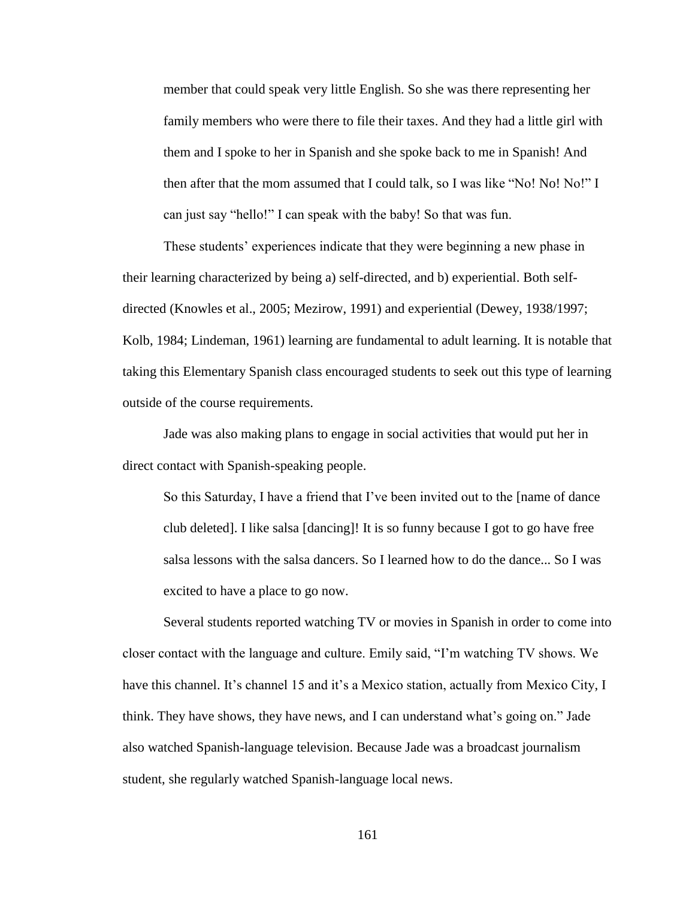member that could speak very little English. So she was there representing her family members who were there to file their taxes. And they had a little girl with them and I spoke to her in Spanish and she spoke back to me in Spanish! And then after that the mom assumed that I could talk, so I was like "No! No! No!" I can just say "hello!" I can speak with the baby! So that was fun.

These students' experiences indicate that they were beginning a new phase in their learning characterized by being a) self-directed, and b) experiential. Both selfdirected (Knowles et al., 2005; Mezirow, 1991) and experiential (Dewey, 1938/1997; Kolb, 1984; Lindeman, 1961) learning are fundamental to adult learning. It is notable that taking this Elementary Spanish class encouraged students to seek out this type of learning outside of the course requirements.

Jade was also making plans to engage in social activities that would put her in direct contact with Spanish-speaking people.

So this Saturday, I have a friend that I've been invited out to the [name of dance club deleted]. I like salsa [dancing]! It is so funny because I got to go have free salsa lessons with the salsa dancers. So I learned how to do the dance... So I was excited to have a place to go now.

Several students reported watching TV or movies in Spanish in order to come into closer contact with the language and culture. Emily said, "I'm watching TV shows. We have this channel. It's channel 15 and it's a Mexico station, actually from Mexico City, I think. They have shows, they have news, and I can understand what's going on." Jade also watched Spanish-language television. Because Jade was a broadcast journalism student, she regularly watched Spanish-language local news.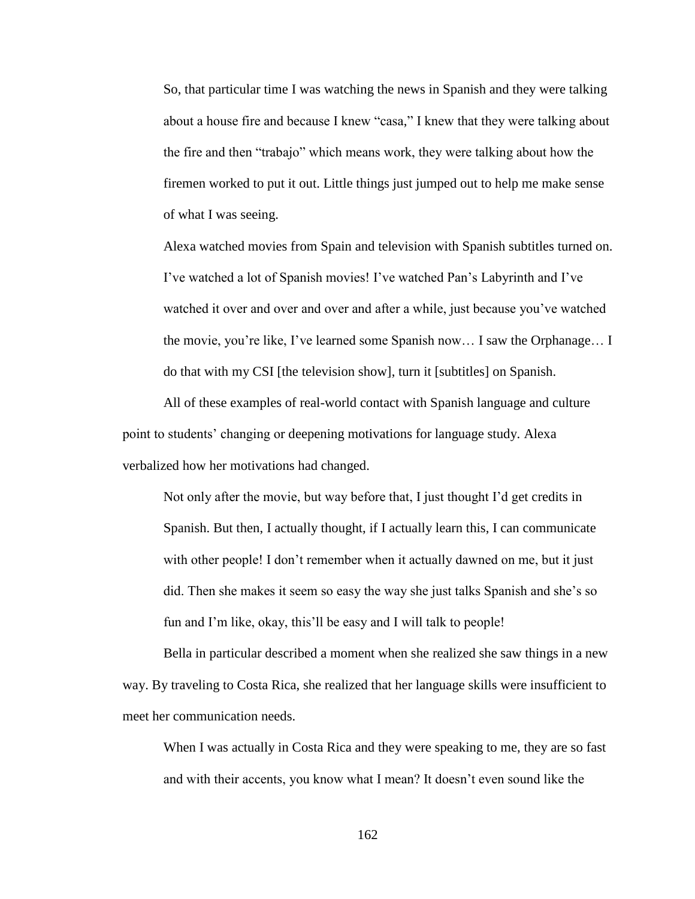So, that particular time I was watching the news in Spanish and they were talking about a house fire and because I knew "casa," I knew that they were talking about the fire and then "trabajo" which means work, they were talking about how the firemen worked to put it out. Little things just jumped out to help me make sense of what I was seeing.

Alexa watched movies from Spain and television with Spanish subtitles turned on. I've watched a lot of Spanish movies! I've watched Pan's Labyrinth and I've watched it over and over and over and after a while, just because you've watched the movie, you're like, I've learned some Spanish now… I saw the Orphanage… I do that with my CSI [the television show], turn it [subtitles] on Spanish.

All of these examples of real-world contact with Spanish language and culture point to students' changing or deepening motivations for language study. Alexa verbalized how her motivations had changed.

Not only after the movie, but way before that, I just thought I'd get credits in Spanish. But then, I actually thought, if I actually learn this, I can communicate with other people! I don't remember when it actually dawned on me, but it just did. Then she makes it seem so easy the way she just talks Spanish and she's so fun and I'm like, okay, this'll be easy and I will talk to people!

Bella in particular described a moment when she realized she saw things in a new way. By traveling to Costa Rica, she realized that her language skills were insufficient to meet her communication needs.

When I was actually in Costa Rica and they were speaking to me, they are so fast and with their accents, you know what I mean? It doesn't even sound like the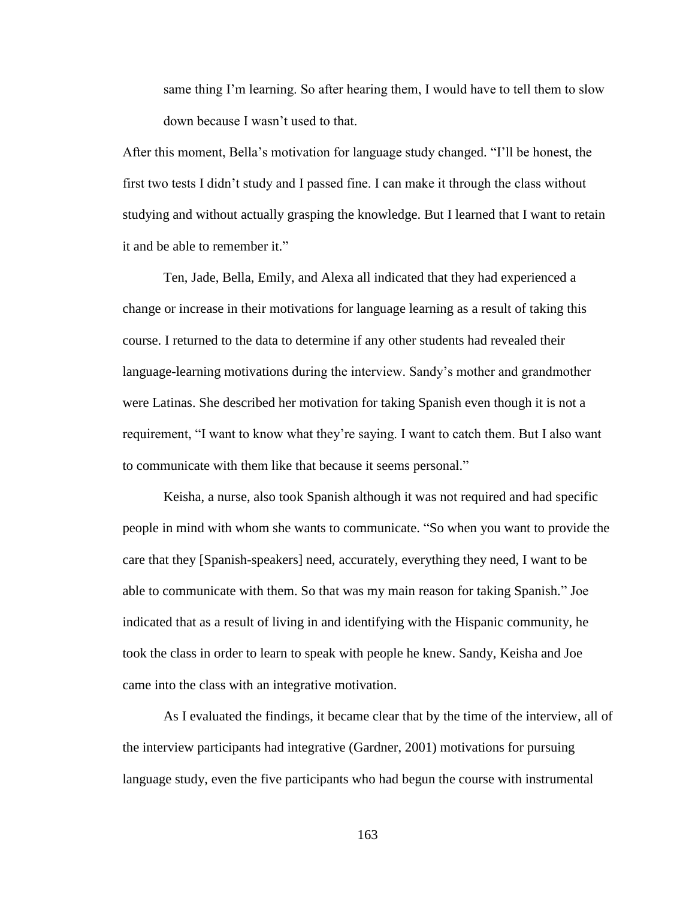same thing I'm learning. So after hearing them, I would have to tell them to slow down because I wasn't used to that.

After this moment, Bella's motivation for language study changed. "I'll be honest, the first two tests I didn't study and I passed fine. I can make it through the class without studying and without actually grasping the knowledge. But I learned that I want to retain it and be able to remember it."

Ten, Jade, Bella, Emily, and Alexa all indicated that they had experienced a change or increase in their motivations for language learning as a result of taking this course. I returned to the data to determine if any other students had revealed their language-learning motivations during the interview. Sandy's mother and grandmother were Latinas. She described her motivation for taking Spanish even though it is not a requirement, "I want to know what they're saying. I want to catch them. But I also want to communicate with them like that because it seems personal."

Keisha, a nurse, also took Spanish although it was not required and had specific people in mind with whom she wants to communicate. "So when you want to provide the care that they [Spanish-speakers] need, accurately, everything they need, I want to be able to communicate with them. So that was my main reason for taking Spanish." Joe indicated that as a result of living in and identifying with the Hispanic community, he took the class in order to learn to speak with people he knew. Sandy, Keisha and Joe came into the class with an integrative motivation.

As I evaluated the findings, it became clear that by the time of the interview, all of the interview participants had integrative (Gardner, 2001) motivations for pursuing language study, even the five participants who had begun the course with instrumental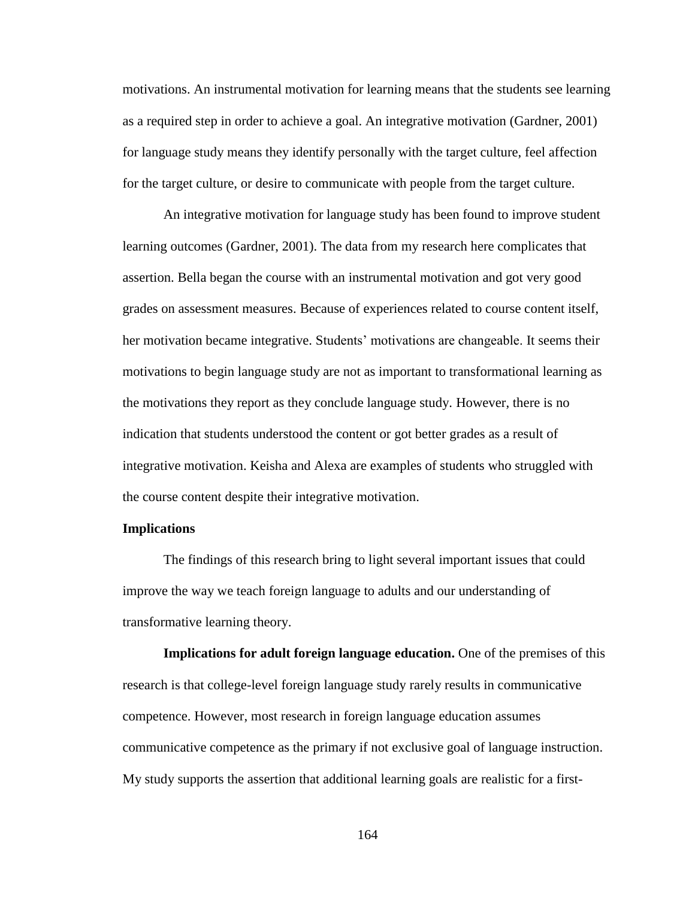motivations. An instrumental motivation for learning means that the students see learning as a required step in order to achieve a goal. An integrative motivation (Gardner, 2001) for language study means they identify personally with the target culture, feel affection for the target culture, or desire to communicate with people from the target culture.

An integrative motivation for language study has been found to improve student learning outcomes (Gardner, 2001). The data from my research here complicates that assertion. Bella began the course with an instrumental motivation and got very good grades on assessment measures. Because of experiences related to course content itself, her motivation became integrative. Students' motivations are changeable. It seems their motivations to begin language study are not as important to transformational learning as the motivations they report as they conclude language study. However, there is no indication that students understood the content or got better grades as a result of integrative motivation. Keisha and Alexa are examples of students who struggled with the course content despite their integrative motivation.

## **Implications**

The findings of this research bring to light several important issues that could improve the way we teach foreign language to adults and our understanding of transformative learning theory.

**Implications for adult foreign language education.** One of the premises of this research is that college-level foreign language study rarely results in communicative competence. However, most research in foreign language education assumes communicative competence as the primary if not exclusive goal of language instruction. My study supports the assertion that additional learning goals are realistic for a first-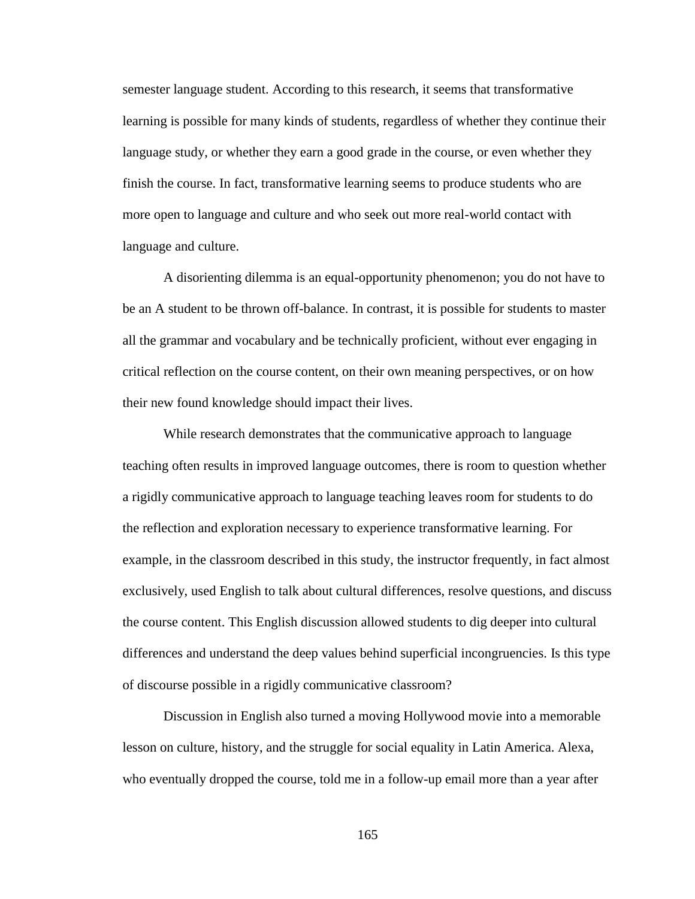semester language student. According to this research, it seems that transformative learning is possible for many kinds of students, regardless of whether they continue their language study, or whether they earn a good grade in the course, or even whether they finish the course. In fact, transformative learning seems to produce students who are more open to language and culture and who seek out more real-world contact with language and culture.

A disorienting dilemma is an equal-opportunity phenomenon; you do not have to be an A student to be thrown off-balance. In contrast, it is possible for students to master all the grammar and vocabulary and be technically proficient, without ever engaging in critical reflection on the course content, on their own meaning perspectives, or on how their new found knowledge should impact their lives.

While research demonstrates that the communicative approach to language teaching often results in improved language outcomes, there is room to question whether a rigidly communicative approach to language teaching leaves room for students to do the reflection and exploration necessary to experience transformative learning. For example, in the classroom described in this study, the instructor frequently, in fact almost exclusively, used English to talk about cultural differences, resolve questions, and discuss the course content. This English discussion allowed students to dig deeper into cultural differences and understand the deep values behind superficial incongruencies. Is this type of discourse possible in a rigidly communicative classroom?

Discussion in English also turned a moving Hollywood movie into a memorable lesson on culture, history, and the struggle for social equality in Latin America. Alexa, who eventually dropped the course, told me in a follow-up email more than a year after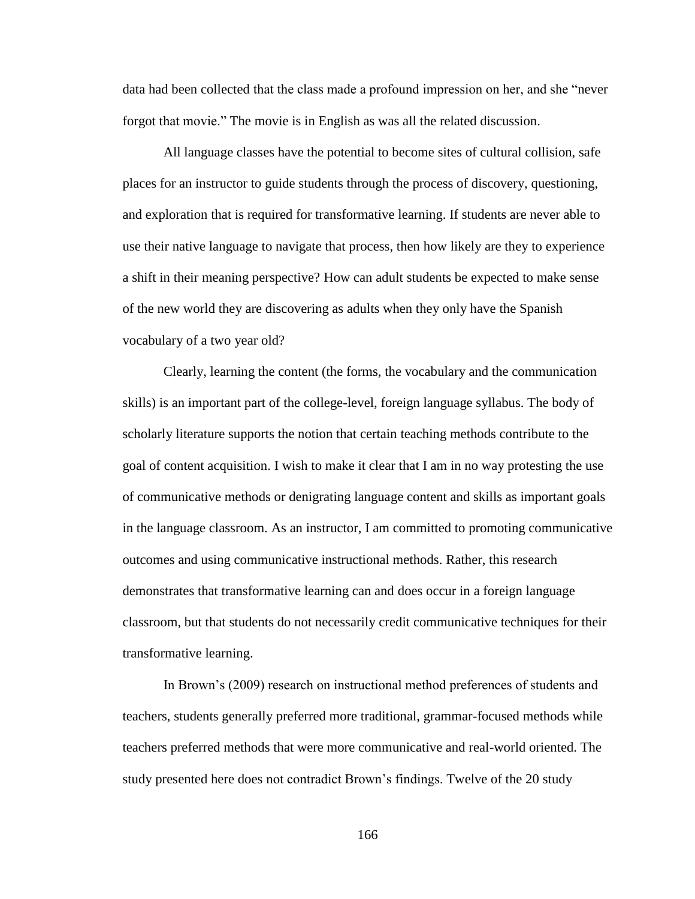data had been collected that the class made a profound impression on her, and she "never forgot that movie." The movie is in English as was all the related discussion.

All language classes have the potential to become sites of cultural collision, safe places for an instructor to guide students through the process of discovery, questioning, and exploration that is required for transformative learning. If students are never able to use their native language to navigate that process, then how likely are they to experience a shift in their meaning perspective? How can adult students be expected to make sense of the new world they are discovering as adults when they only have the Spanish vocabulary of a two year old?

Clearly, learning the content (the forms, the vocabulary and the communication skills) is an important part of the college-level, foreign language syllabus. The body of scholarly literature supports the notion that certain teaching methods contribute to the goal of content acquisition. I wish to make it clear that I am in no way protesting the use of communicative methods or denigrating language content and skills as important goals in the language classroom. As an instructor, I am committed to promoting communicative outcomes and using communicative instructional methods. Rather, this research demonstrates that transformative learning can and does occur in a foreign language classroom, but that students do not necessarily credit communicative techniques for their transformative learning.

In Brown's (2009) research on instructional method preferences of students and teachers, students generally preferred more traditional, grammar-focused methods while teachers preferred methods that were more communicative and real-world oriented. The study presented here does not contradict Brown's findings. Twelve of the 20 study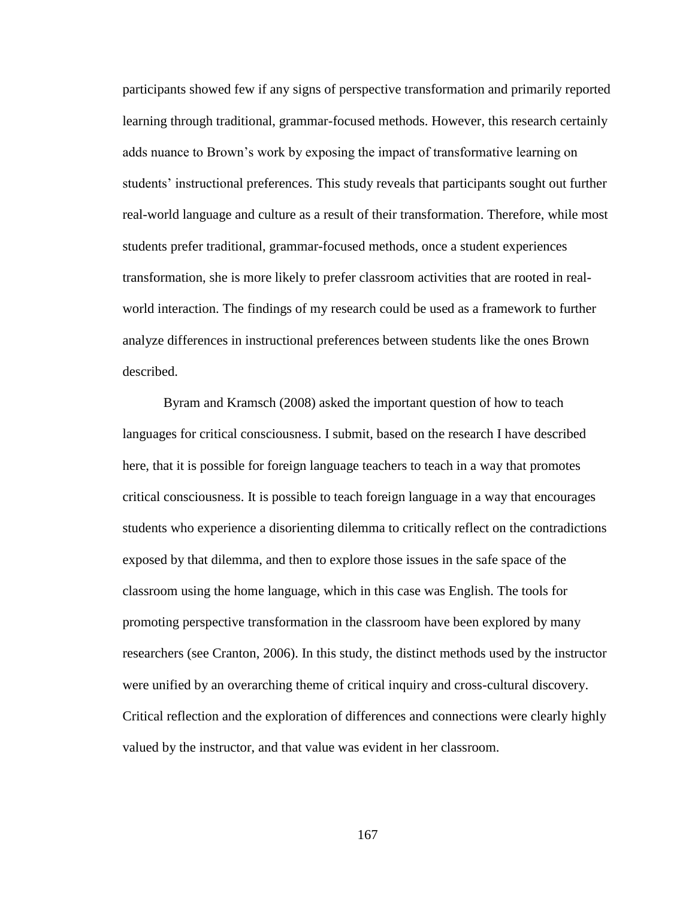participants showed few if any signs of perspective transformation and primarily reported learning through traditional, grammar-focused methods. However, this research certainly adds nuance to Brown's work by exposing the impact of transformative learning on students' instructional preferences. This study reveals that participants sought out further real-world language and culture as a result of their transformation. Therefore, while most students prefer traditional, grammar-focused methods, once a student experiences transformation, she is more likely to prefer classroom activities that are rooted in realworld interaction. The findings of my research could be used as a framework to further analyze differences in instructional preferences between students like the ones Brown described.

Byram and Kramsch (2008) asked the important question of how to teach languages for critical consciousness. I submit, based on the research I have described here, that it is possible for foreign language teachers to teach in a way that promotes critical consciousness. It is possible to teach foreign language in a way that encourages students who experience a disorienting dilemma to critically reflect on the contradictions exposed by that dilemma, and then to explore those issues in the safe space of the classroom using the home language, which in this case was English. The tools for promoting perspective transformation in the classroom have been explored by many researchers (see Cranton, 2006). In this study, the distinct methods used by the instructor were unified by an overarching theme of critical inquiry and cross-cultural discovery. Critical reflection and the exploration of differences and connections were clearly highly valued by the instructor, and that value was evident in her classroom.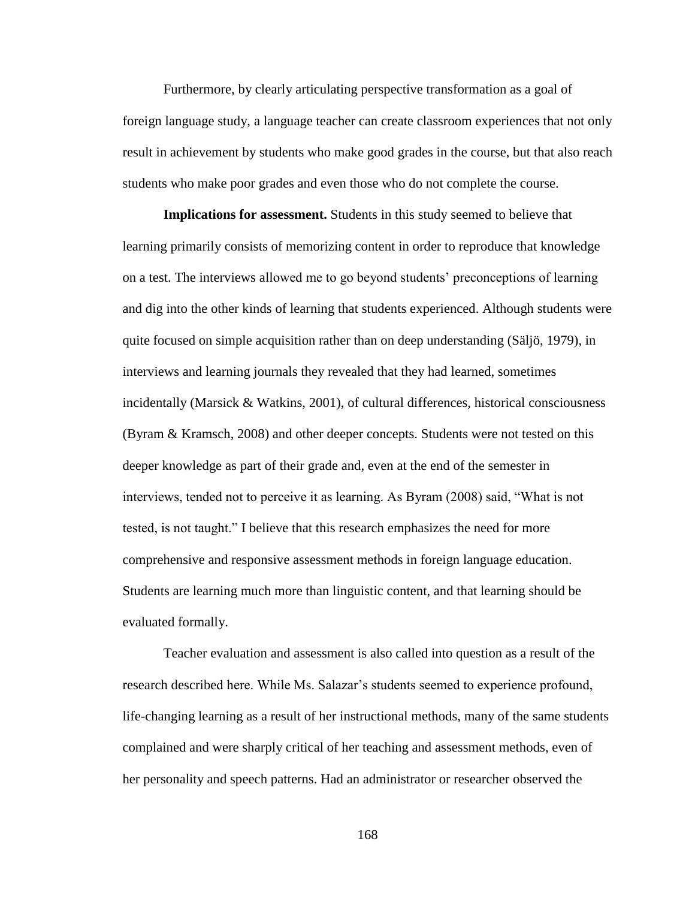Furthermore, by clearly articulating perspective transformation as a goal of foreign language study, a language teacher can create classroom experiences that not only result in achievement by students who make good grades in the course, but that also reach students who make poor grades and even those who do not complete the course.

**Implications for assessment.** Students in this study seemed to believe that learning primarily consists of memorizing content in order to reproduce that knowledge on a test. The interviews allowed me to go beyond students' preconceptions of learning and dig into the other kinds of learning that students experienced. Although students were quite focused on simple acquisition rather than on deep understanding (Säljö, 1979), in interviews and learning journals they revealed that they had learned, sometimes incidentally (Marsick & Watkins, 2001), of cultural differences, historical consciousness (Byram & Kramsch, 2008) and other deeper concepts. Students were not tested on this deeper knowledge as part of their grade and, even at the end of the semester in interviews, tended not to perceive it as learning. As Byram (2008) said, "What is not tested, is not taught." I believe that this research emphasizes the need for more comprehensive and responsive assessment methods in foreign language education. Students are learning much more than linguistic content, and that learning should be evaluated formally.

Teacher evaluation and assessment is also called into question as a result of the research described here. While Ms. Salazar's students seemed to experience profound, life-changing learning as a result of her instructional methods, many of the same students complained and were sharply critical of her teaching and assessment methods, even of her personality and speech patterns. Had an administrator or researcher observed the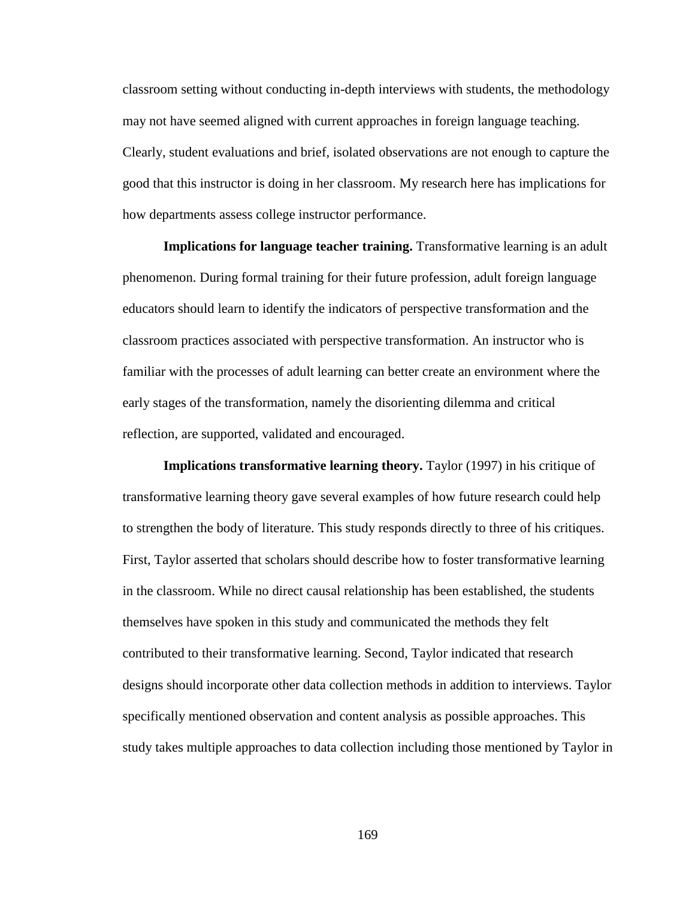classroom setting without conducting in-depth interviews with students, the methodology may not have seemed aligned with current approaches in foreign language teaching. Clearly, student evaluations and brief, isolated observations are not enough to capture the good that this instructor is doing in her classroom. My research here has implications for how departments assess college instructor performance.

**Implications for language teacher training.** Transformative learning is an adult phenomenon. During formal training for their future profession, adult foreign language educators should learn to identify the indicators of perspective transformation and the classroom practices associated with perspective transformation. An instructor who is familiar with the processes of adult learning can better create an environment where the early stages of the transformation, namely the disorienting dilemma and critical reflection, are supported, validated and encouraged.

**Implications transformative learning theory.** Taylor (1997) in his critique of transformative learning theory gave several examples of how future research could help to strengthen the body of literature. This study responds directly to three of his critiques. First, Taylor asserted that scholars should describe how to foster transformative learning in the classroom. While no direct causal relationship has been established, the students themselves have spoken in this study and communicated the methods they felt contributed to their transformative learning. Second, Taylor indicated that research designs should incorporate other data collection methods in addition to interviews. Taylor specifically mentioned observation and content analysis as possible approaches. This study takes multiple approaches to data collection including those mentioned by Taylor in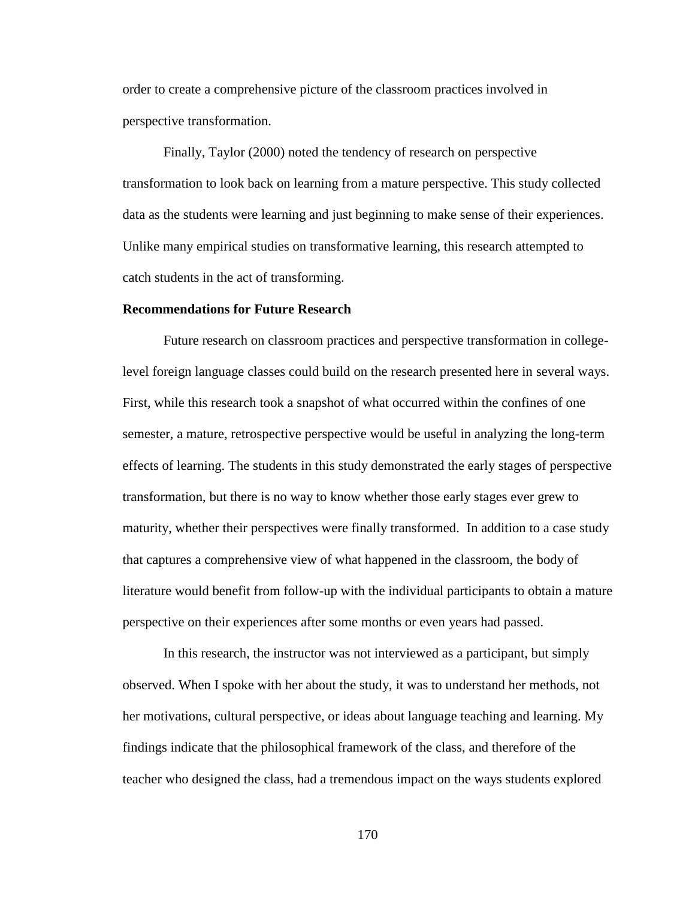order to create a comprehensive picture of the classroom practices involved in perspective transformation.

Finally, Taylor (2000) noted the tendency of research on perspective transformation to look back on learning from a mature perspective. This study collected data as the students were learning and just beginning to make sense of their experiences. Unlike many empirical studies on transformative learning, this research attempted to catch students in the act of transforming.

#### **Recommendations for Future Research**

Future research on classroom practices and perspective transformation in collegelevel foreign language classes could build on the research presented here in several ways. First, while this research took a snapshot of what occurred within the confines of one semester, a mature, retrospective perspective would be useful in analyzing the long-term effects of learning. The students in this study demonstrated the early stages of perspective transformation, but there is no way to know whether those early stages ever grew to maturity, whether their perspectives were finally transformed. In addition to a case study that captures a comprehensive view of what happened in the classroom, the body of literature would benefit from follow-up with the individual participants to obtain a mature perspective on their experiences after some months or even years had passed.

In this research, the instructor was not interviewed as a participant, but simply observed. When I spoke with her about the study, it was to understand her methods, not her motivations, cultural perspective, or ideas about language teaching and learning. My findings indicate that the philosophical framework of the class, and therefore of the teacher who designed the class, had a tremendous impact on the ways students explored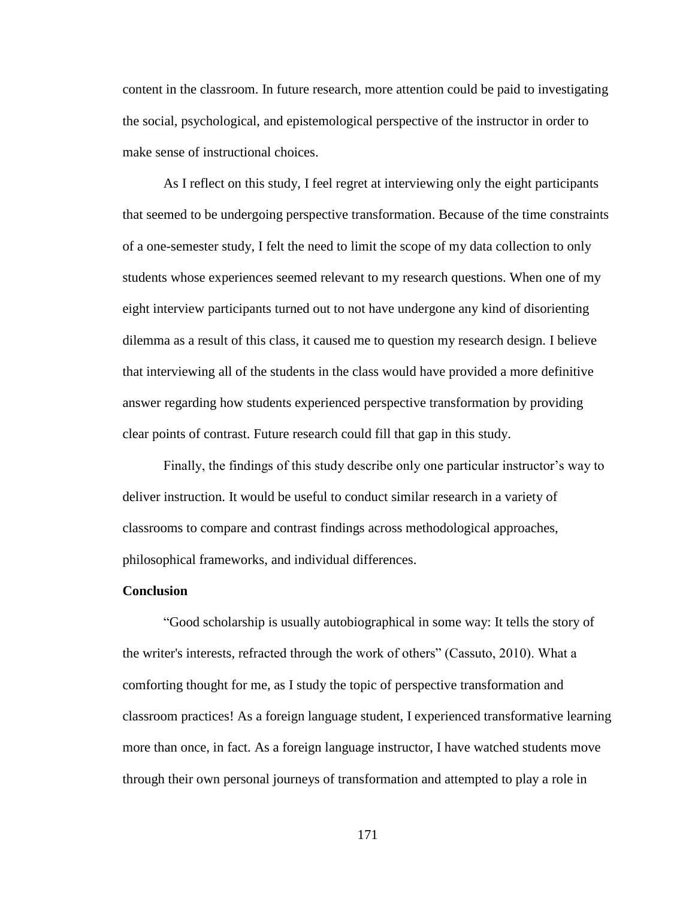content in the classroom. In future research, more attention could be paid to investigating the social, psychological, and epistemological perspective of the instructor in order to make sense of instructional choices.

As I reflect on this study, I feel regret at interviewing only the eight participants that seemed to be undergoing perspective transformation. Because of the time constraints of a one-semester study, I felt the need to limit the scope of my data collection to only students whose experiences seemed relevant to my research questions. When one of my eight interview participants turned out to not have undergone any kind of disorienting dilemma as a result of this class, it caused me to question my research design. I believe that interviewing all of the students in the class would have provided a more definitive answer regarding how students experienced perspective transformation by providing clear points of contrast. Future research could fill that gap in this study.

Finally, the findings of this study describe only one particular instructor's way to deliver instruction. It would be useful to conduct similar research in a variety of classrooms to compare and contrast findings across methodological approaches, philosophical frameworks, and individual differences.

#### **Conclusion**

"Good scholarship is usually autobiographical in some way: It tells the story of the writer's interests, refracted through the work of others" (Cassuto, 2010). What a comforting thought for me, as I study the topic of perspective transformation and classroom practices! As a foreign language student, I experienced transformative learning more than once, in fact. As a foreign language instructor, I have watched students move through their own personal journeys of transformation and attempted to play a role in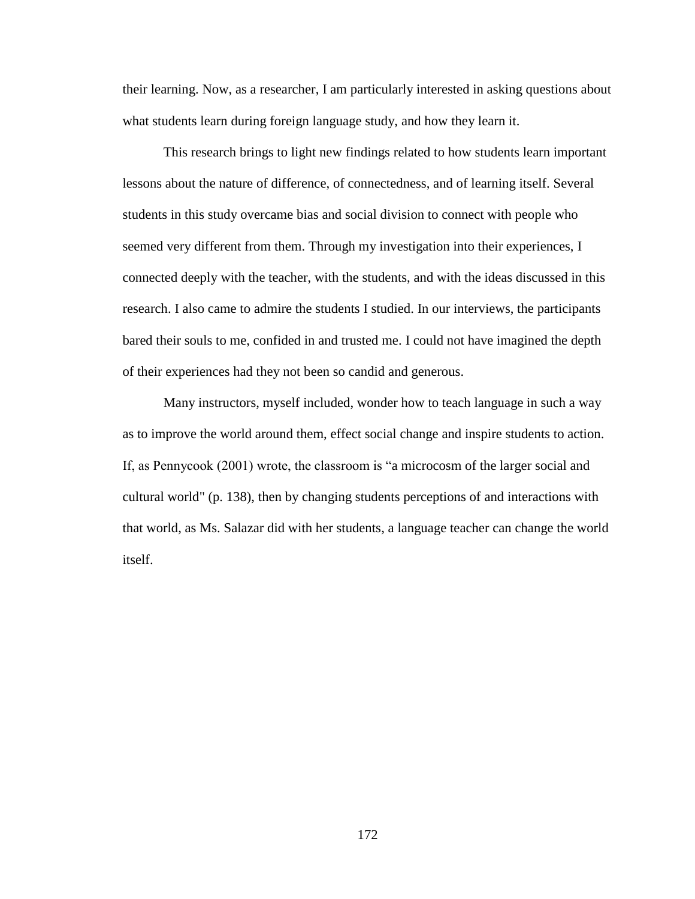their learning. Now, as a researcher, I am particularly interested in asking questions about what students learn during foreign language study, and how they learn it.

This research brings to light new findings related to how students learn important lessons about the nature of difference, of connectedness, and of learning itself. Several students in this study overcame bias and social division to connect with people who seemed very different from them. Through my investigation into their experiences, I connected deeply with the teacher, with the students, and with the ideas discussed in this research. I also came to admire the students I studied. In our interviews, the participants bared their souls to me, confided in and trusted me. I could not have imagined the depth of their experiences had they not been so candid and generous.

Many instructors, myself included, wonder how to teach language in such a way as to improve the world around them, effect social change and inspire students to action. If, as Pennycook (2001) wrote, the classroom is "a microcosm of the larger social and cultural world" (p. 138), then by changing students perceptions of and interactions with that world, as Ms. Salazar did with her students, a language teacher can change the world itself.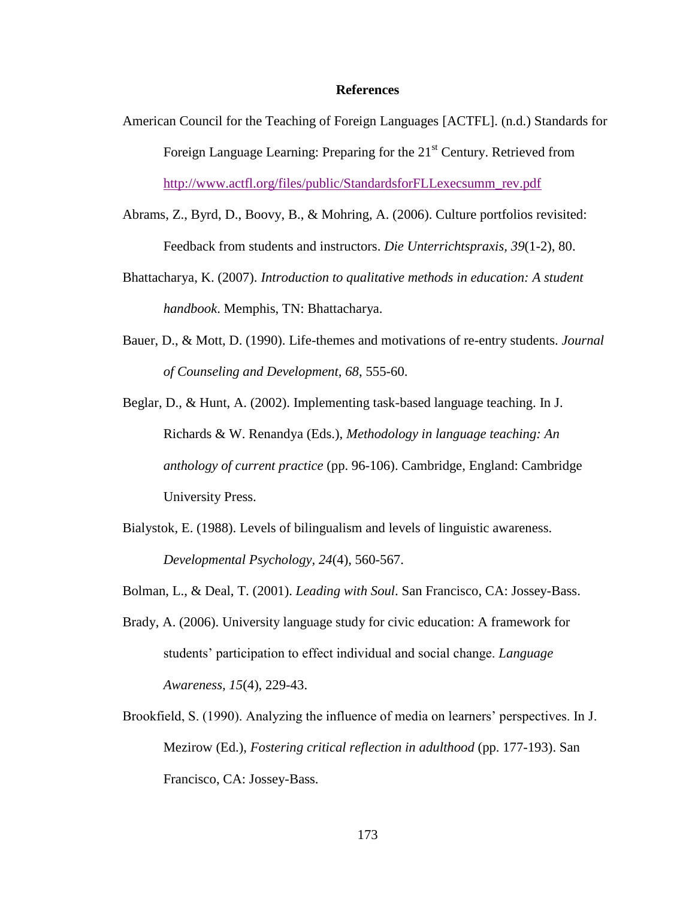#### **References**

- American Council for the Teaching of Foreign Languages [ACTFL]. (n.d.) Standards for Foreign Language Learning: Preparing for the  $21<sup>st</sup>$  Century. Retrieved from [http://www.actfl.org/files/public/StandardsforFLLexecsumm\\_rev.pdf](http://www.actfl.org/files/public/StandardsforFLLexecsumm_rev.pdf)
- Abrams, Z., Byrd, D., Boovy, B., & Mohring, A. (2006). Culture portfolios revisited: Feedback from students and instructors. *Die Unterrichtspraxis, 39*(1-2), 80.
- Bhattacharya, K. (2007). *Introduction to qualitative methods in education: A student handbook*. Memphis, TN: Bhattacharya.
- Bauer, D., & Mott, D. (1990). Life-themes and motivations of re-entry students. *Journal of Counseling and Development, 68*, 555-60.
- Beglar, D., & Hunt, A. (2002). Implementing task-based language teaching. In J. Richards & W. Renandya (Eds.), *Methodology in language teaching: An anthology of current practice* (pp. 96-106). Cambridge, England: Cambridge University Press.
- Bialystok, E. (1988). Levels of bilingualism and levels of linguistic awareness. *Developmental Psychology, 24*(4), 560-567.
- Bolman, L., & Deal, T. (2001). *Leading with Soul*. San Francisco, CA: Jossey-Bass.
- Brady, A. (2006). University language study for civic education: A framework for students' participation to effect individual and social change. *Language Awareness, 15*(4), 229-43.
- Brookfield, S. (1990). Analyzing the influence of media on learners' perspectives. In J. Mezirow (Ed.), *Fostering critical reflection in adulthood* (pp. 177-193). San Francisco, CA: Jossey-Bass.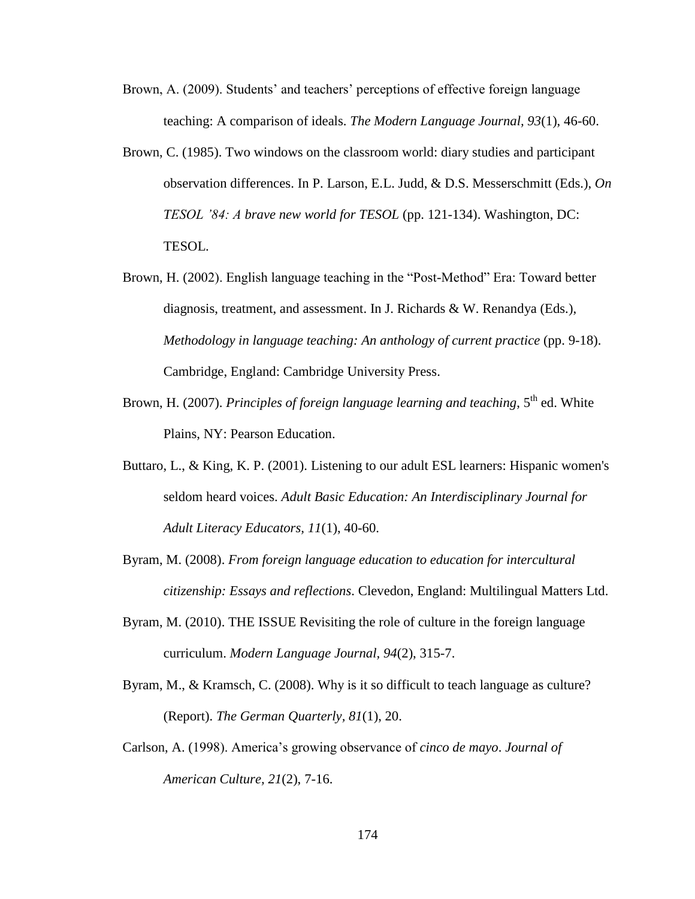- Brown, A. (2009). Students' and teachers' perceptions of effective foreign language teaching: A comparison of ideals. *The Modern Language Journal, 93*(1), 46-60.
- Brown, C. (1985). Two windows on the classroom world: diary studies and participant observation differences. In P. Larson, E.L. Judd, & D.S. Messerschmitt (Eds.), *On TESOL '84: A brave new world for TESOL* (pp. 121-134). Washington, DC: TESOL.
- Brown, H. (2002). English language teaching in the "Post-Method" Era: Toward better diagnosis, treatment, and assessment. In J. Richards & W. Renandya (Eds.), *Methodology in language teaching: An anthology of current practice* (pp. 9-18). Cambridge, England: Cambridge University Press.
- Brown, H. (2007). *Principles of foreign language learning and teaching*, 5<sup>th</sup> ed. White Plains, NY: Pearson Education.
- Buttaro, L., & King, K. P. (2001). Listening to our adult ESL learners: Hispanic women's seldom heard voices. *Adult Basic Education: An Interdisciplinary Journal for Adult Literacy Educators, 11*(1), 40-60.
- Byram, M. (2008). *From foreign language education to education for intercultural citizenship: Essays and reflections*. Clevedon, England: Multilingual Matters Ltd.
- Byram, M. (2010). THE ISSUE Revisiting the role of culture in the foreign language curriculum. *Modern Language Journal, 94*(2), 315-7.
- Byram, M., & Kramsch, C. (2008). Why is it so difficult to teach language as culture? (Report). *The German Quarterly, 81*(1), 20.
- Carlson, A. (1998). America's growing observance of *cinco de mayo*. *Journal of American Culture, 21*(2), 7-16.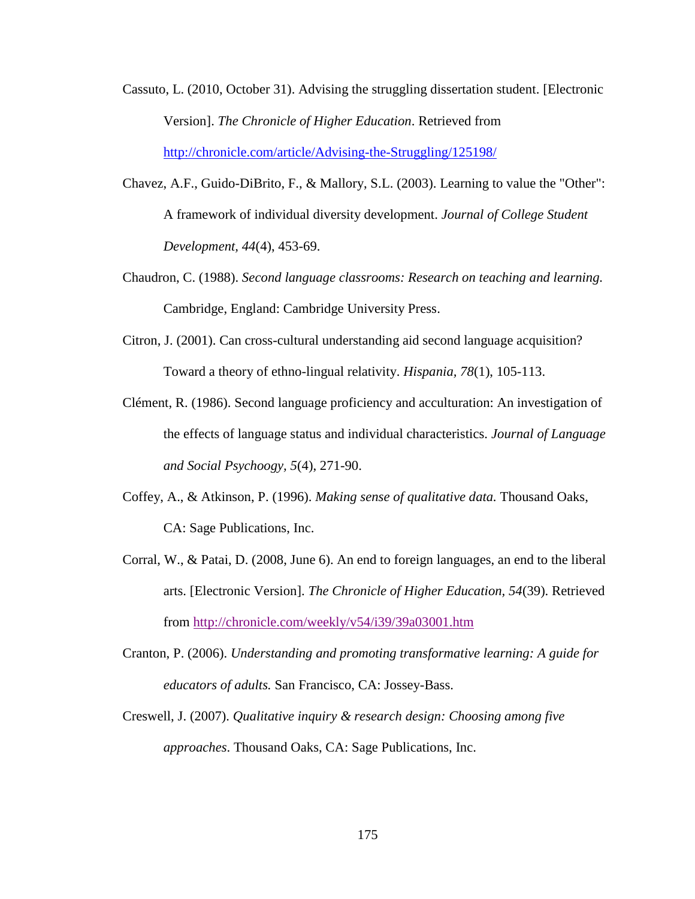- Cassuto, L. (2010, October 31). Advising the struggling dissertation student. [Electronic Version]. *The Chronicle of Higher Education*. Retrieved from <http://chronicle.com/article/Advising-the-Struggling/125198/>
- Chavez, A.F., Guido-DiBrito, F., & Mallory, S.L. (2003). Learning to value the "Other": A framework of individual diversity development. *Journal of College Student Development, 44*(4), 453-69.
- Chaudron, C. (1988). *Second language classrooms: Research on teaching and learning.*  Cambridge, England: Cambridge University Press.
- Citron, J. (2001). Can cross-cultural understanding aid second language acquisition? Toward a theory of ethno-lingual relativity. *Hispania, 78*(1), 105-113.
- Clément, R. (1986). Second language proficiency and acculturation: An investigation of the effects of language status and individual characteristics. *Journal of Language and Social Psychoogy, 5*(4), 271-90.
- Coffey, A., & Atkinson, P. (1996). *Making sense of qualitative data.* Thousand Oaks, CA: Sage Publications, Inc.
- Corral, W., & Patai, D. (2008, June 6). An end to foreign languages, an end to the liberal arts. [Electronic Version]. *The Chronicle of Higher Education, 54*(39). Retrieved from<http://chronicle.com/weekly/v54/i39/39a03001.htm>
- Cranton, P. (2006). *Understanding and promoting transformative learning: A guide for educators of adults.* San Francisco, CA: Jossey-Bass.
- Creswell, J. (2007). *Qualitative inquiry & research design: Choosing among five approaches*. Thousand Oaks, CA: Sage Publications, Inc.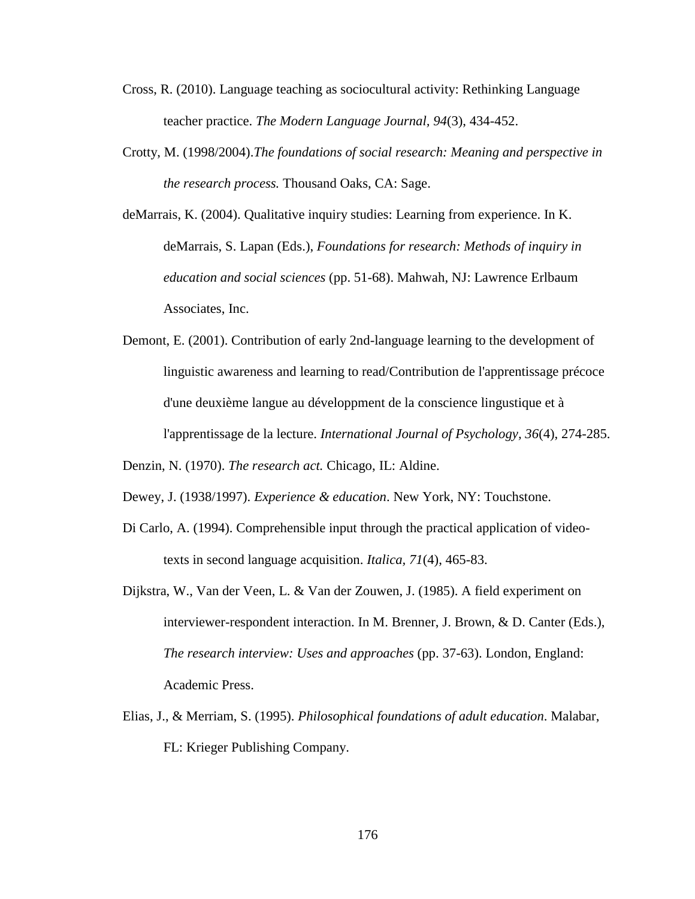- Cross, R. (2010). Language teaching as sociocultural activity: Rethinking Language teacher practice. *The Modern Language Journal, 94*(3), 434-452.
- Crotty, M. (1998/2004).*The foundations of social research: Meaning and perspective in the research process.* Thousand Oaks, CA: Sage.
- deMarrais, K. (2004). Qualitative inquiry studies: Learning from experience. In K. deMarrais, S. Lapan (Eds.), *Foundations for research: Methods of inquiry in education and social sciences* (pp. 51-68). Mahwah, NJ: Lawrence Erlbaum Associates, Inc.
- Demont, E. (2001). Contribution of early 2nd-language learning to the development of linguistic awareness and learning to read/Contribution de l'apprentissage précoce d'une deuxième langue au développment de la conscience lingustique et à l'apprentissage de la lecture. *International Journal of Psychology, 36*(4), 274-285.

Denzin, N. (1970). *The research act.* Chicago, IL: Aldine.

Dewey, J. (1938/1997). *Experience & education*. New York, NY: Touchstone.

- Di Carlo, A. (1994). Comprehensible input through the practical application of videotexts in second language acquisition. *Italica, 71*(4), 465-83.
- Dijkstra, W., Van der Veen, L. & Van der Zouwen, J. (1985). A field experiment on interviewer-respondent interaction. In M. Brenner, J. Brown, & D. Canter (Eds.), *The research interview: Uses and approaches* (pp. 37-63). London, England: Academic Press.
- Elias, J., & Merriam, S. (1995). *Philosophical foundations of adult education*. Malabar, FL: Krieger Publishing Company.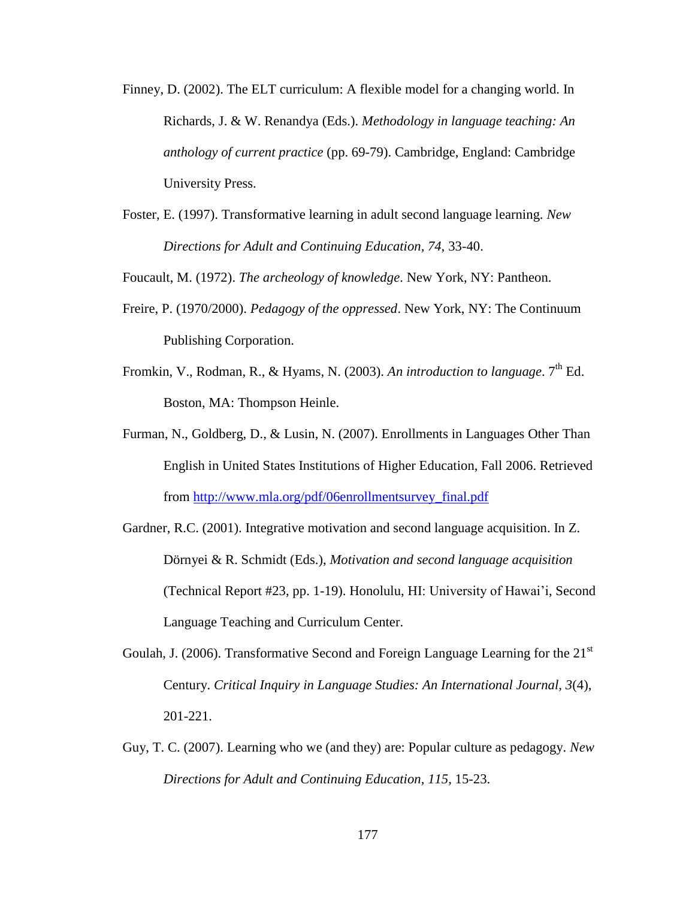- Finney, D. (2002). The ELT curriculum: A flexible model for a changing world. In Richards, J. & W. Renandya (Eds.). *Methodology in language teaching: An anthology of current practice* (pp. 69-79). Cambridge, England: Cambridge University Press.
- Foster, E. (1997). Transformative learning in adult second language learning. *New Directions for Adult and Continuing Education, 74,* 33-40.

Foucault, M. (1972). *The archeology of knowledge*. New York, NY: Pantheon.

- Freire, P. (1970/2000). *Pedagogy of the oppressed*. New York, NY: The Continuum Publishing Corporation.
- Fromkin, V., Rodman, R., & Hyams, N. (2003). An introduction to language. 7<sup>th</sup> Ed. Boston, MA: Thompson Heinle.
- Furman, N., Goldberg, D., & Lusin, N. (2007). Enrollments in Languages Other Than English in United States Institutions of Higher Education, Fall 2006. Retrieved from [http://www.mla.org/pdf/06enrollmentsurvey\\_final.pdf](http://www.mla.org/pdf/06enrollmentsurvey_final.pdf)
- Gardner, R.C. (2001). Integrative motivation and second language acquisition. In Z. Dörnyei & R. Schmidt (Eds.), *Motivation and second language acquisition* (Technical Report #23, pp. 1-19). Honolulu, HI: University of Hawai'i, Second Language Teaching and Curriculum Center.
- Goulah, J. (2006). Transformative Second and Foreign Language Learning for the  $21<sup>st</sup>$ Century. *Critical Inquiry in Language Studies: An International Journal, 3*(4), 201-221.
- Guy, T. C. (2007). Learning who we (and they) are: Popular culture as pedagogy. *New Directions for Adult and Continuing Education, 115,* 15-23.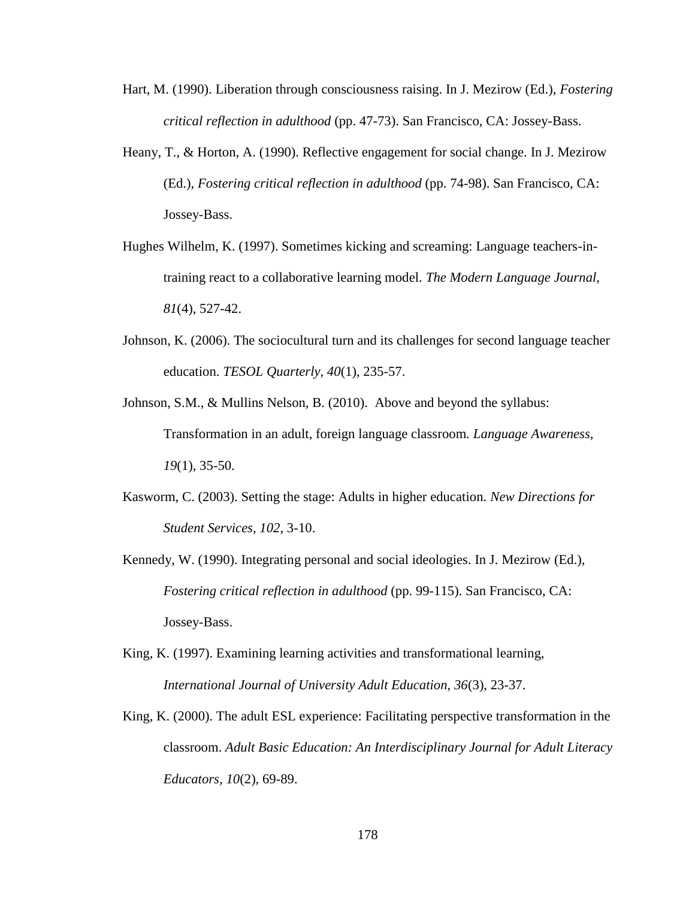- Hart, M. (1990). Liberation through consciousness raising. In J. Mezirow (Ed.), *Fostering critical reflection in adulthood* (pp. 47-73). San Francisco, CA: Jossey-Bass.
- Heany, T., & Horton, A. (1990). Reflective engagement for social change. In J. Mezirow (Ed.), *Fostering critical reflection in adulthood* (pp. 74-98). San Francisco, CA: Jossey-Bass.
- Hughes Wilhelm, K. (1997). Sometimes kicking and screaming: Language teachers-intraining react to a collaborative learning model. *The Modern Language Journal, 81*(4), 527-42.
- Johnson, K. (2006). The sociocultural turn and its challenges for second language teacher education. *TESOL Quarterly, 40*(1), 235-57.
- Johnson, S.M., & Mullins Nelson, B. (2010). Above and beyond the syllabus: Transformation in an adult, foreign language classroom*. Language Awareness, 19*(1), 35-50.
- Kasworm, C. (2003). Setting the stage: Adults in higher education. *New Directions for Student Services, 102*, 3-10.
- Kennedy, W. (1990). Integrating personal and social ideologies. In J. Mezirow (Ed.), *Fostering critical reflection in adulthood* (pp. 99-115). San Francisco, CA: Jossey-Bass.
- King, K. (1997). Examining learning activities and transformational learning, *International Journal of University Adult Education, 36*(3), 23-37.
- King, K. (2000). The adult ESL experience: Facilitating perspective transformation in the classroom. *Adult Basic Education: An Interdisciplinary Journal for Adult Literacy Educators, 10*(2), 69-89.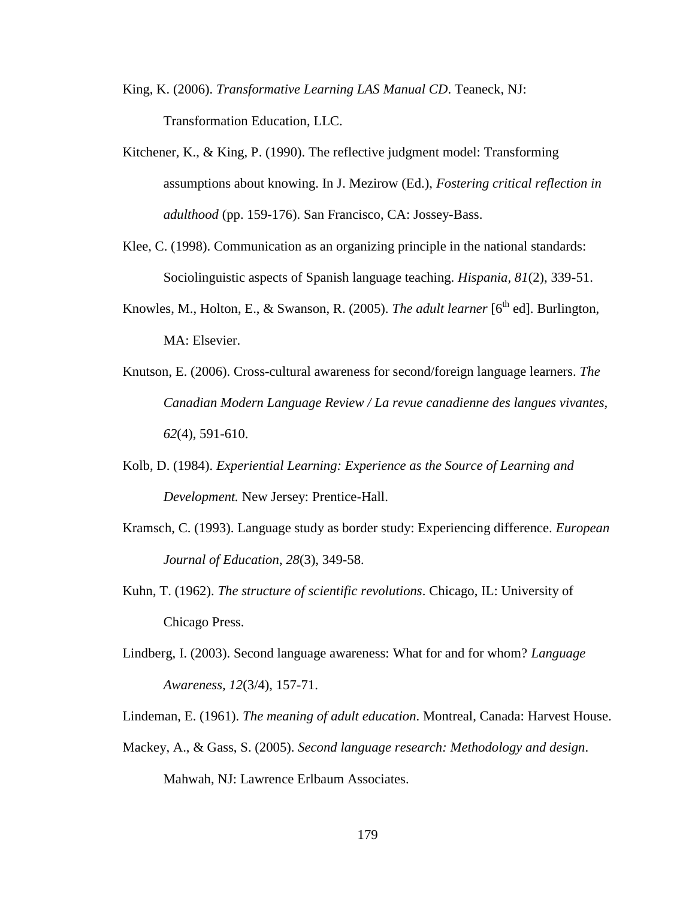- King, K. (2006). *Transformative Learning LAS Manual CD*. Teaneck, NJ: Transformation Education, LLC.
- Kitchener, K., & King, P. (1990). The reflective judgment model: Transforming assumptions about knowing. In J. Mezirow (Ed.), *Fostering critical reflection in adulthood* (pp. 159-176). San Francisco, CA: Jossey-Bass.
- Klee, C. (1998). Communication as an organizing principle in the national standards: Sociolinguistic aspects of Spanish language teaching. *Hispania, 81*(2), 339-51.
- Knowles, M., Holton, E., & Swanson, R. (2005). *The adult learner* [6<sup>th</sup> ed]. Burlington, MA: Elsevier.
- Knutson, E. (2006). Cross-cultural awareness for second/foreign language learners. *The Canadian Modern Language Review / La revue canadienne des langues vivantes, 62*(4), 591-610.
- Kolb, D. (1984). *Experiential Learning: Experience as the Source of Learning and Development.* New Jersey: Prentice-Hall.
- Kramsch, C. (1993). Language study as border study: Experiencing difference. *European Journal of Education*, *28*(3), 349-58.
- Kuhn, T. (1962). *The structure of scientific revolutions*. Chicago, IL: University of Chicago Press.
- Lindberg, I. (2003). Second language awareness: What for and for whom? *Language Awareness, 12*(3/4), 157-71.
- Lindeman, E. (1961). *The meaning of adult education*. Montreal, Canada: Harvest House.
- Mackey, A., & Gass, S. (2005). *Second language research: Methodology and design*. Mahwah, NJ: Lawrence Erlbaum Associates.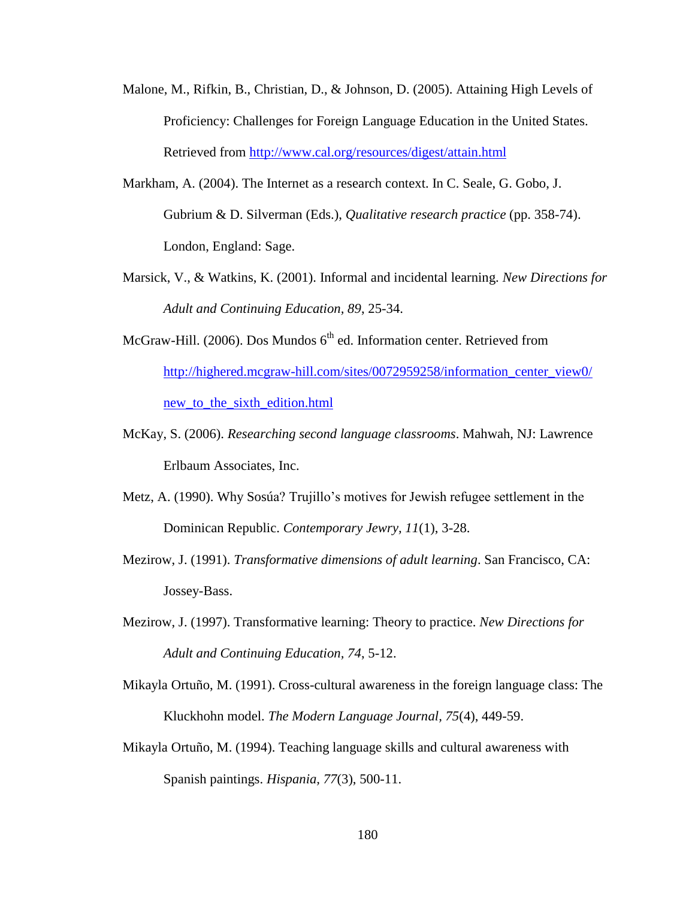- Malone, M., Rifkin, B., Christian, D., & Johnson, D. (2005). Attaining High Levels of Proficiency: Challenges for Foreign Language Education in the United States. Retrieved from<http://www.cal.org/resources/digest/attain.html>
- Markham, A. (2004). The Internet as a research context. In C. Seale, G. Gobo, J. Gubrium & D. Silverman (Eds.), *Qualitative research practice* (pp. 358-74). London, England: Sage.
- Marsick, V., & Watkins, K. (2001). Informal and incidental learning. *New Directions for Adult and Continuing Education, 89*, 25-34.
- McGraw-Hill. (2006). Dos Mundos  $6<sup>th</sup>$  ed. Information center. Retrieved from [http://highered.mcgraw-hill.com/sites/0072959258/information\\_center\\_view0/](http://highered.mcgraw-hill.com/sites/0072959258/information_center_view0/) [new\\_to\\_the\\_sixth\\_edition.html](http://highered.mcgraw-hill.com/sites/0072959258/information_center_view0/)
- McKay, S. (2006). *Researching second language classrooms*. Mahwah, NJ: Lawrence Erlbaum Associates, Inc.
- Metz, A. (1990). Why Sosúa? Trujillo's motives for Jewish refugee settlement in the Dominican Republic. *Contemporary Jewry, 11*(1), 3-28.
- Mezirow, J. (1991). *Transformative dimensions of adult learning*. San Francisco, CA: Jossey-Bass.
- Mezirow, J. (1997). Transformative learning: Theory to practice. *New Directions for Adult and Continuing Education, 74*, 5-12.
- Mikayla Ortuño, M. (1991). Cross-cultural awareness in the foreign language class: The Kluckhohn model. *The Modern Language Journal, 75*(4), 449-59.
- Mikayla Ortuño, M. (1994). Teaching language skills and cultural awareness with Spanish paintings. *Hispania, 77*(3), 500-11.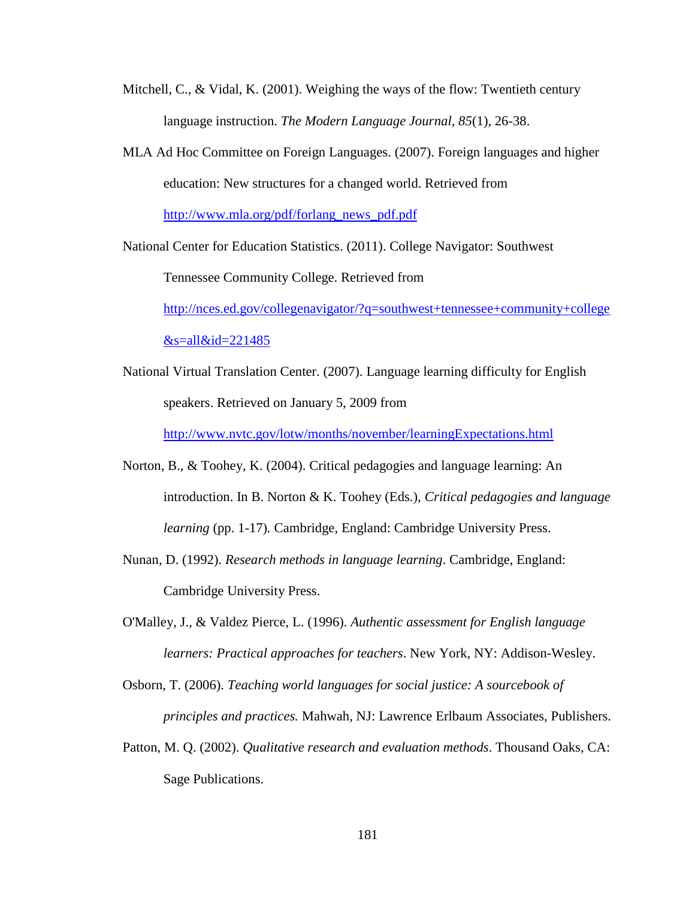- Mitchell, C., & Vidal, K.  $(2001)$ . Weighing the ways of the flow: Twentieth century language instruction. *The Modern Language Journal, 85*(1), 26-38.
- MLA Ad Hoc Committee on Foreign Languages. (2007). Foreign languages and higher education: New structures for a changed world. Retrieved from [http://www.mla.org/pdf/forlang\\_news\\_pdf.pdf](http://www.mla.org/pdf/forlang_news_pdf.pdf)

National Center for Education Statistics. (2011). College Navigator: Southwest

Tennessee Community College. Retrieved from

[http://nces.ed.gov/collegenavigator/?q=southwest+tennessee+community+college](http://nces.ed.gov/collegenavigator/?q=southwest+tennessee+community+college&s=all&id=221485)  $&$ s=all $&$ id=221485

National Virtual Translation Center. (2007). Language learning difficulty for English speakers. Retrieved on January 5, 2009 from

<http://www.nvtc.gov/lotw/months/november/learningExpectations.html>

- Norton, B., & Toohey, K. (2004). Critical pedagogies and language learning: An introduction. In B. Norton & K. Toohey (Eds.), *Critical pedagogies and language learning* (pp. 1-17)*.* Cambridge, England: Cambridge University Press.
- Nunan, D. (1992). *Research methods in language learning*. Cambridge, England: Cambridge University Press.
- O'Malley, J., & Valdez Pierce, L. (1996). *Authentic assessment for English language learners: Practical approaches for teachers*. New York, NY: Addison-Wesley.

Osborn, T. (2006). *Teaching world languages for social justice: A sourcebook of principles and practices.* Mahwah, NJ: Lawrence Erlbaum Associates, Publishers.

Patton, M. Q. (2002). *Qualitative research and evaluation methods*. Thousand Oaks, CA: Sage Publications.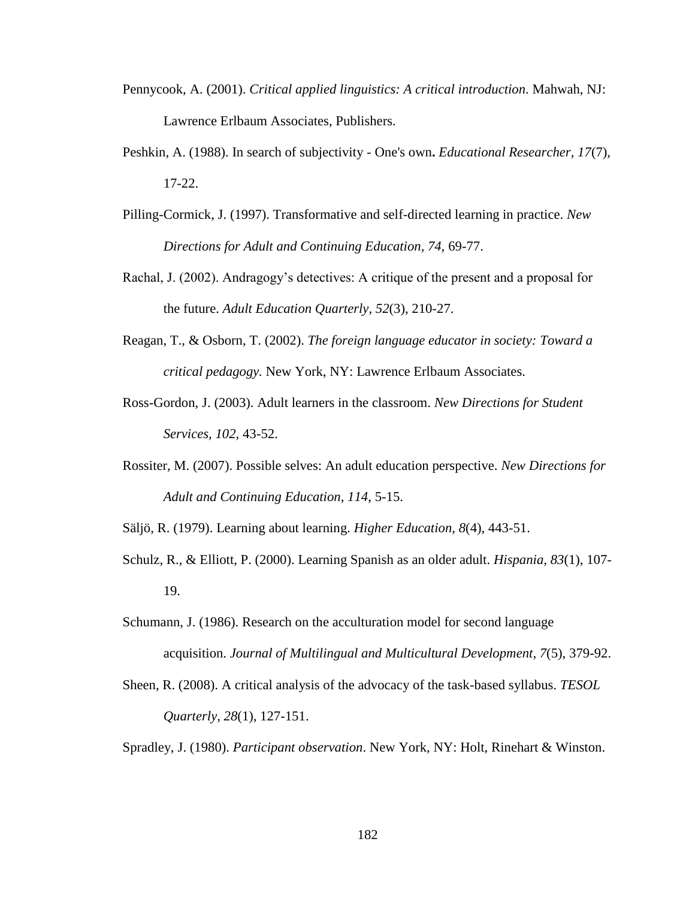- Pennycook, A. (2001). *Critical applied linguistics: A critical introduction*. Mahwah, NJ: Lawrence Erlbaum Associates, Publishers.
- Peshkin, A. (1988). In search of subjectivity One's own**.** *Educational Researcher, 17*(7), 17-22.
- Pilling-Cormick, J. (1997). Transformative and self-directed learning in practice. *New Directions for Adult and Continuing Education, 74,* 69-77.
- Rachal, J. (2002). Andragogy's detectives: A critique of the present and a proposal for the future. *Adult Education Quarterly, 52*(3), 210-27.
- Reagan, T., & Osborn, T. (2002). *The foreign language educator in society: Toward a critical pedagogy.* New York, NY: Lawrence Erlbaum Associates.
- Ross-Gordon, J. (2003). Adult learners in the classroom. *New Directions for Student Services, 102,* 43-52.
- Rossiter, M. (2007). Possible selves: An adult education perspective. *New Directions for Adult and Continuing Education, 114*, 5-15.

Säljö, R. (1979). Learning about learning. *Higher Education, 8*(4), 443-51.

- Schulz, R., & Elliott, P. (2000). Learning Spanish as an older adult. *Hispania, 83*(1), 107- 19.
- Schumann, J. (1986). Research on the acculturation model for second language acquisition. *Journal of Multilingual and Multicultural Development, 7*(5), 379-92.
- Sheen, R. (2008). A critical analysis of the advocacy of the task-based syllabus. *TESOL Quarterly, 28*(1), 127-151.

Spradley, J. (1980). *Participant observation*. New York, NY: Holt, Rinehart & Winston.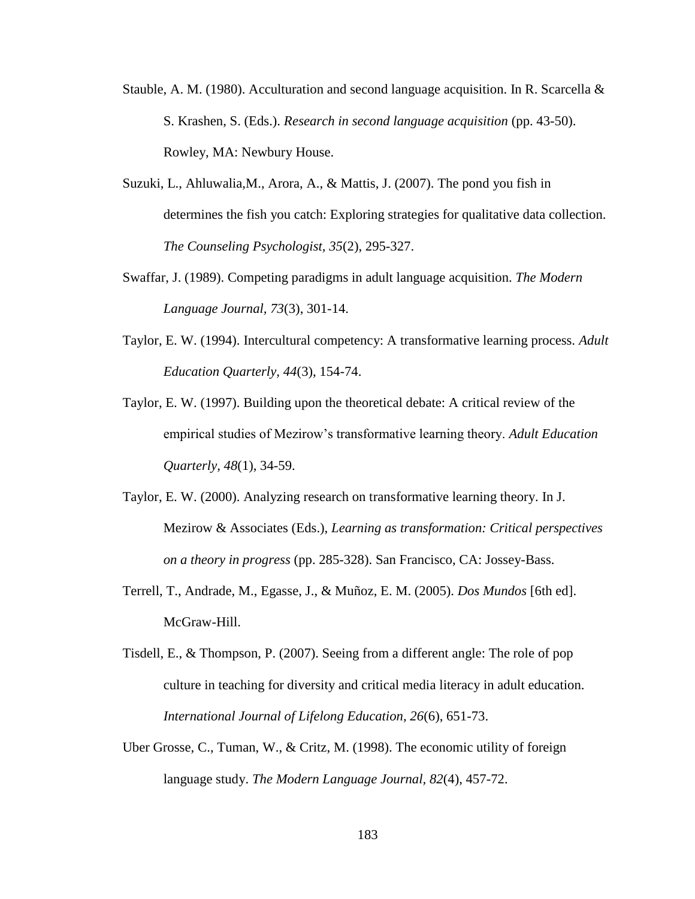- Stauble, A. M. (1980). Acculturation and second language acquisition. In R. Scarcella  $\&$ S. Krashen, S. (Eds.). *Research in second language acquisition* (pp. 43-50). Rowley, MA: Newbury House.
- Suzuki, L., Ahluwalia,M., Arora, A., & Mattis, J. (2007). The pond you fish in determines the fish you catch: Exploring strategies for qualitative data collection. *The Counseling Psychologist, 35*(2), 295-327.
- Swaffar, J. (1989). Competing paradigms in adult language acquisition. *The Modern Language Journal, 73*(3), 301-14.
- Taylor, E. W. (1994). Intercultural competency: A transformative learning process. *Adult Education Quarterly, 44*(3), 154-74.
- Taylor, E. W. (1997). Building upon the theoretical debate: A critical review of the empirical studies of Mezirow's transformative learning theory. *Adult Education Quarterly, 48*(1), 34-59.
- Taylor, E. W. (2000). Analyzing research on transformative learning theory. In J. Mezirow & Associates (Eds.), *Learning as transformation: Critical perspectives on a theory in progress* (pp. 285-328). San Francisco, CA: Jossey-Bass.
- Terrell, T., Andrade, M., Egasse, J., & Muñoz, E. M. (2005). *Dos Mundos* [6th ed]. McGraw-Hill.
- Tisdell, E., & Thompson, P. (2007). Seeing from a different angle: The role of pop culture in teaching for diversity and critical media literacy in adult education. *International Journal of Lifelong Education, 26*(6), 651-73.
- Uber Grosse, C., Tuman, W., & Critz, M. (1998). The economic utility of foreign language study. *The Modern Language Journal, 82*(4), 457-72.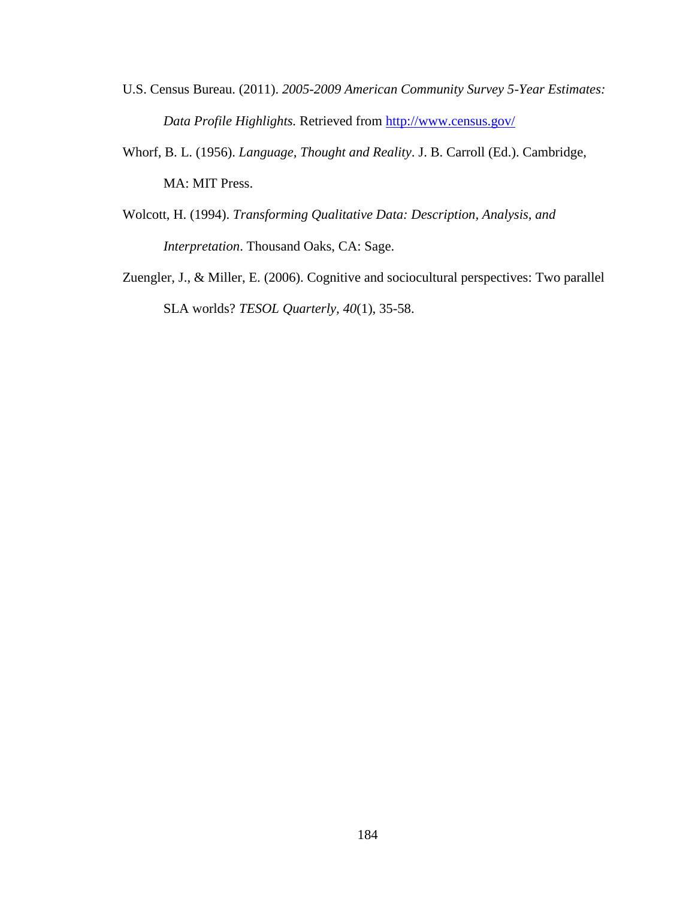- U.S. Census Bureau. (2011). *2005-2009 American Community Survey 5-Year Estimates: Data Profile Highlights.* Retrieved from<http://www.census.gov/>
- Whorf, B. L. (1956). *Language, Thought and Reality*. J. B. Carroll (Ed.). Cambridge, MA: MIT Press.
- Wolcott, H. (1994). *Transforming Qualitative Data: Description, Analysis, and Interpretation*. Thousand Oaks, CA: Sage.
- Zuengler, J., & Miller, E. (2006). Cognitive and sociocultural perspectives: Two parallel SLA worlds? *TESOL Quarterly, 40*(1), 35-58.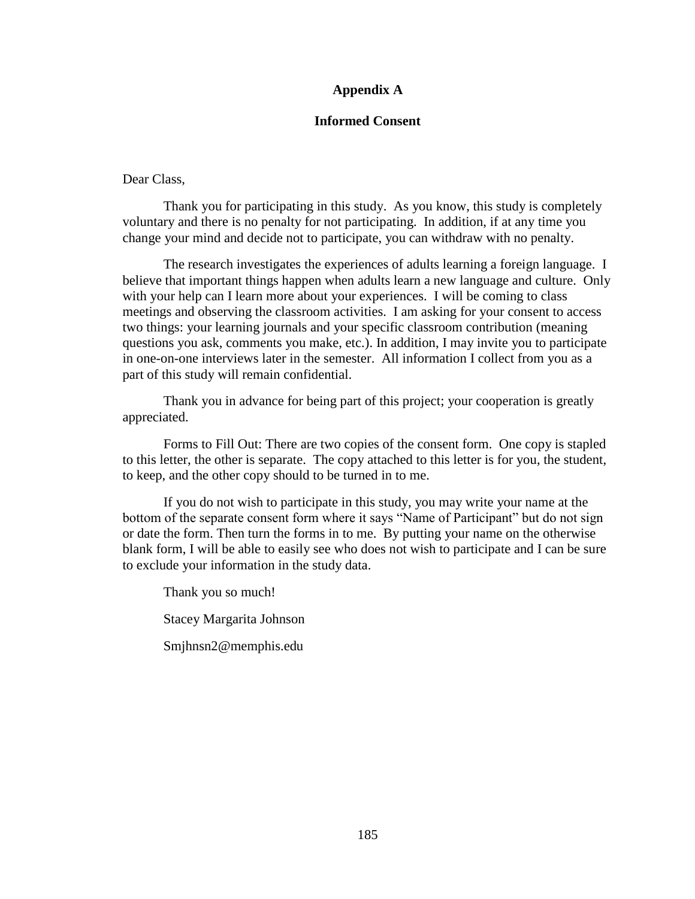# **Appendix A**

### **Informed Consent**

## Dear Class,

Thank you for participating in this study. As you know, this study is completely voluntary and there is no penalty for not participating. In addition, if at any time you change your mind and decide not to participate, you can withdraw with no penalty.

The research investigates the experiences of adults learning a foreign language. I believe that important things happen when adults learn a new language and culture. Only with your help can I learn more about your experiences. I will be coming to class meetings and observing the classroom activities. I am asking for your consent to access two things: your learning journals and your specific classroom contribution (meaning questions you ask, comments you make, etc.). In addition, I may invite you to participate in one-on-one interviews later in the semester. All information I collect from you as a part of this study will remain confidential.

Thank you in advance for being part of this project; your cooperation is greatly appreciated.

Forms to Fill Out: There are two copies of the consent form. One copy is stapled to this letter, the other is separate. The copy attached to this letter is for you, the student, to keep, and the other copy should to be turned in to me.

If you do not wish to participate in this study, you may write your name at the bottom of the separate consent form where it says "Name of Participant" but do not sign or date the form. Then turn the forms in to me. By putting your name on the otherwise blank form, I will be able to easily see who does not wish to participate and I can be sure to exclude your information in the study data.

Thank you so much! Stacey Margarita Johnson Smjhnsn2@memphis.edu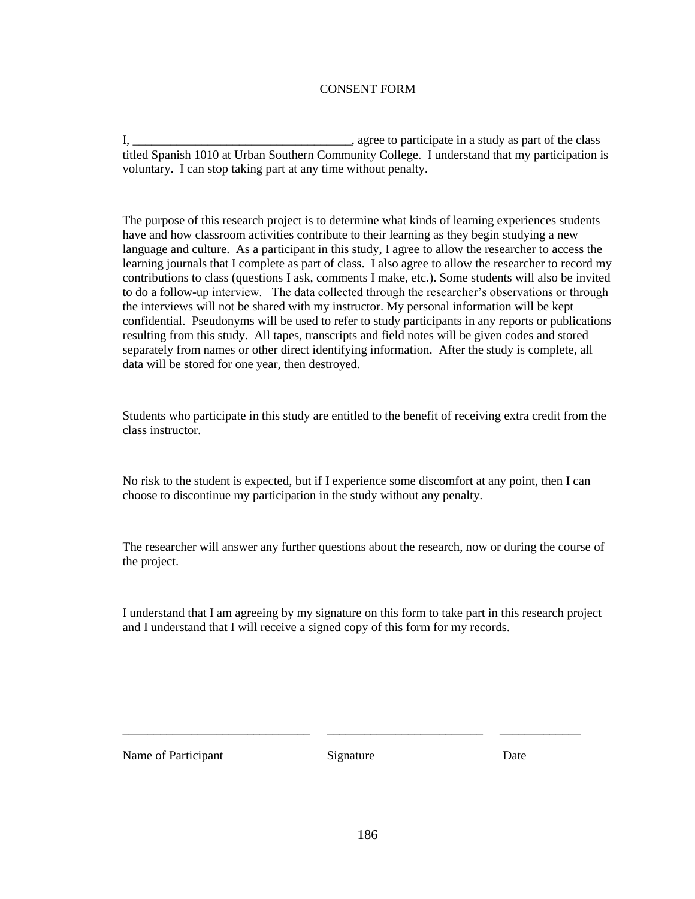### CONSENT FORM

I, \_\_\_\_\_\_\_\_\_\_\_\_\_\_\_\_\_\_\_\_\_\_\_\_\_\_\_\_\_\_\_\_\_\_\_, agree to participate in a study as part of the class titled Spanish 1010 at Urban Southern Community College. I understand that my participation is voluntary. I can stop taking part at any time without penalty.

The purpose of this research project is to determine what kinds of learning experiences students have and how classroom activities contribute to their learning as they begin studying a new language and culture. As a participant in this study, I agree to allow the researcher to access the learning journals that I complete as part of class. I also agree to allow the researcher to record my contributions to class (questions I ask, comments I make, etc.). Some students will also be invited to do a follow-up interview. The data collected through the researcher's observations or through the interviews will not be shared with my instructor. My personal information will be kept confidential. Pseudonyms will be used to refer to study participants in any reports or publications resulting from this study. All tapes, transcripts and field notes will be given codes and stored separately from names or other direct identifying information. After the study is complete, all data will be stored for one year, then destroyed.

Students who participate in this study are entitled to the benefit of receiving extra credit from the class instructor.

No risk to the student is expected, but if I experience some discomfort at any point, then I can choose to discontinue my participation in the study without any penalty.

The researcher will answer any further questions about the research, now or during the course of the project.

I understand that I am agreeing by my signature on this form to take part in this research project and I understand that I will receive a signed copy of this form for my records.

Name of Participant Signature Signature Date

\_\_\_\_\_\_\_\_\_\_\_\_\_\_\_\_\_\_\_\_\_\_\_\_\_\_\_\_\_\_ \_\_\_\_\_\_\_\_\_\_\_\_\_\_\_\_\_\_\_\_\_\_\_\_\_ \_\_\_\_\_\_\_\_\_\_\_\_\_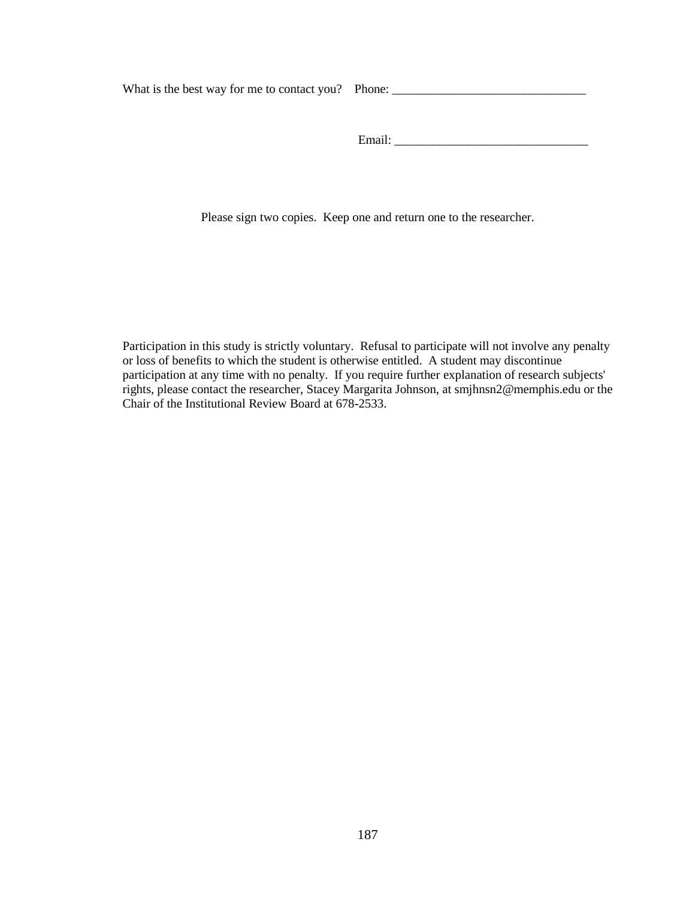What is the best way for me to contact you? Phone: \_\_\_\_\_\_\_\_\_\_\_\_\_\_\_\_\_\_\_\_\_\_\_\_\_\_\_\_\_\_\_

Email: \_\_\_\_\_\_\_\_\_\_\_\_\_\_\_\_\_\_\_\_\_\_\_\_\_\_\_\_\_\_\_

Please sign two copies. Keep one and return one to the researcher.

Participation in this study is strictly voluntary. Refusal to participate will not involve any penalty or loss of benefits to which the student is otherwise entitled. A student may discontinue participation at any time with no penalty. If you require further explanation of research subjects' rights, please contact the researcher, Stacey Margarita Johnson, at smjhnsn2@memphis.edu or the Chair of the Institutional Review Board at 678-2533.